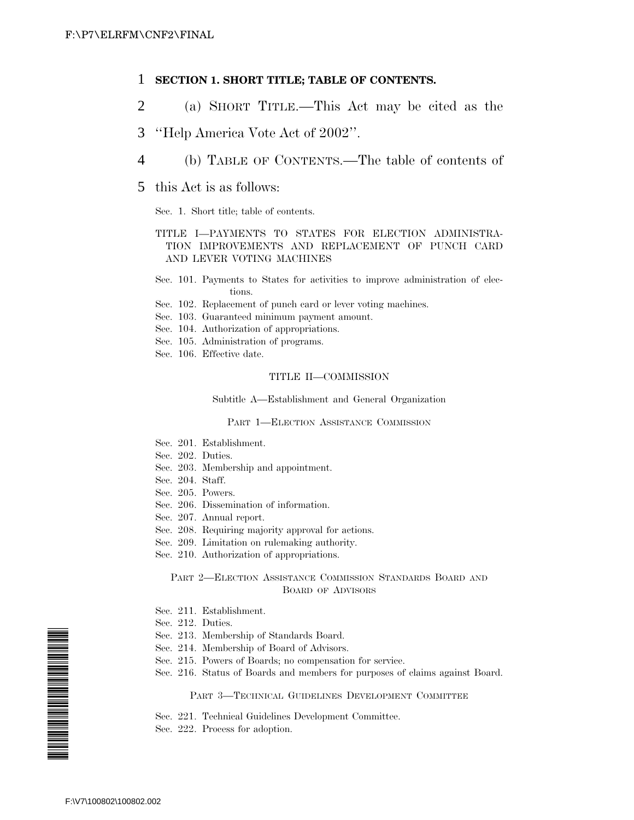## 1 **SECTION 1. SHORT TITLE; TABLE OF CONTENTS.**

- 2 (a) SHORT TITLE.—This Act may be cited as the
- 3 ''Help America Vote Act of 2002''.
- 4 (b) TABLE OF CONTENTS.—The table of contents of
- 5 this Act is as follows:

Sec. 1. Short title; table of contents.

## TITLE I—PAYMENTS TO STATES FOR ELECTION ADMINISTRA-TION IMPROVEMENTS AND REPLACEMENT OF PUNCH CARD AND LEVER VOTING MACHINES

- Sec. 101. Payments to States for activities to improve administration of elections.
- Sec. 102. Replacement of punch card or lever voting machines.
- Sec. 103. Guaranteed minimum payment amount.
- Sec. 104. Authorization of appropriations.
- Sec. 105. Administration of programs.
- Sec. 106. Effective date.

#### TITLE II—COMMISSION

Subtitle A—Establishment and General Organization

### PART 1—ELECTION ASSISTANCE COMMISSION

- Sec. 201. Establishment.
- Sec. 202. Duties.
- Sec. 203. Membership and appointment.
- Sec. 204. Staff.
- Sec. 205. Powers.
- Sec. 206. Dissemination of information.
- Sec. 207. Annual report.
- Sec. 208. Requiring majority approval for actions.
- Sec. 209. Limitation on rulemaking authority.
- Sec. 210. Authorization of appropriations.

### PART 2—ELECTION ASSISTANCE COMMISSION STANDARDS BOARD AND BOARD OF ADVISORS

- Sec. 211. Establishment.
- Sec. 212. Duties.
- Sec. 213. Membership of Standards Board.
- Sec. 214. Membership of Board of Advisors.
- Sec. 215. Powers of Boards; no compensation for service.
- Sec. 216. Status of Boards and members for purposes of claims against Board.

#### PART 3—TECHNICAL GUIDELINES DEVELOPMENT COMMITTEE

- Sec. 221. Technical Guidelines Development Committee.
- Sec. 222. Process for adoption.

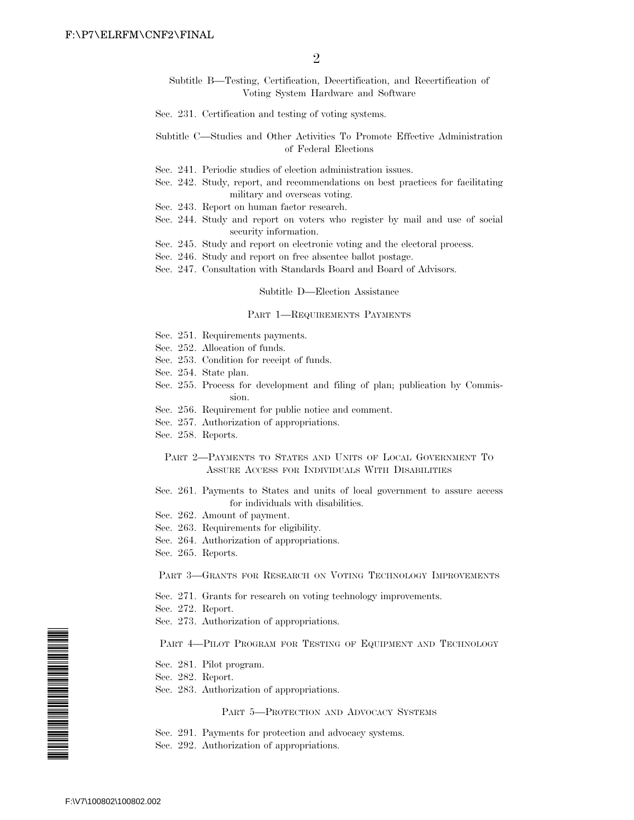Subtitle B—Testing, Certification, Decertification, and Recertification of Voting System Hardware and Software

- Sec. 231. Certification and testing of voting systems.
- Subtitle C—Studies and Other Activities To Promote Effective Administration of Federal Elections
- Sec. 241. Periodic studies of election administration issues.
- Sec. 242. Study, report, and recommendations on best practices for facilitating military and overseas voting.
- Sec. 243. Report on human factor research.
- Sec. 244. Study and report on voters who register by mail and use of social security information.
- Sec. 245. Study and report on electronic voting and the electoral process.
- Sec. 246. Study and report on free absentee ballot postage.
- Sec. 247. Consultation with Standards Board and Board of Advisors.

#### Subtitle D—Election Assistance

#### PART 1—REQUIREMENTS PAYMENTS

- Sec. 251. Requirements payments.
- Sec. 252. Allocation of funds.
- Sec. 253. Condition for receipt of funds.
- Sec. 254. State plan.
- Sec. 255. Process for development and filing of plan; publication by Commission.
- Sec. 256. Requirement for public notice and comment.
- Sec. 257. Authorization of appropriations.
- Sec. 258. Reports.

### PART 2—PAYMENTS TO STATES AND UNITS OF LOCAL GOVERNMENT TO ASSURE ACCESS FOR INDIVIDUALS WITH DISABILITIES

- Sec. 261. Payments to States and units of local government to assure access for individuals with disabilities.
- Sec. 262. Amount of payment.
- Sec. 263. Requirements for eligibility.
- Sec. 264. Authorization of appropriations.
- Sec. 265. Reports.

PART 3—GRANTS FOR RESEARCH ON VOTING TECHNOLOGY IMPROVEMENTS

- Sec. 271. Grants for research on voting technology improvements.
- Sec. 272. Report.
- Sec. 273. Authorization of appropriations.

#### PART 4-PILOT PROGRAM FOR TESTING OF EQUIPMENT AND TECHNOLOGY

- Sec. 281. Pilot program.
- Sec. 282. Report.
- Sec. 283. Authorization of appropriations.

#### PART 5—PROTECTION AND ADVOCACY SYSTEMS

- Sec. 291. Payments for protection and advocacy systems.
- Sec. 292. Authorization of appropriations.

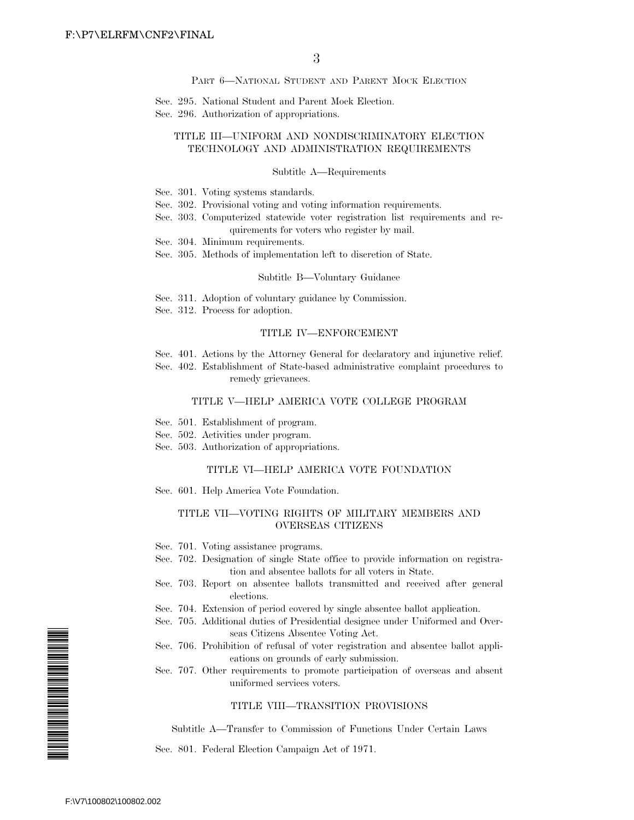PART 6—NATIONAL STUDENT AND PARENT MOCK ELECTION

Sec. 295. National Student and Parent Mock Election.

Sec. 296. Authorization of appropriations.

### TITLE III—UNIFORM AND NONDISCRIMINATORY ELECTION TECHNOLOGY AND ADMINISTRATION REQUIREMENTS

#### Subtitle A—Requirements

- Sec. 301. Voting systems standards.
- Sec. 302. Provisional voting and voting information requirements.
- Sec. 303. Computerized statewide voter registration list requirements and requirements for voters who register by mail.
- Sec. 304. Minimum requirements.
- Sec. 305. Methods of implementation left to discretion of State.

#### Subtitle B—Voluntary Guidance

- Sec. 311. Adoption of voluntary guidance by Commission.
- Sec. 312. Process for adoption.

#### TITLE IV—ENFORCEMENT

- Sec. 401. Actions by the Attorney General for declaratory and injunctive relief.
- Sec. 402. Establishment of State-based administrative complaint procedures to remedy grievances.

#### TITLE V—HELP AMERICA VOTE COLLEGE PROGRAM

- Sec. 501. Establishment of program.
- Sec. 502. Activities under program.
- Sec. 503. Authorization of appropriations.

#### TITLE VI—HELP AMERICA VOTE FOUNDATION

Sec. 601. Help America Vote Foundation.

#### TITLE VII—VOTING RIGHTS OF MILITARY MEMBERS AND OVERSEAS CITIZENS

- Sec. 701. Voting assistance programs.
- Sec. 702. Designation of single State office to provide information on registration and absentee ballots for all voters in State.
- Sec. 703. Report on absentee ballots transmitted and received after general elections.
- Sec. 704. Extension of period covered by single absentee ballot application.
- Sec. 705. Additional duties of Presidential designee under Uniformed and Overseas Citizens Absentee Voting Act.
- Sec. 706. Prohibition of refusal of voter registration and absentee ballot applications on grounds of early submission.
- Sec. 707. Other requirements to promote participation of overseas and absent uniformed services voters.

### TITLE VIII—TRANSITION PROVISIONS

Subtitle A—Transfer to Commission of Functions Under Certain Laws

Sec. 801. Federal Election Campaign Act of 1971.

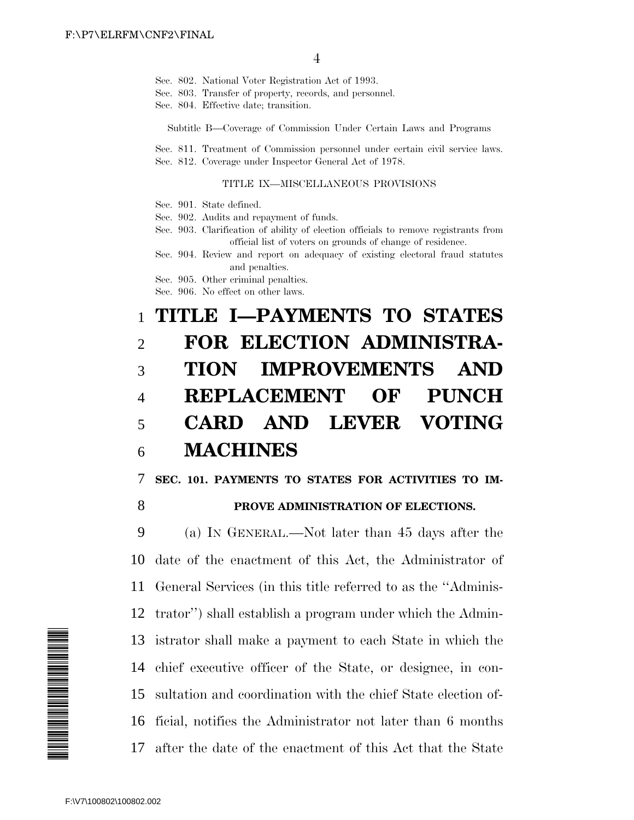- Sec. 802. National Voter Registration Act of 1993.
- Sec. 803. Transfer of property, records, and personnel.
- Sec. 804. Effective date; transition.

Subtitle B—Coverage of Commission Under Certain Laws and Programs

Sec. 811. Treatment of Commission personnel under certain civil service laws. Sec. 812. Coverage under Inspector General Act of 1978.

### TITLE IX—MISCELLANEOUS PROVISIONS

- Sec. 901. State defined.
- Sec. 902. Audits and repayment of funds.
- Sec. 903. Clarification of ability of election officials to remove registrants from official list of voters on grounds of change of residence.
- Sec. 904. Review and report on adequacy of existing electoral fraud statutes and penalties.
- Sec. 905. Other criminal penalties.
- Sec. 906. No effect on other laws.

# 1 **TITLE I—PAYMENTS TO STATES** 2 **FOR ELECTION ADMINISTRA-**3 **TION IMPROVEMENTS AND** 4 **REPLACEMENT OF PUNCH** 5 **CARD AND LEVER VOTING** 6 **MACHINES**

7 **SEC. 101. PAYMENTS TO STATES FOR ACTIVITIES TO IM-**

## 8 **PROVE ADMINISTRATION OF ELECTIONS.**

 (a) IN GENERAL.—Not later than 45 days after the date of the enactment of this Act, the Administrator of General Services (in this title referred to as the ''Adminis- trator'') shall establish a program under which the Admin- istrator shall make a payment to each State in which the chief executive officer of the State, or designee, in con- sultation and coordination with the chief State election of- ficial, notifies the Administrator not later than 6 months after the date of the enactment of this Act that the State

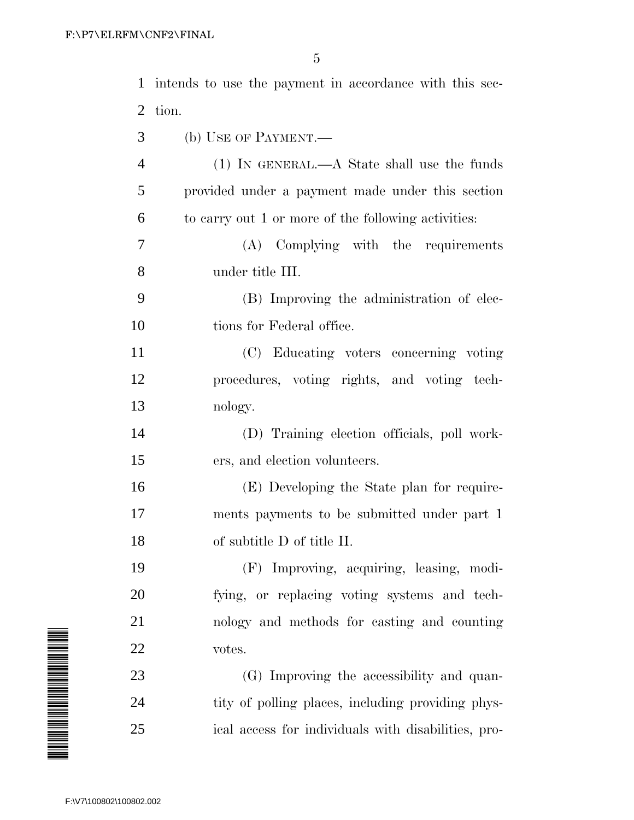| $\mathbf{1}$            | intends to use the payment in accordance with this sec- |
|-------------------------|---------------------------------------------------------|
| 2                       | tion.                                                   |
| 3                       | (b) USE OF PAYMENT.—                                    |
| $\overline{4}$          | $(1)$ IN GENERAL.—A State shall use the funds           |
| 5                       | provided under a payment made under this section        |
| 6                       | to carry out 1 or more of the following activities:     |
| 7                       | Complying with the requirements<br>(A)                  |
| 8                       | under title III.                                        |
| 9                       | (B) Improving the administration of elec-               |
| 10                      | tions for Federal office.                               |
| 11                      | (C) Educating voters concerning voting                  |
| 12                      | procedures, voting rights, and voting tech-             |
| 13                      | nology.                                                 |
| 14                      | (D) Training election officials, poll work-             |
| 15                      | ers, and election volunteers.                           |
| 16                      | (E) Developing the State plan for require-              |
| 17                      | ments payments to be submitted under part 1             |
| 18                      | of subtitle D of title II.                              |
| 19                      | Improving, acquiring, leasing, modi-<br>(F)             |
| 20                      | fying, or replacing voting systems and tech-            |
| 21                      | nology and methods for casting and counting             |
| 22                      | votes.                                                  |
| 23                      | (G) Improving the accessibility and quan-               |
| 24                      | tity of polling places, including providing phys-       |
| 25                      | ical access for individuals with disabilities, pro-     |
|                         |                                                         |
| F:\V7\100802\100802.002 |                                                         |

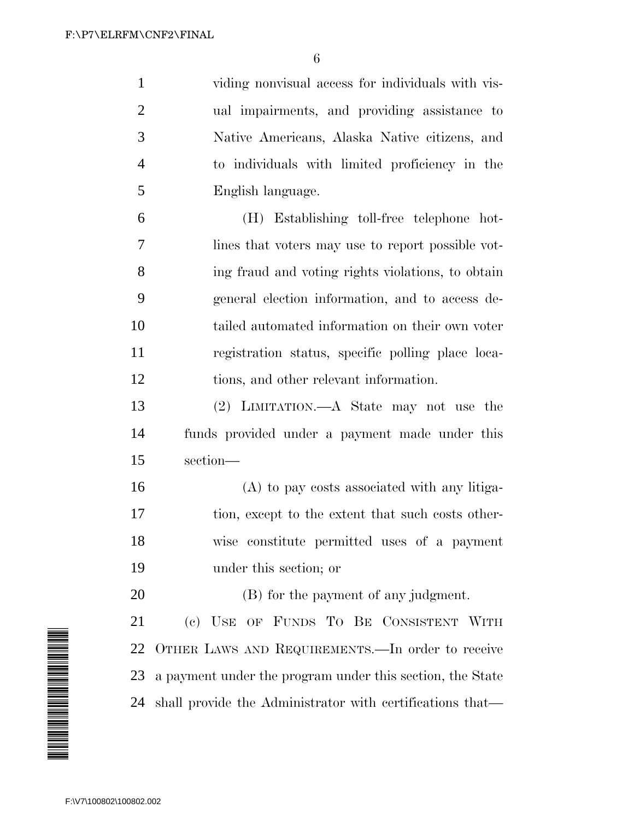viding nonvisual access for individuals with vis- ual impairments, and providing assistance to Native Americans, Alaska Native citizens, and to individuals with limited proficiency in the English language. (H) Establishing toll-free telephone hot- lines that voters may use to report possible vot- ing fraud and voting rights violations, to obtain general election information, and to access de- tailed automated information on their own voter registration status, specific polling place loca- tions, and other relevant information. (2) LIMITATION.—A State may not use the funds provided under a payment made under this section— (A) to pay costs associated with any litiga- tion, except to the extent that such costs other- wise constitute permitted uses of a payment under this section; or

(B) for the payment of any judgment.

 (c) USE OF FUNDS TO BE CONSISTENT WITH OTHER LAWS AND REQUIREMENTS.—In order to receive a payment under the program under this section, the State shall provide the Administrator with certifications that—

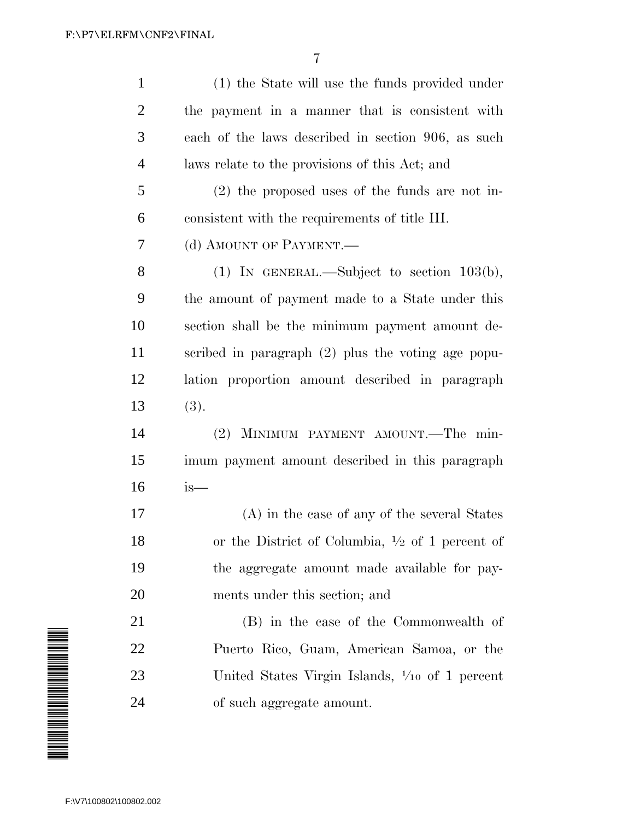| $\mathbf{1}$   | (1) the State will use the funds provided under            |
|----------------|------------------------------------------------------------|
| $\overline{2}$ | the payment in a manner that is consistent with            |
| 3              | each of the laws described in section 906, as such         |
| $\overline{4}$ | laws relate to the provisions of this Act; and             |
| 5              | $(2)$ the proposed uses of the funds are not in-           |
| 6              | consistent with the requirements of title III.             |
| 7              | (d) AMOUNT OF PAYMENT.—                                    |
| 8              | (1) IN GENERAL.—Subject to section $103(b)$ ,              |
| 9              | the amount of payment made to a State under this           |
| 10             | section shall be the minimum payment amount de-            |
| 11             | scribed in paragraph $(2)$ plus the voting age popu-       |
| 12             | lation proportion amount described in paragraph            |
| 13             | (3).                                                       |
| 14             | (2) MINIMUM PAYMENT AMOUNT.—The min-                       |
| 15             | imum payment amount described in this paragraph            |
| 16             | $is-$                                                      |
| 17             | (A) in the case of any of the several States               |
| 18             | or the District of Columbia, $\frac{1}{2}$ of 1 percent of |
| 19             | the aggregate amount made available for pay-               |
| 20             | ments under this section; and                              |
| 21             | (B) in the case of the Commonwealth of                     |
| 22             | Puerto Rico, Guam, American Samoa, or the                  |
| 23             | United States Virgin Islands, $\frac{1}{10}$ of 1 percent  |
| 24             | of such aggregate amount.                                  |
|                |                                                            |

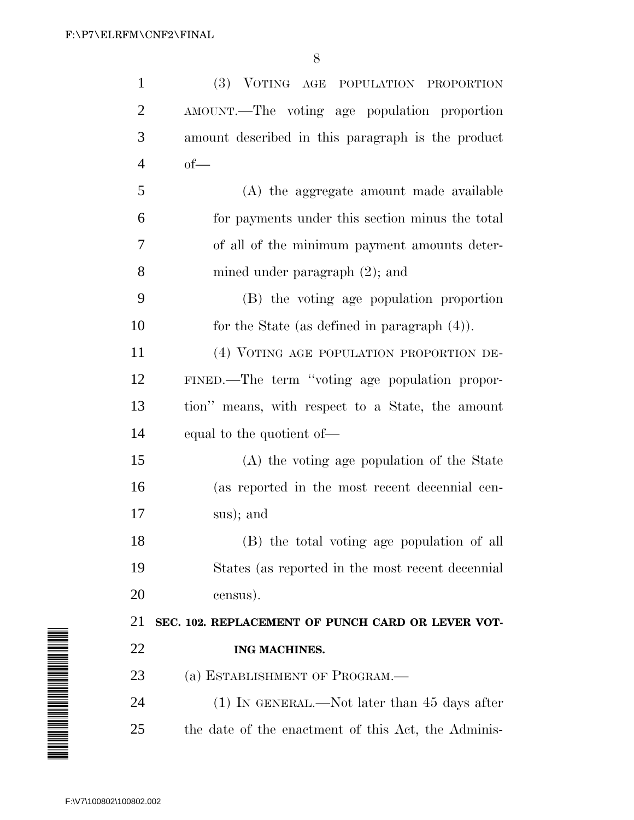| $\mathbf{1}$                                               | (3) VOTING AGE POPULATION PROPORTION                |
|------------------------------------------------------------|-----------------------------------------------------|
| $\overline{2}$                                             | AMOUNT.—The voting age population proportion        |
| 3                                                          | amount described in this paragraph is the product   |
| 4                                                          | $of$ —                                              |
| 5                                                          | (A) the aggregate amount made available             |
| 6                                                          | for payments under this section minus the total     |
| 7                                                          | of all of the minimum payment amounts deter-        |
| 8                                                          | mined under paragraph $(2)$ ; and                   |
| 9                                                          | (B) the voting age population proportion            |
| 10                                                         | for the State (as defined in paragraph $(4)$ ).     |
| 11                                                         | (4) VOTING AGE POPULATION PROPORTION DE-            |
| 12                                                         | FINED.—The term "voting age population propor-      |
| 13                                                         | tion" means, with respect to a State, the amount    |
| 14                                                         | equal to the quotient of—                           |
| 15                                                         | (A) the voting age population of the State          |
| 16                                                         | (as reported in the most recent decennial cen-      |
| 17                                                         | sus); and                                           |
| 18                                                         | (B) the total voting age population of all          |
| 19                                                         | States (as reported in the most recent decennial    |
| 20                                                         | census).                                            |
| 21                                                         | SEC. 102. REPLACEMENT OF PUNCH CARD OR LEVER VOT-   |
| A MARTIN ANG ANG MANGHATING ANG ANG ANG Ang ang pag-<br>22 | ING MACHINES.                                       |
| 23                                                         | (a) ESTABLISHMENT OF PROGRAM.—                      |
| 24                                                         | $(1)$ In GENERAL.—Not later than 45 days after      |
| 25                                                         | the date of the enactment of this Act, the Adminis- |
|                                                            |                                                     |
| F:\V7\100802\100802.002                                    |                                                     |

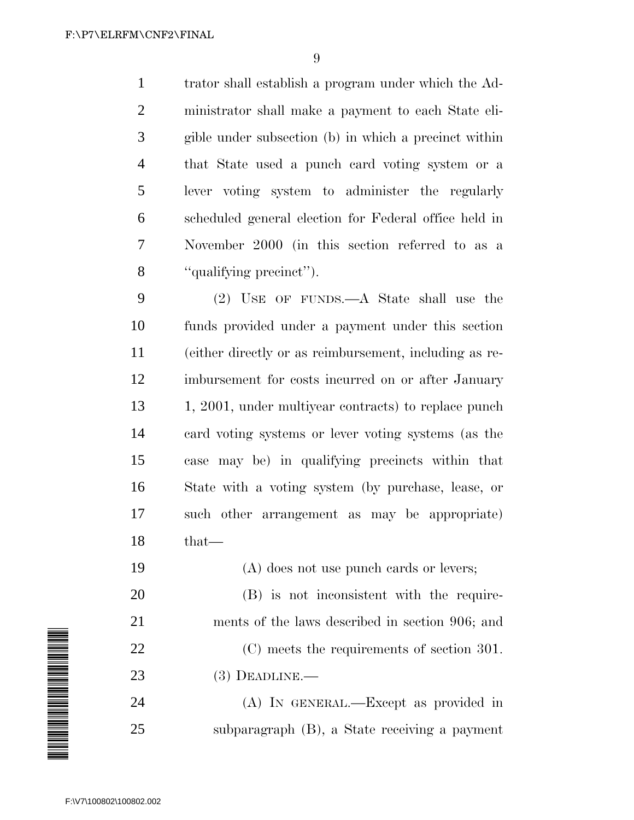trator shall establish a program under which the Ad- ministrator shall make a payment to each State eli- gible under subsection (b) in which a precinct within that State used a punch card voting system or a lever voting system to administer the regularly scheduled general election for Federal office held in November 2000 (in this section referred to as a ''qualifying precinct'').

 (2) USE OF FUNDS.—A State shall use the funds provided under a payment under this section (either directly or as reimbursement, including as re- imbursement for costs incurred on or after January 1, 2001, under multiyear contracts) to replace punch card voting systems or lever voting systems (as the case may be) in qualifying precincts within that State with a voting system (by purchase, lease, or such other arrangement as may be appropriate) that—

(A) does not use punch cards or levers;

 (B) is not inconsistent with the require- ments of the laws described in section 906; and (C) meets the requirements of section 301. (3) DEADLINE.—

 (A) IN GENERAL.—Except as provided in subparagraph (B), a State receiving a payment

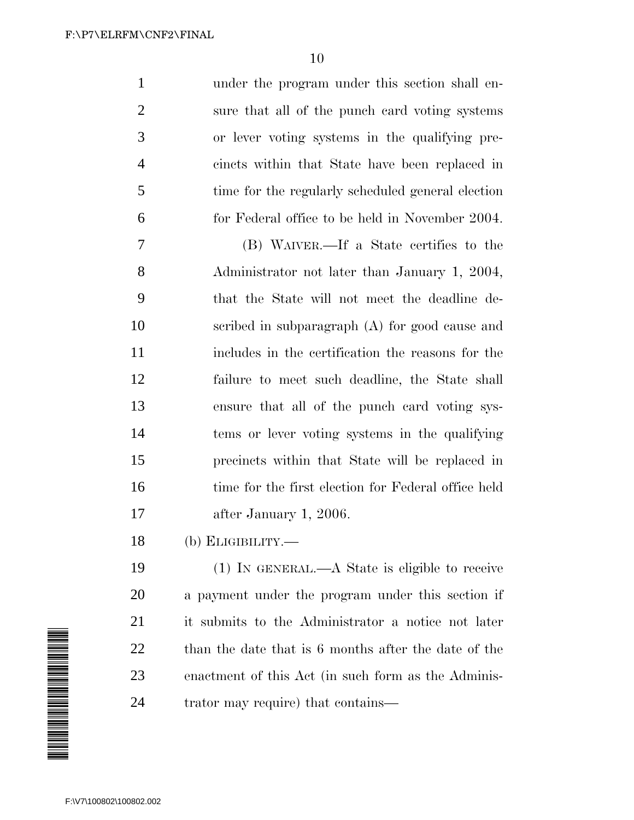| $\mathbf{1}$   | under the program under this section shall en-      |
|----------------|-----------------------------------------------------|
| $\overline{2}$ | sure that all of the punch card voting systems      |
| 3              | or lever voting systems in the qualifying pre-      |
| $\overline{4}$ | cincts within that State have been replaced in      |
| 5              | time for the regularly scheduled general election   |
| 6              | for Federal office to be held in November 2004.     |
| 7              | (B) WAIVER.—If a State certifies to the             |
| 8              | Administrator not later than January 1, 2004,       |
| 9              | that the State will not meet the deadline de-       |
| 10             | scribed in subparagraph $(A)$ for good cause and    |
| 11             | includes in the certification the reasons for the   |
| 12             | failure to meet such deadline, the State shall      |
| 13             | ensure that all of the punch card voting sys-       |
| 14             | tems or lever voting systems in the qualifying      |
| 15             | precincts within that State will be replaced in     |
| 16             | time for the first election for Federal office held |
| 17             | after January 1, 2006.                              |
|                |                                                     |

(b) ELIGIBILITY.—

 (1) IN GENERAL.—A State is eligible to receive a payment under the program under this section if it submits to the Administrator a notice not later than the date that is 6 months after the date of the enactment of this Act (in such form as the Adminis-trator may require) that contains—

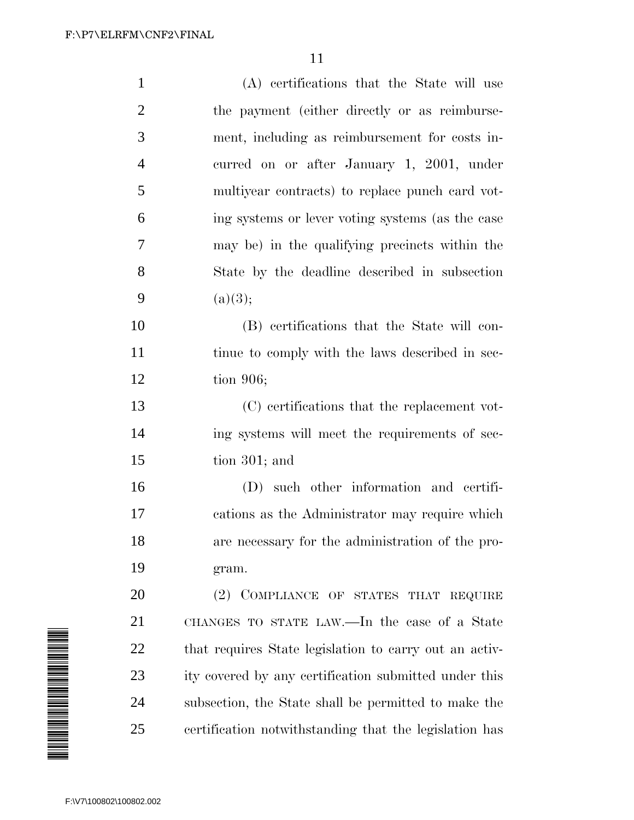| $\mathbf{1}$   | (A) certifications that the State will use             |
|----------------|--------------------------------------------------------|
| $\overline{2}$ | the payment (either directly or as reimburse-          |
| 3              | ment, including as reimbursement for costs in-         |
| $\overline{4}$ | curred on or after January 1, 2001, under              |
| 5              | multiyear contracts) to replace punch card vot-        |
| 6              | ing systems or lever voting systems (as the case       |
| $\overline{7}$ | may be) in the qualifying precincts within the         |
| 8              | State by the deadline described in subsection          |
| 9              | (a)(3);                                                |
| 10             | (B) certifications that the State will con-            |
| 11             | tinue to comply with the laws described in sec-        |
| 12             | tion $906$ ;                                           |
| 13             | (C) certifications that the replacement vot-           |
| 14             | ing systems will meet the requirements of sec-         |
| 15             | tion $301$ ; and                                       |
| 16             | (D) such other information and certifi-                |
| 17             | cations as the Administrator may require which         |
| 18             | are necessary for the administration of the pro-       |
| 19             | gram.                                                  |
| 20             | (2) COMPLIANCE OF STATES THAT REQUIRE                  |
| 21             | CHANGES TO STATE LAW.—In the case of a State           |
| 22             | that requires State legislation to carry out an activ- |
| 23             | ity covered by any certification submitted under this  |
| 24             | subsection, the State shall be permitted to make the   |
| 25             | certification notwithstanding that the legislation has |

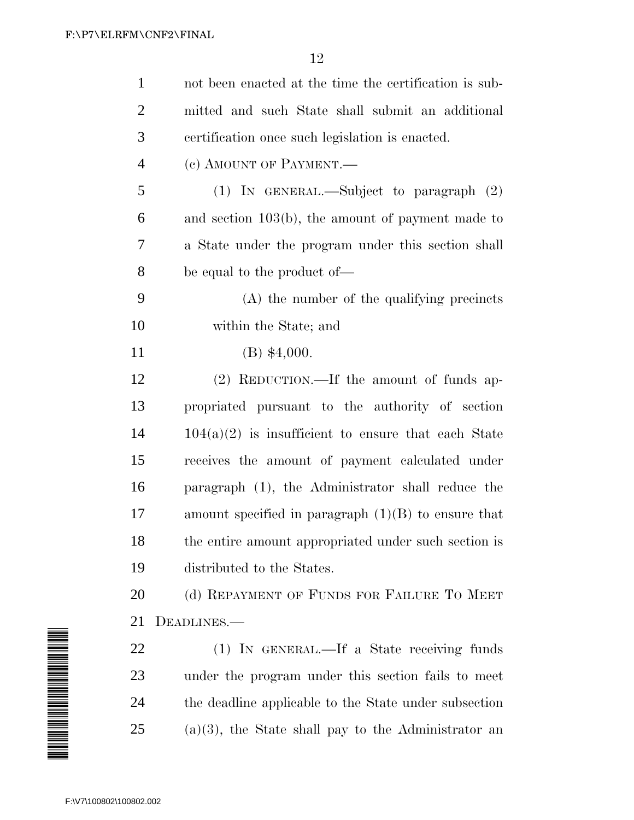|                                                                                                               | $\mathbf{1}$            | not been enacted at the time the certification is sub- |
|---------------------------------------------------------------------------------------------------------------|-------------------------|--------------------------------------------------------|
|                                                                                                               | $\overline{2}$          | mitted and such State shall submit an additional       |
|                                                                                                               | 3                       | certification once such legislation is enacted.        |
|                                                                                                               | $\overline{4}$          | (c) AMOUNT OF PAYMENT.                                 |
|                                                                                                               | 5                       | (1) IN GENERAL.—Subject to paragraph $(2)$             |
|                                                                                                               | 6                       | and section $103(b)$ , the amount of payment made to   |
|                                                                                                               | 7                       | a State under the program under this section shall     |
|                                                                                                               | 8                       | be equal to the product of—                            |
|                                                                                                               | 9                       | (A) the number of the qualifying precincts             |
|                                                                                                               | 10                      | within the State; and                                  |
|                                                                                                               | 11                      | $(B)$ \$4,000.                                         |
|                                                                                                               | 12                      | (2) REDUCTION.—If the amount of funds ap-              |
|                                                                                                               | 13                      | propriated pursuant to the authority of section        |
|                                                                                                               | 14                      | $104(a)(2)$ is insufficient to ensure that each State  |
|                                                                                                               | 15                      | receives the amount of payment calculated under        |
|                                                                                                               | 16                      | paragraph (1), the Administrator shall reduce the      |
|                                                                                                               | 17                      | amount specified in paragraph $(1)(B)$ to ensure that  |
|                                                                                                               | 18                      | the entire amount appropriated under such section is   |
|                                                                                                               | 19                      | distributed to the States.                             |
|                                                                                                               | 20                      | (d) REPAYMENT OF FUNDS FOR FAILURE TO MEET             |
|                                                                                                               | 21                      | DEADLINES.—                                            |
|                                                                                                               | 22                      | (1) IN GENERAL.—If a State receiving funds             |
| A MARTIN A MARTIN A MARTIN A MARTIN A MARTIN A MARTIN A MARTIN A MARTIN A MARTIN A MARTIN A MARTIN A MARTIN A | 23                      | under the program under this section fails to meet     |
|                                                                                                               | 24                      | the deadline applicable to the State under subsection  |
|                                                                                                               | 25                      | $(a)(3)$ , the State shall pay to the Administrator an |
|                                                                                                               |                         |                                                        |
|                                                                                                               |                         |                                                        |
|                                                                                                               | F:\V7\100802\100802.002 |                                                        |

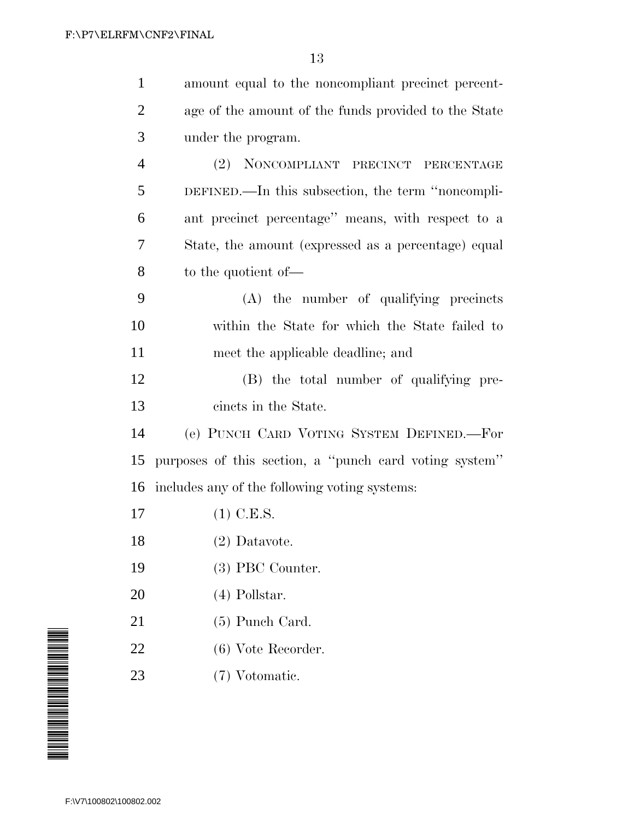| $\mathbf{1}$   | amount equal to the noncompliant precinct percent-     |
|----------------|--------------------------------------------------------|
| $\overline{2}$ | age of the amount of the funds provided to the State   |
| 3              | under the program.                                     |
| $\overline{4}$ | NONCOMPLIANT PRECINCT PERCENTAGE<br>(2)                |
| 5              | DEFINED.—In this subsection, the term "noncompli-      |
| 6              | ant precinct percentage" means, with respect to a      |
| 7              | State, the amount (expressed as a percentage) equal    |
| 8              | to the quotient of-                                    |
| 9              | (A) the number of qualifying precincts                 |
| 10             | within the State for which the State failed to         |
| 11             | meet the applicable deadline; and                      |
| 12             | (B) the total number of qualifying pre-                |
| 13             | cincts in the State.                                   |
| 14             | (e) PUNCH CARD VOTING SYSTEM DEFINED.-For              |
| 15             | purposes of this section, a "punch card voting system" |
| 16             | includes any of the following voting systems:          |
| 17             | $(1)$ C.E.S.                                           |
| 18             | (2) Datavote.                                          |
| 19             | (3) PBC Counter.                                       |
| 20             | $(4)$ Pollstar.                                        |
| 21             | $(5)$ Punch Card.                                      |
| 22             | $(6)$ Vote Recorder.                                   |
| 23             | (7) Votomatic.                                         |
|                |                                                        |

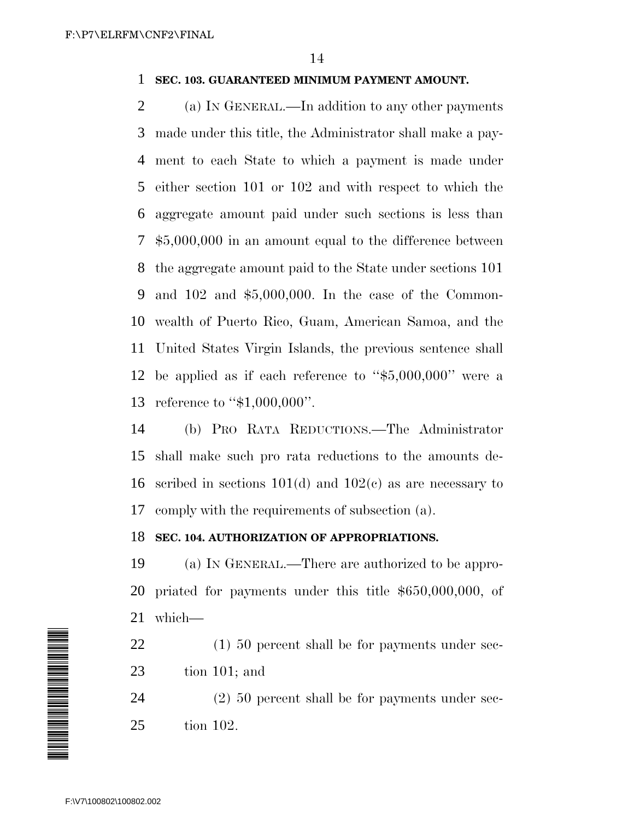# **SEC. 103. GUARANTEED MINIMUM PAYMENT AMOUNT.**

 (a) IN GENERAL.—In addition to any other payments made under this title, the Administrator shall make a pay- ment to each State to which a payment is made under either section 101 or 102 and with respect to which the aggregate amount paid under such sections is less than \$5,000,000 in an amount equal to the difference between the aggregate amount paid to the State under sections 101 and 102 and \$5,000,000. In the case of the Common- wealth of Puerto Rico, Guam, American Samoa, and the United States Virgin Islands, the previous sentence shall be applied as if each reference to ''\$5,000,000'' were a reference to ''\$1,000,000''.

 (b) PRO RATA REDUCTIONS.—The Administrator shall make such pro rata reductions to the amounts de- scribed in sections 101(d) and 102(c) as are necessary to comply with the requirements of subsection (a).

## **SEC. 104. AUTHORIZATION OF APPROPRIATIONS.**

 (a) IN GENERAL.—There are authorized to be appro- priated for payments under this title \$650,000,000, of which—

22 (1) 50 percent shall be for payments under sec-tion 101; and

 (2) 50 percent shall be for payments under sec-tion 102.

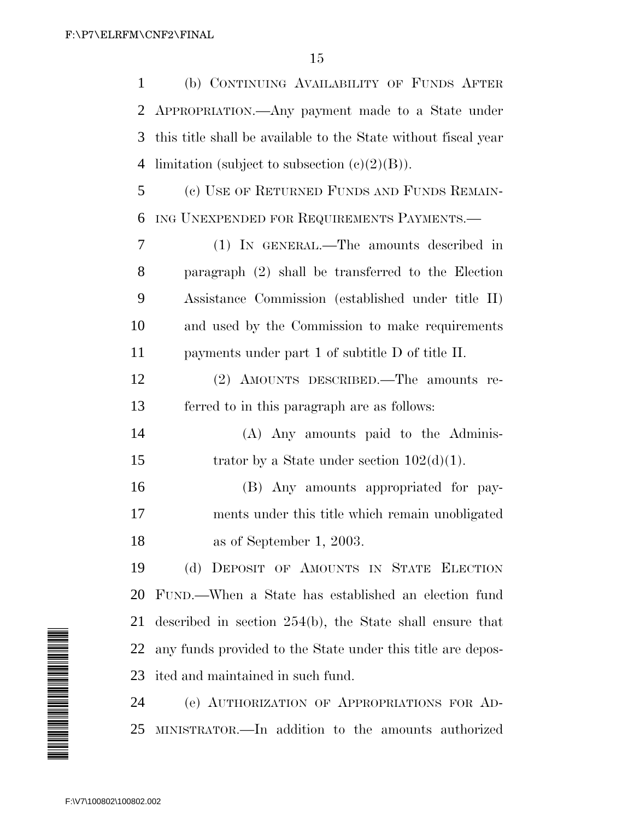(b) CONTINUING AVAILABILITY OF FUNDS AFTER APPROPRIATION.—Any payment made to a State under this title shall be available to the State without fiscal year 4 limitation (subject to subsection  $(e)(2)(B)$ ). (c) USE OF RETURNED FUNDS AND FUNDS REMAIN- ING UNEXPENDED FOR REQUIREMENTS PAYMENTS.— (1) IN GENERAL.—The amounts described in paragraph (2) shall be transferred to the Election Assistance Commission (established under title II) and used by the Commission to make requirements payments under part 1 of subtitle D of title II.

 (2) AMOUNTS DESCRIBED.—The amounts re-ferred to in this paragraph are as follows:

 (A) Any amounts paid to the Adminis-15 trator by a State under section  $102(d)(1)$ .

 (B) Any amounts appropriated for pay- ments under this title which remain unobligated as of September 1, 2003.

 (d) DEPOSIT OF AMOUNTS IN STATE ELECTION FUND.—When a State has established an election fund described in section 254(b), the State shall ensure that any funds provided to the State under this title are depos-ited and maintained in such fund.

 (e) AUTHORIZATION OF APPROPRIATIONS FOR AD-MINISTRATOR.—In addition to the amounts authorized

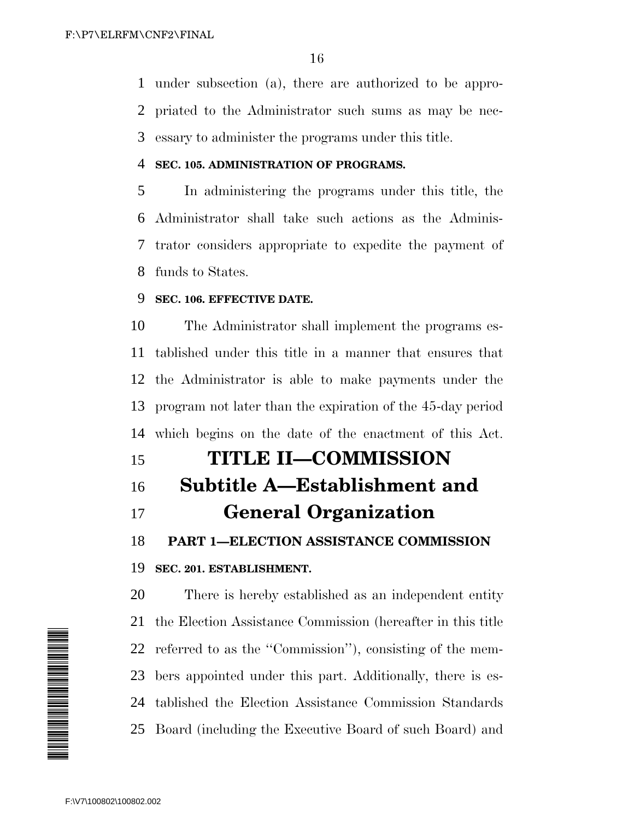under subsection (a), there are authorized to be appro- priated to the Administrator such sums as may be nec-essary to administer the programs under this title.

## **SEC. 105. ADMINISTRATION OF PROGRAMS.**

 In administering the programs under this title, the Administrator shall take such actions as the Adminis- trator considers appropriate to expedite the payment of funds to States.

# **SEC. 106. EFFECTIVE DATE.**

 The Administrator shall implement the programs es- tablished under this title in a manner that ensures that the Administrator is able to make payments under the program not later than the expiration of the 45-day period which begins on the date of the enactment of this Act.

# **TITLE II—COMMISSION**

# **Subtitle A—Establishment and**

# **General Organization**

**PART 1—ELECTION ASSISTANCE COMMISSION**

## **SEC. 201. ESTABLISHMENT.**

 There is hereby established as an independent entity the Election Assistance Commission (hereafter in this title referred to as the ''Commission''), consisting of the mem- bers appointed under this part. Additionally, there is es- tablished the Election Assistance Commission Standards Board (including the Executive Board of such Board) and

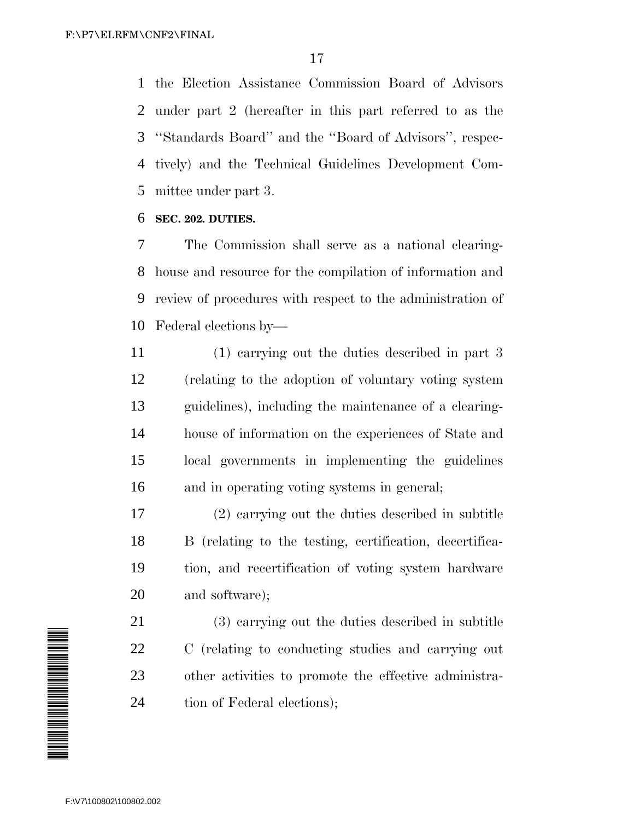the Election Assistance Commission Board of Advisors under part 2 (hereafter in this part referred to as the ''Standards Board'' and the ''Board of Advisors'', respec- tively) and the Technical Guidelines Development Com-mittee under part 3.

# **SEC. 202. DUTIES.**

 The Commission shall serve as a national clearing- house and resource for the compilation of information and review of procedures with respect to the administration of Federal elections by—

 (1) carrying out the duties described in part 3 (relating to the adoption of voluntary voting system guidelines), including the maintenance of a clearing- house of information on the experiences of State and local governments in implementing the guidelines and in operating voting systems in general;

 (2) carrying out the duties described in subtitle B (relating to the testing, certification, decertifica- tion, and recertification of voting system hardware and software);

 (3) carrying out the duties described in subtitle C (relating to conducting studies and carrying out other activities to promote the effective administra-tion of Federal elections);

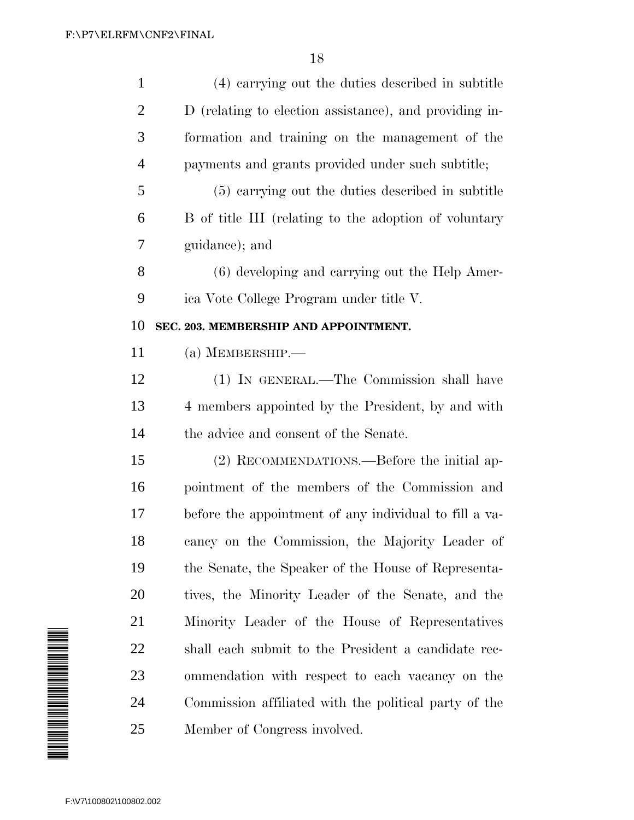| $\mathbf{1}$                                                                                                         | (4) carrying out the duties described in subtitle      |
|----------------------------------------------------------------------------------------------------------------------|--------------------------------------------------------|
| $\overline{2}$                                                                                                       | D (relating to election assistance), and providing in- |
| 3                                                                                                                    | formation and training on the management of the        |
| 4                                                                                                                    | payments and grants provided under such subtitle;      |
| 5                                                                                                                    | (5) carrying out the duties described in subtitle      |
| 6                                                                                                                    | B of title III (relating to the adoption of voluntary  |
| 7                                                                                                                    | guidance); and                                         |
| 8                                                                                                                    | (6) developing and carrying out the Help Amer-         |
| 9                                                                                                                    | ica Vote College Program under title V.                |
| 10                                                                                                                   | SEC. 203. MEMBERSHIP AND APPOINTMENT.                  |
| 11                                                                                                                   | $(a)$ MEMBERSHIP.—                                     |
| 12                                                                                                                   | (1) IN GENERAL.—The Commission shall have              |
| 13                                                                                                                   | 4 members appointed by the President, by and with      |
| 14                                                                                                                   | the advice and consent of the Senate.                  |
| 15                                                                                                                   | (2) RECOMMENDATIONS.—Before the initial ap-            |
| 16                                                                                                                   | pointment of the members of the Commission and         |
| 17                                                                                                                   | before the appointment of any individual to fill a va- |
| 18                                                                                                                   | cancy on the Commission, the Majority Leader of        |
| 19                                                                                                                   | the Senate, the Speaker of the House of Representa-    |
| 20                                                                                                                   | tives, the Minority Leader of the Senate, and the      |
| 21                                                                                                                   | Minority Leader of the House of Representatives        |
| 22                                                                                                                   | shall each submit to the President a candidate rec-    |
| A MANA A MANA A MANA A MANA A MANA A MANA A MANA A MANA A MANA A MANA A MANA A MANA A MANA A MANA A MANA A MAN<br>23 | ommendation with respect to each vacancy on the        |
| 24                                                                                                                   | Commission affiliated with the political party of the  |
| 25                                                                                                                   | Member of Congress involved.                           |
|                                                                                                                      |                                                        |
| F:\V7\100802\100802.002                                                                                              |                                                        |

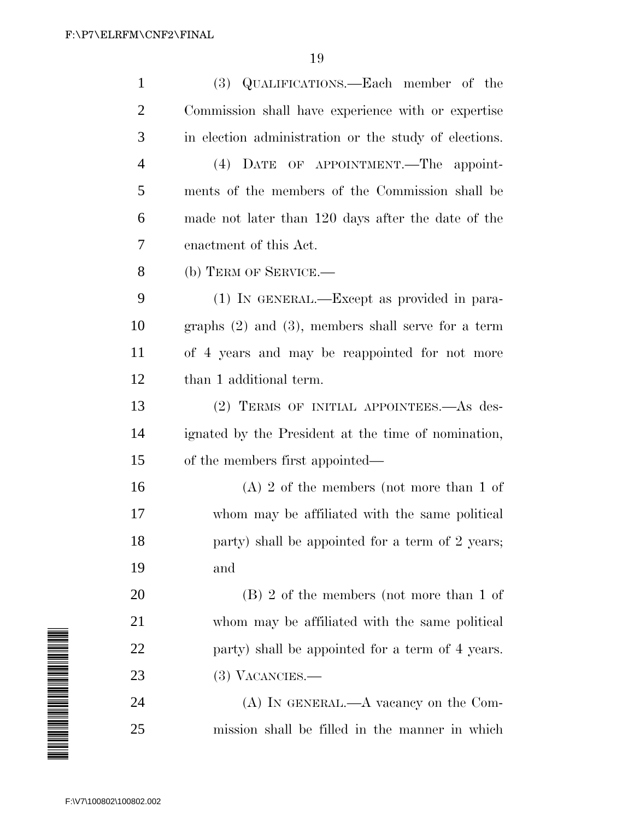| $\mathbf{1}$   | (3) QUALIFICATIONS.—Each member of the                  |
|----------------|---------------------------------------------------------|
| $\overline{2}$ | Commission shall have experience with or expertise      |
| 3              | in election administration or the study of elections.   |
| $\overline{4}$ | (4) DATE OF APPOINTMENT.—The appoint-                   |
| 5              | ments of the members of the Commission shall be         |
| 6              | made not later than 120 days after the date of the      |
| 7              | enactment of this Act.                                  |
| 8              | (b) TERM OF SERVICE.—                                   |
| 9              | $(1)$ IN GENERAL.—Except as provided in para-           |
| 10             | graphs $(2)$ and $(3)$ , members shall serve for a term |
| 11             | of 4 years and may be reappointed for not more          |
| 12             | than 1 additional term.                                 |
| 13             | (2) TERMS OF INITIAL APPOINTEES. As des-                |
| 14             | ignated by the President at the time of nomination,     |
| 15             | of the members first appointed—                         |
| 16             | $(A)$ 2 of the members (not more than 1 of              |
| 17             | whom may be affiliated with the same political          |
| 18             | party) shall be appointed for a term of 2 years;        |
| 19             | and                                                     |
| 20             | $(B)$ 2 of the members (not more than 1 of              |
| 21             | whom may be affiliated with the same political          |
| 22             | party) shall be appointed for a term of 4 years.        |
| 23             | $(3)$ VACANCIES.—                                       |
| 24             | $(A)$ In GENERAL.—A vacancy on the Com-                 |
| 25             | mission shall be filled in the manner in which          |

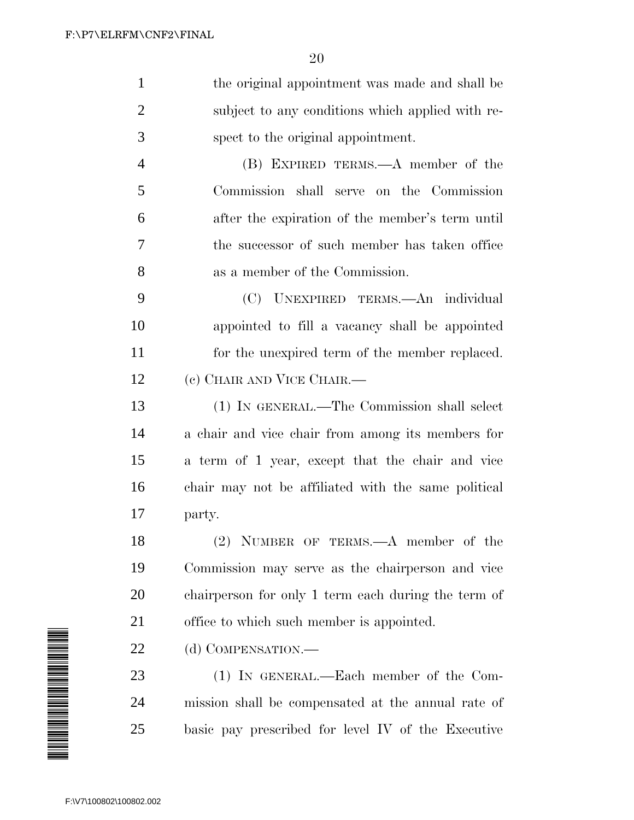| $\mathbf{1}$   | the original appointment was made and shall be      |
|----------------|-----------------------------------------------------|
| $\overline{2}$ | subject to any conditions which applied with re-    |
| 3              | spect to the original appointment.                  |
| $\overline{4}$ | (B) EXPIRED TERMS.—A member of the                  |
| 5              | Commission shall serve on the Commission            |
| 6              | after the expiration of the member's term until     |
| 7              | the successor of such member has taken office       |
| 8              | as a member of the Commission.                      |
| 9              | (C) UNEXPIRED TERMS.—An individual                  |
| 10             | appointed to fill a vacancy shall be appointed      |
| 11             | for the unexpired term of the member replaced.      |
| 12             | (c) CHAIR AND VICE CHAIR.—                          |
| 13             | (1) IN GENERAL.—The Commission shall select         |
| 14             | a chair and vice chair from among its members for   |
| 15             | a term of 1 year, except that the chair and vice    |
| 16             | chair may not be affiliated with the same political |
| 17             | party.                                              |
| 18             | $(2)$ NUMBER OF TERMS.—A member of the              |
| 19             | Commission may serve as the chairperson and vice    |
| 20             | chairperson for only 1 term each during the term of |
| 21             | office to which such member is appointed.           |
| 22             | (d) COMPENSATION.—                                  |

 (1) IN GENERAL.—Each member of the Com- mission shall be compensated at the annual rate of basic pay prescribed for level IV of the Executive

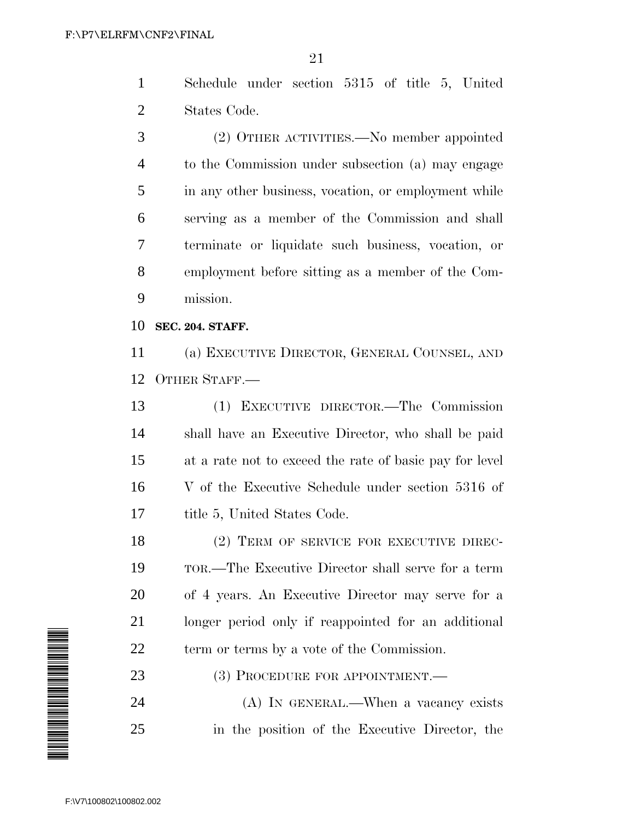Schedule under section 5315 of title 5, United States Code.

 (2) OTHER ACTIVITIES.—No member appointed to the Commission under subsection (a) may engage in any other business, vocation, or employment while serving as a member of the Commission and shall terminate or liquidate such business, vocation, or employment before sitting as a member of the Com-mission.

**SEC. 204. STAFF.**

 (a) EXECUTIVE DIRECTOR, GENERAL COUNSEL, AND OTHER STAFF.—

 (1) EXECUTIVE DIRECTOR.—The Commission shall have an Executive Director, who shall be paid at a rate not to exceed the rate of basic pay for level V of the Executive Schedule under section 5316 of 17 title 5, United States Code.

18 (2) TERM OF SERVICE FOR EXECUTIVE DIREC- TOR.—The Executive Director shall serve for a term of 4 years. An Executive Director may serve for a longer period only if reappointed for an additional term or terms by a vote of the Commission.

23 (3) PROCEDURE FOR APPOINTMENT.

 (A) IN GENERAL.—When a vacancy exists in the position of the Executive Director, the

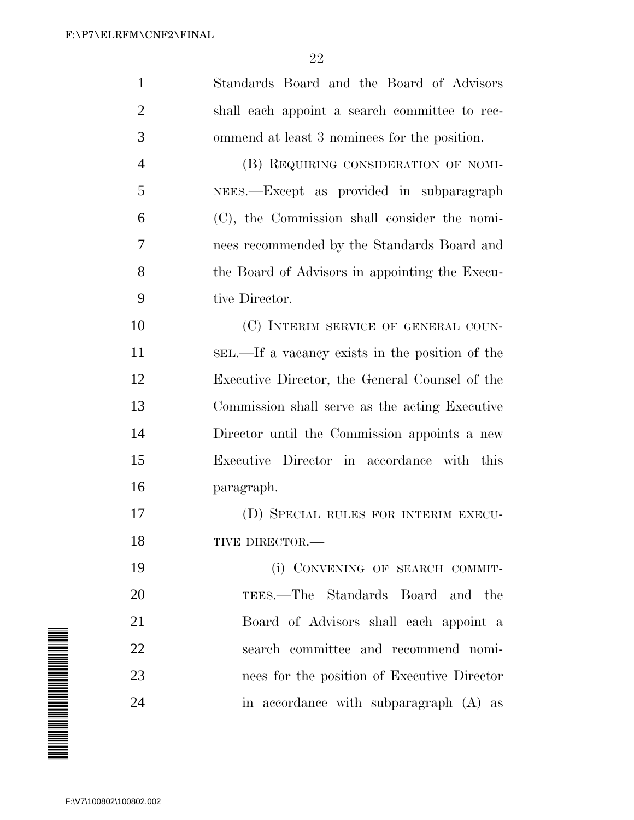| $\mathbf{1}$   | Standards Board and the Board of Advisors       |
|----------------|-------------------------------------------------|
| $\overline{2}$ | shall each appoint a search committee to rec-   |
| 3              | ommend at least 3 nominees for the position.    |
| $\overline{4}$ | (B) REQUIRING CONSIDERATION OF NOMI-            |
| 5              | NEES.—Except as provided in subparagraph        |
| 6              | (C), the Commission shall consider the nomi-    |
| 7              | nees recommended by the Standards Board and     |
| 8              | the Board of Advisors in appointing the Execu-  |
| 9              | tive Director.                                  |
| 10             | (C) INTERIM SERVICE OF GENERAL COUN-            |
| 11             | SEL.—If a vacancy exists in the position of the |
| 12             | Executive Director, the General Counsel of the  |
| 13             | Commission shall serve as the acting Executive  |
| 14             | Director until the Commission appoints a new    |
| 15             | Executive Director in accordance with this      |
| 16             | paragraph.                                      |
| 17             | (D) SPECIAL RULES FOR INTERIM EXECU-            |
| 18             | TIVE DIRECTOR.-                                 |
| 19             | (i) CONVENING OF SEARCH COMMIT-                 |
| 20             | TEES.—The Standards Board and the               |
| 21             | Board of Advisors shall each appoint a          |
| 22             | search committee and recommend nomi-            |
| 23             | nees for the position of Executive Director     |
| 24             | in accordance with subparagraph (A) as          |
|                |                                                 |

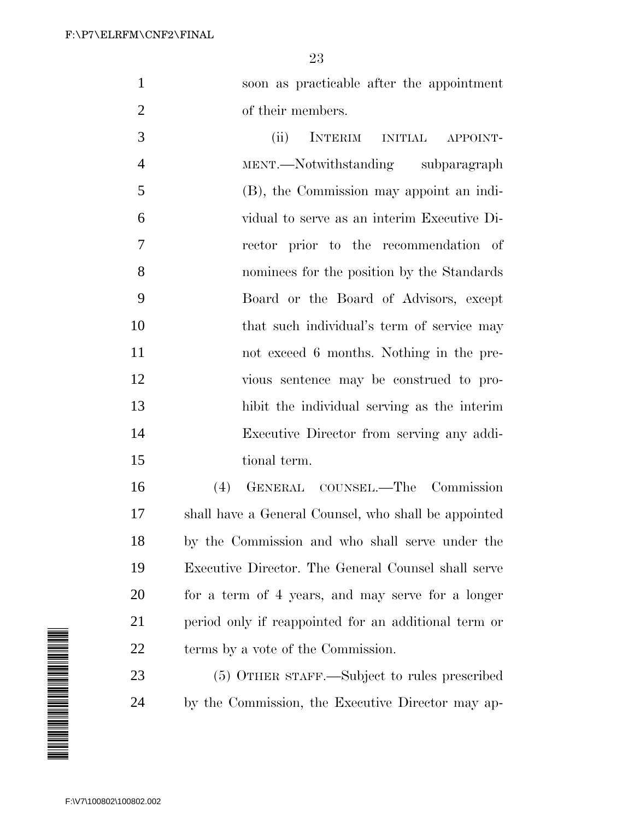soon as practicable after the appointment 2 of their members.

 (ii) INTERIM INITIAL APPOINT- MENT.—Notwithstanding subparagraph (B), the Commission may appoint an indi- vidual to serve as an interim Executive Di- rector prior to the recommendation of nominees for the position by the Standards Board or the Board of Advisors, except 10 that such individual's term of service may not exceed 6 months. Nothing in the pre- vious sentence may be construed to pro- hibit the individual serving as the interim Executive Director from serving any addi-tional term.

 (4) GENERAL COUNSEL.—The Commission shall have a General Counsel, who shall be appointed by the Commission and who shall serve under the Executive Director. The General Counsel shall serve for a term of 4 years, and may serve for a longer period only if reappointed for an additional term or terms by a vote of the Commission.

 (5) OTHER STAFF.—Subject to rules prescribed by the Commission, the Executive Director may ap-

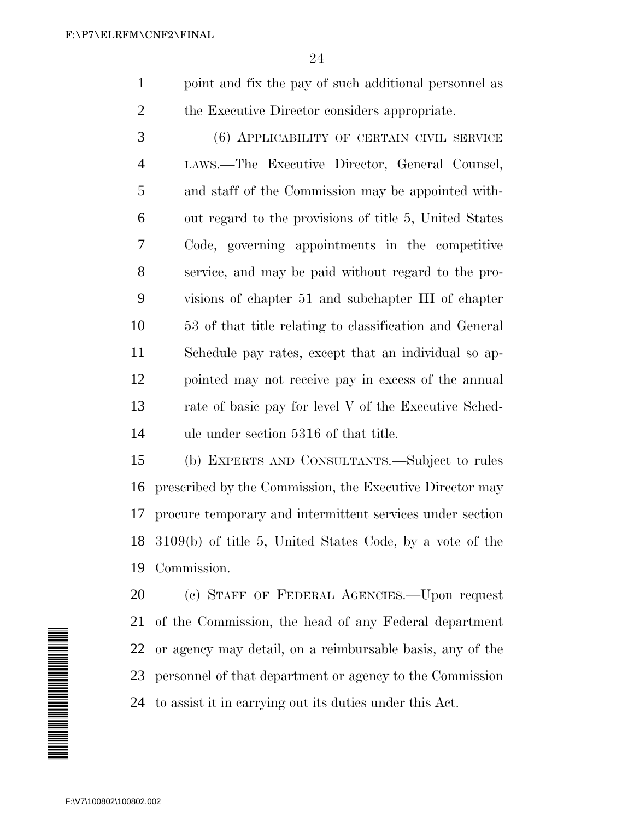point and fix the pay of such additional personnel as the Executive Director considers appropriate.

 (6) APPLICABILITY OF CERTAIN CIVIL SERVICE LAWS.—The Executive Director, General Counsel, and staff of the Commission may be appointed with- out regard to the provisions of title 5, United States Code, governing appointments in the competitive service, and may be paid without regard to the pro- visions of chapter 51 and subchapter III of chapter 53 of that title relating to classification and General Schedule pay rates, except that an individual so ap- pointed may not receive pay in excess of the annual rate of basic pay for level V of the Executive Sched-ule under section 5316 of that title.

 (b) EXPERTS AND CONSULTANTS.—Subject to rules prescribed by the Commission, the Executive Director may procure temporary and intermittent services under section 3109(b) of title 5, United States Code, by a vote of the Commission.



 (c) STAFF OF FEDERAL AGENCIES.—Upon request of the Commission, the head of any Federal department or agency may detail, on a reimbursable basis, any of the personnel of that department or agency to the Commission to assist it in carrying out its duties under this Act.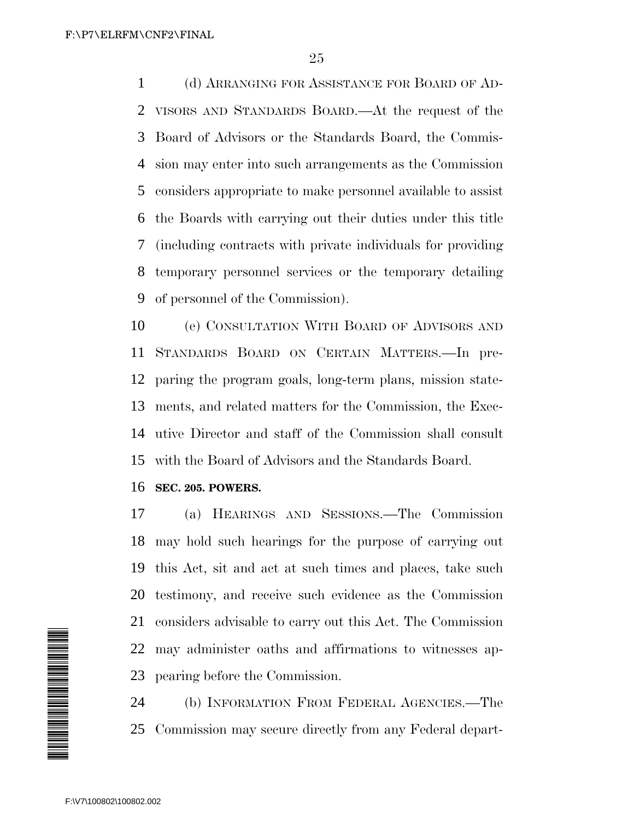(d) ARRANGING FOR ASSISTANCE FOR BOARD OF AD- VISORS AND STANDARDS BOARD.—At the request of the Board of Advisors or the Standards Board, the Commis- sion may enter into such arrangements as the Commission considers appropriate to make personnel available to assist the Boards with carrying out their duties under this title (including contracts with private individuals for providing temporary personnel services or the temporary detailing of personnel of the Commission).

 (e) CONSULTATION WITH BOARD OF ADVISORS AND STANDARDS BOARD ON CERTAIN MATTERS.—In pre- paring the program goals, long-term plans, mission state- ments, and related matters for the Commission, the Exec- utive Director and staff of the Commission shall consult with the Board of Advisors and the Standards Board.

## **SEC. 205. POWERS.**

 (a) HEARINGS AND SESSIONS.—The Commission may hold such hearings for the purpose of carrying out this Act, sit and act at such times and places, take such testimony, and receive such evidence as the Commission considers advisable to carry out this Act. The Commission may administer oaths and affirmations to witnesses ap-pearing before the Commission.

 (b) INFORMATION FROM FEDERAL AGENCIES.—The Commission may secure directly from any Federal depart-

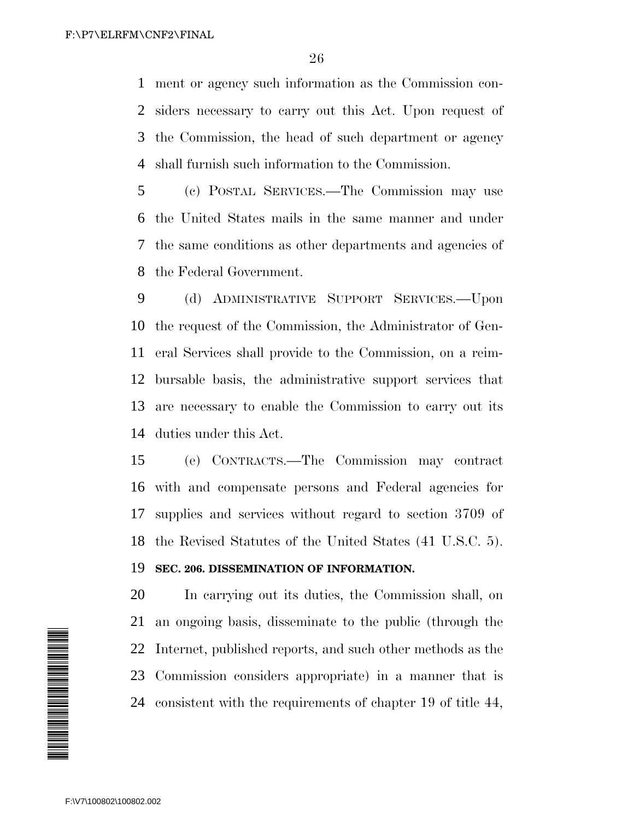ment or agency such information as the Commission con- siders necessary to carry out this Act. Upon request of the Commission, the head of such department or agency shall furnish such information to the Commission.

 (c) POSTAL SERVICES.—The Commission may use the United States mails in the same manner and under the same conditions as other departments and agencies of the Federal Government.

 (d) ADMINISTRATIVE SUPPORT SERVICES.—Upon the request of the Commission, the Administrator of Gen- eral Services shall provide to the Commission, on a reim- bursable basis, the administrative support services that are necessary to enable the Commission to carry out its duties under this Act.

 (e) CONTRACTS.—The Commission may contract with and compensate persons and Federal agencies for supplies and services without regard to section 3709 of the Revised Statutes of the United States (41 U.S.C. 5).

## **SEC. 206. DISSEMINATION OF INFORMATION.**

 In carrying out its duties, the Commission shall, on an ongoing basis, disseminate to the public (through the Internet, published reports, and such other methods as the Commission considers appropriate) in a manner that is consistent with the requirements of chapter 19 of title 44,

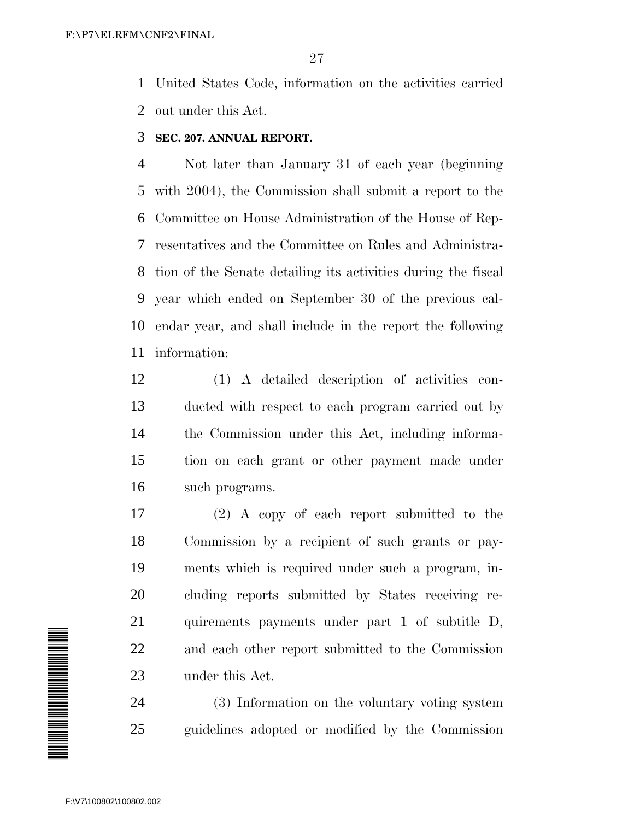United States Code, information on the activities carried out under this Act.

**SEC. 207. ANNUAL REPORT.**

 Not later than January 31 of each year (beginning with 2004), the Commission shall submit a report to the Committee on House Administration of the House of Rep- resentatives and the Committee on Rules and Administra- tion of the Senate detailing its activities during the fiscal year which ended on September 30 of the previous cal- endar year, and shall include in the report the following information:

 (1) A detailed description of activities con- ducted with respect to each program carried out by the Commission under this Act, including informa- tion on each grant or other payment made under such programs.

 (2) A copy of each report submitted to the Commission by a recipient of such grants or pay- ments which is required under such a program, in- cluding reports submitted by States receiving re- quirements payments under part 1 of subtitle D, and each other report submitted to the Commission under this Act.

 (3) Information on the voluntary voting system guidelines adopted or modified by the Commission

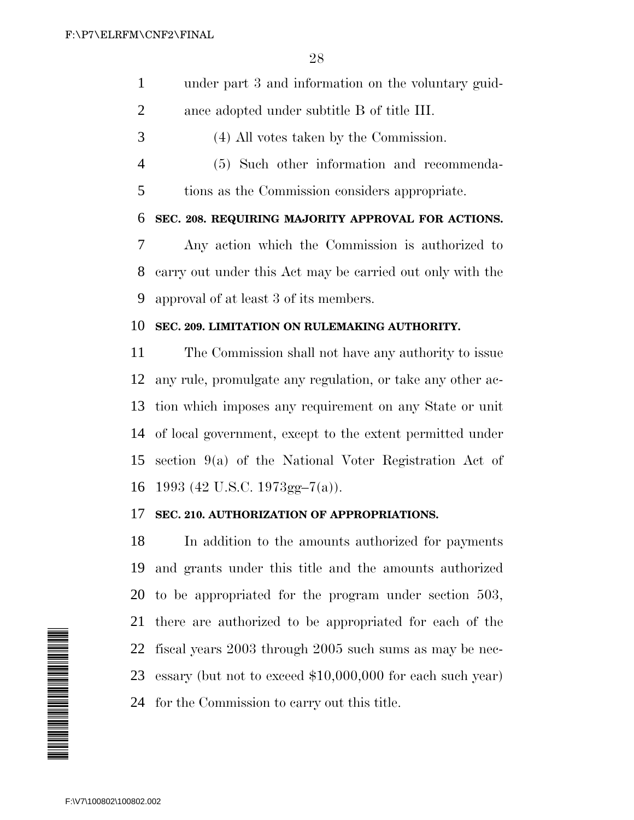- under part 3 and information on the voluntary guid-
- ance adopted under subtitle B of title III.
- (4) All votes taken by the Commission.
- (5) Such other information and recommenda-
- tions as the Commission considers appropriate.

**SEC. 208. REQUIRING MAJORITY APPROVAL FOR ACTIONS.**

 Any action which the Commission is authorized to carry out under this Act may be carried out only with the approval of at least 3 of its members.

## **SEC. 209. LIMITATION ON RULEMAKING AUTHORITY.**

 The Commission shall not have any authority to issue any rule, promulgate any regulation, or take any other ac- tion which imposes any requirement on any State or unit of local government, except to the extent permitted under section 9(a) of the National Voter Registration Act of 1993 (42 U.S.C. 1973gg–7(a)).

## **SEC. 210. AUTHORIZATION OF APPROPRIATIONS.**

 In addition to the amounts authorized for payments and grants under this title and the amounts authorized to be appropriated for the program under section 503, there are authorized to be appropriated for each of the fiscal years 2003 through 2005 such sums as may be nec- essary (but not to exceed \$10,000,000 for each such year) for the Commission to carry out this title.

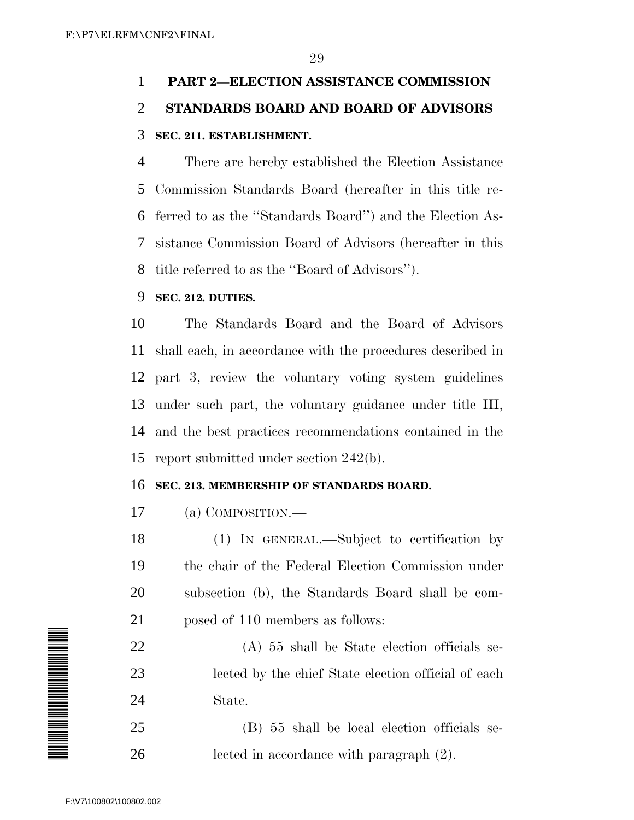# **PART 2—ELECTION ASSISTANCE COMMISSION STANDARDS BOARD AND BOARD OF ADVISORS SEC. 211. ESTABLISHMENT.**

 There are hereby established the Election Assistance Commission Standards Board (hereafter in this title re- ferred to as the ''Standards Board'') and the Election As- sistance Commission Board of Advisors (hereafter in this title referred to as the ''Board of Advisors'').

# **SEC. 212. DUTIES.**

 The Standards Board and the Board of Advisors shall each, in accordance with the procedures described in part 3, review the voluntary voting system guidelines under such part, the voluntary guidance under title III, and the best practices recommendations contained in the report submitted under section 242(b).

# **SEC. 213. MEMBERSHIP OF STANDARDS BOARD.**

(a) COMPOSITION.—

 (1) IN GENERAL.—Subject to certification by the chair of the Federal Election Commission under subsection (b), the Standards Board shall be com-posed of 110 members as follows:

 (A) 55 shall be State election officials se- lected by the chief State election official of each State.

 (B) 55 shall be local election officials se-lected in accordance with paragraph (2).

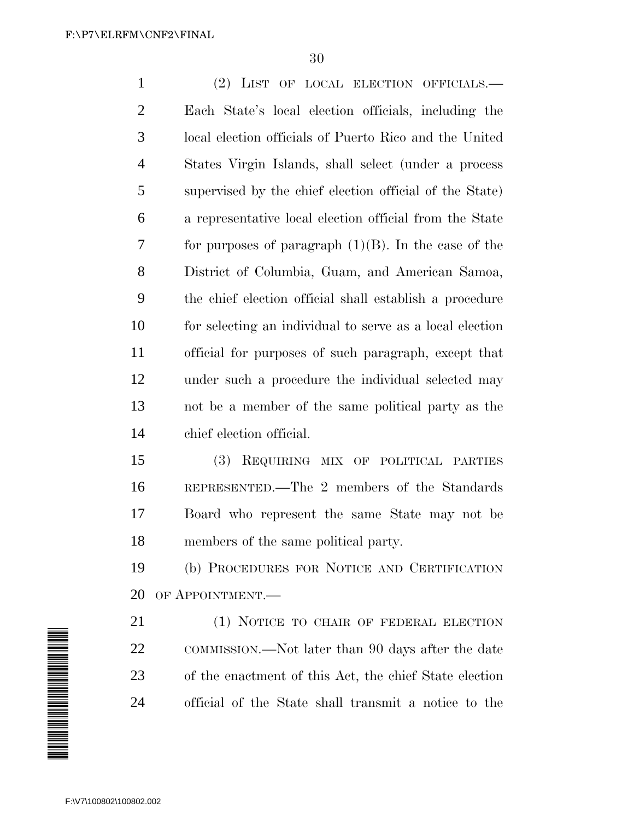(2) LIST OF LOCAL ELECTION OFFICIALS.— Each State's local election officials, including the local election officials of Puerto Rico and the United States Virgin Islands, shall select (under a process supervised by the chief election official of the State) a representative local election official from the State 7 for purposes of paragraph  $(1)(B)$ . In the case of the District of Columbia, Guam, and American Samoa, the chief election official shall establish a procedure for selecting an individual to serve as a local election official for purposes of such paragraph, except that under such a procedure the individual selected may not be a member of the same political party as the chief election official.

 (3) REQUIRING MIX OF POLITICAL PARTIES REPRESENTED.—The 2 members of the Standards Board who represent the same State may not be members of the same political party.

 (b) PROCEDURES FOR NOTICE AND CERTIFICATION OF APPOINTMENT.—

 (1) NOTICE TO CHAIR OF FEDERAL ELECTION COMMISSION.—Not later than 90 days after the date of the enactment of this Act, the chief State election official of the State shall transmit a notice to the

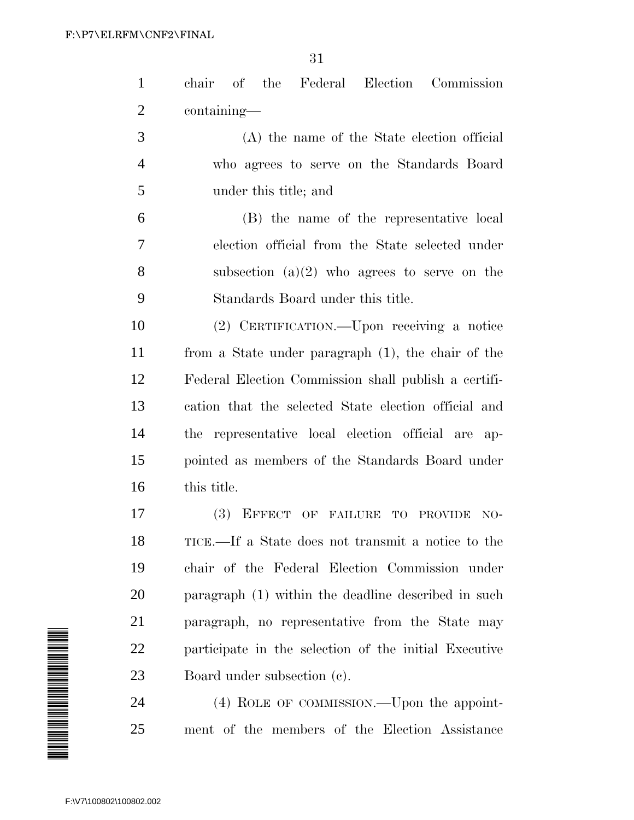| $\mathbf{1}$   | chair of the Federal Election Commission              |
|----------------|-------------------------------------------------------|
| $\overline{2}$ | containing—                                           |
| 3              | (A) the name of the State election official           |
| $\overline{4}$ | who agrees to serve on the Standards Board            |
| 5              | under this title; and                                 |
| 6              | (B) the name of the representative local              |
| 7              | election official from the State selected under       |
| 8              | subsection $(a)(2)$ who agrees to serve on the        |
| 9              | Standards Board under this title.                     |
| 10             | (2) CERTIFICATION.—Upon receiving a notice            |
| 11             | from a State under paragraph (1), the chair of the    |
| 12             | Federal Election Commission shall publish a certifi-  |
| 13             | cation that the selected State election official and  |
| 14             | the representative local election official are ap-    |
| 15             | pointed as members of the Standards Board under       |
| 16             | this title.                                           |
| 17             | (3)<br>EFFECT OF FAILURE TO PROVIDE<br>$NO-$          |
| 18             | TICE.—If a State does not transmit a notice to the    |
| 19             | chair of the Federal Election Commission under        |
| 20             | paragraph (1) within the deadline described in such   |
| 21             | paragraph, no representative from the State may       |
| 22             | participate in the selection of the initial Executive |
| 23             | Board under subsection (c).                           |
| 24             | (4) ROLE OF COMMISSION.—Upon the appoint-             |
| 25             | ment of the members of the Election Assistance        |

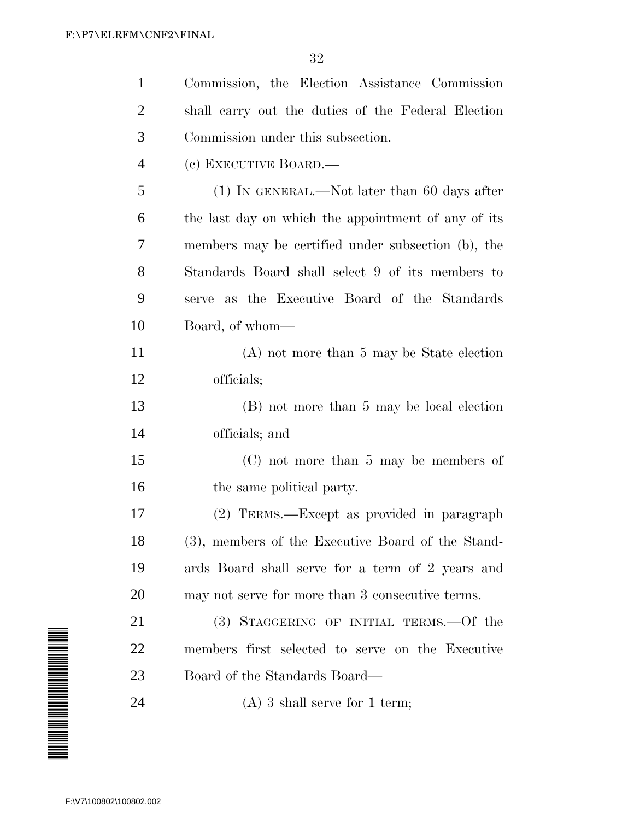| $\mathbf{1}$   | Commission, the Election Assistance Commission      |
|----------------|-----------------------------------------------------|
| $\overline{2}$ | shall carry out the duties of the Federal Election  |
| 3              | Commission under this subsection.                   |
| $\overline{4}$ | (c) EXECUTIVE BOARD.—                               |
| 5              | $(1)$ In GENERAL.—Not later than 60 days after      |
| 6              | the last day on which the appointment of any of its |
| 7              | members may be certified under subsection (b), the  |
| 8              | Standards Board shall select 9 of its members to    |
| 9              | serve as the Executive Board of the Standards       |
| 10             | Board, of whom—                                     |
| 11             | $(A)$ not more than 5 may be State election         |
| 12             | officials;                                          |
| 13             | (B) not more than 5 may be local election           |
| 14             | officials; and                                      |
| 15             | $(C)$ not more than 5 may be members of             |
| 16             | the same political party.                           |
| 17             | (2) TERMS.—Except as provided in paragraph          |
| 18             | (3), members of the Executive Board of the Stand-   |
| 19             | ards Board shall serve for a term of 2 years and    |
| 20             | may not serve for more than 3 consecutive terms.    |
| 21             | (3) STAGGERING OF INITIAL TERMS. - Of the           |
| 22             | members first selected to serve on the Executive    |
| 23             | Board of the Standards Board—                       |
| 24             | $(A)$ 3 shall serve for 1 term;                     |
|                |                                                     |

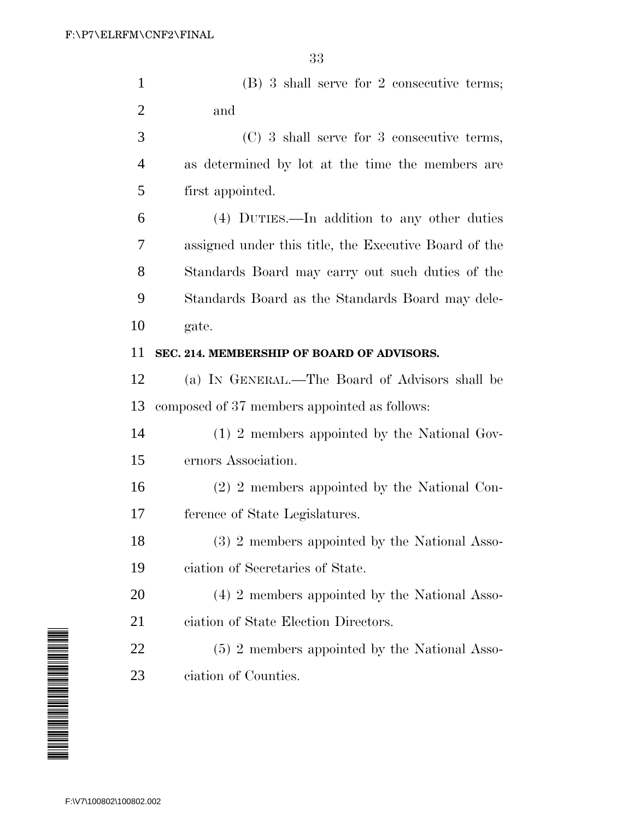| $\mathbf{1}$   | (B) 3 shall serve for 2 consecutive terms;            |
|----------------|-------------------------------------------------------|
| $\overline{2}$ | and                                                   |
| 3              | $(C)$ 3 shall serve for 3 consecutive terms,          |
| $\overline{4}$ | as determined by lot at the time the members are      |
| 5              | first appointed.                                      |
| 6              | (4) DUTIES.—In addition to any other duties           |
| 7              | assigned under this title, the Executive Board of the |
| 8              | Standards Board may carry out such duties of the      |
| 9              | Standards Board as the Standards Board may dele-      |
| 10             | gate.                                                 |
| 11             | SEC. 214. MEMBERSHIP OF BOARD OF ADVISORS.            |
| 12             | (a) IN GENERAL.—The Board of Advisors shall be        |
| 13             | composed of 37 members appointed as follows:          |
| 14             | (1) 2 members appointed by the National Gov-          |
| 15             | ernors Association.                                   |
| 16             | (2) 2 members appointed by the National Con-          |
| 17             | ference of State Legislatures.                        |
| 18             | (3) 2 members appointed by the National Asso-         |
| 19             | ciation of Secretaries of State.                      |
| 20             | (4) 2 members appointed by the National Asso-         |
| 21             | ciation of State Election Directors.                  |
| <u>22</u>      | (5) 2 members appointed by the National Asso-         |
| 23             | ciation of Counties.                                  |
|                |                                                       |

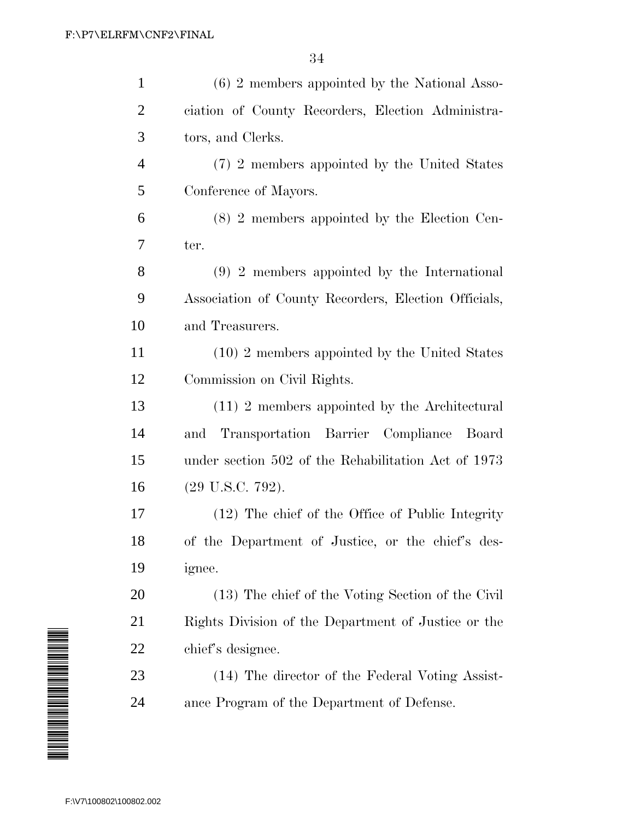| $\mathbf{1}$   | $(6)$ 2 members appointed by the National Asso-      |
|----------------|------------------------------------------------------|
| $\overline{2}$ | ciation of County Recorders, Election Administra-    |
| 3              | tors, and Clerks.                                    |
| $\overline{4}$ | (7) 2 members appointed by the United States         |
| 5              | Conference of Mayors.                                |
| 6              | (8) 2 members appointed by the Election Cen-         |
| 7              | ter.                                                 |
| 8              | $(9)$ 2 members appointed by the International       |
| 9              | Association of County Recorders, Election Officials, |
| 10             | and Treasurers.                                      |
| 11             | (10) 2 members appointed by the United States        |
| 12             | Commission on Civil Rights.                          |
| 13             | $(11)$ 2 members appointed by the Architectural      |
| 14             | Transportation Barrier Compliance Board<br>and       |
| 15             | under section 502 of the Rehabilitation Act of 1973  |
| 16             | $(29 \text{ U.S.C. } 792).$                          |
| 17             | (12) The chief of the Office of Public Integrity     |
| 18             | of the Department of Justice, or the chief's des-    |
| 19             | ignee.                                               |
| 20             | (13) The chief of the Voting Section of the Civil    |
| 21             | Rights Division of the Department of Justice or the  |
| <u>22</u>      | chief's designee.                                    |
| 23             | (14) The director of the Federal Voting Assist-      |
| 24             | ance Program of the Department of Defense.           |
|                |                                                      |

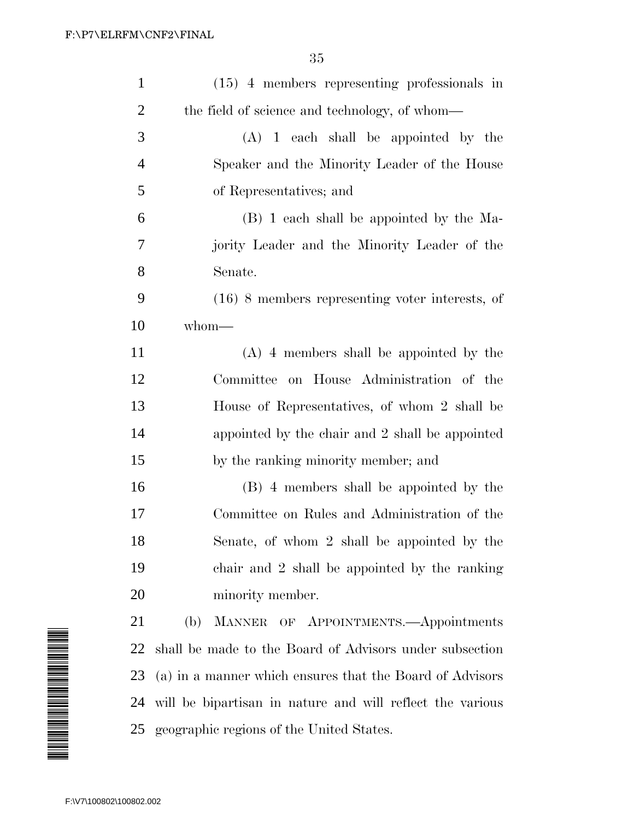| $\mathbf{1}$                                                                                                         | $(15)$ 4 members representing professionals in            |
|----------------------------------------------------------------------------------------------------------------------|-----------------------------------------------------------|
| 2                                                                                                                    | the field of science and technology, of whom—             |
| 3                                                                                                                    | $(A)$ 1 each shall be appointed by the                    |
| 4                                                                                                                    | Speaker and the Minority Leader of the House              |
| 5                                                                                                                    | of Representatives; and                                   |
| 6                                                                                                                    | (B) 1 each shall be appointed by the Ma-                  |
| 7                                                                                                                    | jority Leader and the Minority Leader of the              |
| 8                                                                                                                    | Senate.                                                   |
| 9                                                                                                                    | $(16)$ 8 members representing voter interests, of         |
| 10                                                                                                                   | whom-                                                     |
| 11                                                                                                                   | $(A)$ 4 members shall be appointed by the                 |
| 12                                                                                                                   | Committee on House Administration of the                  |
| 13                                                                                                                   | House of Representatives, of whom 2 shall be              |
| 14                                                                                                                   | appointed by the chair and 2 shall be appointed           |
| 15                                                                                                                   | by the ranking minority member; and                       |
| 16                                                                                                                   | (B) 4 members shall be appointed by the                   |
| 17                                                                                                                   | Committee on Rules and Administration of the              |
| 18                                                                                                                   | Senate, of whom 2 shall be appointed by the               |
| 19                                                                                                                   | chair and 2 shall be appointed by the ranking             |
| 20                                                                                                                   | minority member.                                          |
| 21                                                                                                                   | MANNER OF APPOINTMENTS.—Appointments<br>(b)               |
| 22                                                                                                                   | shall be made to the Board of Advisors under subsection   |
| A MANA A MANA A MARTIN A MANA A MANA A MANA A MANA A MANA A MANA A MANA A MANA A MANA A MANA A MANA A MANA A M<br>23 | (a) in a manner which ensures that the Board of Advisors  |
| 24                                                                                                                   | will be bipartisan in nature and will reflect the various |
|                                                                                                                      | 25 geographic regions of the United States.               |
|                                                                                                                      |                                                           |
| F:\V7\100802\100802.002                                                                                              |                                                           |

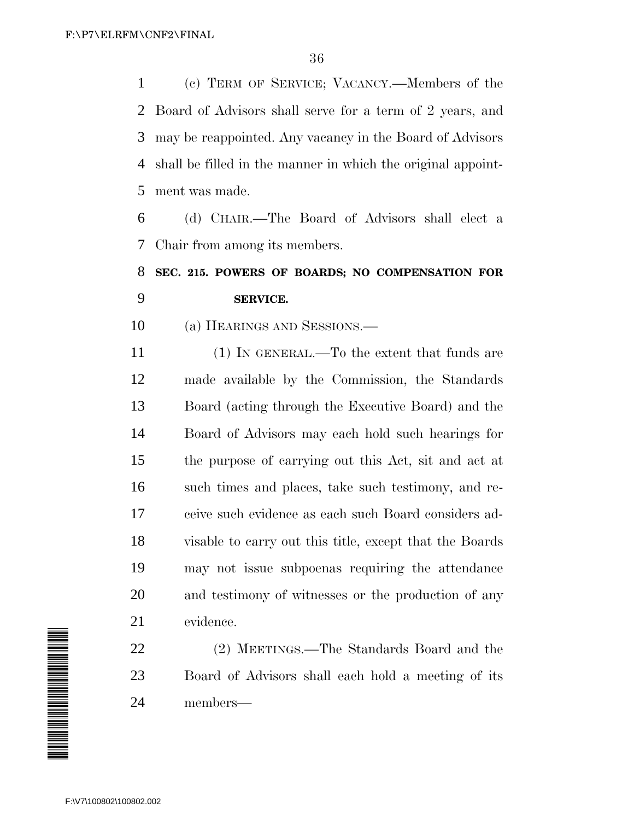(c) TERM OF SERVICE; VACANCY.—Members of the Board of Advisors shall serve for a term of 2 years, and may be reappointed. Any vacancy in the Board of Advisors shall be filled in the manner in which the original appoint-ment was made.

 (d) CHAIR.—The Board of Advisors shall elect a Chair from among its members.

# **SEC. 215. POWERS OF BOARDS; NO COMPENSATION FOR SERVICE.**

(a) HEARINGS AND SESSIONS.—

11 (1) IN GENERAL.—To the extent that funds are made available by the Commission, the Standards Board (acting through the Executive Board) and the Board of Advisors may each hold such hearings for the purpose of carrying out this Act, sit and act at such times and places, take such testimony, and re- ceive such evidence as each such Board considers ad- visable to carry out this title, except that the Boards may not issue subpoenas requiring the attendance and testimony of witnesses or the production of any evidence.

 (2) MEETINGS.—The Standards Board and the Board of Advisors shall each hold a meeting of its members—

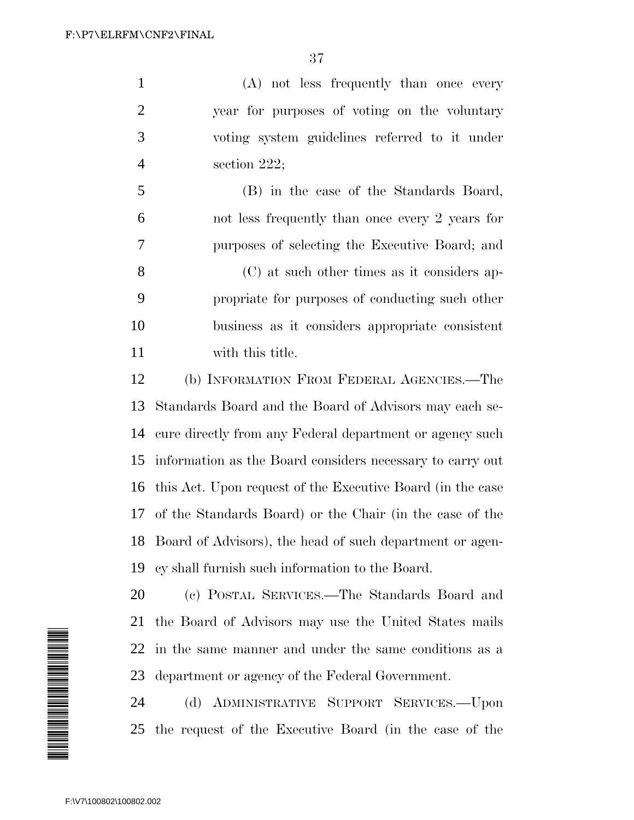(A) not less frequently than once every year for purposes of voting on the voluntary voting system guidelines referred to it under section 222;

 (B) in the case of the Standards Board, not less frequently than once every 2 years for purposes of selecting the Executive Board; and (C) at such other times as it considers ap-

 propriate for purposes of conducting such other business as it considers appropriate consistent with this title.

 (b) INFORMATION FROM FEDERAL AGENCIES.—The Standards Board and the Board of Advisors may each se- cure directly from any Federal department or agency such information as the Board considers necessary to carry out this Act. Upon request of the Executive Board (in the case of the Standards Board) or the Chair (in the case of the Board of Advisors), the head of such department or agen-cy shall furnish such information to the Board.



 (c) POSTAL SERVICES.—The Standards Board and the Board of Advisors may use the United States mails in the same manner and under the same conditions as a department or agency of the Federal Government.

 (d) ADMINISTRATIVE SUPPORT SERVICES.—Upon the request of the Executive Board (in the case of the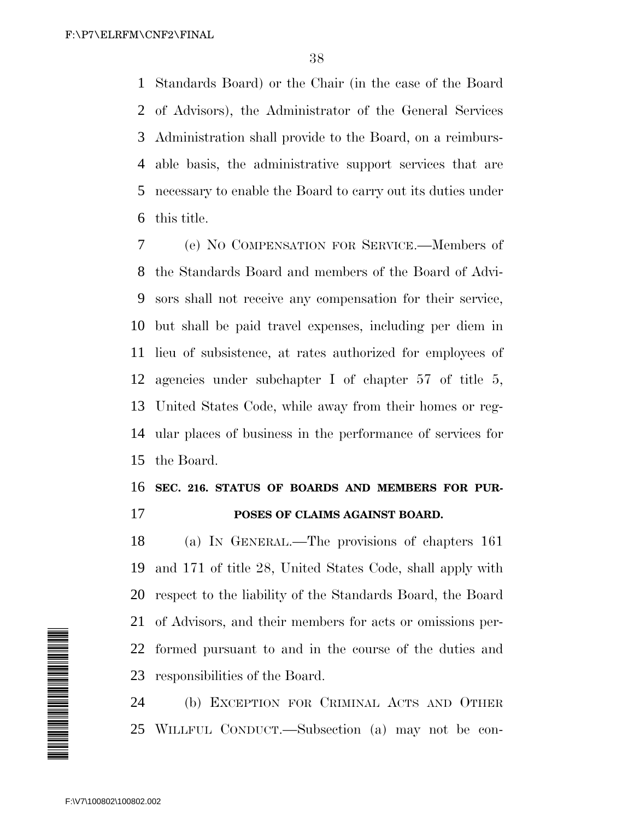Standards Board) or the Chair (in the case of the Board of Advisors), the Administrator of the General Services Administration shall provide to the Board, on a reimburs- able basis, the administrative support services that are necessary to enable the Board to carry out its duties under this title.

 (e) NO COMPENSATION FOR SERVICE.—Members of the Standards Board and members of the Board of Advi- sors shall not receive any compensation for their service, but shall be paid travel expenses, including per diem in lieu of subsistence, at rates authorized for employees of agencies under subchapter I of chapter 57 of title 5, United States Code, while away from their homes or reg- ular places of business in the performance of services for the Board.

### **SEC. 216. STATUS OF BOARDS AND MEMBERS FOR PUR-POSES OF CLAIMS AGAINST BOARD.**

 (a) IN GENERAL.—The provisions of chapters 161 and 171 of title 28, United States Code, shall apply with respect to the liability of the Standards Board, the Board of Advisors, and their members for acts or omissions per- formed pursuant to and in the course of the duties and responsibilities of the Board.

 (b) EXCEPTION FOR CRIMINAL ACTS AND OTHER WILLFUL CONDUCT.—Subsection (a) may not be con-

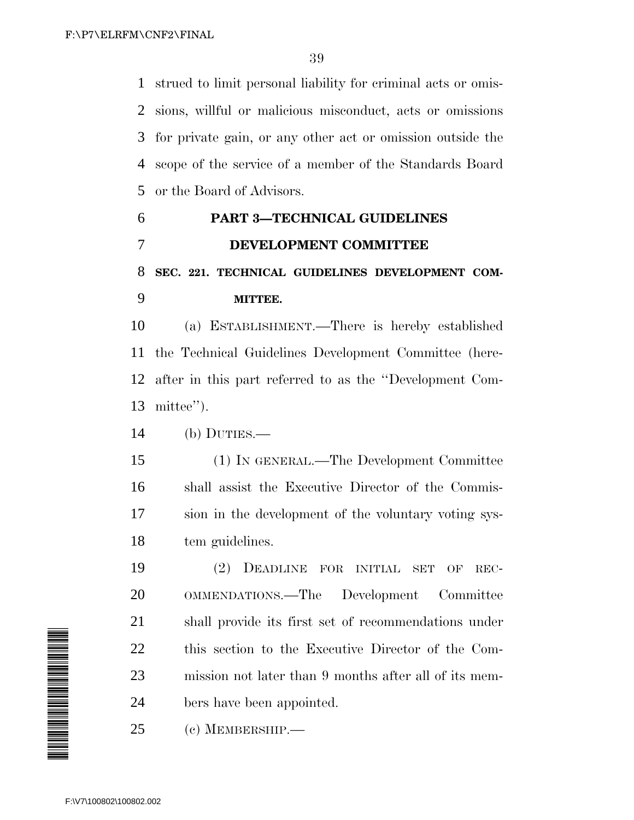strued to limit personal liability for criminal acts or omis- sions, willful or malicious misconduct, acts or omissions for private gain, or any other act or omission outside the scope of the service of a member of the Standards Board or the Board of Advisors.

## **PART 3—TECHNICAL GUIDELINES DEVELOPMENT COMMITTEE SEC. 221. TECHNICAL GUIDELINES DEVELOPMENT COM-MITTEE.**

 (a) ESTABLISHMENT.—There is hereby established the Technical Guidelines Development Committee (here- after in this part referred to as the ''Development Com-mittee'').

(b) DUTIES.—

 (1) IN GENERAL.—The Development Committee shall assist the Executive Director of the Commis- sion in the development of the voluntary voting sys-tem guidelines.

 (2) DEADLINE FOR INITIAL SET OF REC- OMMENDATIONS.—The Development Committee shall provide its first set of recommendations under this section to the Executive Director of the Com- mission not later than 9 months after all of its mem-bers have been appointed.

(c) MEMBERSHIP.—

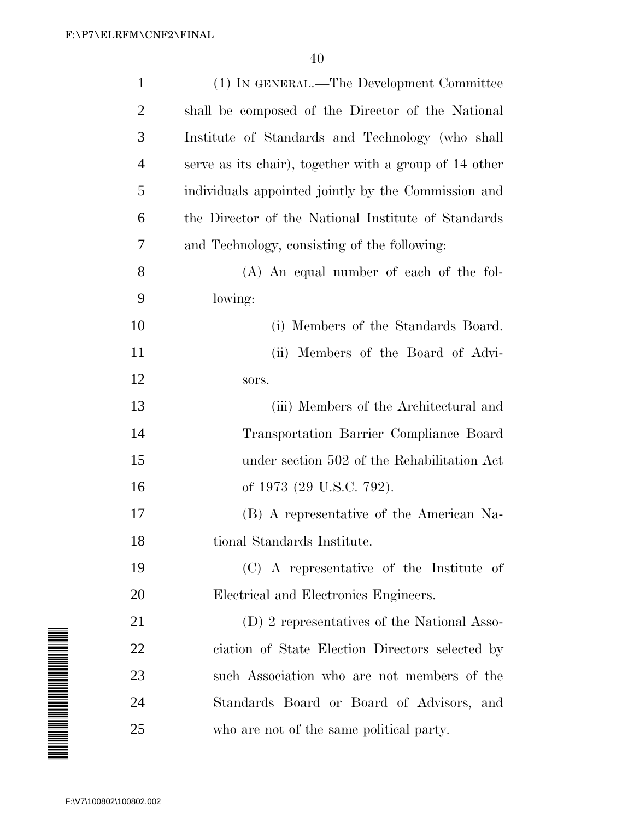|                                                                                                                        | $\mathbf{1}$            | (1) IN GENERAL.—The Development Committee              |
|------------------------------------------------------------------------------------------------------------------------|-------------------------|--------------------------------------------------------|
|                                                                                                                        | $\overline{2}$          | shall be composed of the Director of the National      |
|                                                                                                                        | 3                       | Institute of Standards and Technology (who shall       |
|                                                                                                                        | 4                       | serve as its chair), together with a group of 14 other |
|                                                                                                                        | 5                       | individuals appointed jointly by the Commission and    |
|                                                                                                                        | 6                       | the Director of the National Institute of Standards    |
|                                                                                                                        | 7                       | and Technology, consisting of the following:           |
|                                                                                                                        | 8                       | (A) An equal number of each of the fol-                |
|                                                                                                                        | 9                       | lowing:                                                |
|                                                                                                                        | 10                      | (i) Members of the Standards Board.                    |
|                                                                                                                        | 11                      | (ii) Members of the Board of Advi-                     |
|                                                                                                                        | 12                      | sors.                                                  |
|                                                                                                                        | 13                      | (iii) Members of the Architectural and                 |
|                                                                                                                        | 14                      | Transportation Barrier Compliance Board                |
|                                                                                                                        | 15                      | under section 502 of the Rehabilitation Act            |
|                                                                                                                        | 16                      | of 1973 (29 U.S.C. 792).                               |
|                                                                                                                        | 17                      | (B) A representative of the American Na-               |
|                                                                                                                        | 18                      | tional Standards Institute.                            |
|                                                                                                                        | 19                      | (C) A representative of the Institute of               |
|                                                                                                                        | 20                      | Electrical and Electronics Engineers.                  |
|                                                                                                                        | 21                      | (D) 2 representatives of the National Asso-            |
|                                                                                                                        | 22                      | ciation of State Election Directors selected by        |
| <u> International Action and International International International International International International I</u> | 23                      | such Association who are not members of the            |
|                                                                                                                        | 24                      | Standards Board or Board of Advisors, and              |
|                                                                                                                        | 25                      | who are not of the same political party.               |
|                                                                                                                        |                         |                                                        |
|                                                                                                                        | F:\V7\100802\100802.002 |                                                        |
|                                                                                                                        |                         |                                                        |

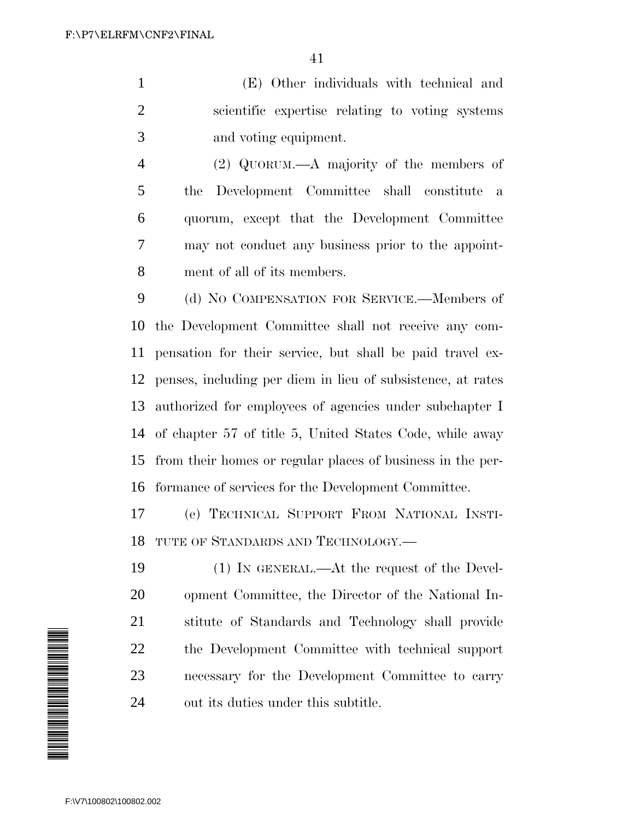(E) Other individuals with technical and scientific expertise relating to voting systems and voting equipment.

 (2) QUORUM.—A majority of the members of the Development Committee shall constitute a quorum, except that the Development Committee may not conduct any business prior to the appoint-ment of all of its members.

 (d) NO COMPENSATION FOR SERVICE.—Members of the Development Committee shall not receive any com- pensation for their service, but shall be paid travel ex- penses, including per diem in lieu of subsistence, at rates authorized for employees of agencies under subchapter I of chapter 57 of title 5, United States Code, while away from their homes or regular places of business in the per-formance of services for the Development Committee.

 (e) TECHNICAL SUPPORT FROM NATIONAL INSTI-TUTE OF STANDARDS AND TECHNOLOGY.—

 (1) IN GENERAL.—At the request of the Devel- opment Committee, the Director of the National In- stitute of Standards and Technology shall provide the Development Committee with technical support necessary for the Development Committee to carry out its duties under this subtitle.

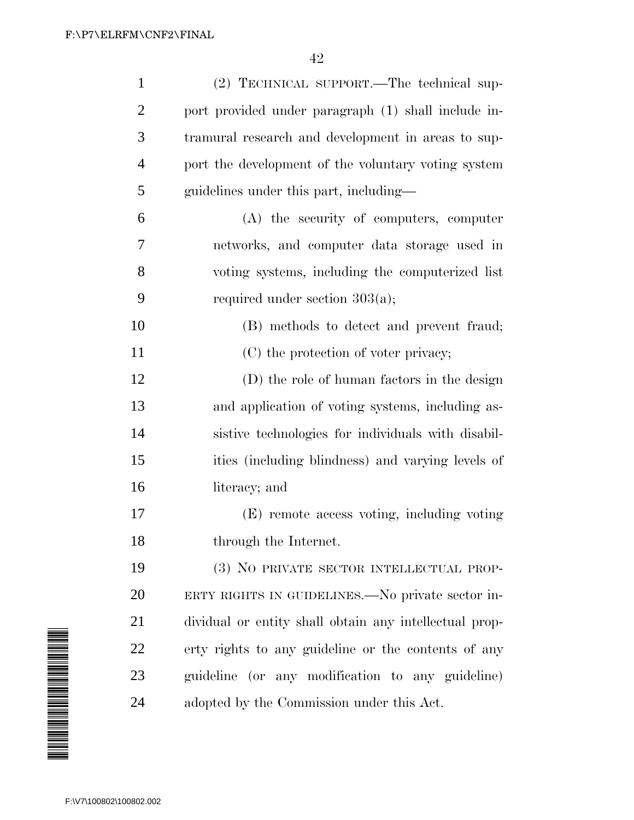| $\mathbf{1}$   | (2) TECHNICAL SUPPORT.—The technical sup-              |
|----------------|--------------------------------------------------------|
| $\overline{2}$ | port provided under paragraph (1) shall include in-    |
| 3              | tramural research and development in areas to sup-     |
| $\overline{4}$ | port the development of the voluntary voting system    |
| 5              | guidelines under this part, including—                 |
| 6              | (A) the security of computers, computer                |
| 7              | networks, and computer data storage used in            |
| 8              | voting systems, including the computerized list        |
| 9              | required under section $303(a)$ ;                      |
| 10             | (B) methods to detect and prevent fraud;               |
| 11             | (C) the protection of voter privacy;                   |
| 12             | (D) the role of human factors in the design            |
| 13             | and application of voting systems, including as-       |
| 14             | sistive technologies for individuals with disabil-     |
| 15             | ities (including blindness) and varying levels of      |
| 16             | literacy; and                                          |
| 17             | (E) remote access voting, including voting             |
| 18             | through the Internet.                                  |
| 19             | (3) NO PRIVATE SECTOR INTELLECTUAL PROP-               |
| 20             | ERTY RIGHTS IN GUIDELINES.—No private sector in-       |
| 21             | dividual or entity shall obtain any intellectual prop- |
| <u>22</u>      | erty rights to any guideline or the contents of any    |
| 23             | guideline (or any modification to any guideline)       |
| 24             | adopted by the Commission under this Act.              |
|                |                                                        |

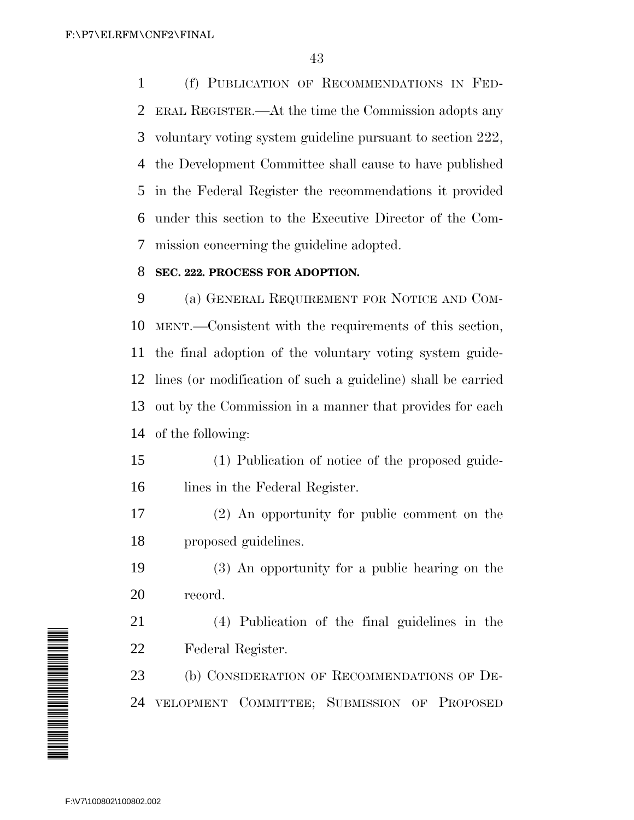(f) PUBLICATION OF RECOMMENDATIONS IN FED- ERAL REGISTER.—At the time the Commission adopts any voluntary voting system guideline pursuant to section 222, the Development Committee shall cause to have published in the Federal Register the recommendations it provided under this section to the Executive Director of the Com-mission concerning the guideline adopted.

#### **SEC. 222. PROCESS FOR ADOPTION.**

 (a) GENERAL REQUIREMENT FOR NOTICE AND COM- MENT.—Consistent with the requirements of this section, the final adoption of the voluntary voting system guide- lines (or modification of such a guideline) shall be carried out by the Commission in a manner that provides for each of the following:

- (1) Publication of notice of the proposed guide-16 lines in the Federal Register.
- (2) An opportunity for public comment on the proposed guidelines.
- (3) An opportunity for a public hearing on the record.

 (4) Publication of the final guidelines in the Federal Register.

 (b) CONSIDERATION OF RECOMMENDATIONS OF DE-VELOPMENT COMMITTEE; SUBMISSION OF PROPOSED

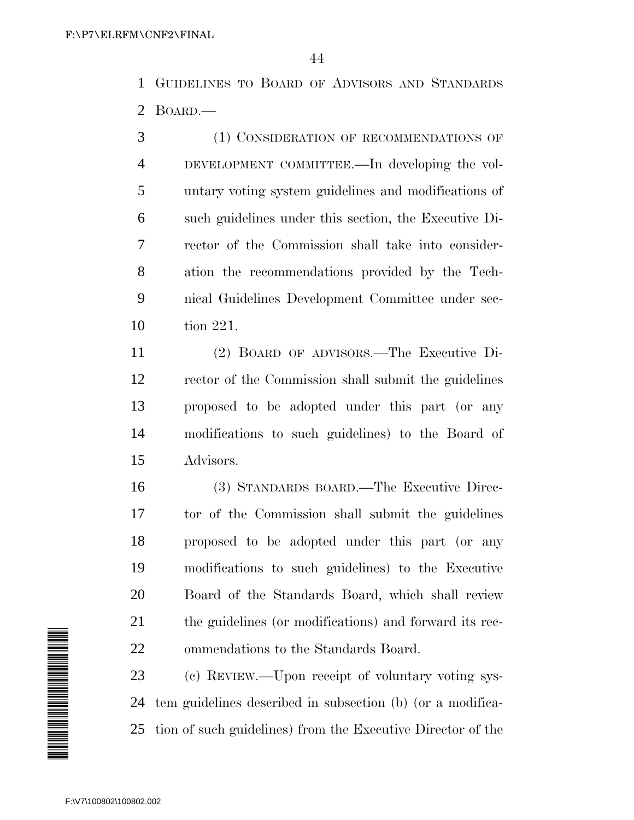GUIDELINES TO BOARD OF ADVISORS AND STANDARDS BOARD.—

 (1) CONSIDERATION OF RECOMMENDATIONS OF DEVELOPMENT COMMITTEE.—In developing the vol- untary voting system guidelines and modifications of such guidelines under this section, the Executive Di- rector of the Commission shall take into consider- ation the recommendations provided by the Tech- nical Guidelines Development Committee under sec-tion 221.

 (2) BOARD OF ADVISORS.—The Executive Di- rector of the Commission shall submit the guidelines proposed to be adopted under this part (or any modifications to such guidelines) to the Board of Advisors.

 (3) STANDARDS BOARD.—The Executive Direc- tor of the Commission shall submit the guidelines proposed to be adopted under this part (or any modifications to such guidelines) to the Executive Board of the Standards Board, which shall review the guidelines (or modifications) and forward its rec-ommendations to the Standards Board.

 (c) REVIEW.—Upon receipt of voluntary voting sys- tem guidelines described in subsection (b) (or a modifica-tion of such guidelines) from the Executive Director of the

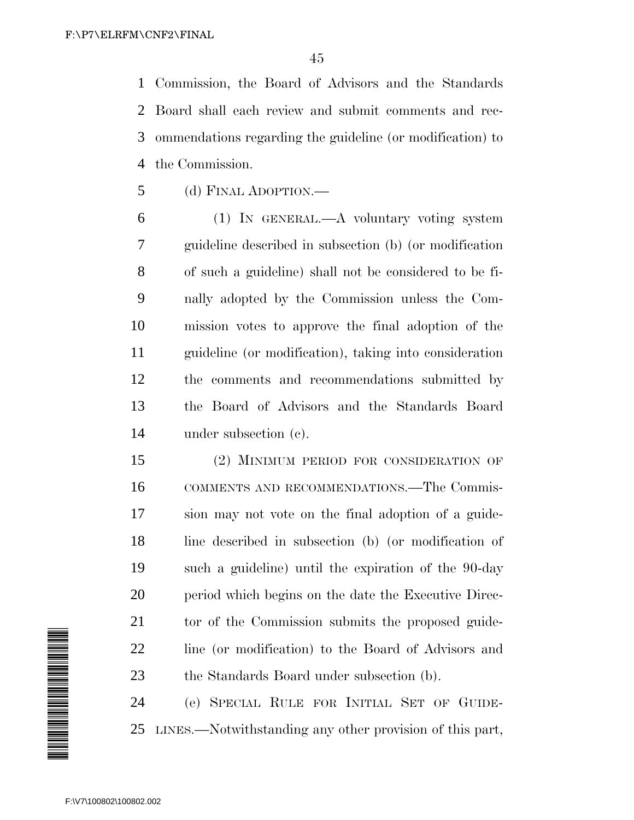Commission, the Board of Advisors and the Standards Board shall each review and submit comments and rec- ommendations regarding the guideline (or modification) to the Commission.

(d) FINAL ADOPTION.—

 (1) IN GENERAL.—A voluntary voting system guideline described in subsection (b) (or modification of such a guideline) shall not be considered to be fi- nally adopted by the Commission unless the Com- mission votes to approve the final adoption of the guideline (or modification), taking into consideration the comments and recommendations submitted by the Board of Advisors and the Standards Board under subsection (c).

 (2) MINIMUM PERIOD FOR CONSIDERATION OF COMMENTS AND RECOMMENDATIONS.—The Commis- sion may not vote on the final adoption of a guide- line described in subsection (b) (or modification of such a guideline) until the expiration of the 90-day 20 period which begins on the date the Executive Direc-21 to to the Commission submits the proposed guide-22 line (or modification) to the Board of Advisors and the Standards Board under subsection (b).

 (e) SPECIAL RULE FOR INITIAL SET OF GUIDE-LINES.—Notwithstanding any other provision of this part,

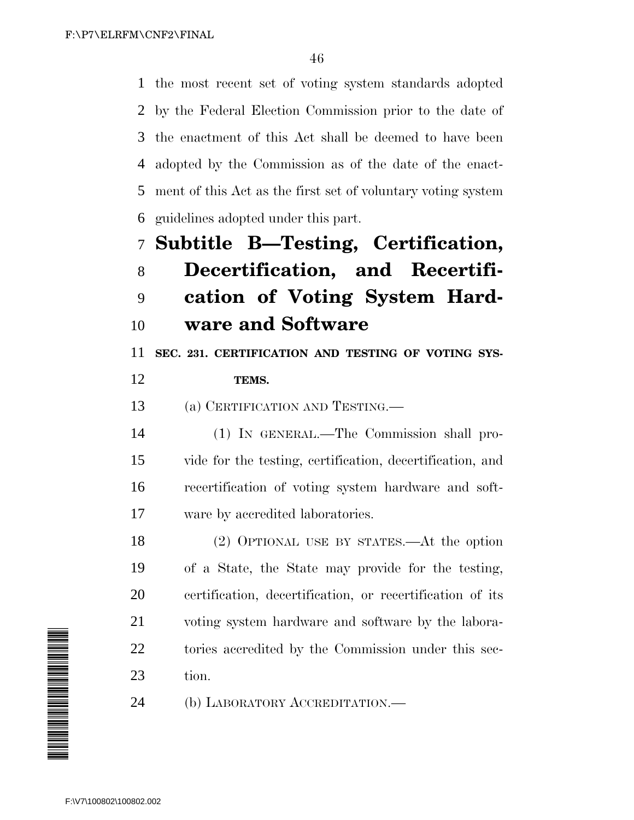the most recent set of voting system standards adopted by the Federal Election Commission prior to the date of the enactment of this Act shall be deemed to have been adopted by the Commission as of the date of the enact- ment of this Act as the first set of voluntary voting system guidelines adopted under this part.

## **Subtitle B—Testing, Certification, Decertification, and Recertifi- cation of Voting System Hard-ware and Software**

**SEC. 231. CERTIFICATION AND TESTING OF VOTING SYS-**

### **TEMS.**

(a) CERTIFICATION AND TESTING.—

 (1) IN GENERAL.—The Commission shall pro- vide for the testing, certification, decertification, and recertification of voting system hardware and soft-ware by accredited laboratories.

 (2) OPTIONAL USE BY STATES.—At the option of a State, the State may provide for the testing, certification, decertification, or recertification of its voting system hardware and software by the labora- tories accredited by the Commission under this sec-tion.

(b) LABORATORY ACCREDITATION.—

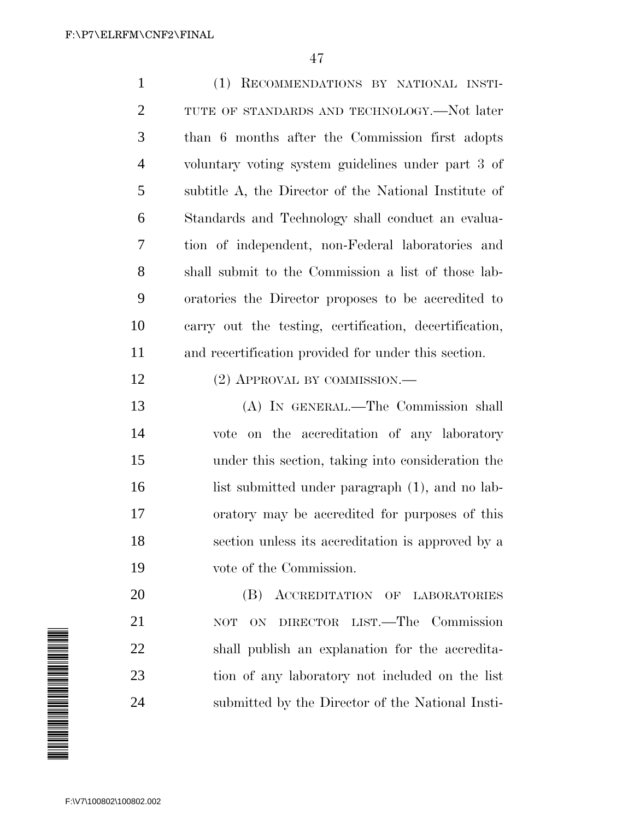(1) RECOMMENDATIONS BY NATIONAL INSTI-2 TUTE OF STANDARDS AND TECHNOLOGY.—Not later than 6 months after the Commission first adopts voluntary voting system guidelines under part 3 of subtitle A, the Director of the National Institute of Standards and Technology shall conduct an evalua- tion of independent, non-Federal laboratories and shall submit to the Commission a list of those lab- oratories the Director proposes to be accredited to carry out the testing, certification, decertification, and recertification provided for under this section. 12 (2) APPROVAL BY COMMISSION.— (A) IN GENERAL.—The Commission shall vote on the accreditation of any laboratory under this section, taking into consideration the 16 list submitted under paragraph (1), and no lab- oratory may be accredited for purposes of this section unless its accreditation is approved by a vote of the Commission. **(B) ACCREDITATION OF LABORATORIES**  NOT ON DIRECTOR LIST.—The Commission shall publish an explanation for the accredita- tion of any laboratory not included on the list submitted by the Director of the National Insti-

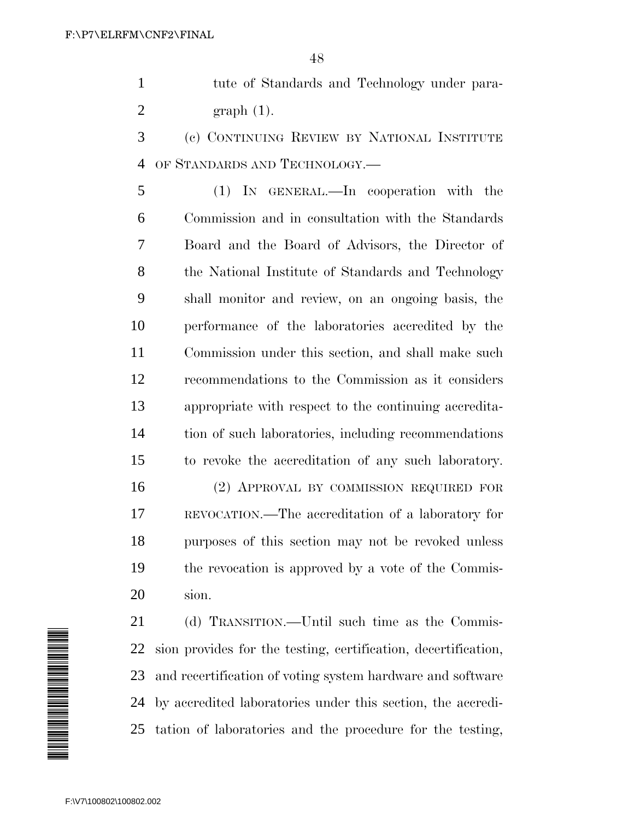tute of Standards and Technology under para-graph (1).

 (c) CONTINUING REVIEW BY NATIONAL INSTITUTE OF STANDARDS AND TECHNOLOGY.—

 (1) IN GENERAL.—In cooperation with the Commission and in consultation with the Standards Board and the Board of Advisors, the Director of the National Institute of Standards and Technology shall monitor and review, on an ongoing basis, the performance of the laboratories accredited by the Commission under this section, and shall make such recommendations to the Commission as it considers appropriate with respect to the continuing accredita- tion of such laboratories, including recommendations to revoke the accreditation of any such laboratory.

 (2) APPROVAL BY COMMISSION REQUIRED FOR REVOCATION.—The accreditation of a laboratory for purposes of this section may not be revoked unless the revocation is approved by a vote of the Commis-sion.

 (d) TRANSITION.—Until such time as the Commis- sion provides for the testing, certification, decertification, and recertification of voting system hardware and software by accredited laboratories under this section, the accredi-tation of laboratories and the procedure for the testing,

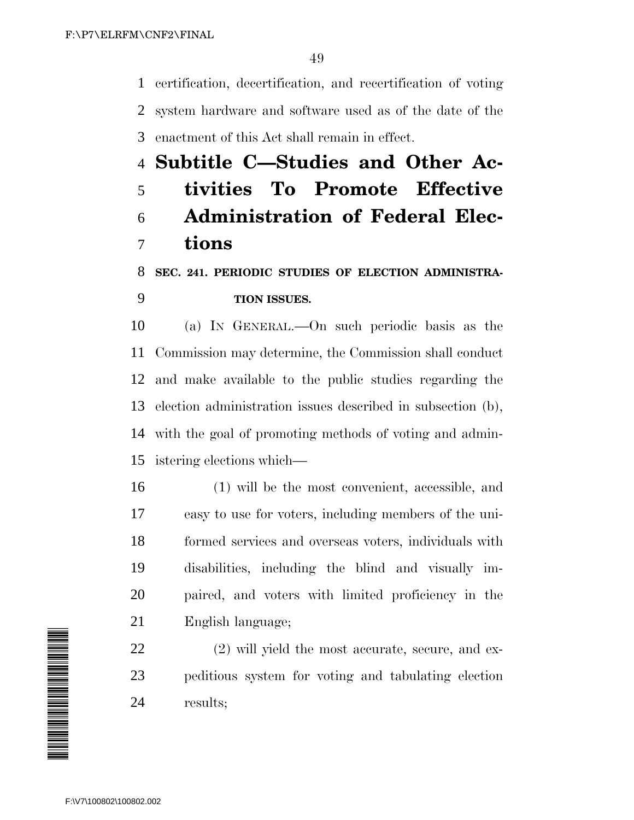certification, decertification, and recertification of voting system hardware and software used as of the date of the enactment of this Act shall remain in effect.

# **Subtitle C—Studies and Other Ac- tivities To Promote Effective Administration of Federal Elec-tions**

### **SEC. 241. PERIODIC STUDIES OF ELECTION ADMINISTRA-TION ISSUES.**

 (a) IN GENERAL.—On such periodic basis as the Commission may determine, the Commission shall conduct and make available to the public studies regarding the election administration issues described in subsection (b), with the goal of promoting methods of voting and admin-istering elections which—

 (1) will be the most convenient, accessible, and easy to use for voters, including members of the uni- formed services and overseas voters, individuals with disabilities, including the blind and visually im- paired, and voters with limited proficiency in the English language;

 (2) will yield the most accurate, secure, and ex- peditious system for voting and tabulating election results;

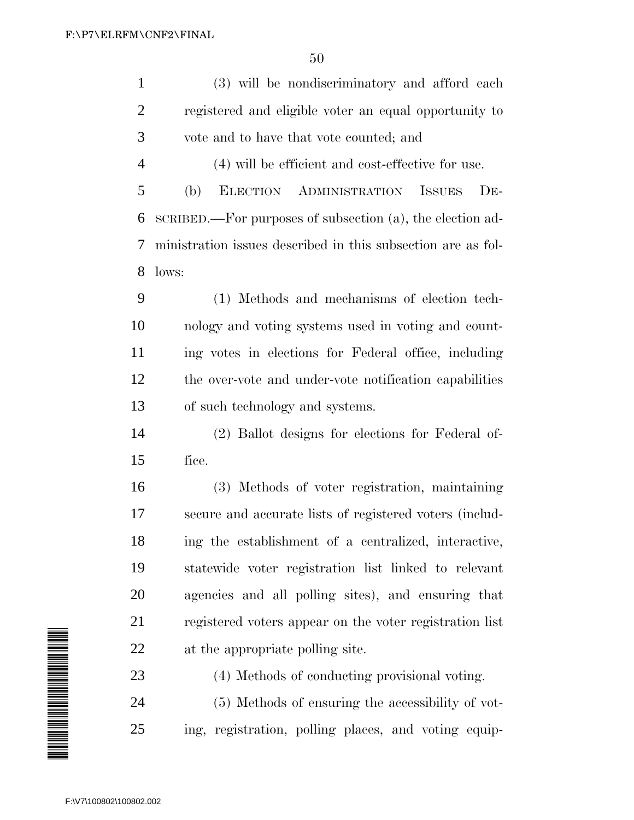(3) will be nondiscriminatory and afford each

| 2                       | registered and eligible voter an equal opportunity to              |
|-------------------------|--------------------------------------------------------------------|
| 3                       | vote and to have that vote counted; and                            |
| $\overline{4}$          | (4) will be efficient and cost-effective for use.                  |
| 5                       | ADMINISTRATION<br><b>ISSUES</b><br>$DE-$<br><b>ELECTION</b><br>(b) |
| 6                       | SCRIBED.—For purposes of subsection (a), the election ad-          |
| 7                       | ministration issues described in this subsection are as fol-       |
| 8                       | lows:                                                              |
| 9                       | (1) Methods and mechanisms of election tech-                       |
| 10                      | nology and voting systems used in voting and count-                |
| 11                      | ing votes in elections for Federal office, including               |
| 12                      | the over-vote and under-vote notification capabilities             |
| 13                      | of such technology and systems.                                    |
| 14                      | (2) Ballot designs for elections for Federal of-                   |
| 15                      | fice.                                                              |
| 16                      | (3) Methods of voter registration, maintaining                     |
| 17                      | secure and accurate lists of registered voters (includ-            |
| 18                      | ing the establishment of a centralized, interactive,               |
| 19                      | statewide voter registration list linked to relevant               |
| 20                      | agencies and all polling sites), and ensuring that                 |
| 21                      | registered voters appear on the voter registration list            |
| 22                      | at the appropriate polling site.                                   |
| 23                      | (4) Methods of conducting provisional voting.                      |
| 24                      | (5) Methods of ensuring the accessibility of vot-                  |
| 25                      | ing, registration, polling places, and voting equip-               |
|                         |                                                                    |
| F:\V7\100802\100802.002 |                                                                    |

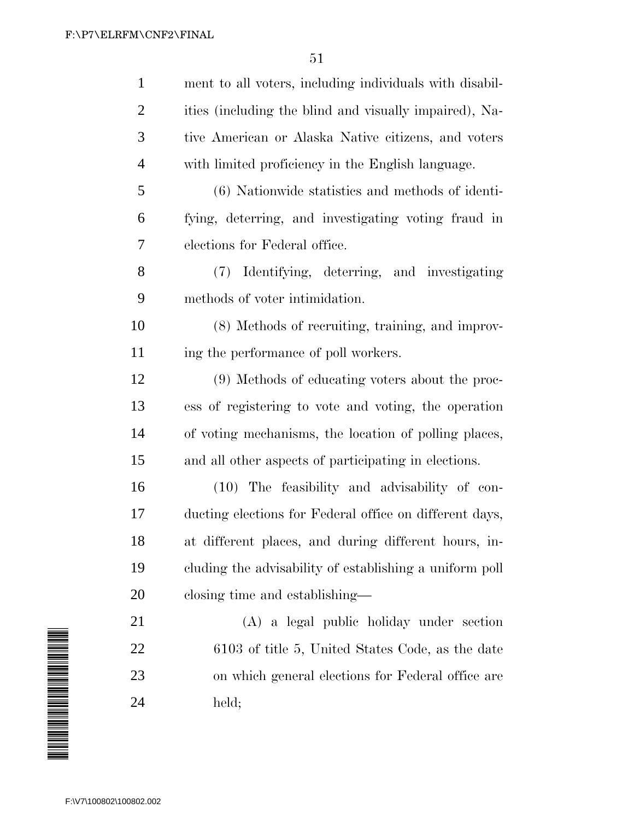| ment to all voters, including individuals with disabil- |
|---------------------------------------------------------|
| ities (including the blind and visually impaired), Na-  |
| tive American or Alaska Native citizens, and voters     |
| with limited proficiency in the English language.       |
| (6) Nationwide statistics and methods of identi-        |
| fying, deterring, and investigating voting fraud in     |
| elections for Federal office.                           |
| Identifying, deterring, and investigating<br>(7)        |
| methods of voter intimidation.                          |
| (8) Methods of recruiting, training, and improv-        |
| ing the performance of poll workers.                    |
| (9) Methods of educating voters about the proc-         |
| ess of registering to vote and voting, the operation    |
| of voting mechanisms, the location of polling places,   |
| and all other aspects of participating in elections.    |
| (10) The feasibility and advisability of con-           |
| ducting elections for Federal office on different days, |
| at different places, and during different hours, in-    |
| cluding the advisability of establishing a uniform poll |
| closing time and establishing—                          |
| (A) a legal public holiday under section                |
| 6103 of title 5, United States Code, as the date        |
| on which general elections for Federal office are       |
| held;                                                   |
|                                                         |
|                                                         |
| F:\V7\100802\100802.002                                 |
|                                                         |

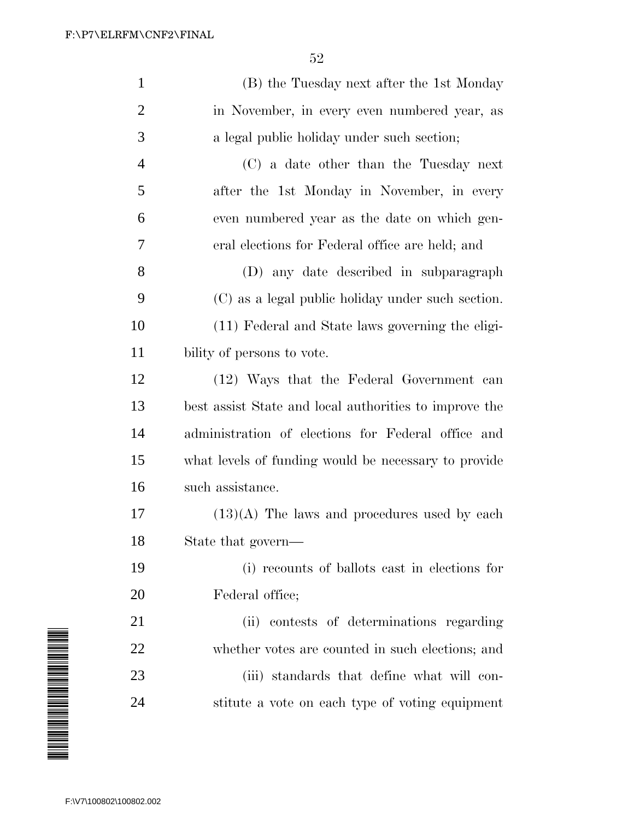| $\mathbf{1}$   | (B) the Tuesday next after the 1st Monday              |
|----------------|--------------------------------------------------------|
| $\overline{2}$ | in November, in every even numbered year, as           |
| 3              | a legal public holiday under such section;             |
| $\overline{4}$ | (C) a date other than the Tuesday next                 |
| 5              | after the 1st Monday in November, in every             |
| 6              | even numbered year as the date on which gen-           |
| 7              | eral elections for Federal office are held; and        |
| 8              | (D) any date described in subparagraph                 |
| 9              | (C) as a legal public holiday under such section.      |
| 10             | (11) Federal and State laws governing the eligi-       |
| 11             | bility of persons to vote.                             |
| 12             | (12) Ways that the Federal Government can              |
| 13             | best assist State and local authorities to improve the |
| 14             | administration of elections for Federal office and     |
| 15             | what levels of funding would be necessary to provide   |
| 16             | such assistance.                                       |
| 17             | $(13)(A)$ The laws and procedures used by each         |
| 18             | State that govern-                                     |
| 19             | (i) recounts of ballots cast in elections for          |
| 20             | Federal office;                                        |
| 21             | (ii) contests of determinations regarding              |
| 22             | whether votes are counted in such elections; and       |
| 23             | (iii) standards that define what will con-             |
| 24             | stitute a vote on each type of voting equipment        |
|                |                                                        |

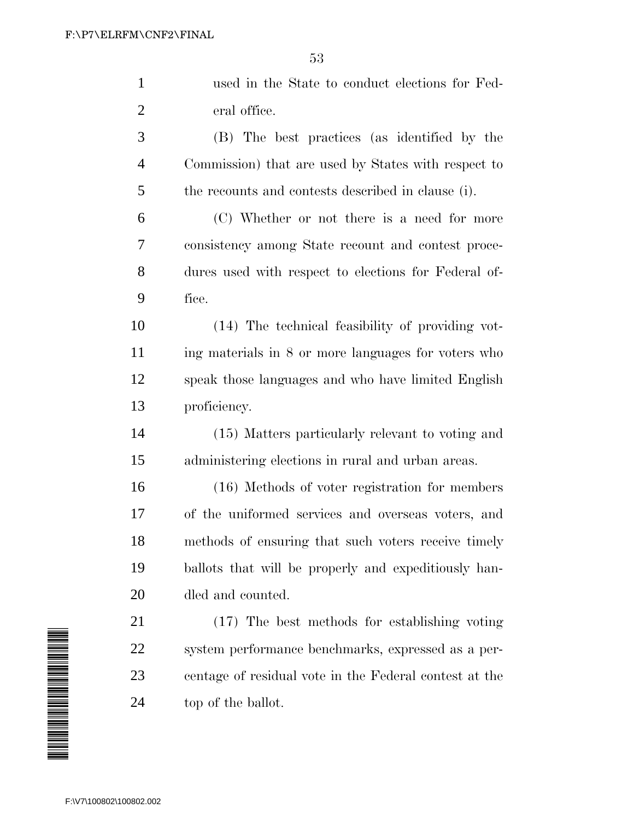| $\mathbf{1}$   | used in the State to conduct elections for Fed-        |
|----------------|--------------------------------------------------------|
| $\overline{2}$ | eral office.                                           |
| 3              | (B) The best practices (as identified by the           |
| $\overline{4}$ | Commission) that are used by States with respect to    |
| 5              | the recounts and contests described in clause (i).     |
| 6              | (C) Whether or not there is a need for more            |
| 7              | consistency among State recount and contest proce-     |
| 8              | dures used with respect to elections for Federal of-   |
| 9              | fice.                                                  |
| 10             | (14) The technical feasibility of providing vot-       |
| 11             | ing materials in 8 or more languages for voters who    |
| 12             | speak those languages and who have limited English     |
| 13             | proficiency.                                           |
| 14             | (15) Matters particularly relevant to voting and       |
| 15             | administering elections in rural and urban areas.      |
| 16             | (16) Methods of voter registration for members         |
| 17             | of the uniformed services and overseas voters, and     |
| 18             | methods of ensuring that such voters receive timely    |
| 19             | ballots that will be properly and expeditiously han-   |
| 20             | dled and counted.                                      |
| 21             | (17) The best methods for establishing voting          |
| 22             | system performance benchmarks, expressed as a per-     |
| 23             | centage of residual vote in the Federal contest at the |
| 24             | top of the ballot.                                     |
|                |                                                        |

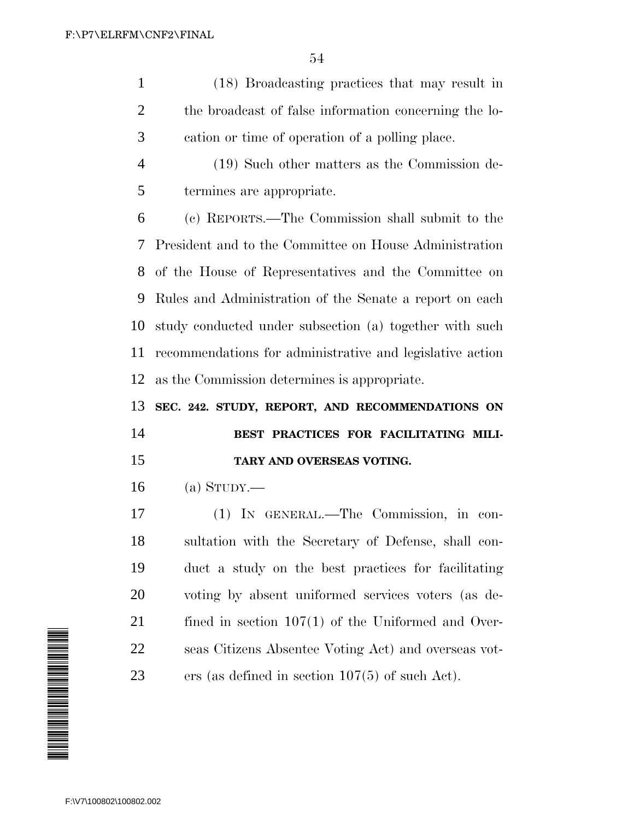(18) Broadcasting practices that may result in the broadcast of false information concerning the lo-cation or time of operation of a polling place.

 (19) Such other matters as the Commission de-termines are appropriate.

 (c) REPORTS.—The Commission shall submit to the President and to the Committee on House Administration of the House of Representatives and the Committee on Rules and Administration of the Senate a report on each study conducted under subsection (a) together with such recommendations for administrative and legislative action as the Commission determines is appropriate.

**SEC. 242. STUDY, REPORT, AND RECOMMENDATIONS ON**

## **BEST PRACTICES FOR FACILITATING MILI-TARY AND OVERSEAS VOTING.**

(a) STUDY.—

 (1) IN GENERAL.—The Commission, in con- sultation with the Secretary of Defense, shall con- duct a study on the best practices for facilitating voting by absent uniformed services voters (as de-21 fined in section 107(1) of the Uniformed and Over- seas Citizens Absentee Voting Act) and overseas vot-ers (as defined in section 107(5) of such Act).

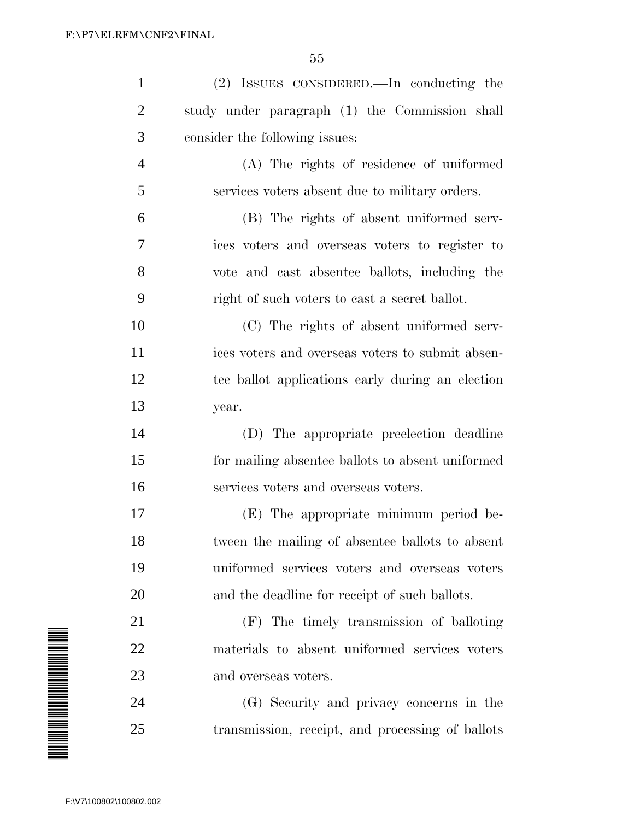| $\mathbf{1}$                                                                                                         | (2) ISSUES CONSIDERED.—In conducting the         |
|----------------------------------------------------------------------------------------------------------------------|--------------------------------------------------|
| $\overline{2}$                                                                                                       | study under paragraph (1) the Commission shall   |
| 3                                                                                                                    | consider the following issues:                   |
| 4                                                                                                                    | (A) The rights of residence of uniformed         |
| 5                                                                                                                    | services voters absent due to military orders.   |
| 6                                                                                                                    | (B) The rights of absent uniformed serv-         |
| 7                                                                                                                    | ices voters and overseas voters to register to   |
| 8                                                                                                                    | vote and cast absentee ballots, including the    |
| 9                                                                                                                    | right of such voters to east a secret ballot.    |
| 10                                                                                                                   | (C) The rights of absent uniformed serv-         |
| 11                                                                                                                   | ices voters and overseas voters to submit absen- |
| 12                                                                                                                   | tee ballot applications early during an election |
| 13                                                                                                                   | year.                                            |
| 14                                                                                                                   | (D) The appropriate preelection deadline         |
| 15                                                                                                                   | for mailing absentee ballots to absent uniformed |
| 16                                                                                                                   | services voters and overseas voters.             |
| 17                                                                                                                   | (E) The appropriate minimum period be-           |
| 18                                                                                                                   | tween the mailing of absentee ballots to absent  |
| 19                                                                                                                   | uniformed services voters and overseas voters    |
| 20                                                                                                                   | and the deadline for receipt of such ballots.    |
| 21                                                                                                                   | (F) The timely transmission of balloting         |
| 22                                                                                                                   | materials to absent uniformed services voters    |
| A MARTIN ANG MANGHALANG ANG MANGHATAN NG PANGhalang ng Pagayang ng Pagayang ng Pagayang ng Pag-agamang ang man<br>23 | and overseas voters.                             |
| 24                                                                                                                   | (G) Security and privacy concerns in the         |
| 25                                                                                                                   | transmission, receipt, and processing of ballots |
|                                                                                                                      |                                                  |
| F:\V7\100802\100802.002                                                                                              |                                                  |

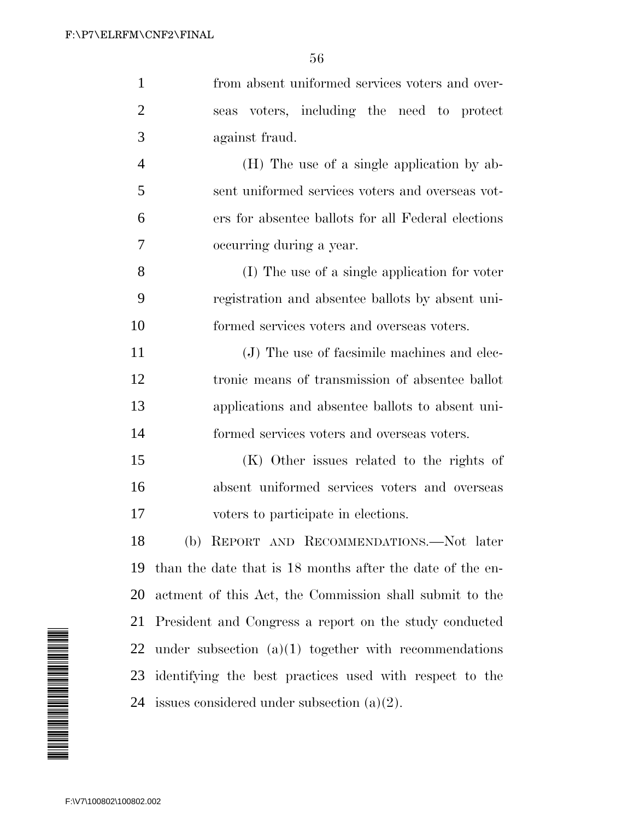| $\mathbf{1}$   | from absent uniformed services voters and over-           |
|----------------|-----------------------------------------------------------|
| $\overline{2}$ | seas voters, including the need to protect                |
| 3              | against fraud.                                            |
| $\overline{4}$ | (H) The use of a single application by ab-                |
| 5              | sent uniformed services voters and overseas vot-          |
| 6              | ers for absentee ballots for all Federal elections        |
| 7              | occurring during a year.                                  |
| 8              | (I) The use of a single application for voter             |
| 9              | registration and absentee ballots by absent uni-          |
| 10             | formed services voters and overseas voters.               |
| 11             | (J) The use of facsimile machines and elec-               |
| 12             | tronic means of transmission of absentee ballot           |
| 13             | applications and absentee ballots to absent uni-          |
| 14             | formed services voters and overseas voters.               |
| 15             | (K) Other issues related to the rights of                 |
| 16             | absent uniformed services voters and overseas             |
| 17             | voters to participate in elections.                       |
| 18             | (b) REPORT AND RECOMMENDATIONS.-Not later                 |
| 19             | than the date that is 18 months after the date of the en- |
| 20             | actment of this Act, the Commission shall submit to the   |
| 21             | President and Congress a report on the study conducted    |
| 22             | under subsection $(a)(1)$ together with recommendations   |
| 23             | identifying the best practices used with respect to the   |
|                | 24 issues considered under subsection $(a)(2)$ .          |
|                |                                                           |

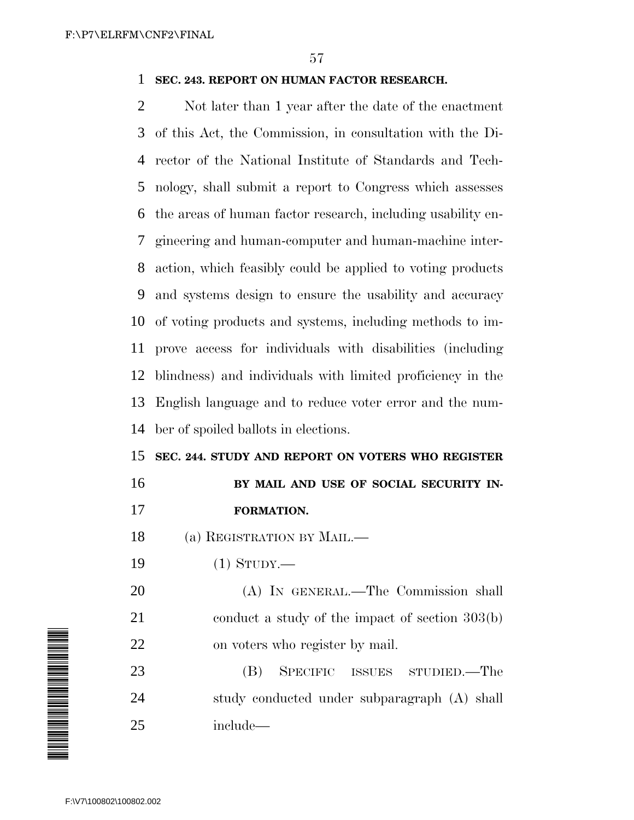### **SEC. 243. REPORT ON HUMAN FACTOR RESEARCH.**

 Not later than 1 year after the date of the enactment of this Act, the Commission, in consultation with the Di- rector of the National Institute of Standards and Tech- nology, shall submit a report to Congress which assesses the areas of human factor research, including usability en- gineering and human-computer and human-machine inter- action, which feasibly could be applied to voting products and systems design to ensure the usability and accuracy of voting products and systems, including methods to im- prove access for individuals with disabilities (including blindness) and individuals with limited proficiency in the English language and to reduce voter error and the num-ber of spoiled ballots in elections.

**SEC. 244. STUDY AND REPORT ON VOTERS WHO REGISTER**

## **BY MAIL AND USE OF SOCIAL SECURITY IN-FORMATION.**

- (a) REGISTRATION BY MAIL.—
- 
- (1) STUDY.—

 (A) IN GENERAL.—The Commission shall 21 conduct a study of the impact of section 303(b) on voters who register by mail.

 (B) SPECIFIC ISSUES STUDIED.—The study conducted under subparagraph (A) shall include—

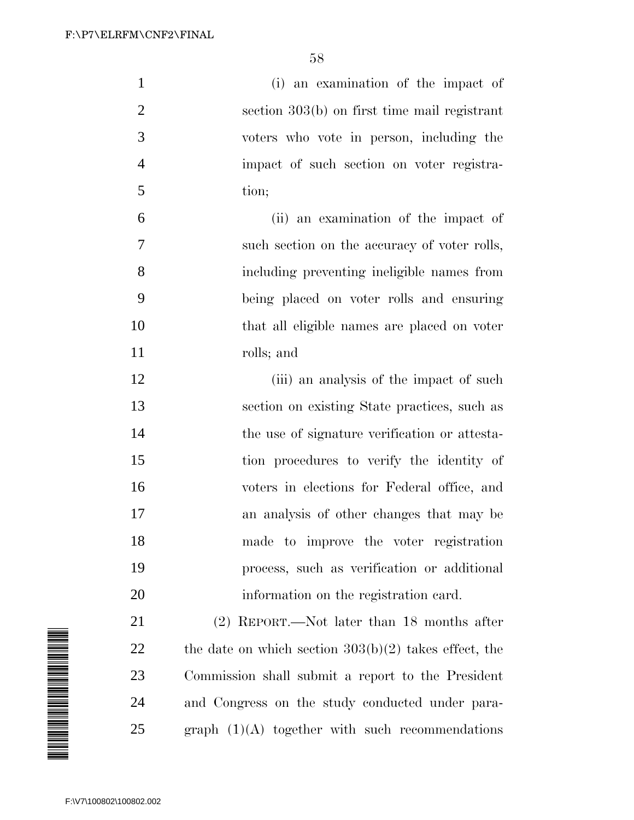| $\mathbf{1}$   | (i) an examination of the impact of           |
|----------------|-----------------------------------------------|
| $\overline{2}$ | section 303(b) on first time mail registrant  |
| 3              | voters who vote in person, including the      |
| $\overline{4}$ | impact of such section on voter registra-     |
| 5              | tion;                                         |
| 6              | (ii) an examination of the impact of          |
| 7              | such section on the accuracy of voter rolls,  |
| 8              | including preventing ineligible names from    |
| 9              | being placed on voter rolls and ensuring      |
| 10             | that all eligible names are placed on voter   |
| 11             | rolls; and                                    |
| 12             | (iii) an analysis of the impact of such       |
| 13             | section on existing State practices, such as  |
| 14             | the use of signature verification or attesta- |
| 15             | tion procedures to verify the identity of     |
| 16             | voters in elections for Federal office, and   |
| 17             | an analysis of other changes that may be      |

 made to improve the voter registration process, such as verification or additional

information on the registration card.

 (2) REPORT.—Not later than 18 months after 22 the date on which section  $303(b)(2)$  takes effect, the Commission shall submit a report to the President and Congress on the study conducted under para-graph  $(1)(A)$  together with such recommendations

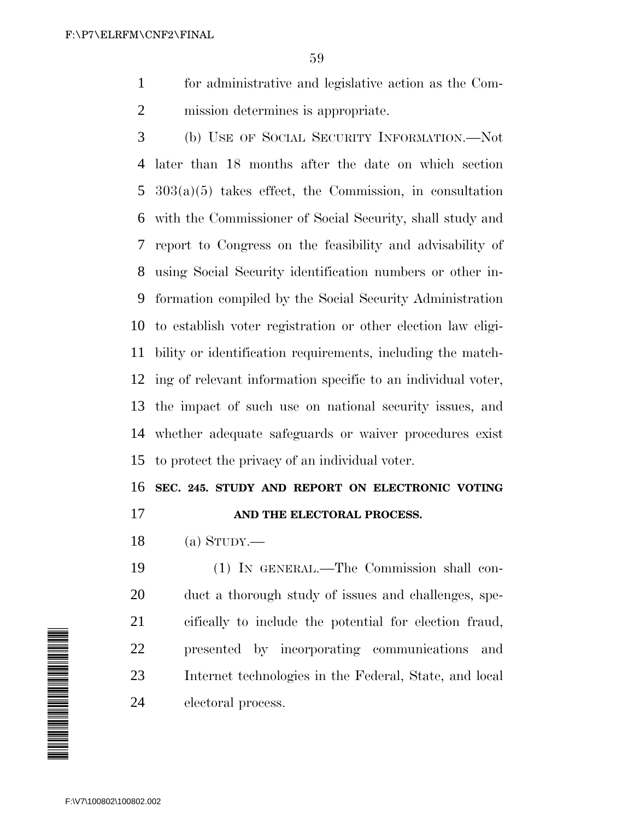for administrative and legislative action as the Com-mission determines is appropriate.

 (b) USE OF SOCIAL SECURITY INFORMATION.—Not later than 18 months after the date on which section 303(a)(5) takes effect, the Commission, in consultation with the Commissioner of Social Security, shall study and report to Congress on the feasibility and advisability of using Social Security identification numbers or other in- formation compiled by the Social Security Administration to establish voter registration or other election law eligi- bility or identification requirements, including the match- ing of relevant information specific to an individual voter, the impact of such use on national security issues, and whether adequate safeguards or waiver procedures exist to protect the privacy of an individual voter.

**SEC. 245. STUDY AND REPORT ON ELECTRONIC VOTING**

#### **AND THE ELECTORAL PROCESS.**

(a) STUDY.—

 (1) IN GENERAL.—The Commission shall con- duct a thorough study of issues and challenges, spe- cifically to include the potential for election fraud, presented by incorporating communications and Internet technologies in the Federal, State, and local electoral process.

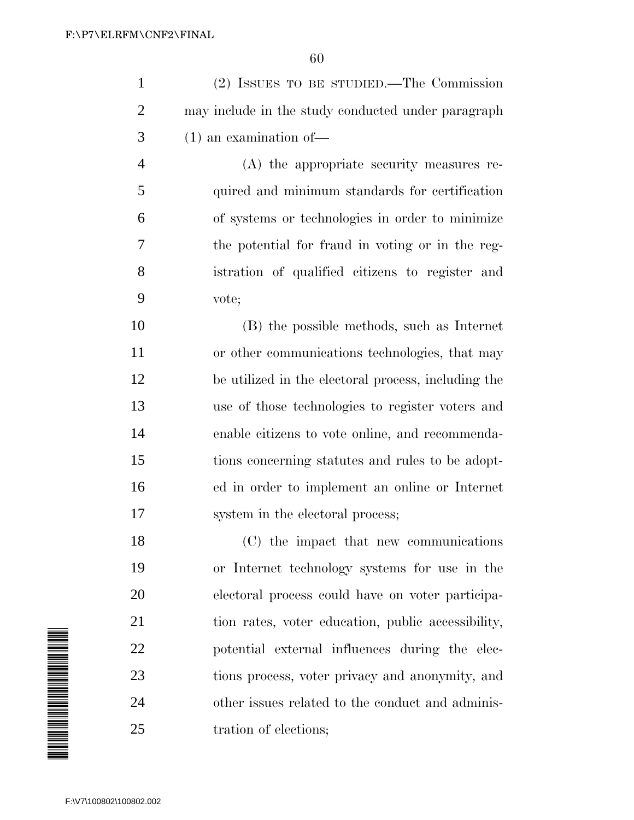| (2) ISSUES TO BE STUDIED.—The Commission            |
|-----------------------------------------------------|
| may include in the study conducted under paragraph  |
| $(1)$ an examination of —                           |
| (A) the appropriate security measures re-           |
| quired and minimum standards for certification      |
| of systems or technologies in order to minimize     |
| the potential for fraud in voting or in the reg-    |
| istration of qualified citizens to register and     |
| vote;                                               |
| (B) the possible methods, such as Internet          |
| or other communications technologies, that may      |
| be utilized in the electoral process, including the |
| use of those technologies to register voters and    |
| enable citizens to vote online, and recommenda-     |
| tions concerning statutes and rules to be adopt-    |
| ed in order to implement an online or Internet      |
| system in the electoral process;                    |
| (C) the impact that new communications              |
| or Internet technology systems for use in the       |
| electoral process could have on voter participa-    |
|                                                     |

 tion rates, voter education, public accessibility, potential external influences during the elec- tions process, voter privacy and anonymity, and other issues related to the conduct and adminis-25 tration of elections;

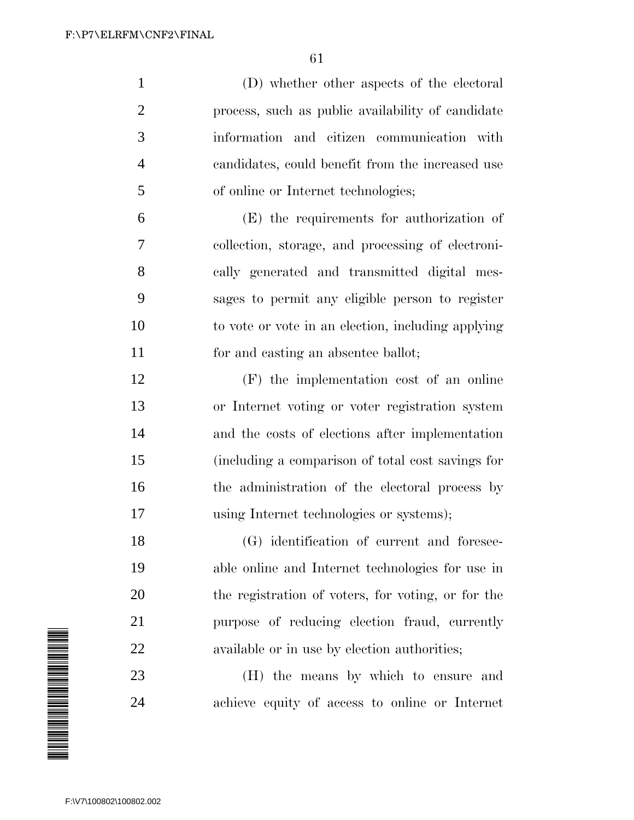(D) whether other aspects of the electoral process, such as public availability of candidate information and citizen communication with candidates, could benefit from the increased use of online or Internet technologies; (E) the requirements for authorization of collection, storage, and processing of electroni- cally generated and transmitted digital mes- sages to permit any eligible person to register to vote or vote in an election, including applying for and casting an absentee ballot; (F) the implementation cost of an online or Internet voting or voter registration system and the costs of elections after implementation (including a comparison of total cost savings for 16 the administration of the electoral process by using Internet technologies or systems); (G) identification of current and foresee- able online and Internet technologies for use in the registration of voters, for voting, or for the purpose of reducing election fraud, currently available or in use by election authorities; (H) the means by which to ensure and achieve equity of access to online or Internet

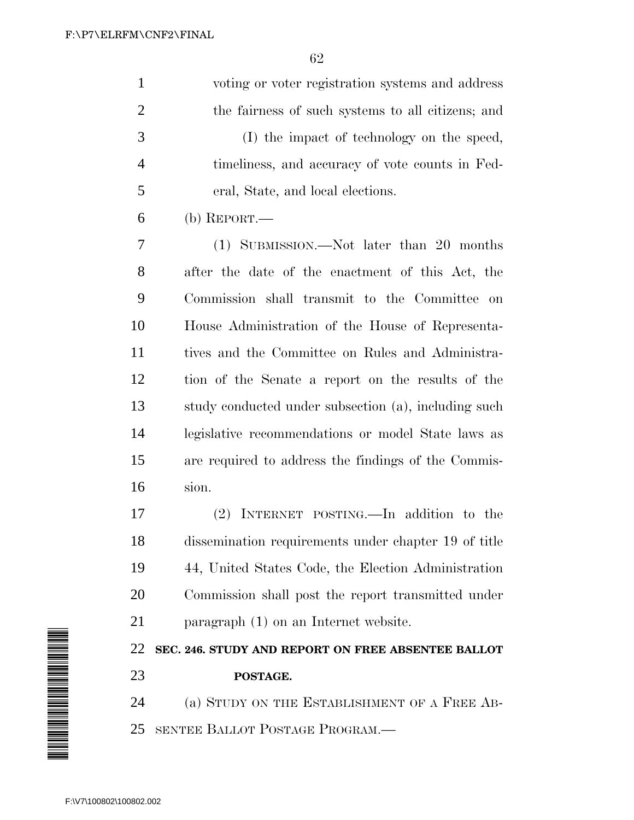| $\mathbf{1}$   | voting or voter registration systems and address     |
|----------------|------------------------------------------------------|
| 2              | the fairness of such systems to all citizens; and    |
| 3              | (I) the impact of technology on the speed,           |
| $\overline{4}$ | timeliness, and accuracy of vote counts in Fed-      |
| 5              | eral, State, and local elections.                    |
| 6              | (b) REPORT.—                                         |
| 7              | (1) SUBMISSION.—Not later than 20 months             |
| 8              | after the date of the enactment of this Act, the     |
| 9              | Commission shall transmit to the Committee on        |
| 10             | House Administration of the House of Representa-     |
| 11             | tives and the Committee on Rules and Administra-     |
| 12             | tion of the Senate a report on the results of the    |
| 13             | study conducted under subsection (a), including such |

 legislative recommendations or model State laws as are required to address the findings of the Commis-sion.

 (2) INTERNET POSTING.—In addition to the dissemination requirements under chapter 19 of title 44, United States Code, the Election Administration Commission shall post the report transmitted under paragraph (1) on an Internet website.

 **SEC. 246. STUDY AND REPORT ON FREE ABSENTEE BALLOT POSTAGE.**

 (a) STUDY ON THE ESTABLISHMENT OF A FREE AB-SENTEE BALLOT POSTAGE PROGRAM.—

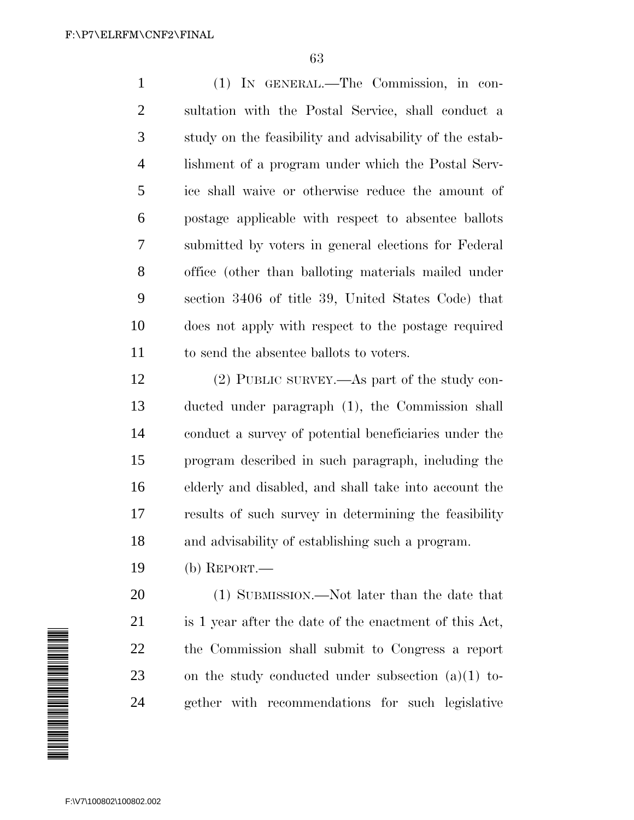(1) IN GENERAL.—The Commission, in con- sultation with the Postal Service, shall conduct a study on the feasibility and advisability of the estab- lishment of a program under which the Postal Serv- ice shall waive or otherwise reduce the amount of postage applicable with respect to absentee ballots submitted by voters in general elections for Federal office (other than balloting materials mailed under section 3406 of title 39, United States Code) that does not apply with respect to the postage required to send the absentee ballots to voters.

 (2) PUBLIC SURVEY.—As part of the study con- ducted under paragraph (1), the Commission shall conduct a survey of potential beneficiaries under the program described in such paragraph, including the elderly and disabled, and shall take into account the results of such survey in determining the feasibility and advisability of establishing such a program.

(b) REPORT.—

 (1) SUBMISSION.—Not later than the date that is 1 year after the date of the enactment of this Act, the Commission shall submit to Congress a report on the study conducted under subsection (a)(1) to-gether with recommendations for such legislative

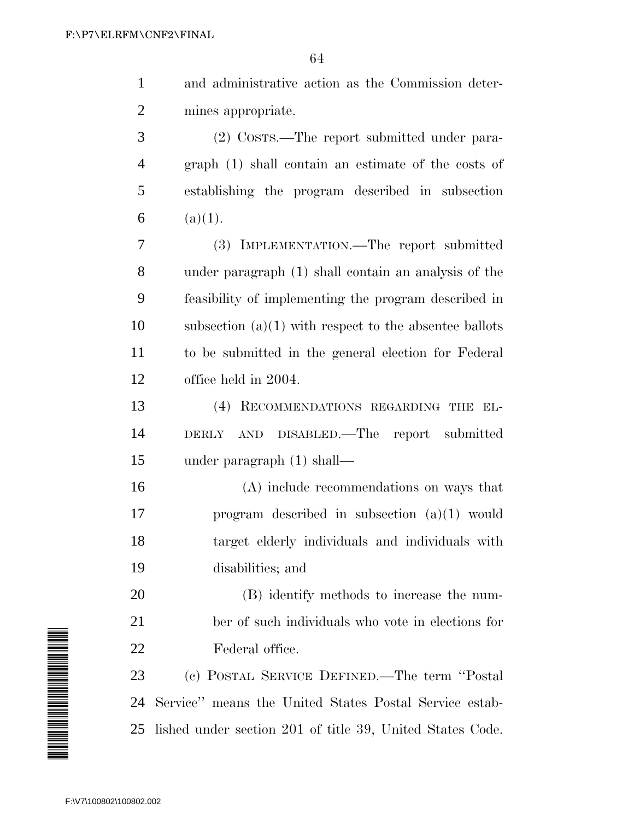|   | and administrative action as the Commission deter-  |
|---|-----------------------------------------------------|
| 2 | mines appropriate.                                  |
| 3 | (2) COSTS.—The report submitted under para-         |
| 4 | graph (1) shall contain an estimate of the costs of |
| 5 | establishing the program described in subsection    |
| 6 | (a)(1).                                             |
| 7 | (3) IMPLEMENTATION.—The report submitted            |
|   |                                                     |

 under paragraph (1) shall contain an analysis of the feasibility of implementing the program described in 10 subsection  $(a)(1)$  with respect to the absentee ballots to be submitted in the general election for Federal office held in 2004.

 (4) RECOMMENDATIONS REGARDING THE EL- DERLY AND DISABLED.—The report submitted under paragraph (1) shall—

 (A) include recommendations on ways that program described in subsection (a)(1) would target elderly individuals and individuals with disabilities; and

 (B) identify methods to increase the num- ber of such individuals who vote in elections for Federal office.

 (c) POSTAL SERVICE DEFINED.—The term ''Postal Service'' means the United States Postal Service estab-lished under section 201 of title 39, United States Code.

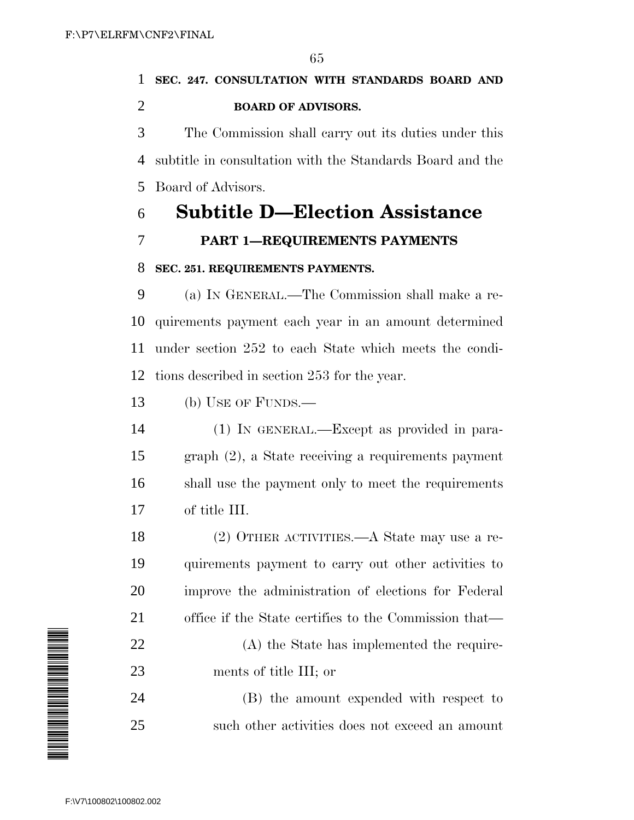### **SEC. 247. CONSULTATION WITH STANDARDS BOARD AND BOARD OF ADVISORS.**

 The Commission shall carry out its duties under this subtitle in consultation with the Standards Board and the Board of Advisors.

## **Subtitle D—Election Assistance**

**PART 1—REQUIREMENTS PAYMENTS**

### **SEC. 251. REQUIREMENTS PAYMENTS.**

 (a) IN GENERAL.—The Commission shall make a re- quirements payment each year in an amount determined under section 252 to each State which meets the condi-tions described in section 253 for the year.

(b) USE OF FUNDS.—

 (1) IN GENERAL.—Except as provided in para- graph (2), a State receiving a requirements payment shall use the payment only to meet the requirements of title III.

 (2) OTHER ACTIVITIES.—A State may use a re- quirements payment to carry out other activities to improve the administration of elections for Federal office if the State certifies to the Commission that—

 (A) the State has implemented the require-ments of title III; or

 (B) the amount expended with respect to such other activities does not exceed an amount

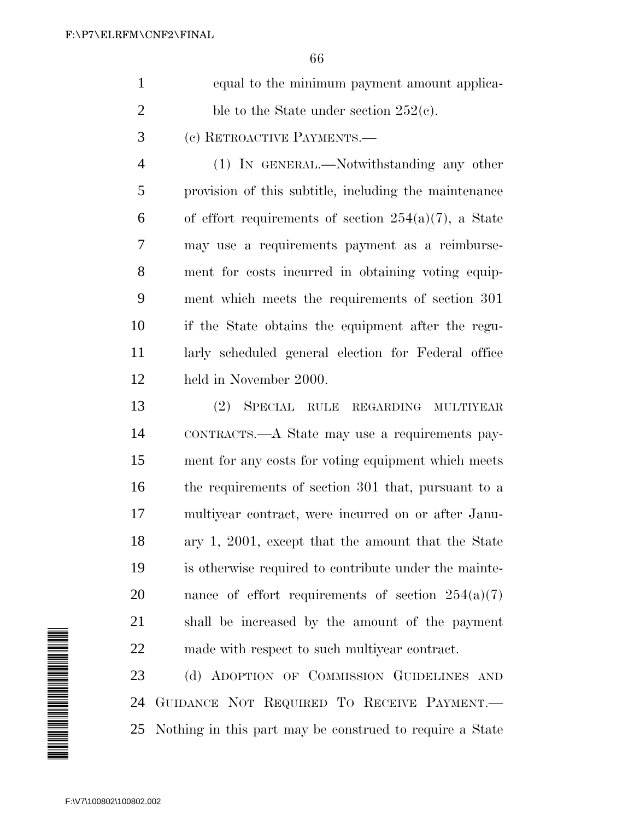| equal to the minimum payment amount applica- |
|----------------------------------------------|
| ble to the State under section $252(e)$ .    |

(c) RETROACTIVE PAYMENTS.—

 (1) IN GENERAL.—Notwithstanding any other provision of this subtitle, including the maintenance 6 of effort requirements of section  $254(a)(7)$ , a State may use a requirements payment as a reimburse- ment for costs incurred in obtaining voting equip- ment which meets the requirements of section 301 if the State obtains the equipment after the regu- larly scheduled general election for Federal office held in November 2000.

 (2) SPECIAL RULE REGARDING MULTIYEAR CONTRACTS.—A State may use a requirements pay- ment for any costs for voting equipment which meets the requirements of section 301 that, pursuant to a multiyear contract, were incurred on or after Janu- ary 1, 2001, except that the amount that the State is otherwise required to contribute under the mainte-20 nance of effort requirements of section  $254(a)(7)$  shall be increased by the amount of the payment made with respect to such multiyear contract.

23 (d) ADOPTION OF COMMISSION GUIDELINES AND GUIDANCE NOT REQUIRED TO RECEIVE PAYMENT.— Nothing in this part may be construed to require a State

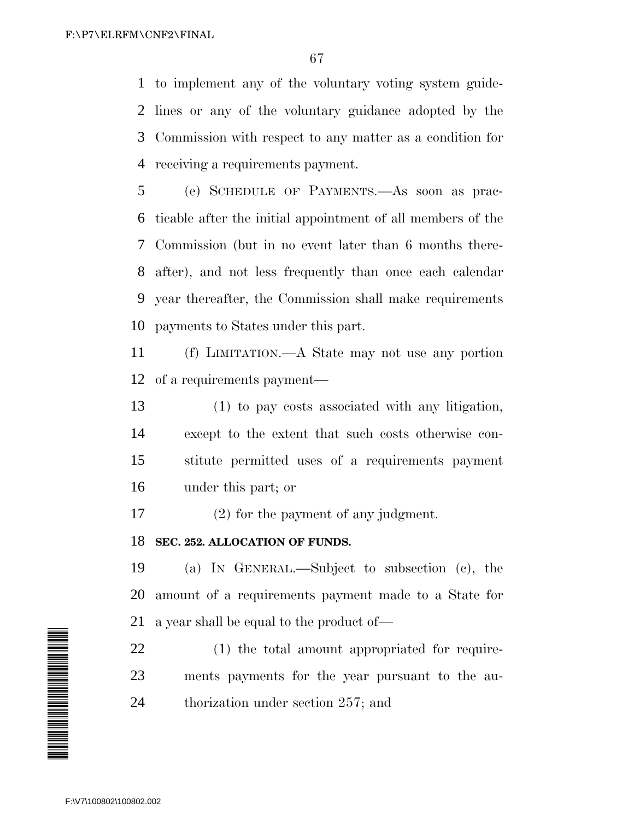to implement any of the voluntary voting system guide- lines or any of the voluntary guidance adopted by the Commission with respect to any matter as a condition for receiving a requirements payment.

 (e) SCHEDULE OF PAYMENTS.—As soon as prac- ticable after the initial appointment of all members of the Commission (but in no event later than 6 months there- after), and not less frequently than once each calendar year thereafter, the Commission shall make requirements payments to States under this part.

 (f) LIMITATION.—A State may not use any portion of a requirements payment—

 (1) to pay costs associated with any litigation, except to the extent that such costs otherwise con- stitute permitted uses of a requirements payment under this part; or

(2) for the payment of any judgment.

### **SEC. 252. ALLOCATION OF FUNDS.**

 (a) IN GENERAL.—Subject to subsection (c), the amount of a requirements payment made to a State for a year shall be equal to the product of—

 (1) the total amount appropriated for require- ments payments for the year pursuant to the au-thorization under section 257; and

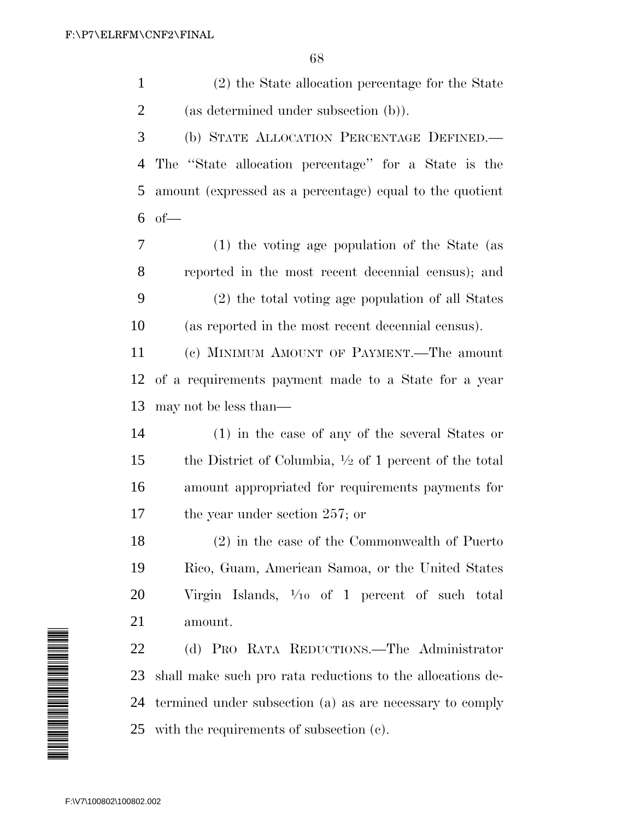(2) the State allocation percentage for the State (as determined under subsection (b)).

 (b) STATE ALLOCATION PERCENTAGE DEFINED.— The ''State allocation percentage'' for a State is the amount (expressed as a percentage) equal to the quotient of—

 (1) the voting age population of the State (as reported in the most recent decennial census); and (2) the total voting age population of all States (as reported in the most recent decennial census).

 (c) MINIMUM AMOUNT OF PAYMENT.—The amount of a requirements payment made to a State for a year may not be less than—

 (1) in the case of any of the several States or 15 the District of Columbia,  $\frac{1}{2}$  of 1 percent of the total amount appropriated for requirements payments for the year under section 257; or

 (2) in the case of the Commonwealth of Puerto Rico, Guam, American Samoa, or the United States Virgin Islands,  $\frac{1}{10}$  of 1 percent of such total amount.

 (d) PRO RATA REDUCTIONS.—The Administrator shall make such pro rata reductions to the allocations de- termined under subsection (a) as are necessary to comply with the requirements of subsection (c).

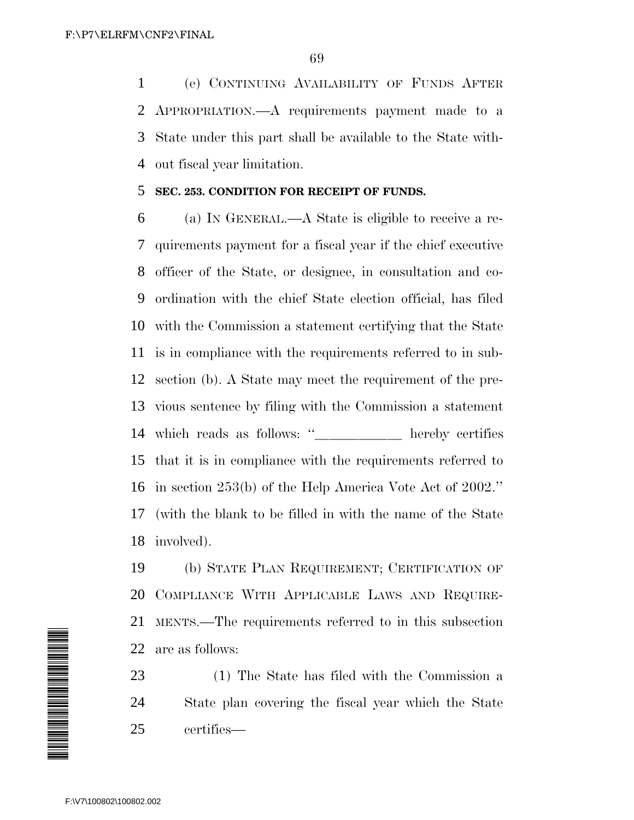(e) CONTINUING AVAILABILITY OF FUNDS AFTER APPROPRIATION.—A requirements payment made to a State under this part shall be available to the State with-out fiscal year limitation.

#### **SEC. 253. CONDITION FOR RECEIPT OF FUNDS.**

 (a) IN GENERAL.—A State is eligible to receive a re- quirements payment for a fiscal year if the chief executive officer of the State, or designee, in consultation and co- ordination with the chief State election official, has filed with the Commission a statement certifying that the State is in compliance with the requirements referred to in sub- section (b). A State may meet the requirement of the pre- vious sentence by filing with the Commission a statement which reads as follows: ''- hereby certifies that it is in compliance with the requirements referred to in section 253(b) of the Help America Vote Act of 2002.'' (with the blank to be filled in with the name of the State involved).

 (b) STATE PLAN REQUIREMENT; CERTIFICATION OF COMPLIANCE WITH APPLICABLE LAWS AND REQUIRE- MENTS.—The requirements referred to in this subsection are as follows:

 (1) The State has filed with the Commission a State plan covering the fiscal year which the State certifies—

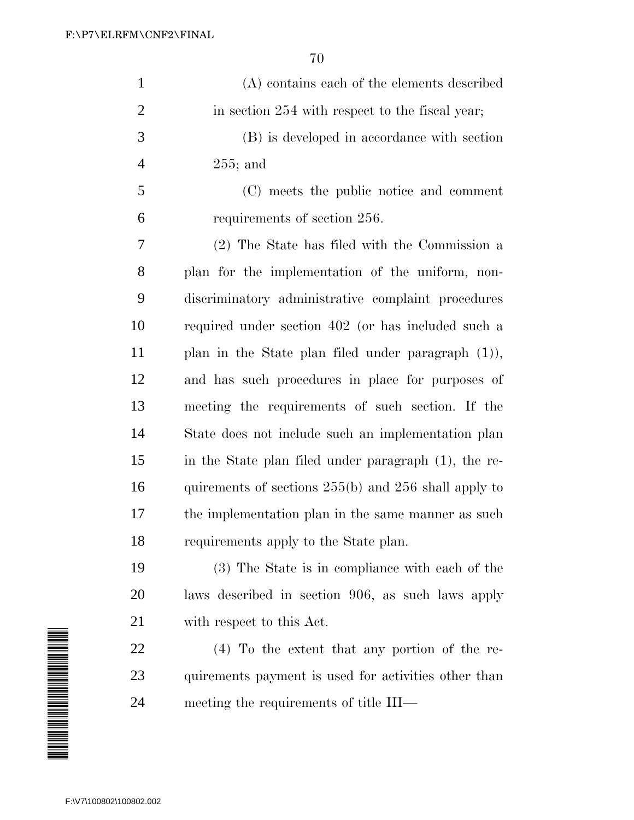| $\mathbf{1}$   | (A) contains each of the elements described              |
|----------------|----------------------------------------------------------|
| $\overline{2}$ | in section 254 with respect to the fiscal year;          |
| 3              | (B) is developed in accordance with section              |
| $\overline{4}$ | $255$ ; and                                              |
| 5              | (C) meets the public notice and comment                  |
| 6              | requirements of section 256.                             |
| 7              | (2) The State has filed with the Commission a            |
| 8              | plan for the implementation of the uniform, non-         |
| 9              | discriminatory administrative complaint procedures       |
| 10             | required under section 402 (or has included such a       |
| 11             | plan in the State plan filed under paragraph $(1)$ ),    |
| 12             | and has such procedures in place for purposes of         |
| 13             | meeting the requirements of such section. If the         |
| 14             | State does not include such an implementation plan       |
| 15             | in the State plan filed under paragraph (1), the re-     |
| 16             | quirements of sections $255(b)$ and $256$ shall apply to |
| 17             | the implementation plan in the same manner as such       |
| 18             | requirements apply to the State plan.                    |
| 19             | (3) The State is in compliance with each of the          |
| 20             | laws described in section 906, as such laws apply        |
|                |                                                          |

with respect to this Act.

 (4) To the extent that any portion of the re- quirements payment is used for activities other than meeting the requirements of title III—

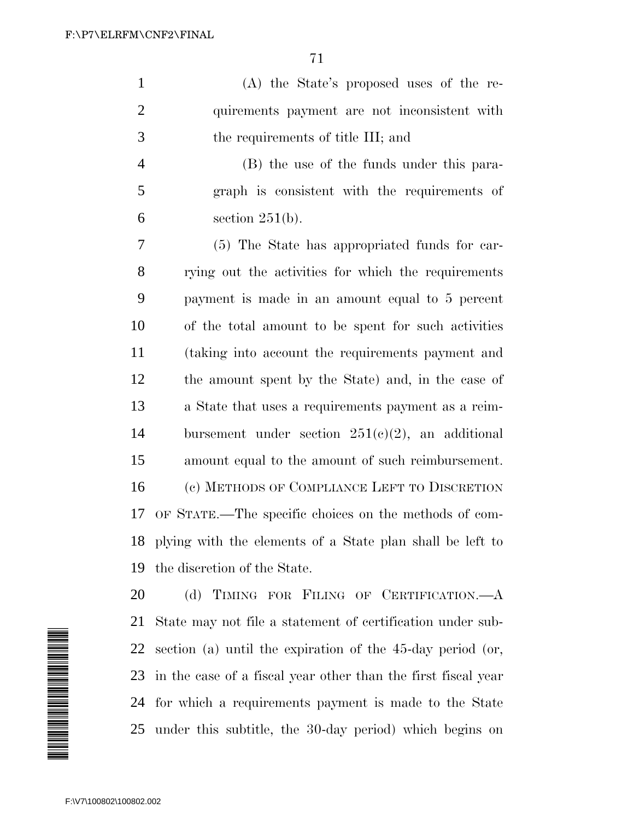(A) the State's proposed uses of the re- quirements payment are not inconsistent with the requirements of title III; and

 (B) the use of the funds under this para- graph is consistent with the requirements of  $6 \qquad \text{section } 251(b).$ 

 (5) The State has appropriated funds for car- rying out the activities for which the requirements payment is made in an amount equal to 5 percent of the total amount to be spent for such activities (taking into account the requirements payment and the amount spent by the State) and, in the case of a State that uses a requirements payment as a reim-14 bursement under section  $251(c)(2)$ , an additional amount equal to the amount of such reimbursement. (c) METHODS OF COMPLIANCE LEFT TO DISCRETION OF STATE.—The specific choices on the methods of com- plying with the elements of a State plan shall be left to the discretion of the State.



20 (d) TIMING FOR FILING OF CERTIFICATION.—A State may not file a statement of certification under sub- section (a) until the expiration of the 45-day period (or, in the case of a fiscal year other than the first fiscal year for which a requirements payment is made to the State under this subtitle, the 30-day period) which begins on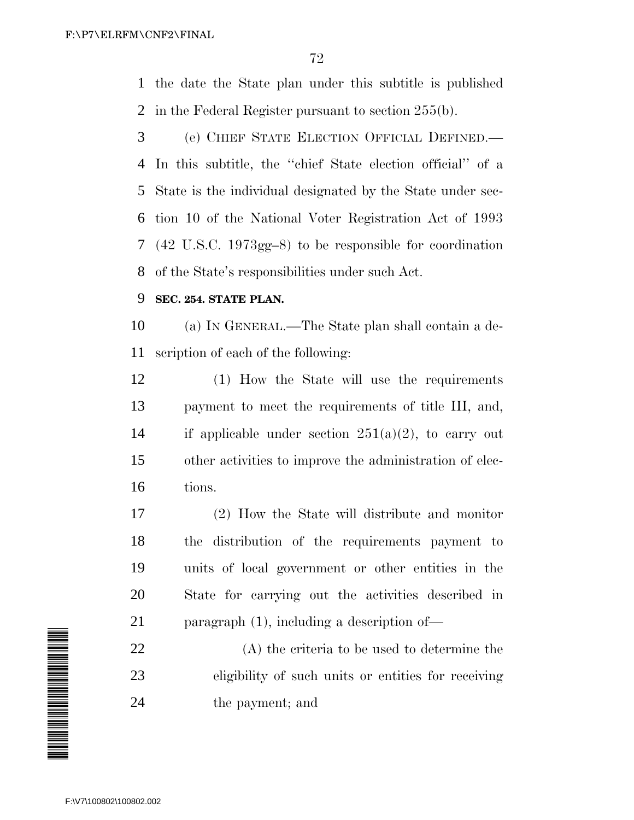the date the State plan under this subtitle is published in the Federal Register pursuant to section 255(b).

 (e) CHIEF STATE ELECTION OFFICIAL DEFINED.— In this subtitle, the ''chief State election official'' of a State is the individual designated by the State under sec- tion 10 of the National Voter Registration Act of 1993 (42 U.S.C. 1973gg–8) to be responsible for coordination of the State's responsibilities under such Act.

### **SEC. 254. STATE PLAN.**

 (a) IN GENERAL.—The State plan shall contain a de-scription of each of the following:

 (1) How the State will use the requirements payment to meet the requirements of title III, and, 14 if applicable under section  $251(a)(2)$ , to carry out other activities to improve the administration of elec-tions.

 (2) How the State will distribute and monitor the distribution of the requirements payment to units of local government or other entities in the State for carrying out the activities described in paragraph (1), including a description of—

 (A) the criteria to be used to determine the eligibility of such units or entities for receiving the payment; and

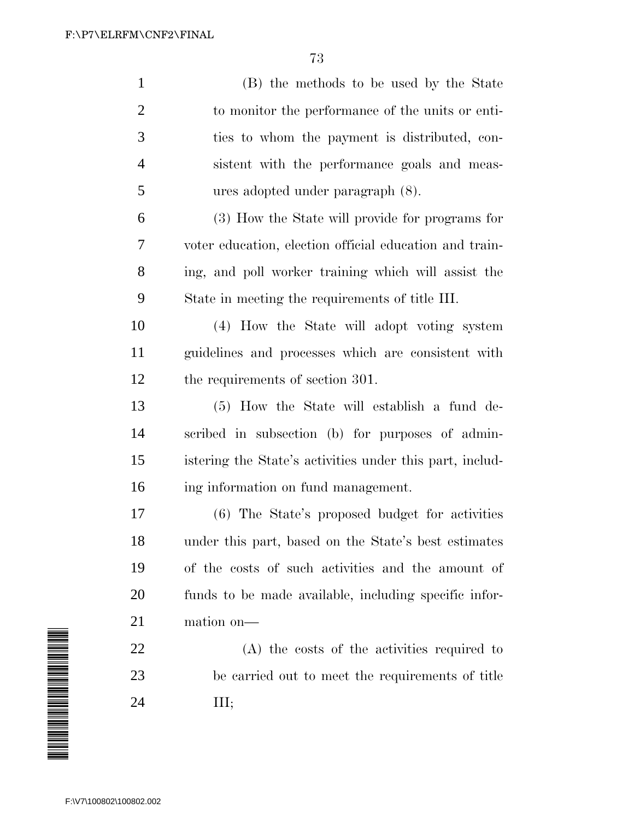| $\mathbf{1}$   | (B) the methods to be used by the State                  |
|----------------|----------------------------------------------------------|
| $\overline{2}$ | to monitor the performance of the units or enti-         |
| 3              | ties to whom the payment is distributed, con-            |
| $\overline{4}$ | sistent with the performance goals and meas-             |
| 5              | ures adopted under paragraph (8).                        |
| 6              | (3) How the State will provide for programs for          |
| 7              | voter education, election official education and train-  |
| 8              | ing, and poll worker training which will assist the      |
| 9              | State in meeting the requirements of title III.          |
| 10             | (4) How the State will adopt voting system               |
| 11             | guidelines and processes which are consistent with       |
| 12             | the requirements of section 301.                         |
| 13             | (5) How the State will establish a fund de-              |
| 14             | scribed in subsection (b) for purposes of admin-         |
| 15             | istering the State's activities under this part, includ- |
| 16             | ing information on fund management.                      |
| 17             | (6) The State's proposed budget for activities           |
| 18             | under this part, based on the State's best estimates     |
| 19             | of the costs of such activities and the amount of        |
| 20             | funds to be made available, including specific infor-    |
| 21             | mation on-                                               |
| 22             | (A) the costs of the activities required to              |
| 23             | be carried out to meet the requirements of title         |
| 24             | Ш;                                                       |
|                |                                                          |

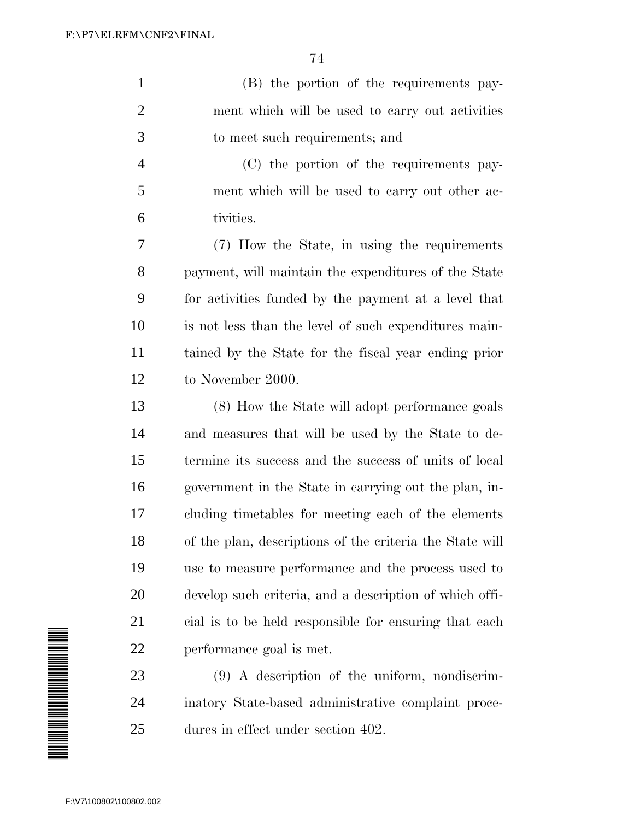(B) the portion of the requirements pay- ment which will be used to carry out activities to meet such requirements; and

 (C) the portion of the requirements pay- ment which will be used to carry out other ac-tivities.

 (7) How the State, in using the requirements payment, will maintain the expenditures of the State for activities funded by the payment at a level that is not less than the level of such expenditures main- tained by the State for the fiscal year ending prior to November 2000.

 (8) How the State will adopt performance goals and measures that will be used by the State to de- termine its success and the success of units of local government in the State in carrying out the plan, in- cluding timetables for meeting each of the elements of the plan, descriptions of the criteria the State will use to measure performance and the process used to develop such criteria, and a description of which offi- cial is to be held responsible for ensuring that each performance goal is met.

 (9) A description of the uniform, nondiscrim- inatory State-based administrative complaint proce-dures in effect under section 402.

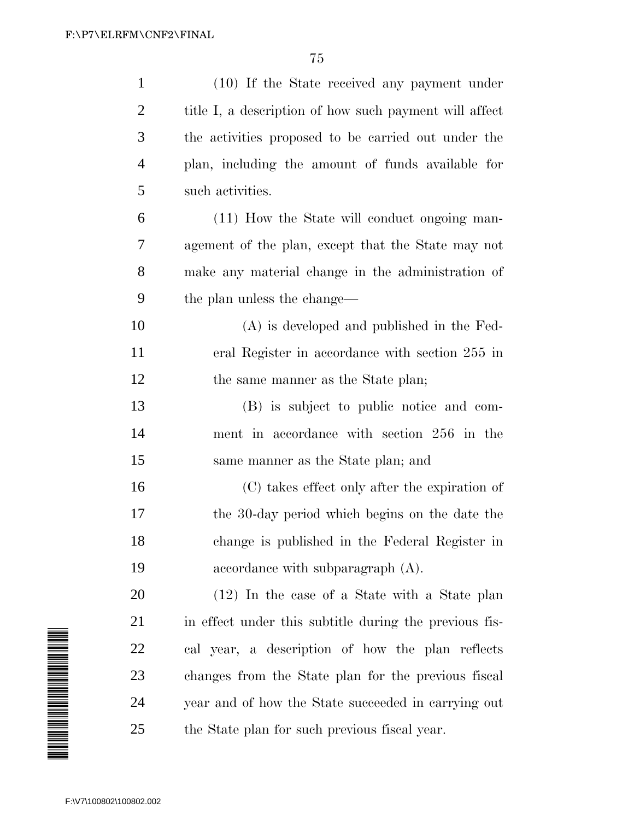| $\mathbf{1}$   | (10) If the State received any payment under           |
|----------------|--------------------------------------------------------|
| $\overline{2}$ | title I, a description of how such payment will affect |
| 3              | the activities proposed to be carried out under the    |
| $\overline{4}$ | plan, including the amount of funds available for      |
| 5              | such activities.                                       |
| 6              | (11) How the State will conduct ongoing man-           |
| 7              | agement of the plan, except that the State may not     |
| 8              | make any material change in the administration of      |
| 9              | the plan unless the change—                            |
| 10             | $(A)$ is developed and published in the Fed-           |
| 11             | eral Register in accordance with section 255 in        |
| 12             | the same manner as the State plan;                     |
| 13             | (B) is subject to public notice and com-               |
| 14             | ment in accordance with section 256 in the             |
| 15             | same manner as the State plan; and                     |
| 16             | (C) takes effect only after the expiration of          |
| 17             | the 30-day period which begins on the date the         |
| 18             | change is published in the Federal Register in         |
| 19             | accordance with subparagraph $(A)$ .                   |
| 20             | $(12)$ In the case of a State with a State plan        |
| 21             | in effect under this subtitle during the previous fis- |
| 22             | cal year, a description of how the plan reflects       |
| 23             | changes from the State plan for the previous fiscal    |
| 24             | year and of how the State succeeded in carrying out    |
| 25             | the State plan for such previous fiscal year.          |

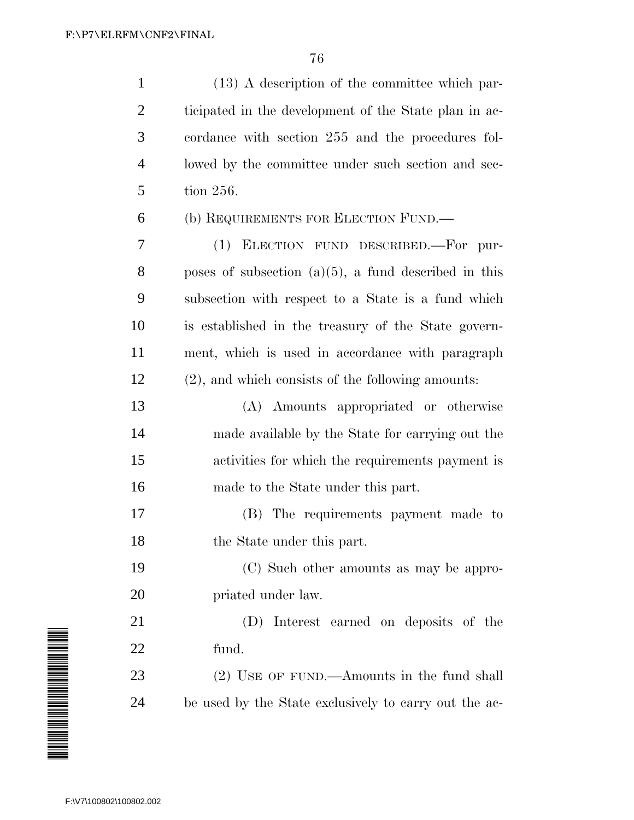| $\mathbf{1}$                                                   | $(13)$ A description of the committee which par-        |
|----------------------------------------------------------------|---------------------------------------------------------|
| $\overline{2}$                                                 | ticipated in the development of the State plan in ac-   |
| 3                                                              | cordance with section 255 and the procedures fol-       |
| $\overline{4}$                                                 | lowed by the committee under such section and sec-      |
| 5                                                              | tion 256.                                               |
| 6                                                              | (b) REQUIREMENTS FOR ELECTION FUND.—                    |
| 7                                                              | (1) ELECTION FUND DESCRIBED.—For pur-                   |
| 8                                                              | poses of subsection $(a)(5)$ , a fund described in this |
| 9                                                              | subsection with respect to a State is a fund which      |
| 10                                                             | is established in the treasury of the State govern-     |
| 11                                                             | ment, which is used in accordance with paragraph        |
| 12                                                             | (2), and which consists of the following amounts:       |
|                                                                | (A) Amounts appropriated or otherwise                   |
|                                                                |                                                         |
|                                                                | made available by the State for carrying out the        |
|                                                                | activities for which the requirements payment is        |
|                                                                | made to the State under this part.                      |
|                                                                | (B) The requirements payment made to                    |
|                                                                | the State under this part.                              |
|                                                                | (C) Such other amounts as may be appro-                 |
|                                                                | priated under law.                                      |
|                                                                | (D) Interest earned on deposits of the                  |
|                                                                | fund.                                                   |
| 13<br>14<br>15<br>16<br>17<br>18<br>19<br>20<br>21<br>22<br>23 | (2) USE OF FUND.—Amounts in the fund shall              |

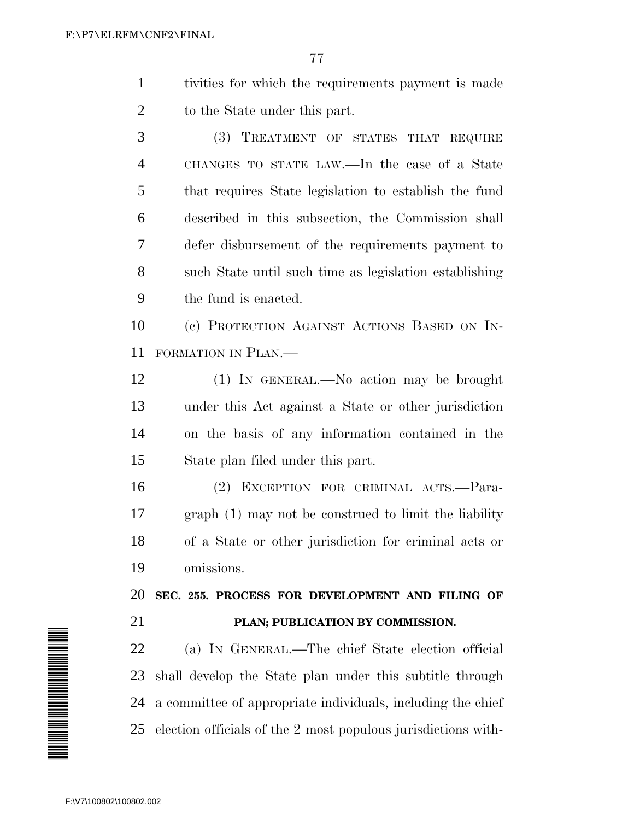- tivities for which the requirements payment is made 2 to the State under this part.
- (3) TREATMENT OF STATES THAT REQUIRE CHANGES TO STATE LAW.—In the case of a State that requires State legislation to establish the fund described in this subsection, the Commission shall defer disbursement of the requirements payment to such State until such time as legislation establishing the fund is enacted.

 (c) PROTECTION AGAINST ACTIONS BASED ON IN-FORMATION IN PLAN.—

 (1) IN GENERAL.—No action may be brought under this Act against a State or other jurisdiction on the basis of any information contained in the State plan filed under this part.

 (2) EXCEPTION FOR CRIMINAL ACTS.—Para- graph (1) may not be construed to limit the liability of a State or other jurisdiction for criminal acts or omissions.

 **SEC. 255. PROCESS FOR DEVELOPMENT AND FILING OF PLAN; PUBLICATION BY COMMISSION.**

 (a) IN GENERAL.—The chief State election official shall develop the State plan under this subtitle through a committee of appropriate individuals, including the chief election officials of the 2 most populous jurisdictions with-

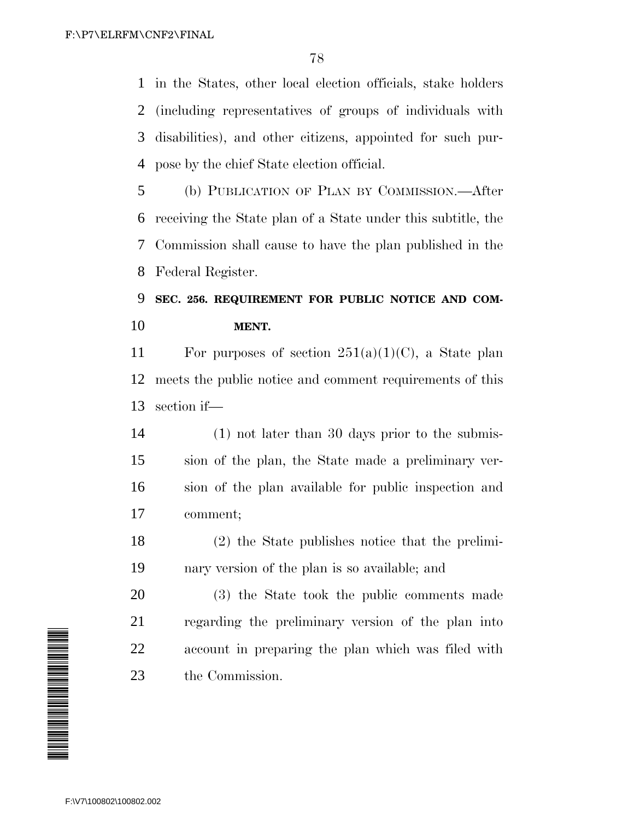in the States, other local election officials, stake holders (including representatives of groups of individuals with disabilities), and other citizens, appointed for such pur-pose by the chief State election official.

 (b) PUBLICATION OF PLAN BY COMMISSION.—After receiving the State plan of a State under this subtitle, the Commission shall cause to have the plan published in the Federal Register.

# **SEC. 256. REQUIREMENT FOR PUBLIC NOTICE AND COM-MENT.**

11 For purposes of section  $251(a)(1)(C)$ , a State plan meets the public notice and comment requirements of this section if—

 (1) not later than 30 days prior to the submis- sion of the plan, the State made a preliminary ver- sion of the plan available for public inspection and comment;

 (2) the State publishes notice that the prelimi-nary version of the plan is so available; and

 (3) the State took the public comments made regarding the preliminary version of the plan into account in preparing the plan which was filed with the Commission.

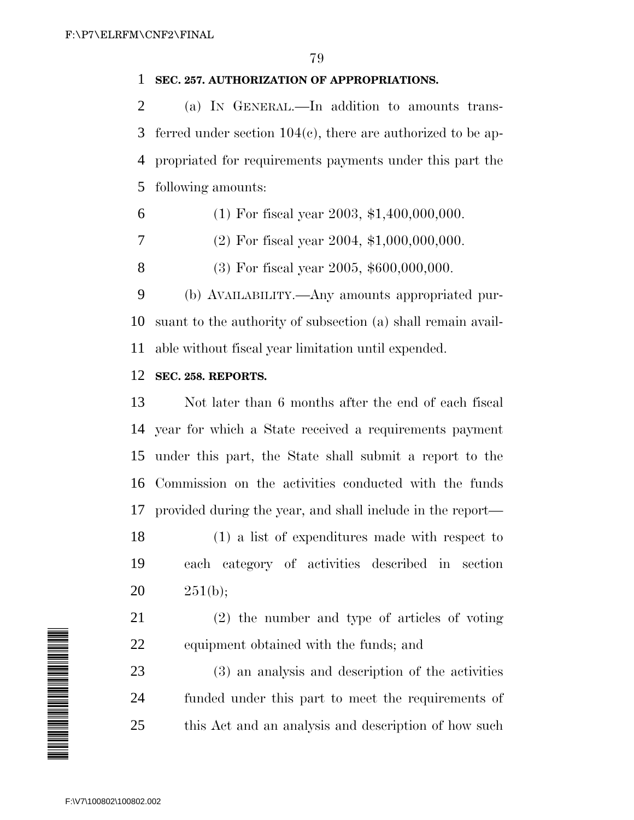## **SEC. 257. AUTHORIZATION OF APPROPRIATIONS.**

 (a) IN GENERAL.—In addition to amounts trans- ferred under section 104(c), there are authorized to be ap- propriated for requirements payments under this part the following amounts:

- 6 (1) For fiscal year 2003,  $$1,400,000,000$ .
- (2) For fiscal year 2004, \$1,000,000,000.
- (3) For fiscal year 2005, \$600,000,000.

 (b) AVAILABILITY.—Any amounts appropriated pur- suant to the authority of subsection (a) shall remain avail-able without fiscal year limitation until expended.

# **SEC. 258. REPORTS.**

 Not later than 6 months after the end of each fiscal year for which a State received a requirements payment under this part, the State shall submit a report to the Commission on the activities conducted with the funds provided during the year, and shall include in the report—

 (1) a list of expenditures made with respect to each category of activities described in section 20  $251(b);$ 

 (2) the number and type of articles of voting equipment obtained with the funds; and

 (3) an analysis and description of the activities funded under this part to meet the requirements of this Act and an analysis and description of how such

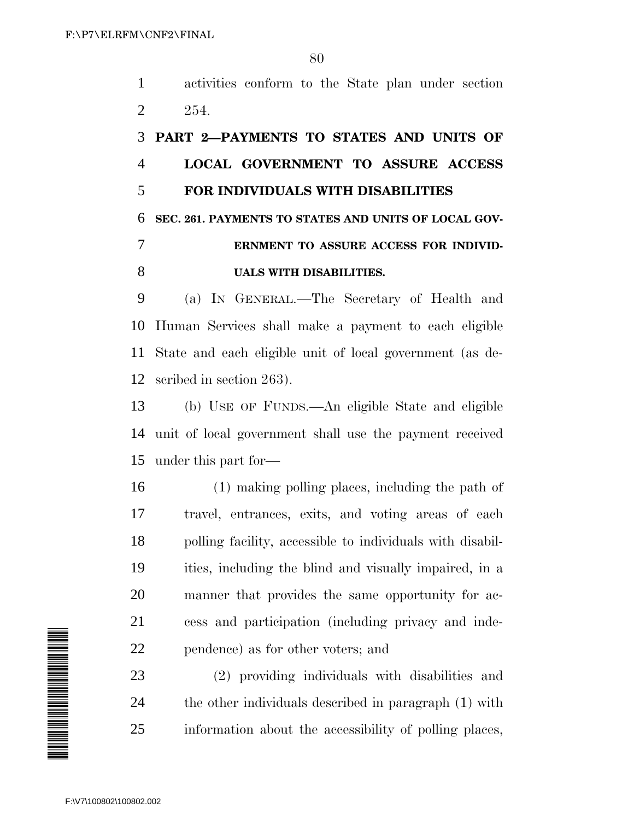activities conform to the State plan under section 254.

# **PART 2—PAYMENTS TO STATES AND UNITS OF LOCAL GOVERNMENT TO ASSURE ACCESS FOR INDIVIDUALS WITH DISABILITIES SEC. 261. PAYMENTS TO STATES AND UNITS OF LOCAL GOV- ERNMENT TO ASSURE ACCESS FOR INDIVID-UALS WITH DISABILITIES.**

 (a) IN GENERAL.—The Secretary of Health and Human Services shall make a payment to each eligible State and each eligible unit of local government (as de-scribed in section 263).

 (b) USE OF FUNDS.—An eligible State and eligible unit of local government shall use the payment received under this part for—

 (1) making polling places, including the path of travel, entrances, exits, and voting areas of each polling facility, accessible to individuals with disabil- ities, including the blind and visually impaired, in a manner that provides the same opportunity for ac- cess and participation (including privacy and inde-pendence) as for other voters; and

 (2) providing individuals with disabilities and the other individuals described in paragraph (1) with information about the accessibility of polling places,

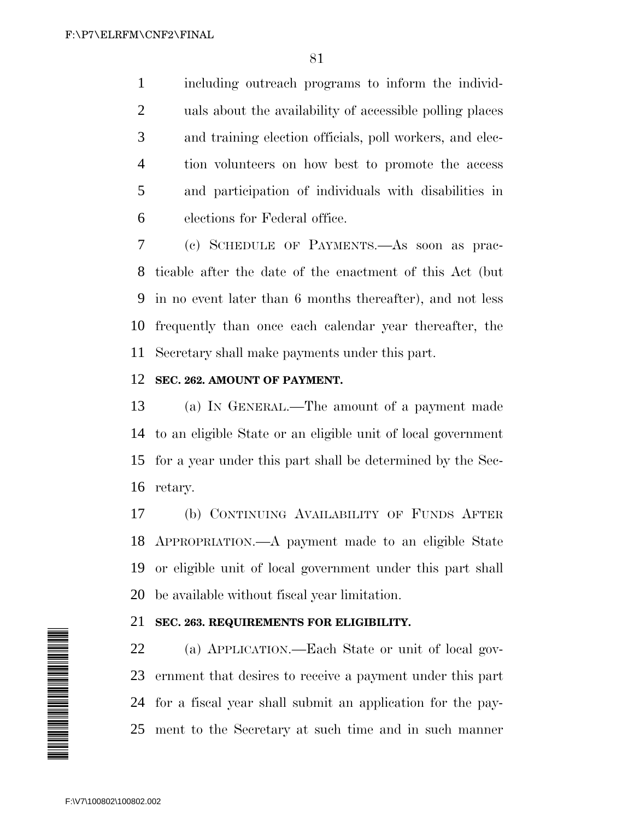including outreach programs to inform the individ- uals about the availability of accessible polling places and training election officials, poll workers, and elec- tion volunteers on how best to promote the access and participation of individuals with disabilities in elections for Federal office.

 (c) SCHEDULE OF PAYMENTS.—As soon as prac- ticable after the date of the enactment of this Act (but in no event later than 6 months thereafter), and not less frequently than once each calendar year thereafter, the Secretary shall make payments under this part.

## **SEC. 262. AMOUNT OF PAYMENT.**

 (a) IN GENERAL.—The amount of a payment made to an eligible State or an eligible unit of local government for a year under this part shall be determined by the Sec-retary.

 (b) CONTINUING AVAILABILITY OF FUNDS AFTER APPROPRIATION.—A payment made to an eligible State or eligible unit of local government under this part shall be available without fiscal year limitation.

## **SEC. 263. REQUIREMENTS FOR ELIGIBILITY.**

 (a) APPLICATION.—Each State or unit of local gov- ernment that desires to receive a payment under this part for a fiscal year shall submit an application for the pay-ment to the Secretary at such time and in such manner

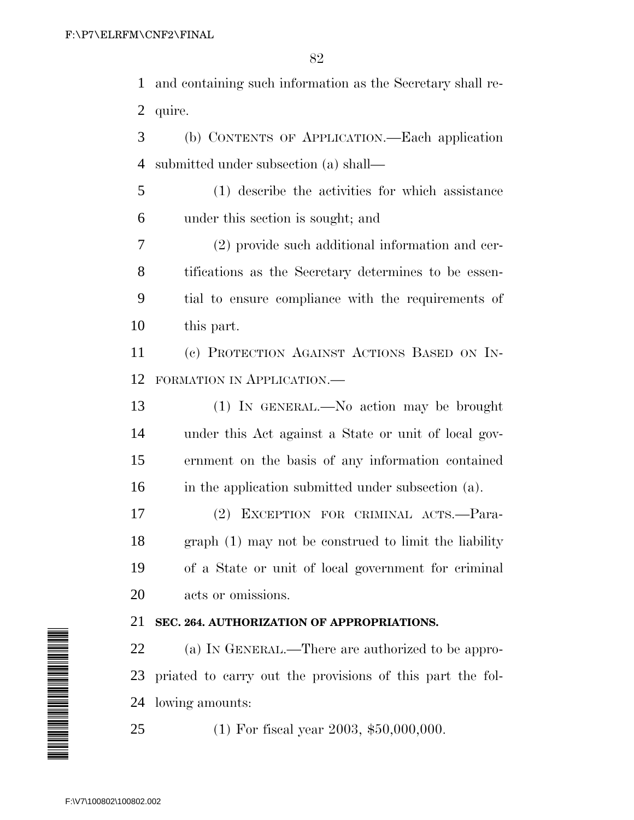and containing such information as the Secretary shall re-quire.

 (b) CONTENTS OF APPLICATION.—Each application submitted under subsection (a) shall—

 (1) describe the activities for which assistance under this section is sought; and

 (2) provide such additional information and cer- tifications as the Secretary determines to be essen- tial to ensure compliance with the requirements of this part.

 (c) PROTECTION AGAINST ACTIONS BASED ON IN-FORMATION IN APPLICATION.—

 (1) IN GENERAL.—No action may be brought under this Act against a State or unit of local gov- ernment on the basis of any information contained in the application submitted under subsection (a).

 (2) EXCEPTION FOR CRIMINAL ACTS.—Para- graph (1) may not be construed to limit the liability of a State or unit of local government for criminal acts or omissions.

# **SEC. 264. AUTHORIZATION OF APPROPRIATIONS.**

 (a) IN GENERAL.—There are authorized to be appro- priated to carry out the provisions of this part the fol-lowing amounts:

(1) For fiscal year 2003, \$50,000,000.

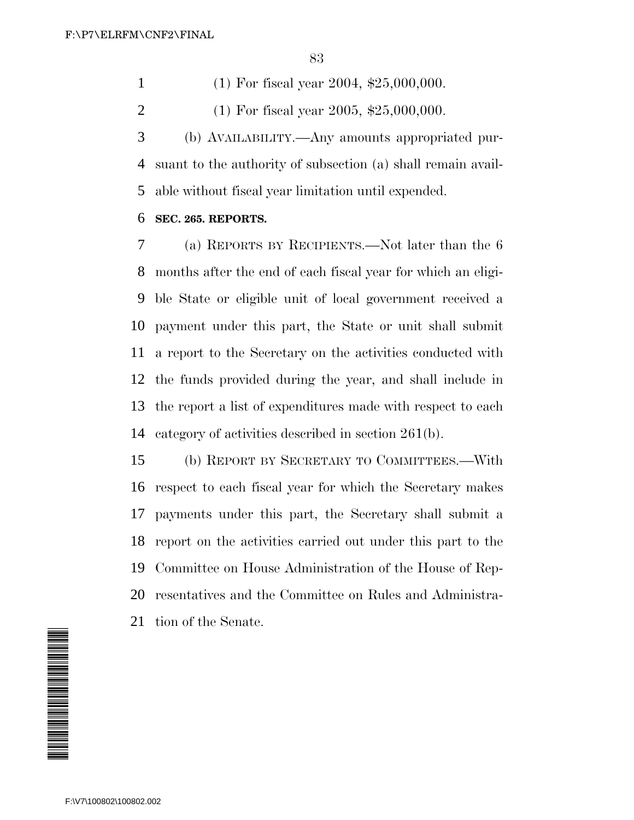(1) For fiscal year 2004, \$25,000,000.

(1) For fiscal year 2005, \$25,000,000.

 (b) AVAILABILITY.—Any amounts appropriated pur- suant to the authority of subsection (a) shall remain avail-able without fiscal year limitation until expended.

## **SEC. 265. REPORTS.**

 (a) REPORTS BY RECIPIENTS.—Not later than the 6 months after the end of each fiscal year for which an eligi- ble State or eligible unit of local government received a payment under this part, the State or unit shall submit a report to the Secretary on the activities conducted with the funds provided during the year, and shall include in the report a list of expenditures made with respect to each category of activities described in section 261(b).

 (b) REPORT BY SECRETARY TO COMMITTEES.—With respect to each fiscal year for which the Secretary makes payments under this part, the Secretary shall submit a report on the activities carried out under this part to the Committee on House Administration of the House of Rep- resentatives and the Committee on Rules and Administra-tion of the Senate.

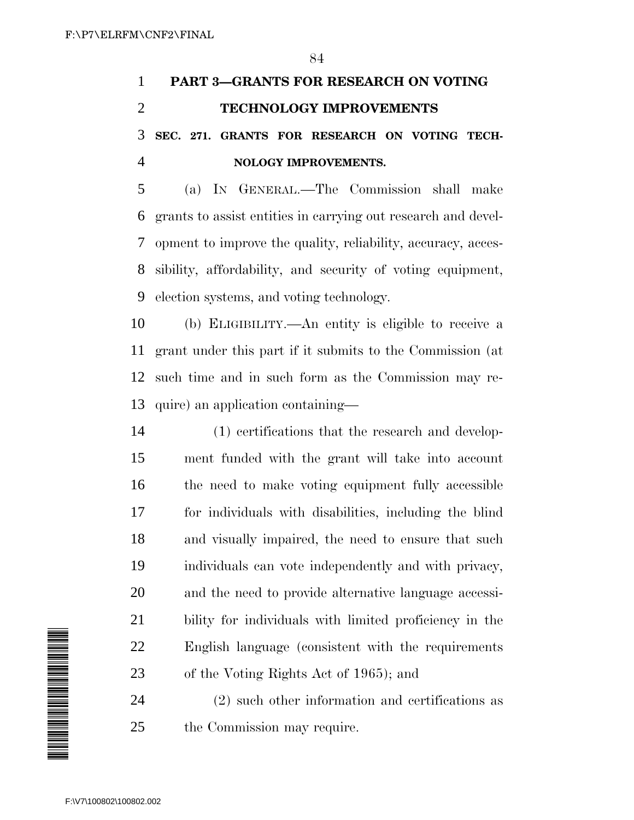# **PART 3—GRANTS FOR RESEARCH ON VOTING TECHNOLOGY IMPROVEMENTS SEC. 271. GRANTS FOR RESEARCH ON VOTING TECH-NOLOGY IMPROVEMENTS.**

 (a) IN GENERAL.—The Commission shall make grants to assist entities in carrying out research and devel- opment to improve the quality, reliability, accuracy, acces- sibility, affordability, and security of voting equipment, election systems, and voting technology.

 (b) ELIGIBILITY.—An entity is eligible to receive a grant under this part if it submits to the Commission (at such time and in such form as the Commission may re-quire) an application containing—

 (1) certifications that the research and develop- ment funded with the grant will take into account the need to make voting equipment fully accessible for individuals with disabilities, including the blind and visually impaired, the need to ensure that such individuals can vote independently and with privacy, and the need to provide alternative language accessi- bility for individuals with limited proficiency in the English language (consistent with the requirements of the Voting Rights Act of 1965); and

 (2) such other information and certifications as the Commission may require.

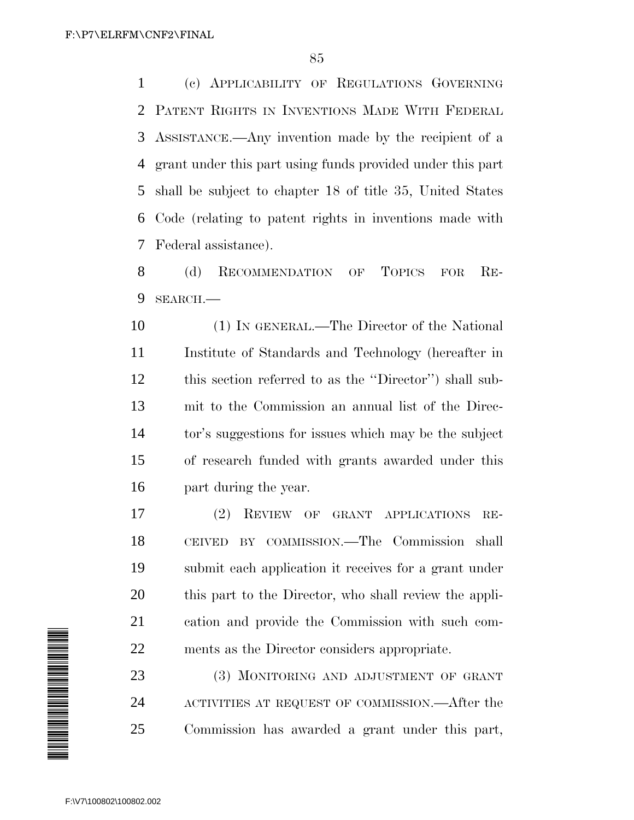(c) APPLICABILITY OF REGULATIONS GOVERNING PATENT RIGHTS IN INVENTIONS MADE WITH FEDERAL ASSISTANCE.—Any invention made by the recipient of a grant under this part using funds provided under this part shall be subject to chapter 18 of title 35, United States Code (relating to patent rights in inventions made with Federal assistance).

 (d) RECOMMENDATION OF TOPICS FOR RE-SEARCH.—

 (1) IN GENERAL.—The Director of the National Institute of Standards and Technology (hereafter in this section referred to as the ''Director'') shall sub- mit to the Commission an annual list of the Direc- tor's suggestions for issues which may be the subject of research funded with grants awarded under this part during the year.

 (2) REVIEW OF GRANT APPLICATIONS RE- CEIVED BY COMMISSION.—The Commission shall submit each application it receives for a grant under this part to the Director, who shall review the appli- cation and provide the Commission with such com-ments as the Director considers appropriate.

23 (3) MONITORING AND ADJUSTMENT OF GRANT ACTIVITIES AT REQUEST OF COMMISSION.—After the Commission has awarded a grant under this part,

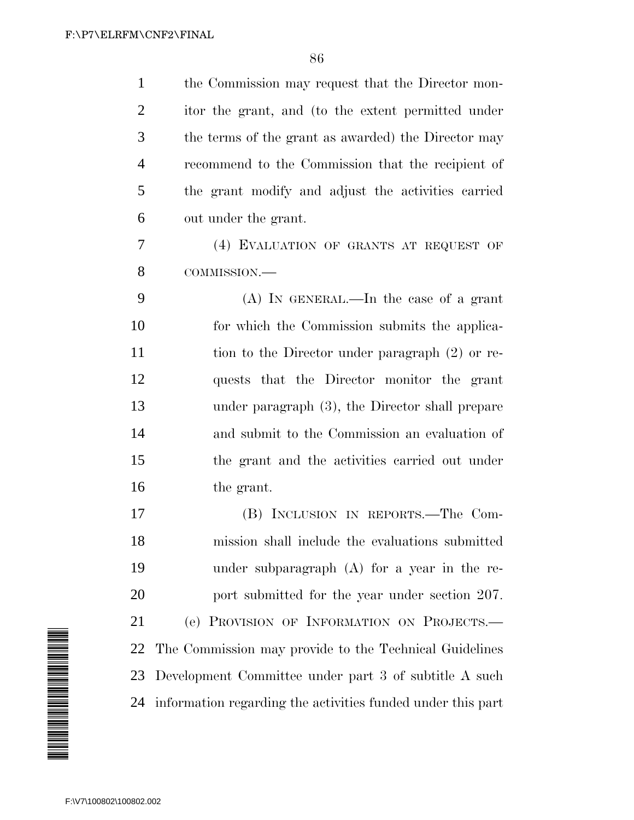| $\mathbf{1}$            | the Commission may request that the Director mon-              |
|-------------------------|----------------------------------------------------------------|
| $\overline{2}$          | itor the grant, and (to the extent permitted under             |
| 3                       | the terms of the grant as awarded) the Director may            |
| $\overline{4}$          | recommend to the Commission that the recipient of              |
| 5                       | the grant modify and adjust the activities carried             |
| 6                       | out under the grant.                                           |
| 7                       | (4) EVALUATION OF GRANTS AT REQUEST OF                         |
| 8                       | COMMISSION.-                                                   |
| 9                       | $(A)$ In GENERAL.—In the case of a grant                       |
| 10                      | for which the Commission submits the applica-                  |
| 11                      | tion to the Director under paragraph (2) or re-                |
| 12                      | quests that the Director monitor the grant                     |
| 13                      | under paragraph (3), the Director shall prepare                |
| 14                      | and submit to the Commission an evaluation of                  |
| 15                      | the grant and the activities carried out under                 |
| 16                      | the grant.                                                     |
| 17                      | (B) INCLUSION IN REPORTS.—The Com-                             |
| 18                      | mission shall include the evaluations submitted                |
| 19                      | under subparagraph $(A)$ for a year in the re-                 |
| 20                      | port submitted for the year under section 207.                 |
| 21                      | (e) PROVISION OF INFORMATION ON PROJECTS.                      |
| 22                      | The Commission may provide to the Technical Guidelines         |
| 23                      | Development Committee under part 3 of subtitle A such          |
|                         | 24 information regarding the activities funded under this part |
|                         |                                                                |
|                         |                                                                |
|                         |                                                                |
| F:\V7\100802\100802.002 |                                                                |

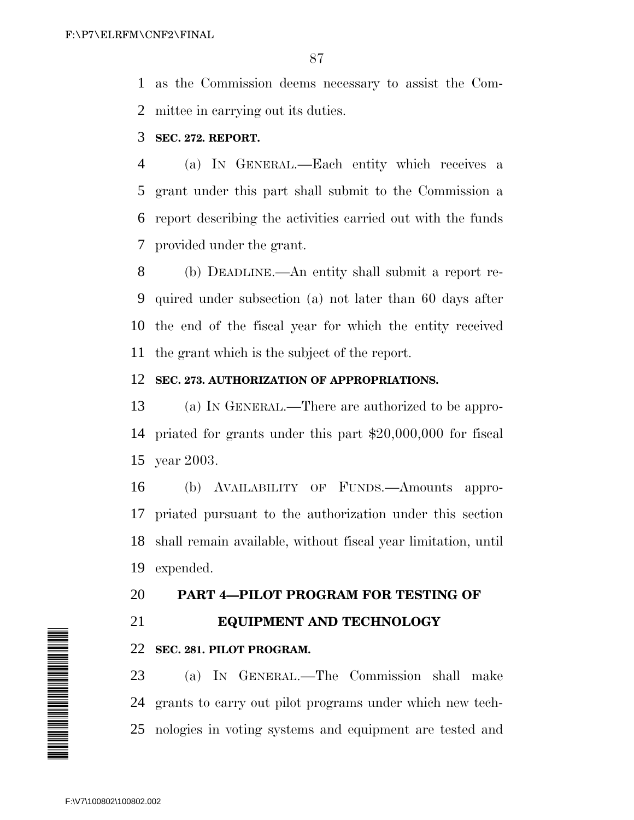as the Commission deems necessary to assist the Com-mittee in carrying out its duties.

# **SEC. 272. REPORT.**

 (a) IN GENERAL.—Each entity which receives a grant under this part shall submit to the Commission a report describing the activities carried out with the funds provided under the grant.

 (b) DEADLINE.—An entity shall submit a report re- quired under subsection (a) not later than 60 days after the end of the fiscal year for which the entity received the grant which is the subject of the report.

## **SEC. 273. AUTHORIZATION OF APPROPRIATIONS.**

 (a) IN GENERAL.—There are authorized to be appro- priated for grants under this part \$20,000,000 for fiscal year 2003.

 (b) AVAILABILITY OF FUNDS.—Amounts appro- priated pursuant to the authorization under this section shall remain available, without fiscal year limitation, until expended.

# **PART 4—PILOT PROGRAM FOR TESTING OF**

**EQUIPMENT AND TECHNOLOGY**

# **SEC. 281. PILOT PROGRAM.**

 (a) IN GENERAL.—The Commission shall make grants to carry out pilot programs under which new tech-nologies in voting systems and equipment are tested and

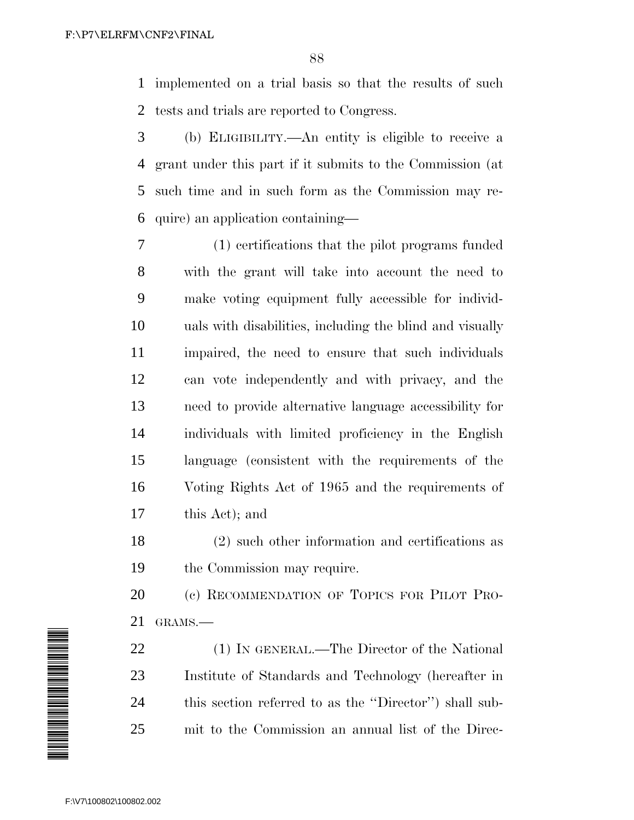implemented on a trial basis so that the results of such tests and trials are reported to Congress.

 (b) ELIGIBILITY.—An entity is eligible to receive a grant under this part if it submits to the Commission (at such time and in such form as the Commission may re-quire) an application containing—

 (1) certifications that the pilot programs funded with the grant will take into account the need to make voting equipment fully accessible for individ- uals with disabilities, including the blind and visually impaired, the need to ensure that such individuals can vote independently and with privacy, and the need to provide alternative language accessibility for individuals with limited proficiency in the English language (consistent with the requirements of the Voting Rights Act of 1965 and the requirements of this Act); and

 (2) such other information and certifications as the Commission may require.

20 (c) RECOMMENDATION OF TOPICS FOR PILOT PRO-GRAMS.—

 (1) IN GENERAL.—The Director of the National Institute of Standards and Technology (hereafter in this section referred to as the ''Director'') shall sub-mit to the Commission an annual list of the Direc-

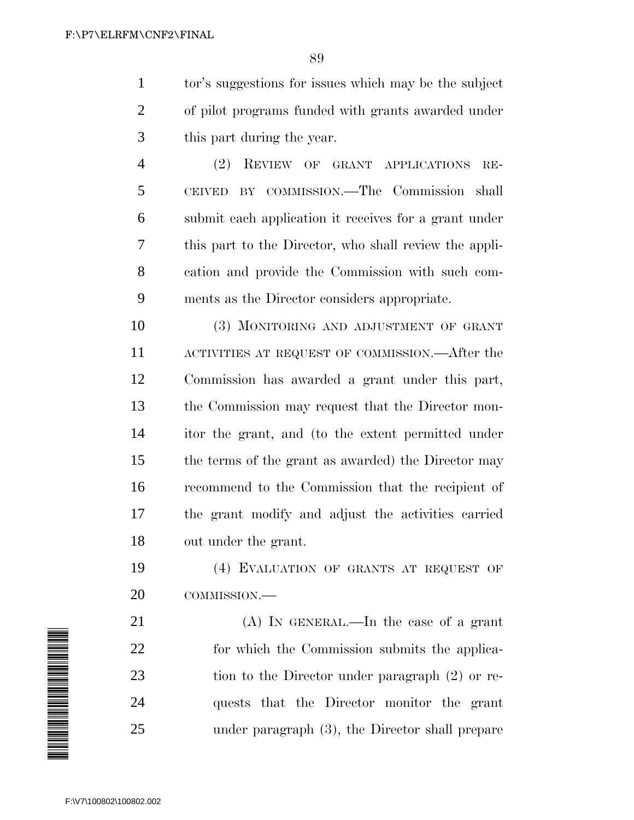tor's suggestions for issues which may be the subject of pilot programs funded with grants awarded under this part during the year.

 (2) REVIEW OF GRANT APPLICATIONS RE- CEIVED BY COMMISSION.—The Commission shall submit each application it receives for a grant under this part to the Director, who shall review the appli- cation and provide the Commission with such com-ments as the Director considers appropriate.

 (3) MONITORING AND ADJUSTMENT OF GRANT ACTIVITIES AT REQUEST OF COMMISSION.—After the Commission has awarded a grant under this part, the Commission may request that the Director mon- itor the grant, and (to the extent permitted under the terms of the grant as awarded) the Director may recommend to the Commission that the recipient of the grant modify and adjust the activities carried out under the grant.

 (4) EVALUATION OF GRANTS AT REQUEST OF COMMISSION.—

 (A) IN GENERAL.—In the case of a grant for which the Commission submits the applica- tion to the Director under paragraph (2) or re- quests that the Director monitor the grant under paragraph (3), the Director shall prepare

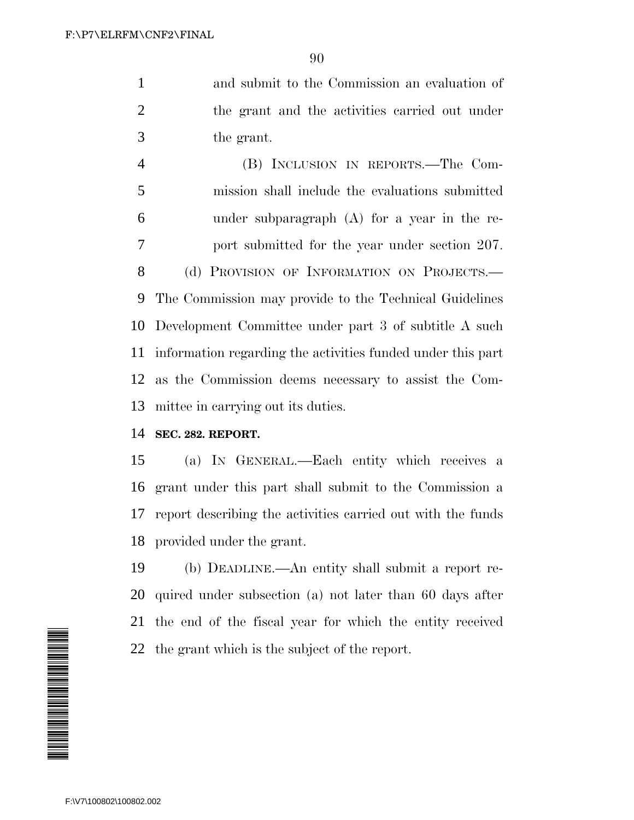and submit to the Commission an evaluation of the grant and the activities carried out under the grant.

 (B) INCLUSION IN REPORTS.—The Com- mission shall include the evaluations submitted under subparagraph (A) for a year in the re- port submitted for the year under section 207. 8 (d) PROVISION OF INFORMATION ON PROJECTS. The Commission may provide to the Technical Guidelines Development Committee under part 3 of subtitle A such information regarding the activities funded under this part as the Commission deems necessary to assist the Com-mittee in carrying out its duties.

## **SEC. 282. REPORT.**

 (a) IN GENERAL.—Each entity which receives a grant under this part shall submit to the Commission a report describing the activities carried out with the funds provided under the grant.

 (b) DEADLINE.—An entity shall submit a report re- quired under subsection (a) not later than 60 days after the end of the fiscal year for which the entity received the grant which is the subject of the report.

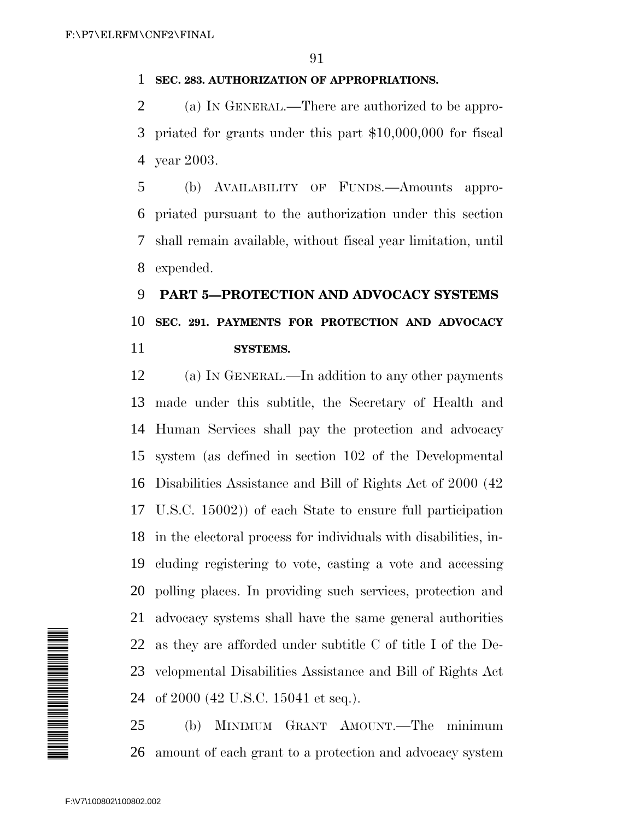## **SEC. 283. AUTHORIZATION OF APPROPRIATIONS.**

 (a) IN GENERAL.—There are authorized to be appro- priated for grants under this part \$10,000,000 for fiscal year 2003.

 (b) AVAILABILITY OF FUNDS.—Amounts appro- priated pursuant to the authorization under this section shall remain available, without fiscal year limitation, until expended.

# **PART 5—PROTECTION AND ADVOCACY SYSTEMS SEC. 291. PAYMENTS FOR PROTECTION AND ADVOCACY SYSTEMS.**

 (a) IN GENERAL.—In addition to any other payments made under this subtitle, the Secretary of Health and Human Services shall pay the protection and advocacy system (as defined in section 102 of the Developmental Disabilities Assistance and Bill of Rights Act of 2000 (42 U.S.C. 15002)) of each State to ensure full participation in the electoral process for individuals with disabilities, in- cluding registering to vote, casting a vote and accessing polling places. In providing such services, protection and advocacy systems shall have the same general authorities as they are afforded under subtitle C of title I of the De- velopmental Disabilities Assistance and Bill of Rights Act of 2000 (42 U.S.C. 15041 et seq.).

 (b) MINIMUM GRANT AMOUNT.—The minimum amount of each grant to a protection and advocacy system

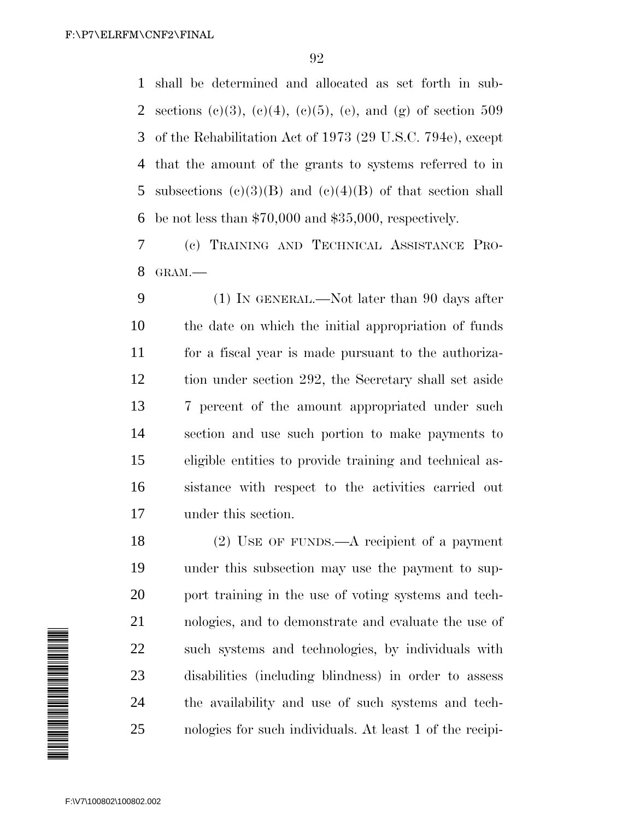shall be determined and allocated as set forth in sub-2 sections (c)(3), (e)(4), (e)(5), (e), and (g) of section 509 of the Rehabilitation Act of 1973 (29 U.S.C. 794e), except that the amount of the grants to systems referred to in 5 subsections  $(c)(3)(B)$  and  $(c)(4)(B)$  of that section shall be not less than \$70,000 and \$35,000, respectively.

 (c) TRAINING AND TECHNICAL ASSISTANCE PRO-GRAM.—

 (1) IN GENERAL.—Not later than 90 days after the date on which the initial appropriation of funds for a fiscal year is made pursuant to the authoriza- tion under section 292, the Secretary shall set aside 7 percent of the amount appropriated under such section and use such portion to make payments to eligible entities to provide training and technical as- sistance with respect to the activities carried out under this section.

 (2) USE OF FUNDS.—A recipient of a payment under this subsection may use the payment to sup- port training in the use of voting systems and tech- nologies, and to demonstrate and evaluate the use of such systems and technologies, by individuals with disabilities (including blindness) in order to assess the availability and use of such systems and tech-nologies for such individuals. At least 1 of the recipi-

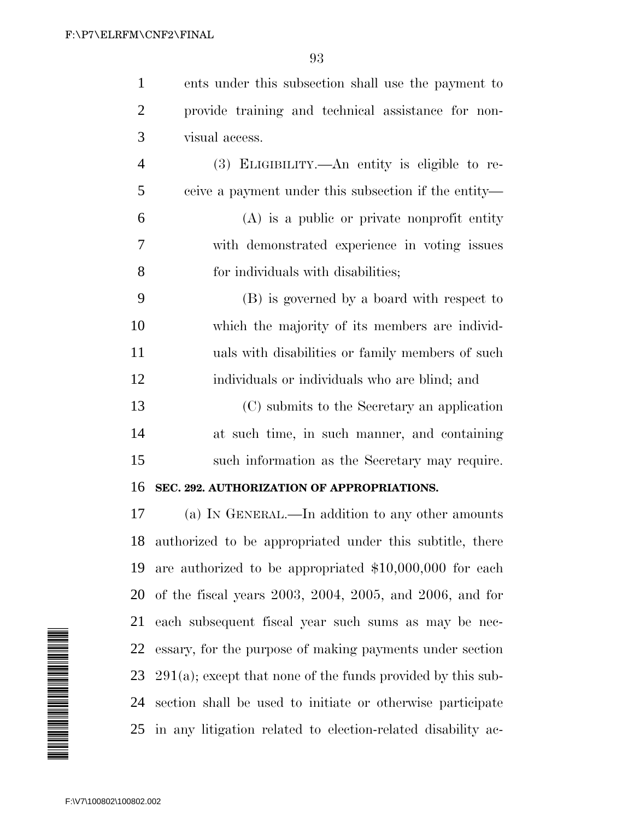|                | ents under this subsection shall use the payment to  |
|----------------|------------------------------------------------------|
| 2              | provide training and technical assistance for non-   |
| 3              | visual access.                                       |
| $\overline{4}$ | (3) ELIGIBILITY.—An entity is eligible to re-        |
| 5              | ceive a payment under this subsection if the entity— |

 (A) is a public or private nonprofit entity with demonstrated experience in voting issues for individuals with disabilities;

 (B) is governed by a board with respect to which the majority of its members are individ- uals with disabilities or family members of such individuals or individuals who are blind; and

 (C) submits to the Secretary an application at such time, in such manner, and containing such information as the Secretary may require.

### **SEC. 292. AUTHORIZATION OF APPROPRIATIONS.**

 (a) IN GENERAL.—In addition to any other amounts authorized to be appropriated under this subtitle, there are authorized to be appropriated \$10,000,000 for each of the fiscal years 2003, 2004, 2005, and 2006, and for each subsequent fiscal year such sums as may be nec- essary, for the purpose of making payments under section 291(a); except that none of the funds provided by this sub- section shall be used to initiate or otherwise participate in any litigation related to election-related disability ac-

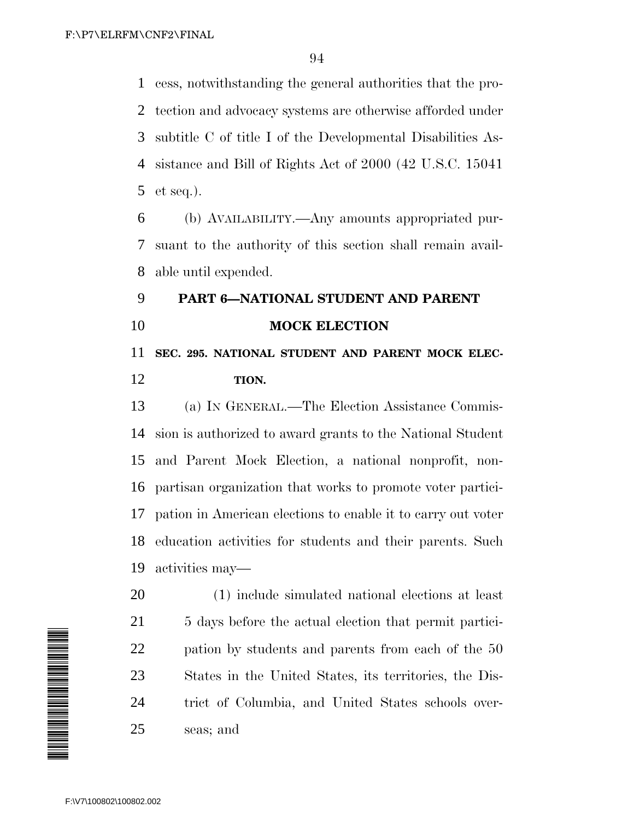cess, notwithstanding the general authorities that the pro- tection and advocacy systems are otherwise afforded under subtitle C of title I of the Developmental Disabilities As- sistance and Bill of Rights Act of 2000 (42 U.S.C. 15041 et seq.).

 (b) AVAILABILITY.—Any amounts appropriated pur- suant to the authority of this section shall remain avail-able until expended.

# **PART 6—NATIONAL STUDENT AND PARENT MOCK ELECTION SEC. 295. NATIONAL STUDENT AND PARENT MOCK ELEC-**

## **TION.**

 (a) IN GENERAL.—The Election Assistance Commis- sion is authorized to award grants to the National Student and Parent Mock Election, a national nonprofit, non- partisan organization that works to promote voter partici- pation in American elections to enable it to carry out voter education activities for students and their parents. Such activities may—

 (1) include simulated national elections at least 21 5 days before the actual election that permit partici- pation by students and parents from each of the 50 States in the United States, its territories, the Dis- trict of Columbia, and United States schools over-seas; and

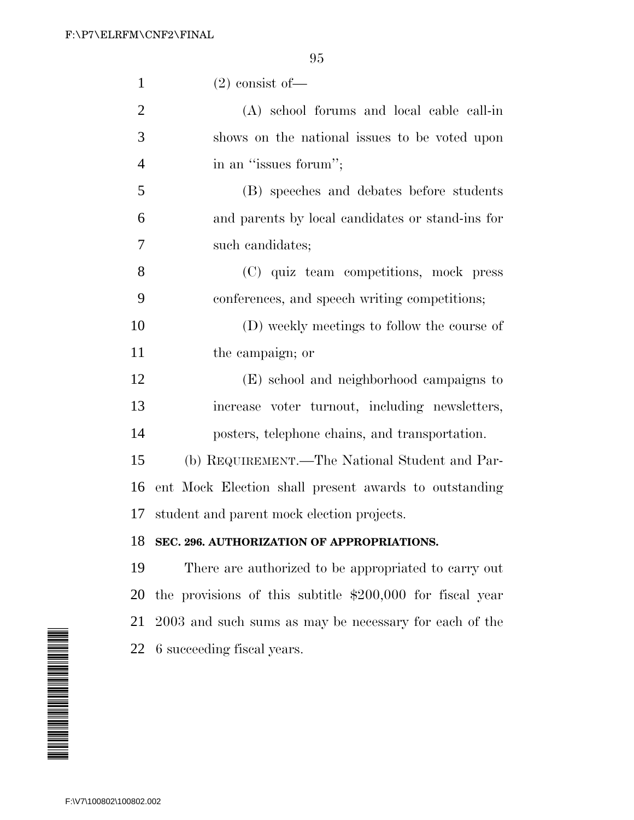| $\mathbf{1}$   | $(2)$ consist of —                                         |
|----------------|------------------------------------------------------------|
| $\overline{2}$ | (A) school forums and local cable call-in                  |
| 3              | shows on the national issues to be voted upon              |
| 4              | in an "issues forum";                                      |
| 5              | (B) speeches and debates before students                   |
| 6              | and parents by local candidates or stand-ins for           |
| 7              | such candidates;                                           |
| 8              | (C) quiz team competitions, mock press                     |
| 9              | conferences, and speech writing competitions;              |
| 10             | (D) weekly meetings to follow the course of                |
| 11             | the campaign; or                                           |
| 12             | (E) school and neighborhood campaigns to                   |
| 13             | increase voter turnout, including newsletters,             |
| 14             | posters, telephone chains, and transportation.             |
| 15             | (b) REQUIREMENT.—The National Student and Par-             |
| 16             | ent Mock Election shall present awards to outstanding      |
| 17             | student and parent mock election projects.                 |
| 18             | SEC. 296. AUTHORIZATION OF APPROPRIATIONS.                 |
| 19             | There are authorized to be appropriated to carry out       |
| 20             | the provisions of this subtitle $$200,000$ for fiscal year |
| 21             | 2003 and such sums as may be necessary for each of the     |
| 22             | 6 succeeding fiscal years.                                 |

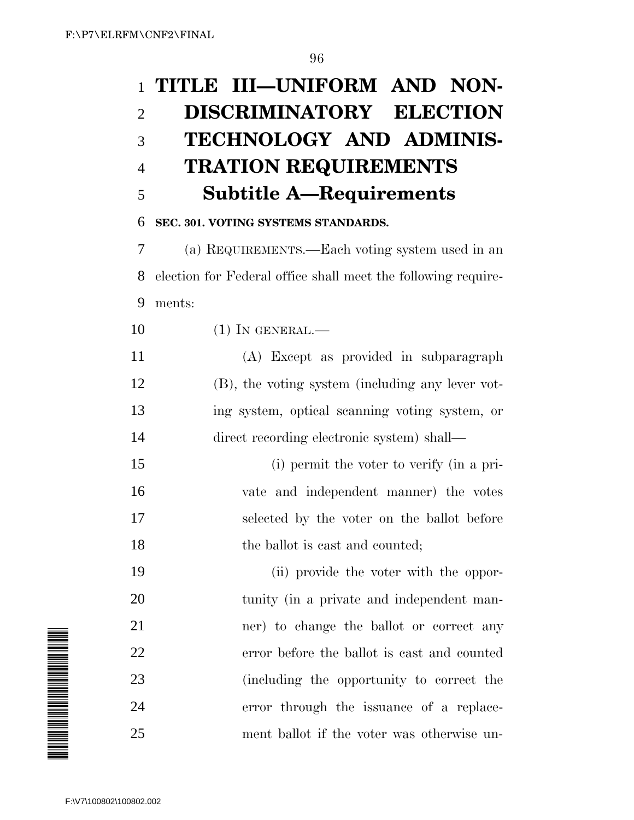# **TITLE III—UNIFORM AND NON- DISCRIMINATORY ELECTION TECHNOLOGY AND ADMINIS- TRATION REQUIREMENTS Subtitle A—Requirements**

# **SEC. 301. VOTING SYSTEMS STANDARDS.**

 (a) REQUIREMENTS.—Each voting system used in an election for Federal office shall meet the following require-ments:

- 10 (1) IN GENERAL.—
- (A) Except as provided in subparagraph (B), the voting system (including any lever vot- ing system, optical scanning voting system, or direct recording electronic system) shall—
- (i) permit the voter to verify (in a pri- vate and independent manner) the votes selected by the voter on the ballot before 18 the ballot is cast and counted;
- (ii) provide the voter with the oppor- tunity (in a private and independent man- ner) to change the ballot or correct any error before the ballot is cast and counted (including the opportunity to correct the error through the issuance of a replace-ment ballot if the voter was otherwise un-

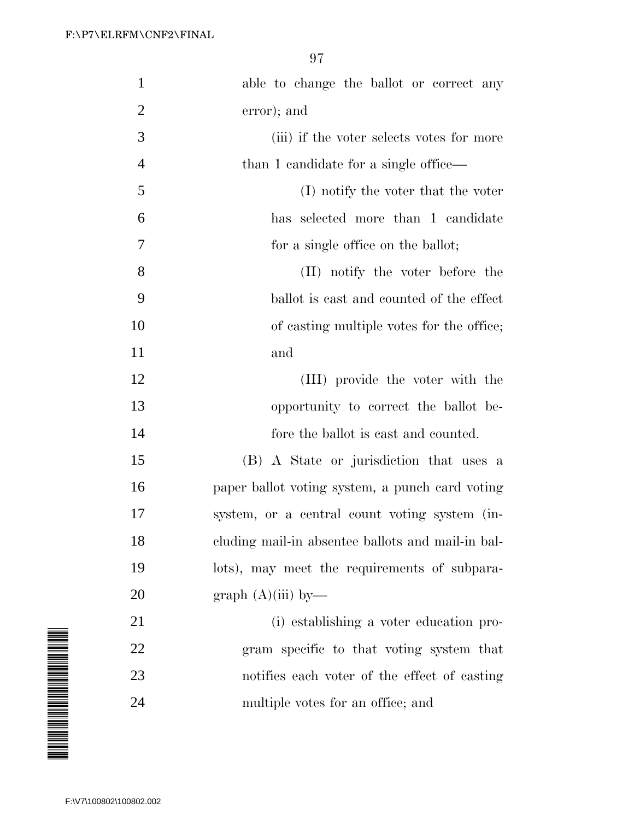| able to change the ballot or correct any          |
|---------------------------------------------------|
| error); and                                       |
| (iii) if the voter selects votes for more         |
| than 1 candidate for a single office—             |
| (I) notify the voter that the voter               |
| has selected more than 1 candidate                |
| for a single office on the ballot;                |
| (II) notify the voter before the                  |
| ballot is cast and counted of the effect          |
| of casting multiple votes for the office;         |
| and                                               |
| (III) provide the voter with the                  |
| opportunity to correct the ballot be-             |
| fore the ballot is cast and counted.              |
| (B) A State or jurisdiction that uses a           |
| paper ballot voting system, a punch card voting   |
| system, or a central count voting system (in-     |
| cluding mail-in absentee ballots and mail-in bal- |
| lots), may meet the requirements of subpara-      |
| graph (A)(iii) by—                                |
| (i) establishing a voter education pro-           |
| gram specific to that voting system that          |
| notifies each voter of the effect of casting      |
| multiple votes for an office; and                 |
|                                                   |

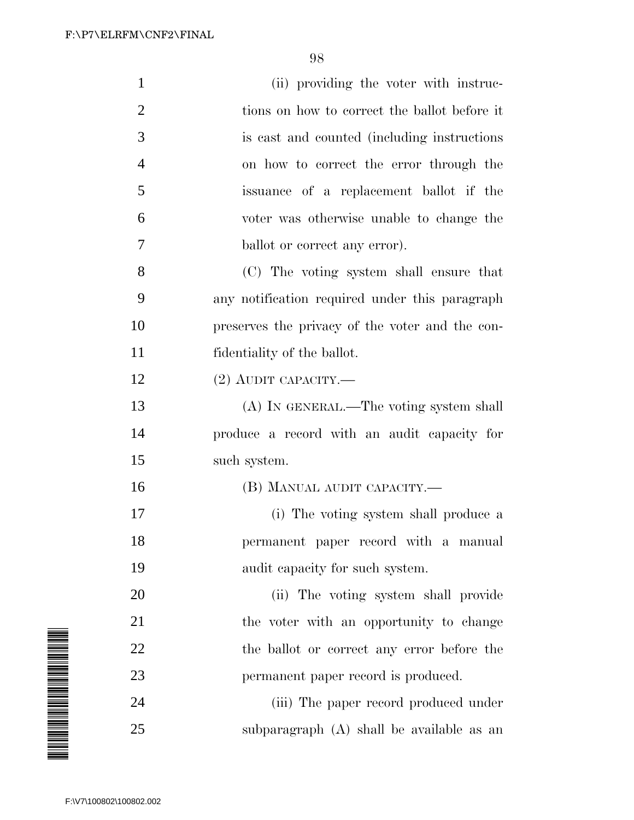| $\mathbf{1}$            | (ii) providing the voter with instruc-          |
|-------------------------|-------------------------------------------------|
| $\overline{2}$          | tions on how to correct the ballot before it    |
| 3                       | is east and counted (including instructions)    |
| 4                       | on how to correct the error through the         |
| 5                       | issuance of a replacement ballot if the         |
| 6                       | voter was otherwise unable to change the        |
| 7                       | ballot or correct any error).                   |
| 8                       | (C) The voting system shall ensure that         |
| 9                       | any notification required under this paragraph  |
| 10                      | preserves the privacy of the voter and the con- |
| 11                      | fidentiality of the ballot.                     |
| 12                      | $(2)$ AUDIT CAPACITY.—                          |
| 13                      | (A) IN GENERAL.—The voting system shall         |
| 14                      | produce a record with an audit capacity for     |
| 15                      | such system.                                    |
| 16                      | (B) MANUAL AUDIT CAPACITY.-                     |
| 17                      | (i) The voting system shall produce a           |
| 18                      | permanent paper record with a manual            |
| 19                      | audit capacity for such system.                 |
| 20                      | (ii) The voting system shall provide            |
| 21                      | the voter with an opportunity to change         |
| 22                      | the ballot or correct any error before the      |
| 23                      | permanent paper record is produced.             |
| 24                      | (iii) The paper record produced under           |
| 25                      | subparagraph (A) shall be available as an       |
|                         |                                                 |
| F:\V7\100802\100802.002 |                                                 |

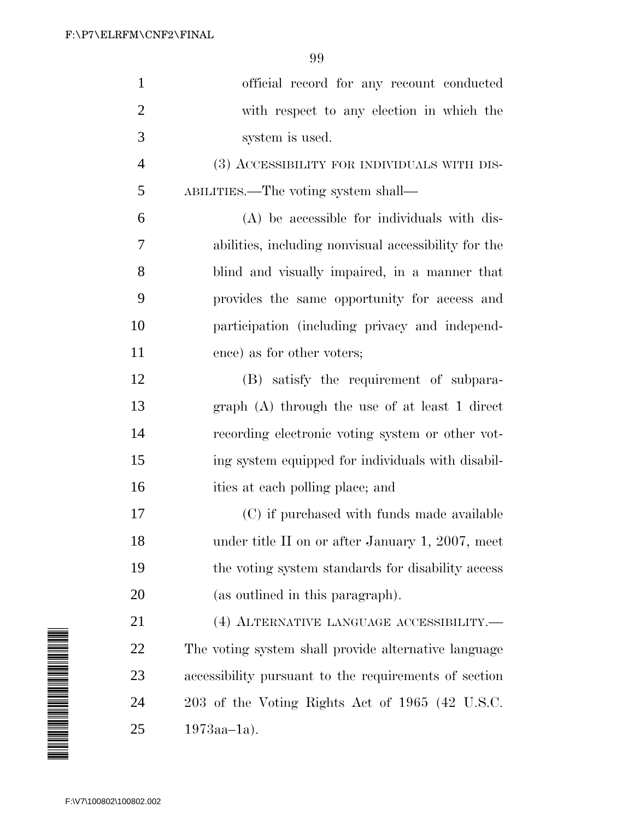| $\mathbf{1}$            | official record for any recount conducted             |
|-------------------------|-------------------------------------------------------|
| $\overline{2}$          | with respect to any election in which the             |
| 3                       | system is used.                                       |
| 4                       | (3) ACCESSIBILITY FOR INDIVIDUALS WITH DIS-           |
| 5                       | ABILITIES.—The voting system shall—                   |
| 6                       | (A) be accessible for individuals with dis-           |
| 7                       | abilities, including nonvisual accessibility for the  |
| 8                       | blind and visually impaired, in a manner that         |
| 9                       | provides the same opportunity for access and          |
| 10                      | participation (including privacy and independ-        |
| 11                      | ence) as for other voters;                            |
| 12                      | (B) satisfy the requirement of subpara-               |
| 13                      | graph (A) through the use of at least 1 direct        |
| 14                      | recording electronic voting system or other vot-      |
| 15                      | ing system equipped for individuals with disabil-     |
| 16                      | ities at each polling place; and                      |
| 17                      | (C) if purchased with funds made available            |
| 18                      | under title II on or after January 1, 2007, meet      |
| 19                      | the voting system standards for disability access     |
| 20                      | (as outlined in this paragraph).                      |
| 21                      | (4) ALTERNATIVE LANGUAGE ACCESSIBILITY.-              |
| 22                      | The voting system shall provide alternative language  |
| 23                      | accessibility pursuant to the requirements of section |
| 24                      | 203 of the Voting Rights Act of 1965 (42 U.S.C.       |
| 25                      | $1973aa-1a$ ).                                        |
|                         |                                                       |
|                         |                                                       |
| F:\V7\100802\100802.002 |                                                       |

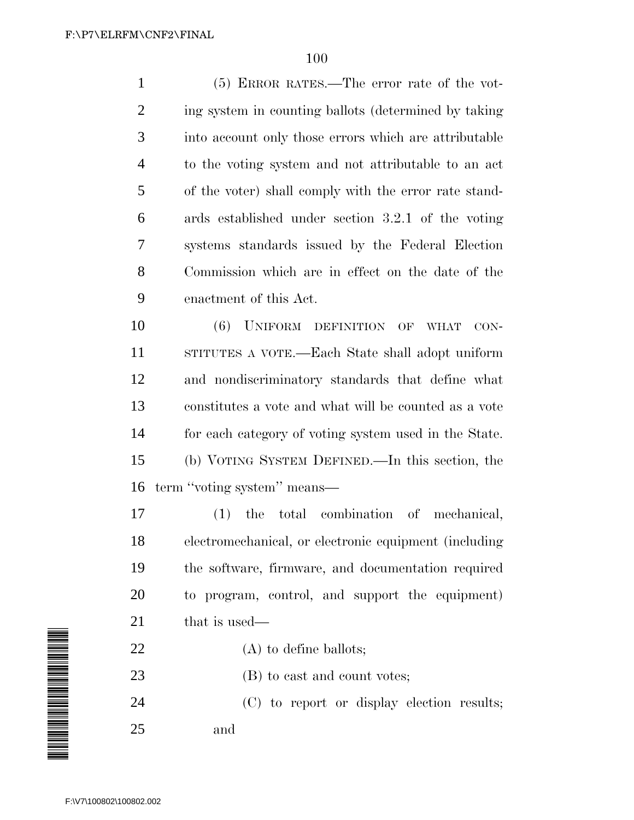(5) ERROR RATES.—The error rate of the vot- ing system in counting ballots (determined by taking into account only those errors which are attributable to the voting system and not attributable to an act of the voter) shall comply with the error rate stand- ards established under section 3.2.1 of the voting systems standards issued by the Federal Election Commission which are in effect on the date of the enactment of this Act.

 (6) UNIFORM DEFINITION OF WHAT CON- STITUTES A VOTE.—Each State shall adopt uniform and nondiscriminatory standards that define what constitutes a vote and what will be counted as a vote for each category of voting system used in the State. (b) VOTING SYSTEM DEFINED.—In this section, the term ''voting system'' means—

 (1) the total combination of mechanical, electromechanical, or electronic equipment (including the software, firmware, and documentation required to program, control, and support the equipment) 21 that is used—

22 (A) to define ballots;

23 (B) to cast and count votes;

 (C) to report or display election results; and

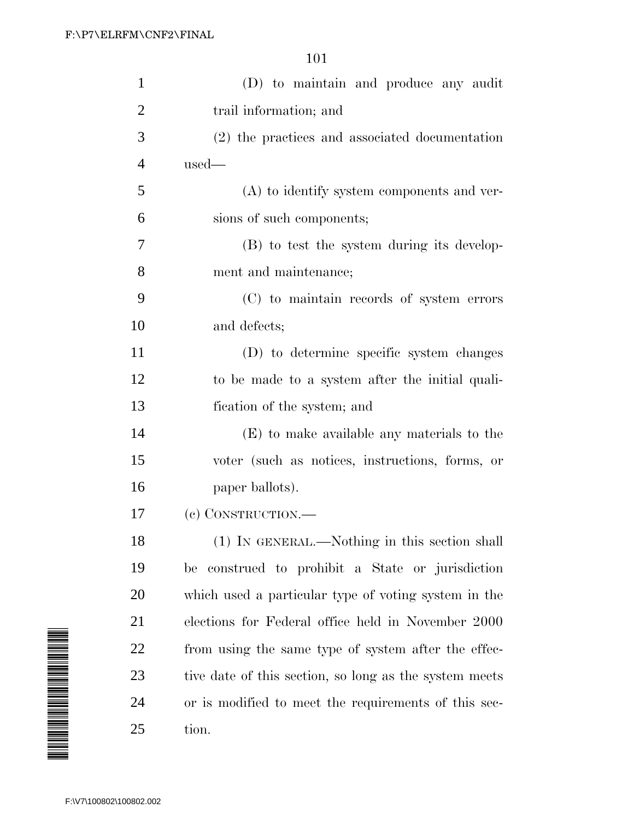| $\mathbf{1}$                                                                                                         | (D) to maintain and produce any audit                  |
|----------------------------------------------------------------------------------------------------------------------|--------------------------------------------------------|
| $\overline{2}$                                                                                                       | trail information; and                                 |
| 3                                                                                                                    | (2) the practices and associated documentation         |
| $\overline{4}$                                                                                                       | $used$ —                                               |
| 5                                                                                                                    | (A) to identify system components and ver-             |
| 6                                                                                                                    | sions of such components;                              |
| 7                                                                                                                    | (B) to test the system during its develop-             |
| 8                                                                                                                    | ment and maintenance;                                  |
| 9                                                                                                                    | (C) to maintain records of system errors               |
| 10                                                                                                                   | and defects;                                           |
| 11                                                                                                                   | (D) to determine specific system changes               |
| 12                                                                                                                   | to be made to a system after the initial quali-        |
| 13                                                                                                                   | fication of the system; and                            |
| 14                                                                                                                   | (E) to make available any materials to the             |
| 15                                                                                                                   | voter (such as notices, instructions, forms, or        |
| 16                                                                                                                   | paper ballots).                                        |
| 17                                                                                                                   | (c) CONSTRUCTION.—                                     |
| 18                                                                                                                   | (1) IN GENERAL.—Nothing in this section shall          |
| 19                                                                                                                   | construed to prohibit a State or jurisdiction<br>be    |
| 20                                                                                                                   | which used a particular type of voting system in the   |
| 21                                                                                                                   | elections for Federal office held in November 2000     |
| 22                                                                                                                   | from using the same type of system after the effec-    |
| A MANA ANG ANG Ang mga matatagpay ng mga matatagpay ng mga matatagpay ng mga matatagpay ng mga matatagpay ng m<br>23 | tive date of this section, so long as the system meets |
| 24                                                                                                                   | or is modified to meet the requirements of this sec-   |
| 25                                                                                                                   | tion.                                                  |
|                                                                                                                      |                                                        |
| F:\V7\100802\100802.002                                                                                              |                                                        |

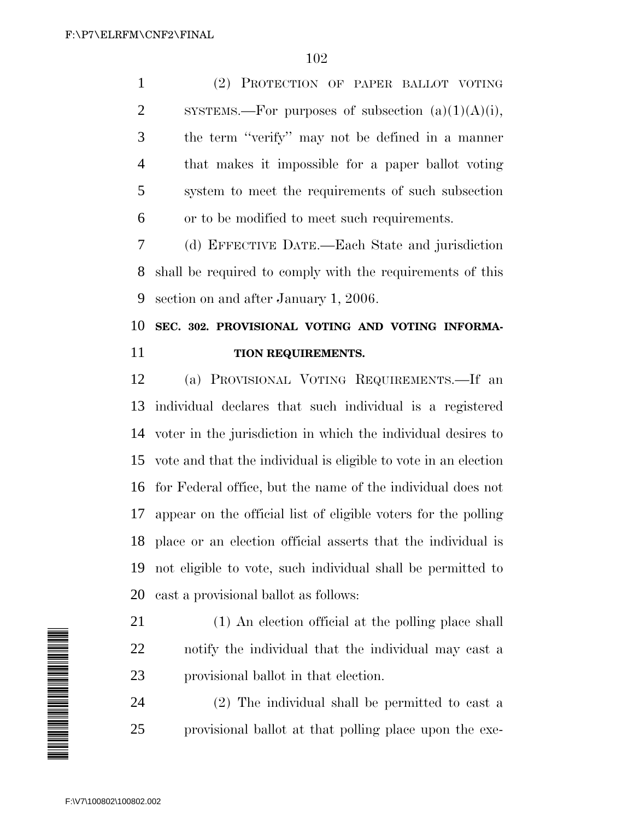(2) PROTECTION OF PAPER BALLOT VOTING 2 SYSTEMS.—For purposes of subsection  $(a)(1)(A)(i)$ , the term ''verify'' may not be defined in a manner that makes it impossible for a paper ballot voting system to meet the requirements of such subsection or to be modified to meet such requirements.

 (d) EFFECTIVE DATE.—Each State and jurisdiction shall be required to comply with the requirements of this section on and after January 1, 2006.

# **SEC. 302. PROVISIONAL VOTING AND VOTING INFORMA-TION REQUIREMENTS.**

 (a) PROVISIONAL VOTING REQUIREMENTS.—If an individual declares that such individual is a registered voter in the jurisdiction in which the individual desires to vote and that the individual is eligible to vote in an election for Federal office, but the name of the individual does not appear on the official list of eligible voters for the polling place or an election official asserts that the individual is not eligible to vote, such individual shall be permitted to cast a provisional ballot as follows:

 (1) An election official at the polling place shall notify the individual that the individual may cast a provisional ballot in that election.

 (2) The individual shall be permitted to cast a provisional ballot at that polling place upon the exe-

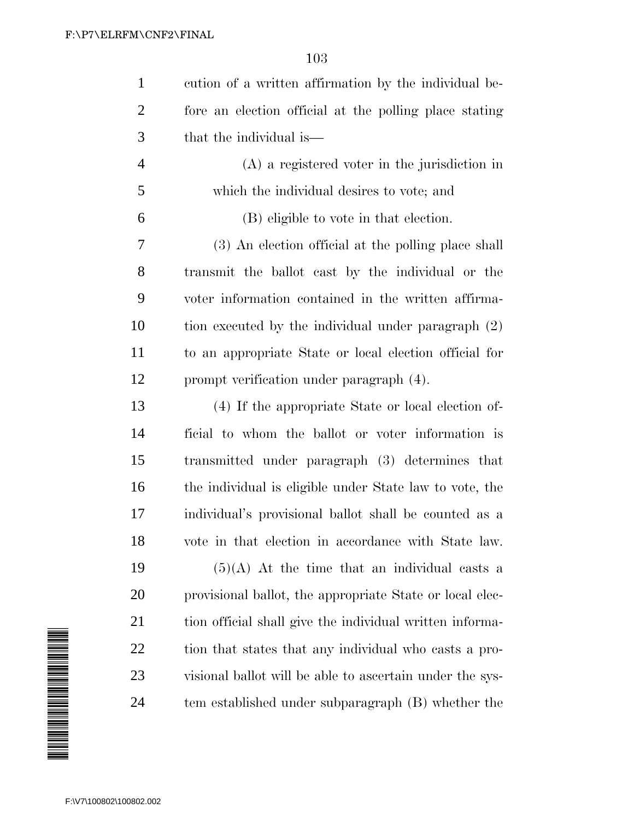| $\mathbf{1}$   | cution of a written affirmation by the individual be-    |
|----------------|----------------------------------------------------------|
| $\overline{2}$ | fore an election official at the polling place stating   |
| 3              | that the individual is—                                  |
| $\overline{4}$ | $(A)$ a registered voter in the jurisdiction in          |
| 5              | which the individual desires to vote; and                |
| 6              | (B) eligible to vote in that election.                   |
| 7              | (3) An election official at the polling place shall      |
| 8              | transmit the ballot cast by the individual or the        |
| 9              | voter information contained in the written affirma-      |
| 10             | tion executed by the individual under paragraph (2)      |
| 11             | to an appropriate State or local election official for   |
| 12             | prompt verification under paragraph (4).                 |
| 13             | (4) If the appropriate State or local election of-       |
| 14             | ficial to whom the ballot or voter information is        |
| 15             | transmitted under paragraph (3) determines that          |
| 16             | the individual is eligible under State law to vote, the  |
| 17             | individual's provisional ballot shall be counted as a    |
| 18             | vote in that election in accordance with State law.      |
| 19             | $(5)(A)$ At the time that an individual casts a          |
| 20             | provisional ballot, the appropriate State or local elec- |
| 21             | tion official shall give the individual written informa- |
| 22             | tion that states that any individual who casts a pro-    |
| 23             | visional ballot will be able to ascertain under the sys- |
| 24             |                                                          |

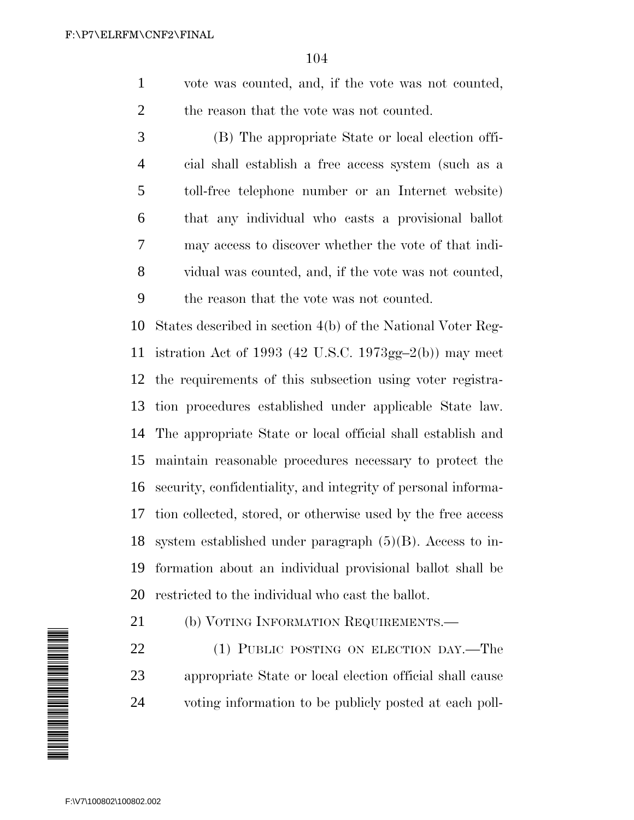vote was counted, and, if the vote was not counted, 2 the reason that the vote was not counted.

 (B) The appropriate State or local election offi- cial shall establish a free access system (such as a toll-free telephone number or an Internet website) that any individual who casts a provisional ballot may access to discover whether the vote of that indi- vidual was counted, and, if the vote was not counted, the reason that the vote was not counted.

 States described in section 4(b) of the National Voter Reg- istration Act of 1993 (42 U.S.C. 1973gg–2(b)) may meet the requirements of this subsection using voter registra- tion procedures established under applicable State law. The appropriate State or local official shall establish and maintain reasonable procedures necessary to protect the security, confidentiality, and integrity of personal informa- tion collected, stored, or otherwise used by the free access system established under paragraph (5)(B). Access to in- formation about an individual provisional ballot shall be restricted to the individual who cast the ballot.

21 (b) VOTING INFORMATION REQUIREMENTS.—

22 (1) PUBLIC POSTING ON ELECTION DAY.—The appropriate State or local election official shall cause voting information to be publicly posted at each poll-

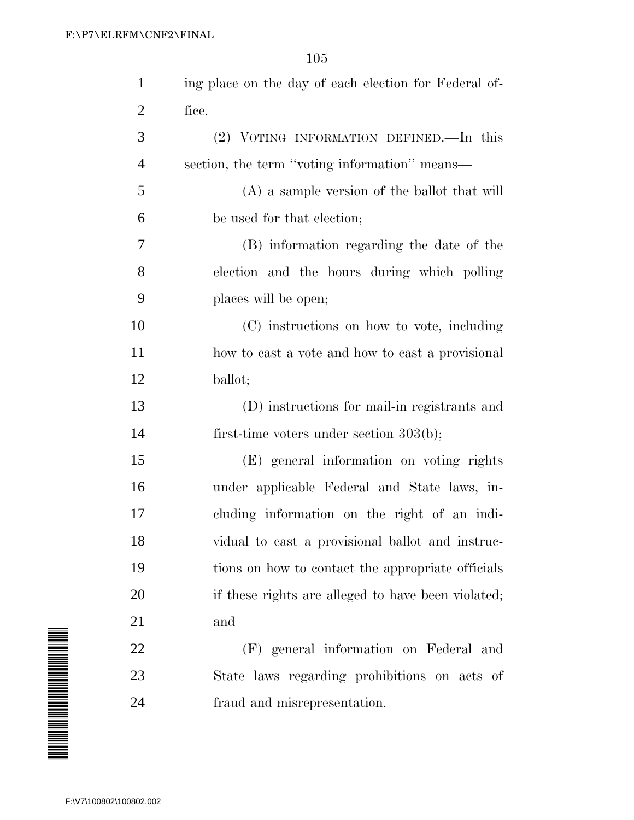| $\mathbf{1}$   | ing place on the day of each election for Federal of- |
|----------------|-------------------------------------------------------|
| $\overline{2}$ | fice.                                                 |
| 3              | (2) VOTING INFORMATION DEFINED. In this               |
| $\overline{4}$ | section, the term "voting information" means—         |
| 5              | (A) a sample version of the ballot that will          |
| 6              | be used for that election;                            |
| 7              | (B) information regarding the date of the             |
| 8              | election and the hours during which polling           |
| 9              | places will be open;                                  |
| 10             | (C) instructions on how to vote, including            |
| 11             | how to cast a vote and how to cast a provisional      |
| 12             | ballot;                                               |
| 13             | (D) instructions for mail-in registrants and          |
| 14             | first-time voters under section $303(b)$ ;            |
| 15             | (E) general information on voting rights              |
| 16             | under applicable Federal and State laws, in-          |
| 17             | cluding information on the right of an indi-          |
| 18             | vidual to cast a provisional ballot and instruc-      |
| 19             | tions on how to contact the appropriate officials     |
| 20             | if these rights are alleged to have been violated;    |
| 21             | and                                                   |
| 22             | (F) general information on Federal and                |
| 23             | State laws regarding prohibitions on acts of          |
| 24             | fraud and misrepresentation.                          |

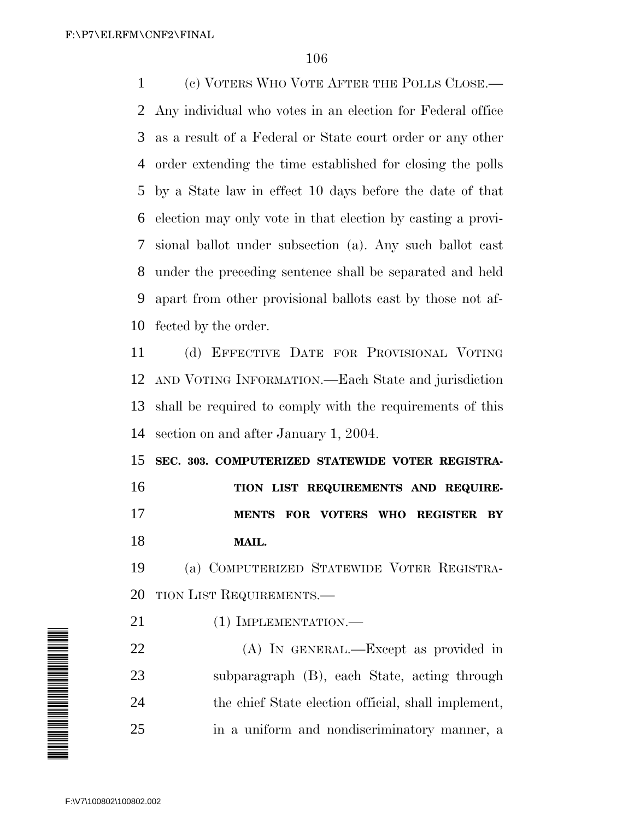(c) VOTERS WHO VOTE AFTER THE POLLS CLOSE.— Any individual who votes in an election for Federal office as a result of a Federal or State court order or any other order extending the time established for closing the polls by a State law in effect 10 days before the date of that election may only vote in that election by casting a provi- sional ballot under subsection (a). Any such ballot cast under the preceding sentence shall be separated and held apart from other provisional ballots cast by those not af-fected by the order.

 (d) EFFECTIVE DATE FOR PROVISIONAL VOTING AND VOTING INFORMATION.—Each State and jurisdiction shall be required to comply with the requirements of this section on and after January 1, 2004.

 **SEC. 303. COMPUTERIZED STATEWIDE VOTER REGISTRA- TION LIST REQUIREMENTS AND REQUIRE- MENTS FOR VOTERS WHO REGISTER BY MAIL.**

 (a) COMPUTERIZED STATEWIDE VOTER REGISTRA-TION LIST REQUIREMENTS.—

21 (1) IMPLEMENTATION.—

 (A) IN GENERAL.—Except as provided in subparagraph (B), each State, acting through the chief State election official, shall implement, in a uniform and nondiscriminatory manner, a

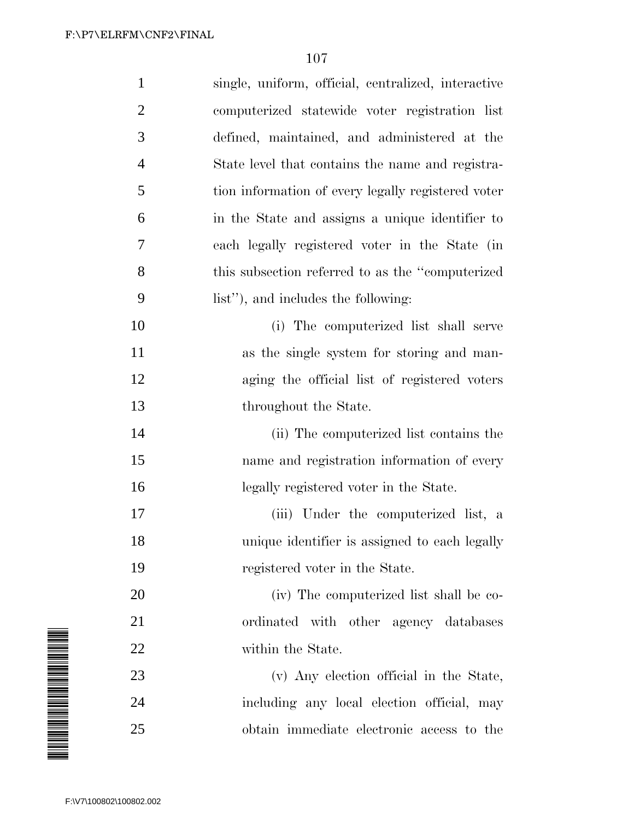| $\mathbf{1}$   | single, uniform, official, centralized, interactive |
|----------------|-----------------------------------------------------|
| $\overline{2}$ | computerized statewide voter registration list      |
| 3              | defined, maintained, and administered at the        |
| $\overline{4}$ | State level that contains the name and registra-    |
| 5              | tion information of every legally registered voter  |
| 6              | in the State and assigns a unique identifier to     |
| $\overline{7}$ | each legally registered voter in the State (in      |
| 8              | this subsection referred to as the "computerized"   |
| 9              | list"), and includes the following:                 |
| 10             | (i) The computerized list shall serve               |
| 11             | as the single system for storing and man-           |
| 12             | aging the official list of registered voters        |
| 13             | throughout the State.                               |
| 14             | (ii) The computerized list contains the             |
| 15             | name and registration information of every          |
| 16             | legally registered voter in the State.              |
| 17             | (iii) Under the computerized list, a                |
| 18             | unique identifier is assigned to each legally       |
| 19             | registered voter in the State.                      |
| 20             | (iv) The computerized list shall be co-             |
| 21             | ordinated with other agency databases               |
| 22             | within the State.                                   |
| 23             | (v) Any election official in the State,             |
| 24             | including any local election official, may          |
| 25             | obtain immediate electronic access to the           |

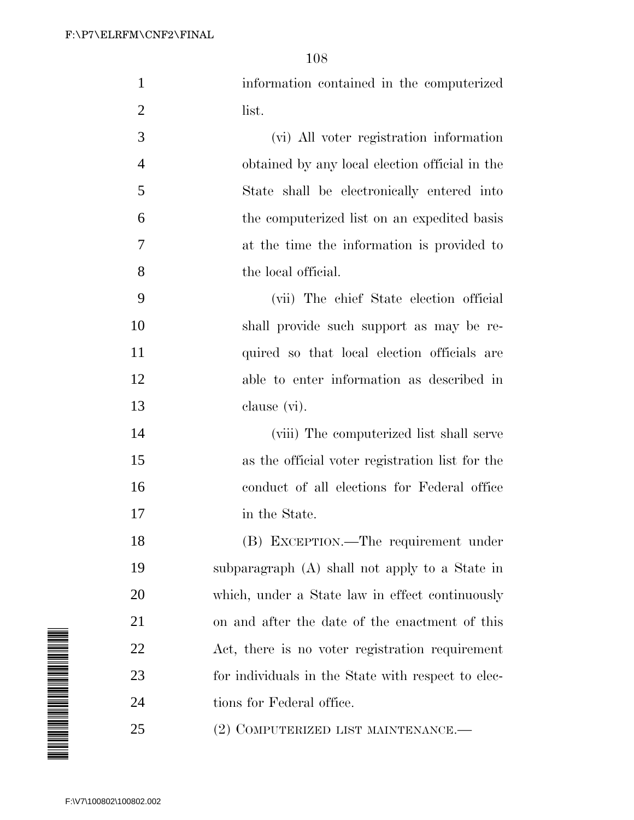| $\mathbf 1$                            | information contained in the computerized          |
|----------------------------------------|----------------------------------------------------|
| 2                                      | list.                                              |
| 3                                      | (vi) All voter registration information            |
| 4                                      | obtained by any local election official in the     |
| 5                                      | State shall be electronically entered into         |
| 6                                      | the computerized list on an expedited basis        |
| 7                                      | at the time the information is provided to         |
| 8                                      | the local official.                                |
| 9                                      | (vii) The chief State election official            |
| 10                                     | shall provide such support as may be re-           |
| 11                                     | quired so that local election officials are        |
| 12                                     | able to enter information as described in          |
| 13                                     | clause (vi).                                       |
| 14                                     | (viii) The computerized list shall serve           |
| 15                                     | as the official voter registration list for the    |
| 16                                     | conduct of all elections for Federal office        |
| 17                                     | in the State.                                      |
| 18                                     | (B) EXCEPTION.—The requirement under               |
| 19                                     | subparagraph (A) shall not apply to a State in     |
| 20                                     | which, under a State law in effect continuously    |
| 21                                     | on and after the date of the enactment of this     |
| 22                                     | Act, there is no voter registration requirement    |
| 23                                     | for individuals in the State with respect to elec- |
| A MARTIN AN DI BIRTHA MARTIN ANN<br>24 | tions for Federal office.                          |
| 25                                     | (2) COMPUTERIZED LIST MAINTENANCE.—                |
|                                        |                                                    |
| F:\V7\100802\100802.002                |                                                    |

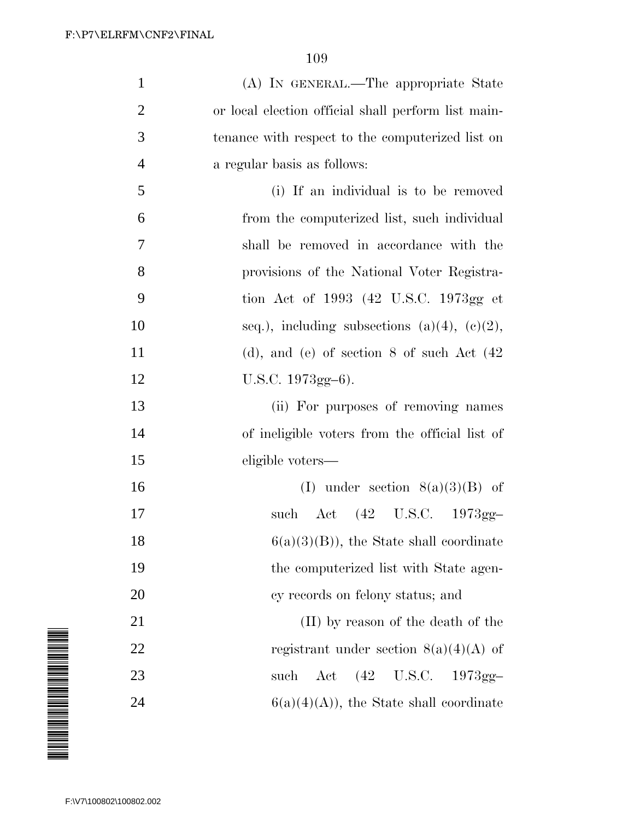| $\mathbf{1}$   | (A) IN GENERAL.—The appropriate State               |
|----------------|-----------------------------------------------------|
| $\overline{2}$ | or local election official shall perform list main- |
| 3              | tenance with respect to the computerized list on    |
| $\overline{4}$ | a regular basis as follows:                         |
| 5              | (i) If an individual is to be removed               |
| 6              | from the computerized list, such individual         |
| 7              | shall be removed in accordance with the             |
| 8              | provisions of the National Voter Registra-          |
| 9              | tion Act of 1993 (42 U.S.C. 1973gg et               |
| 10             | seq.), including subsections (a)(4), (c)(2),        |
| 11             | (d), and (e) of section 8 of such Act $(42)$        |
| 12             | $U.S.C. 1973gg-6$ ).                                |
| 13             | (ii) For purposes of removing names                 |
| 14             | of ineligible voters from the official list of      |
| 15             | eligible voters—                                    |
| 16             | (I) under section $8(a)(3)(B)$ of                   |
| 17             | such Act (42 U.S.C. 1973gg-                         |
| 18             | $6(a)(3)(B)$ , the State shall coordinate           |
| 19             | the computerized list with State agen-              |
| 20             | cy records on felony status; and                    |
| 21             | (II) by reason of the death of the                  |
| 22             | registrant under section $8(a)(4)(A)$ of            |
| 23             | Act (42 U.S.C. 1973gg-<br>such                      |
| 24             | $6(a)(4)(A)$ , the State shall coordinate           |

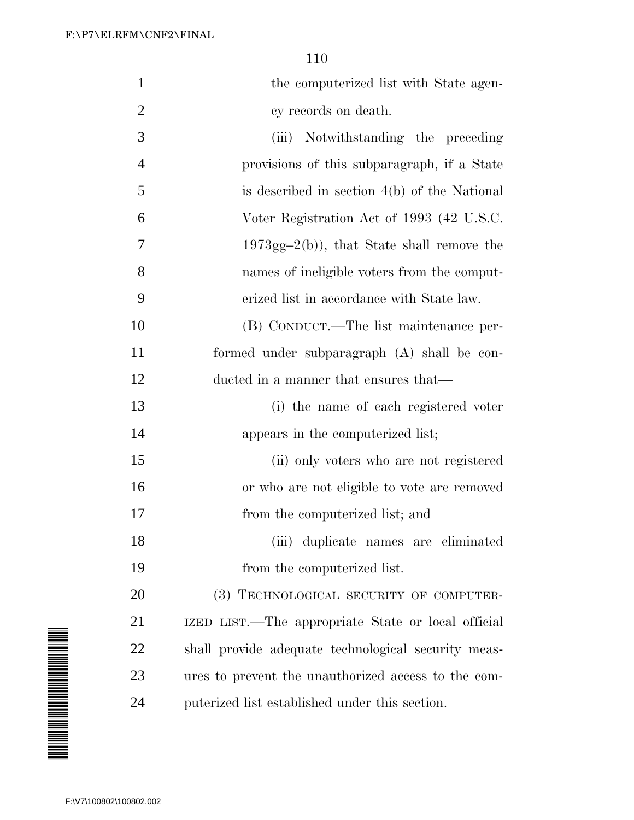| $\mathbf{1}$   | the computerized list with State agen-              |
|----------------|-----------------------------------------------------|
| $\overline{2}$ | cy records on death.                                |
| 3              | (iii) Notwithstanding the preceding                 |
| $\overline{4}$ | provisions of this subparagraph, if a State         |
| 5              | is described in section $4(b)$ of the National      |
| 6              | Voter Registration Act of 1993 (42 U.S.C.           |
| $\overline{7}$ | $1973gg-2(b)$ , that State shall remove the         |
| 8              | names of ineligible voters from the comput-         |
| 9              | erized list in accordance with State law.           |
| 10             | (B) CONDUCT.—The list maintenance per-              |
| 11             | formed under subparagraph (A) shall be con-         |
| 12             | ducted in a manner that ensures that—               |
| 13             | (i) the name of each registered voter               |
| 14             | appears in the computerized list;                   |
| 15             | (ii) only voters who are not registered             |
| 16             | or who are not eligible to vote are removed         |
| 17             | from the computerized list; and                     |
| 18             | (iii) duplicate names are eliminated                |
| 19             | from the computerized list.                         |
| 20             | (3) TECHNOLOGICAL SECURITY OF COMPUTER-             |
| 21             | IZED LIST.—The appropriate State or local official  |
| 22             | shall provide adequate technological security meas- |
| 23             | ures to prevent the unauthorized access to the com- |
| 24             | puterized list established under this section.      |

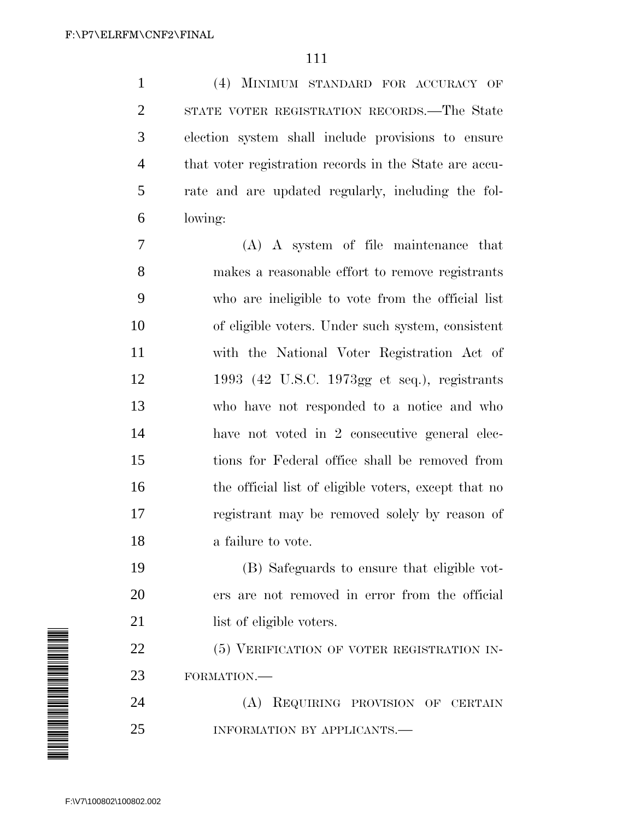(4) MINIMUM STANDARD FOR ACCURACY OF STATE VOTER REGISTRATION RECORDS.—The State election system shall include provisions to ensure that voter registration records in the State are accu- rate and are updated regularly, including the fol-lowing:

 (A) A system of file maintenance that makes a reasonable effort to remove registrants who are ineligible to vote from the official list of eligible voters. Under such system, consistent with the National Voter Registration Act of 1993 (42 U.S.C. 1973gg et seq.), registrants who have not responded to a notice and who have not voted in 2 consecutive general elec- tions for Federal office shall be removed from 16 the official list of eligible voters, except that no registrant may be removed solely by reason of a failure to vote.

 (B) Safeguards to ensure that eligible vot- ers are not removed in error from the official 21 list of eligible voters.

22 (5) VERIFICATION OF VOTER REGISTRATION IN-FORMATION.—

 (A) REQUIRING PROVISION OF CERTAIN 25 INFORMATION BY APPLICANTS.—

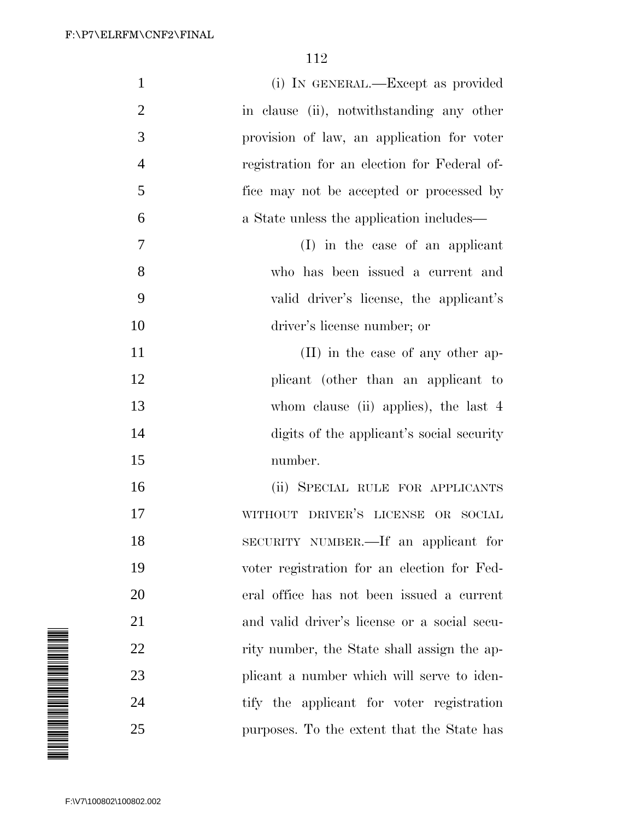| $\mathbf{1}$                                                                                                                | (i) IN GENERAL.—Except as provided           |
|-----------------------------------------------------------------------------------------------------------------------------|----------------------------------------------|
| $\overline{2}$                                                                                                              | in clause (ii), notwithstanding any other    |
| 3                                                                                                                           | provision of law, an application for voter   |
| 4                                                                                                                           | registration for an election for Federal of- |
| 5                                                                                                                           | fice may not be accepted or processed by     |
| 6                                                                                                                           | a State unless the application includes—     |
| 7                                                                                                                           | (I) in the case of an applicant              |
| 8                                                                                                                           | who has been issued a current and            |
| 9                                                                                                                           | valid driver's license, the applicant's      |
| 10                                                                                                                          | driver's license number; or                  |
| 11                                                                                                                          | (II) in the case of any other ap-            |
| 12                                                                                                                          | plicant (other than an applicant to          |
| 13                                                                                                                          | whom clause (ii) applies), the last 4        |
| 14                                                                                                                          | digits of the applicant's social security    |
| 15                                                                                                                          | number.                                      |
| 16                                                                                                                          | (ii) SPECIAL RULE FOR APPLICANTS             |
| 17                                                                                                                          | WITHOUT DRIVER'S LICENSE OR SOCIAL           |
| 18                                                                                                                          | SECURITY NUMBER.—If an applicant for         |
| 19                                                                                                                          | voter registration for an election for Fed-  |
| 20                                                                                                                          | eral office has not been issued a current    |
| 21                                                                                                                          | and valid driver's license or a social secu- |
| 22                                                                                                                          | rity number, the State shall assign the ap-  |
| <b>RIA MANAGERIA DE MANAGERIA DE LA BAGADA DE LA BAGADA DE LA BAGADA DE LA BAGADA DE LA BAGADA DE LA BAGADA DE LA</b><br>23 | plicant a number which will serve to iden-   |
| 24                                                                                                                          | tify the applicant for voter registration    |
| 25                                                                                                                          | purposes. To the extent that the State has   |
|                                                                                                                             |                                              |
| F:\V7\100802\100802.002                                                                                                     |                                              |

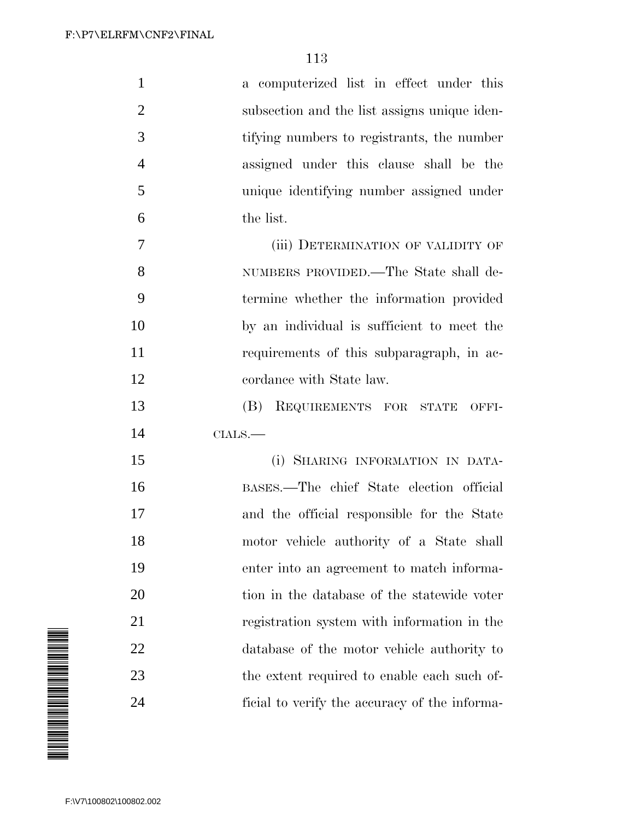| $\mathbf{1}$   | a computerized list in effect under this     |
|----------------|----------------------------------------------|
| $\overline{2}$ | subsection and the list assigns unique iden- |
| 3              | tifying numbers to registrants, the number   |
| $\overline{4}$ | assigned under this clause shall be the      |
| 5              | unique identifying number assigned under     |
| 6              | the list.                                    |
| 7              | (iii) DETERMINATION OF VALIDITY OF           |
| 8              | NUMBERS PROVIDED.—The State shall de-        |
| 9              | termine whether the information provided     |
| 10             | by an individual is sufficient to meet the   |
| 11             | requirements of this subparagraph, in ac-    |
| 12             | cordance with State law.                     |
| 13             | (B) REQUIREMENTS FOR STATE OFFI-             |
| 14             | $CHALS.$                                     |
| 15             | (i) SHARING INFORMATION IN DATA-             |
| 16             | BASES.—The chief State election official     |
| 17             | and the official responsible for the State   |
| 18             | motor vehicle authority of a State shall     |
| 19             | enter into an agreement to match informa-    |
| 20             | tion in the database of the statewide voter  |
| 21             | registration system with information in the  |
|                |                                              |
| 22             | database of the motor vehicle authority to   |
| 23             | the extent required to enable each such of-  |

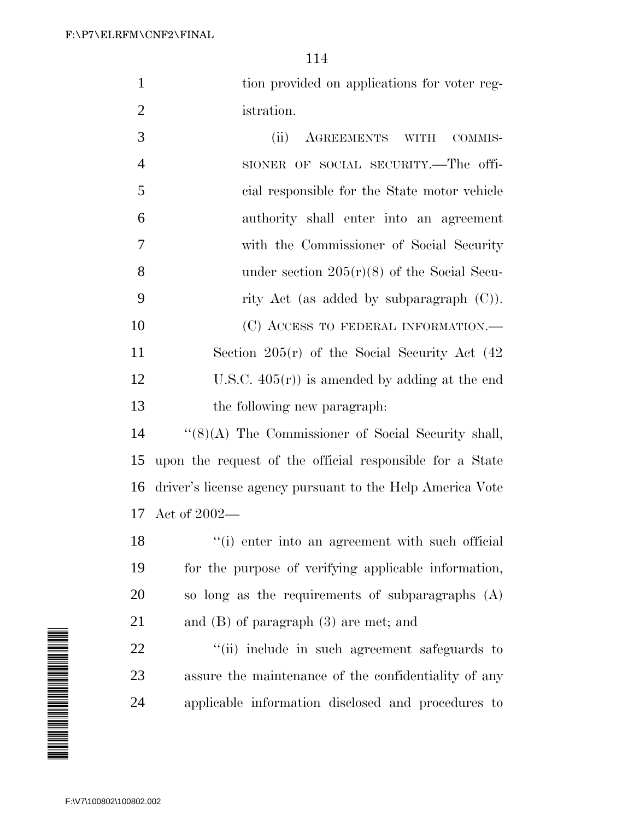1 tion provided on applications for voter reg-istration.

 (ii) AGREEMENTS WITH COMMIS- SIONER OF SOCIAL SECURITY.—The offi- cial responsible for the State motor vehicle authority shall enter into an agreement with the Commissioner of Social Security 8 under section  $205(r)(8)$  of the Social Secu- rity Act (as added by subparagraph (C)). 10 (C) ACCESS TO FEDERAL INFORMATION.— Section 205(r) of the Social Security Act (42 12 U.S.C.  $405(r)$  is amended by adding at the end the following new paragraph:

 ''(8)(A) The Commissioner of Social Security shall, upon the request of the official responsible for a State driver's license agency pursuant to the Help America Vote Act of 2002—

18 ''(i) enter into an agreement with such official for the purpose of verifying applicable information, so long as the requirements of subparagraphs (A) and (B) of paragraph (3) are met; and

22  $\frac{1}{2}$   $\frac{1}{2}$   $\frac{1}{2}$  include in such agreement safeguards to assure the maintenance of the confidentiality of any applicable information disclosed and procedures to

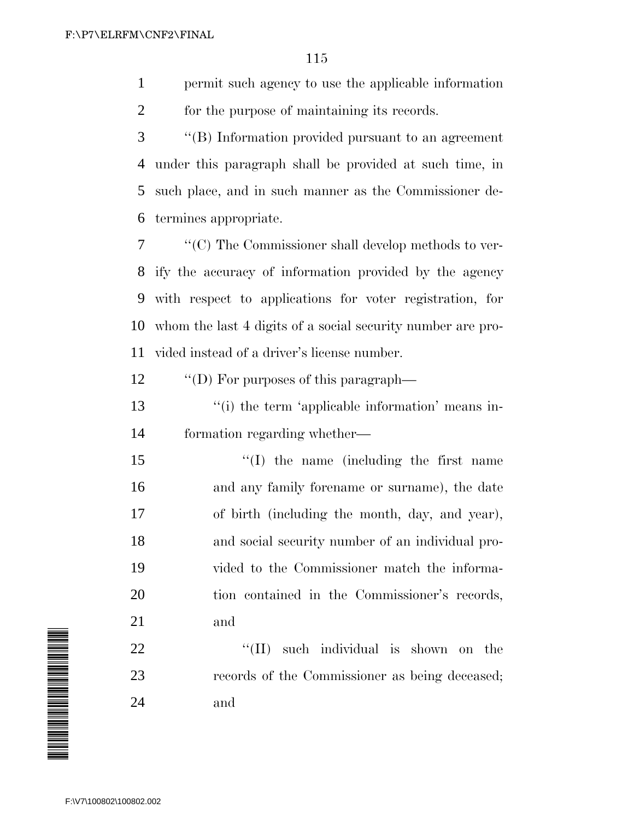permit such agency to use the applicable information for the purpose of maintaining its records.

 ''(B) Information provided pursuant to an agreement under this paragraph shall be provided at such time, in such place, and in such manner as the Commissioner de-termines appropriate.

 ''(C) The Commissioner shall develop methods to ver- ify the accuracy of information provided by the agency with respect to applications for voter registration, for whom the last 4 digits of a social security number are pro-vided instead of a driver's license number.

12  $\qquad$  "(D) For purposes of this paragraph—

13 ''(i) the term 'applicable information' means in-formation regarding whether—

 $\frac{1}{2}$  (I) the name (including the first name and any family forename or surname), the date of birth (including the month, day, and year), and social security number of an individual pro- vided to the Commissioner match the informa- tion contained in the Commissioner's records, and

22  $\text{``(II)}$  such individual is shown on the records of the Commissioner as being deceased; and

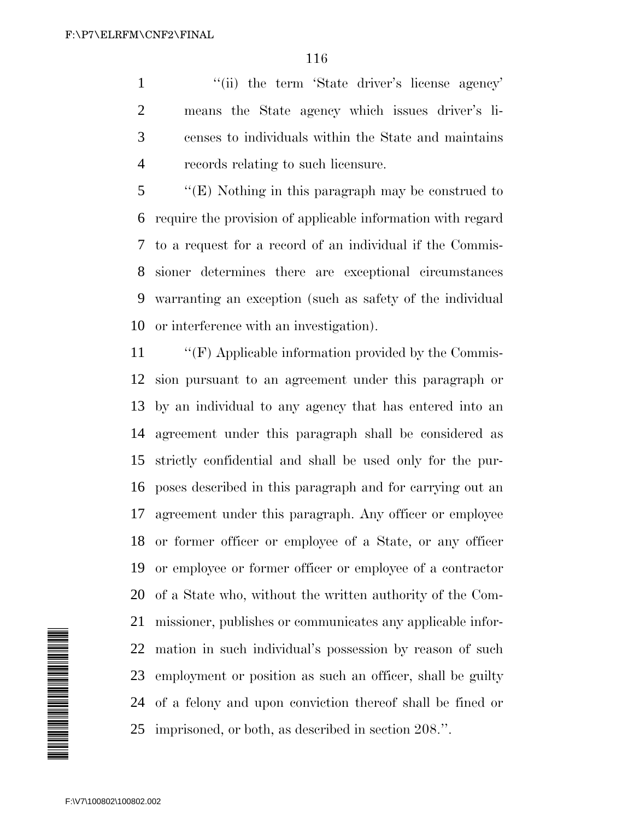1 "(ii) the term 'State driver's license agency' means the State agency which issues driver's li- censes to individuals within the State and maintains records relating to such licensure.

 ''(E) Nothing in this paragraph may be construed to require the provision of applicable information with regard to a request for a record of an individual if the Commis- sioner determines there are exceptional circumstances warranting an exception (such as safety of the individual or interference with an investigation).

 ''(F) Applicable information provided by the Commis- sion pursuant to an agreement under this paragraph or by an individual to any agency that has entered into an agreement under this paragraph shall be considered as strictly confidential and shall be used only for the pur- poses described in this paragraph and for carrying out an agreement under this paragraph. Any officer or employee or former officer or employee of a State, or any officer or employee or former officer or employee of a contractor of a State who, without the written authority of the Com- missioner, publishes or communicates any applicable infor- mation in such individual's possession by reason of such employment or position as such an officer, shall be guilty of a felony and upon conviction thereof shall be fined or imprisoned, or both, as described in section 208.''.

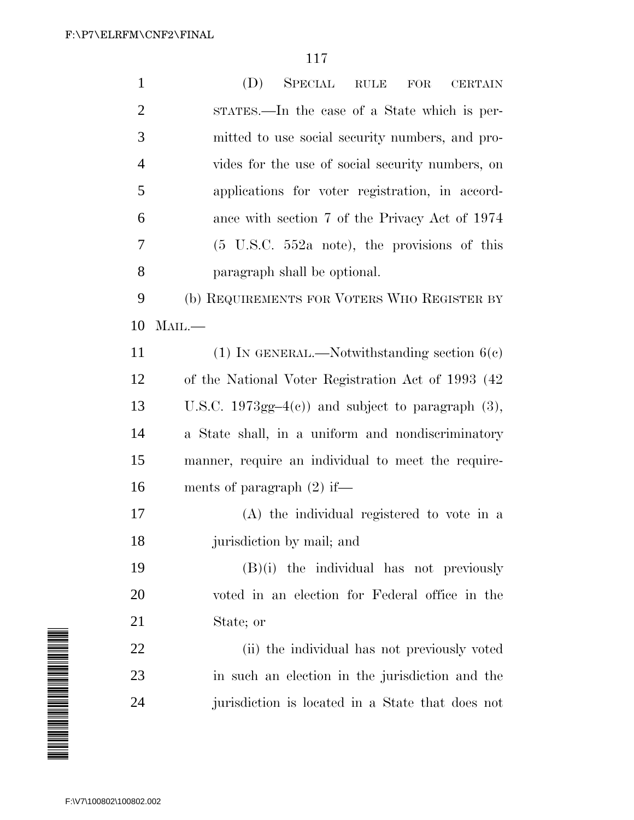| $\mathbf{1}$   | (D)<br><b>SPECIAL</b><br>RULE<br>FOR<br><b>CERTAIN</b>           |
|----------------|------------------------------------------------------------------|
| $\overline{2}$ | STATES.—In the case of a State which is per-                     |
| 3              | mitted to use social security numbers, and pro-                  |
| $\overline{4}$ | vides for the use of social security numbers, on                 |
| 5              | applications for voter registration, in accord-                  |
| 6              | ance with section 7 of the Privacy Act of 1974                   |
| 7              | $(5 \text{ U.S.C. } 552a \text{ note})$ , the provisions of this |
| 8              | paragraph shall be optional.                                     |
| 9              | (b) REQUIREMENTS FOR VOTERS WHO REGISTER BY                      |
| 10             | $M$ AIL. $-$                                                     |
| 11             | (1) IN GENERAL.—Notwithstanding section $6(e)$                   |
| 12             | of the National Voter Registration Act of 1993 (42               |
| 13             | U.S.C. 1973gg-4 $(e)$ ) and subject to paragraph $(3)$ ,         |
| 14             | a State shall, in a uniform and nondiscriminatory                |
| 15             | manner, require an individual to meet the require-               |
| 16             | ments of paragraph $(2)$ if—                                     |
| 17             | (A) the individual registered to vote in a                       |
| 18             | jurisdiction by mail; and                                        |
| 19             | $(B)(i)$ the individual has not previously                       |
| 20             | voted in an election for Federal office in the                   |
| 21             | State; or                                                        |
| 22             | (ii) the individual has not previously voted                     |
| 23             | in such an election in the jurisdiction and the                  |
| 24             | jurisdiction is located in a State that does not                 |
|                |                                                                  |

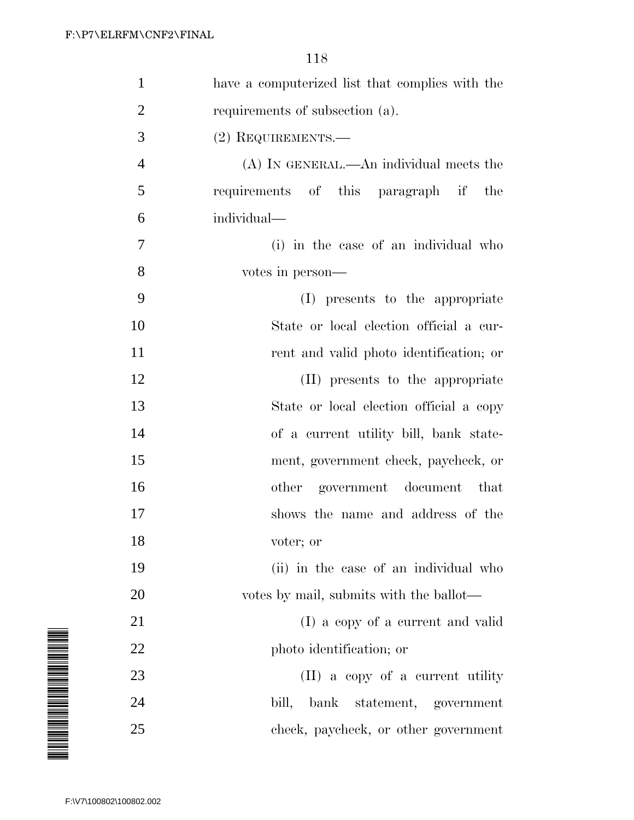|                         | $\mathbf 1$    | have a computerized list that complies with the |
|-------------------------|----------------|-------------------------------------------------|
|                         | $\overline{2}$ | requirements of subsection (a).                 |
|                         | 3              | $(2)$ REQUIREMENTS.—                            |
|                         | 4              | $(A)$ In GENERAL.—An individual meets the       |
|                         | 5              | requirements of this paragraph if<br>the        |
|                         | 6              | individual-                                     |
|                         | 7              | (i) in the case of an individual who            |
|                         | 8              | votes in person—                                |
|                         | 9              | (I) presents to the appropriate                 |
|                         | 10             | State or local election official a cur-         |
|                         | 11             | rent and valid photo identification; or         |
|                         | 12             | (II) presents to the appropriate                |
|                         | 13             | State or local election official a copy         |
|                         | 14             | of a current utility bill, bank state-          |
|                         | 15             | ment, government check, paycheck, or            |
|                         | 16             | government document<br>that<br>other            |
|                         | 17             | shows the name and address of the               |
|                         | 18             | voter; or                                       |
|                         | 19             | (ii) in the case of an individual who           |
|                         | 20             | votes by mail, submits with the ballot—         |
|                         | 21             | (I) a copy of a current and valid               |
|                         | 22             | photo identification; or                        |
|                         | 23             | (II) a copy of a current utility                |
|                         | 24             | bill,<br>bank<br>statement, government          |
|                         | 25             | check, paycheck, or other government            |
|                         |                |                                                 |
| F:\V7\100802\100802.002 |                |                                                 |

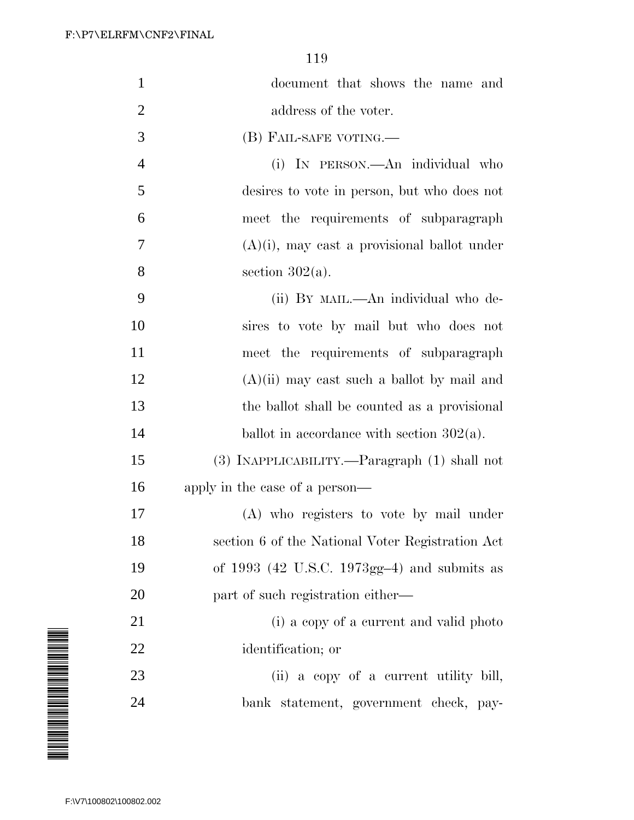| $\mathbf{1}$   | document that shows the name and                 |
|----------------|--------------------------------------------------|
| $\overline{2}$ | address of the voter.                            |
| 3              | (B) FAIL-SAFE VOTING.—                           |
| $\overline{4}$ | (i) IN PERSON.—An individual who                 |
| $\mathfrak{S}$ | desires to vote in person, but who does not      |
| 6              | meet the requirements of subparagraph            |
| 7              | $(A)(i)$ , may cast a provisional ballot under   |
| 8              | section $302(a)$ .                               |
| 9              | (ii) BY MAIL.—An individual who de-              |
| 10             | sires to vote by mail but who does not           |
| 11             | meet the requirements of subparagraph            |
| 12             | $(A)(ii)$ may cast such a ballot by mail and     |
| 13             | the ballot shall be counted as a provisional     |
| 14             | ballot in accordance with section $302(a)$ .     |
| 15             | (3) INAPPLICABILITY.—Paragraph (1) shall not     |
| 16             | apply in the case of a person—                   |
| 17             | (A) who registers to vote by mail under          |
| 18             | section 6 of the National Voter Registration Act |
| 19             | of $1993$ (42 U.S.C. 1973gg-4) and submits as    |
| 20             | part of such registration either—                |
| 21             | (i) a copy of a current and valid photo          |
| 22             | identification; or                               |
| 23             | (ii) a copy of a current utility bill,           |
| 24             | bank statement, government check, pay-           |

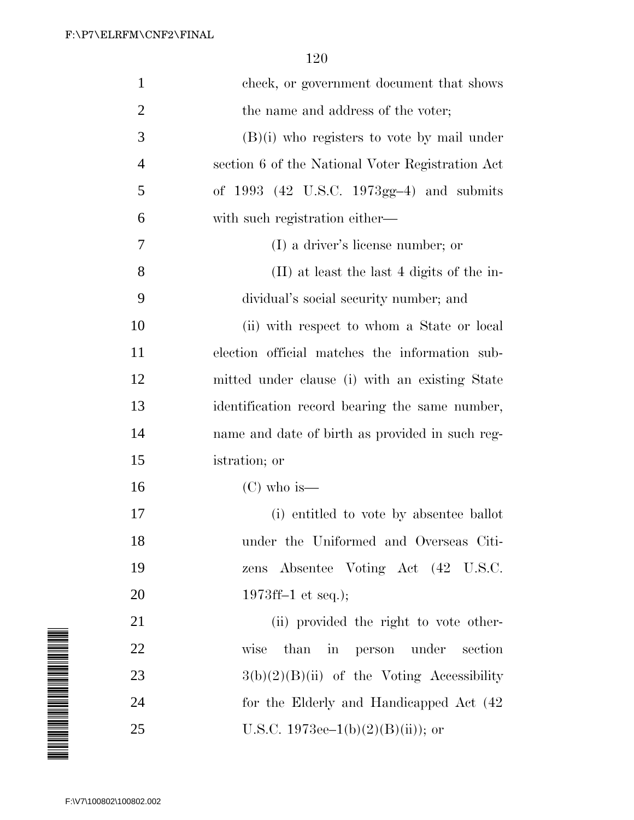| $\mathbf{1}$   | check, or government document that shows         |
|----------------|--------------------------------------------------|
| $\overline{2}$ | the name and address of the voter;               |
| 3              | $(B)(i)$ who registers to vote by mail under     |
| $\overline{4}$ | section 6 of the National Voter Registration Act |
| 5              | of $1993$ (42 U.S.C. $1973gg-4$ ) and submits    |
| 6              | with such registration either—                   |
| 7              | (I) a driver's license number; or                |
| 8              | (II) at least the last 4 digits of the in-       |
| 9              | dividual's social security number; and           |
| 10             | (ii) with respect to whom a State or local       |
| 11             | election official matches the information sub-   |
| 12             | mitted under clause (i) with an existing State   |
| 13             | identification record bearing the same number,   |
| 14             | name and date of birth as provided in such reg-  |
| 15             | istration; or                                    |
| 16             | $(C)$ who is—                                    |
| 17             | (i) entitled to vote by absentee ballot          |
| 18             | under the Uniformed and Overseas Citi-           |
| 19             | zens Absentee Voting Act (42 U.S.C.              |
| 20             | 1973ff-1 et seq.);                               |
| 21             | (ii) provided the right to vote other-           |
| 22             | than in person under<br>wise<br>section          |
| 23             | $3(b)(2)(B)(ii)$ of the Voting Accessibility     |
| 24             | for the Elderly and Handicapped Act (42)         |
| 25             | U.S.C. 1973ee–1(b)(2)(B)(ii)); or                |

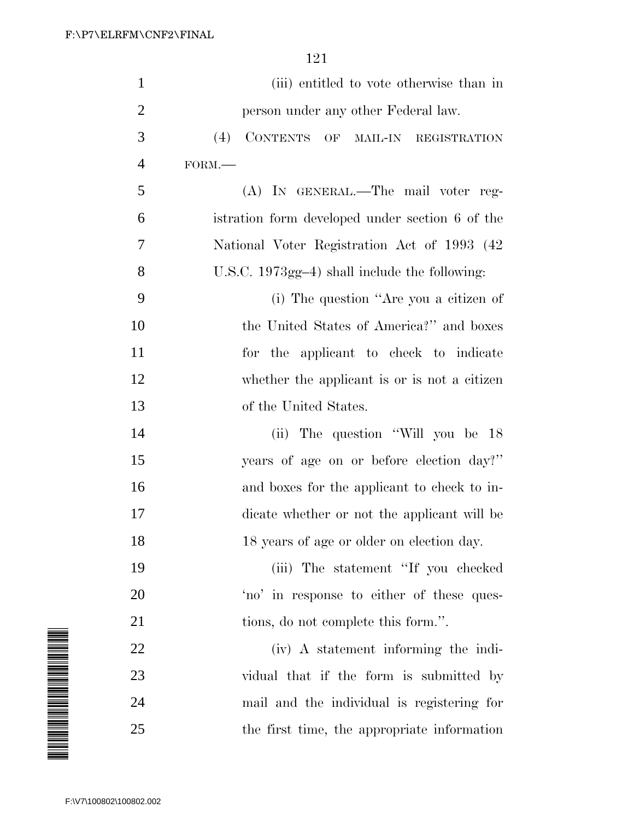|                                                                                                                                                                                                                                | $\mathbf{1}$            |                                                      |
|--------------------------------------------------------------------------------------------------------------------------------------------------------------------------------------------------------------------------------|-------------------------|------------------------------------------------------|
|                                                                                                                                                                                                                                |                         | (iii) entitled to vote otherwise than in             |
|                                                                                                                                                                                                                                | $\overline{2}$          | person under any other Federal law.                  |
|                                                                                                                                                                                                                                | 3                       | <b>CONTENTS</b><br>(4)<br>OF<br>MAIL-IN REGISTRATION |
|                                                                                                                                                                                                                                | 4                       | FORM.                                                |
|                                                                                                                                                                                                                                | 5                       | (A) IN GENERAL.—The mail voter reg-                  |
|                                                                                                                                                                                                                                | 6                       | istration form developed under section 6 of the      |
|                                                                                                                                                                                                                                | 7                       | National Voter Registration Act of 1993 (42)         |
|                                                                                                                                                                                                                                | 8                       | U.S.C. $1973gg-4$ ) shall include the following:     |
|                                                                                                                                                                                                                                | 9                       | (i) The question "Are you a citizen of               |
|                                                                                                                                                                                                                                | 10                      | the United States of America?" and boxes             |
|                                                                                                                                                                                                                                | 11                      | for the applicant to check to indicate               |
|                                                                                                                                                                                                                                | 12                      | whether the applicant is or is not a citizen         |
|                                                                                                                                                                                                                                | 13                      | of the United States.                                |
|                                                                                                                                                                                                                                | 14                      | (ii) The question "Will you be 18                    |
|                                                                                                                                                                                                                                | 15                      | years of age on or before election day?"             |
|                                                                                                                                                                                                                                | 16                      | and boxes for the applicant to check to in-          |
|                                                                                                                                                                                                                                | 17                      | dicate whether or not the applicant will be          |
|                                                                                                                                                                                                                                | 18                      | 18 years of age or older on election day.            |
|                                                                                                                                                                                                                                | 19                      | (iii) The statement "If you checked"                 |
|                                                                                                                                                                                                                                | 20                      | 'no' in response to either of these ques-            |
|                                                                                                                                                                                                                                | 21                      | tions, do not complete this form.".                  |
| N NA MANA NA MARATA NA MARATA NA MARATA NA MARATA NA MARATA NA MARATA NA MARATA NA MARATA NA MARATA NA MARATA<br>Na marata na marata na marata na marata na marata na marata na marata na marata na marata na marata na marata | 22                      | (iv) A statement informing the indi-                 |
|                                                                                                                                                                                                                                | 23                      | vidual that if the form is submitted by              |
|                                                                                                                                                                                                                                | 24                      | mail and the individual is registering for           |
|                                                                                                                                                                                                                                | 25                      | the first time, the appropriate information          |
|                                                                                                                                                                                                                                |                         |                                                      |
|                                                                                                                                                                                                                                |                         |                                                      |
|                                                                                                                                                                                                                                | F:\V7\100802\100802.002 |                                                      |

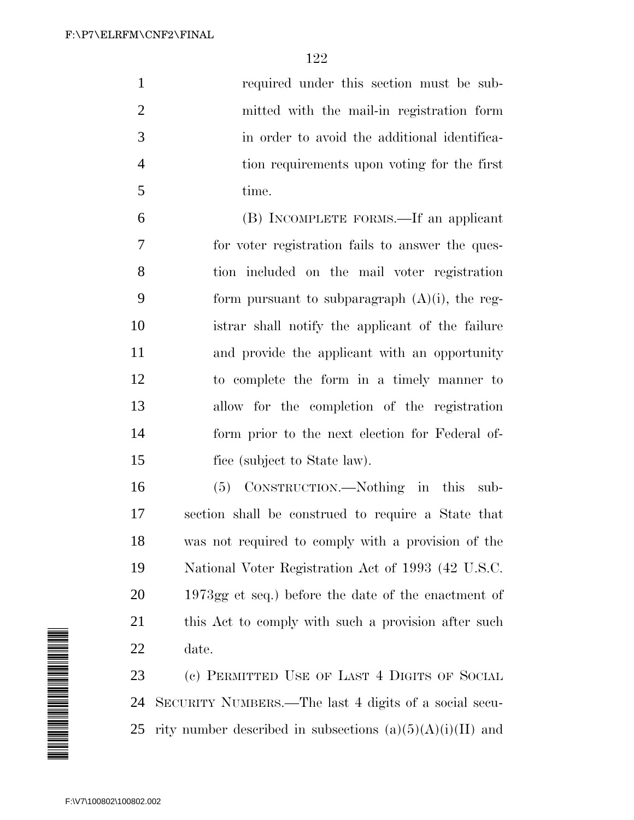required under this section must be sub- mitted with the mail-in registration form in order to avoid the additional identifica- tion requirements upon voting for the first time.

 (B) INCOMPLETE FORMS.—If an applicant for voter registration fails to answer the ques- tion included on the mail voter registration 9 form pursuant to subparagraph  $(A)(i)$ , the reg- istrar shall notify the applicant of the failure and provide the applicant with an opportunity to complete the form in a timely manner to allow for the completion of the registration form prior to the next election for Federal of-fice (subject to State law).

 (5) CONSTRUCTION.—Nothing in this sub- section shall be construed to require a State that was not required to comply with a provision of the National Voter Registration Act of 1993 (42 U.S.C. 1973gg et seq.) before the date of the enactment of 21 this Act to comply with such a provision after such date.

 (c) PERMITTED USE OF LAST 4 DIGITS OF SOCIAL SECURITY NUMBERS.—The last 4 digits of a social secu-25 rity number described in subsections  $(a)(5)(A)(i)(II)$  and

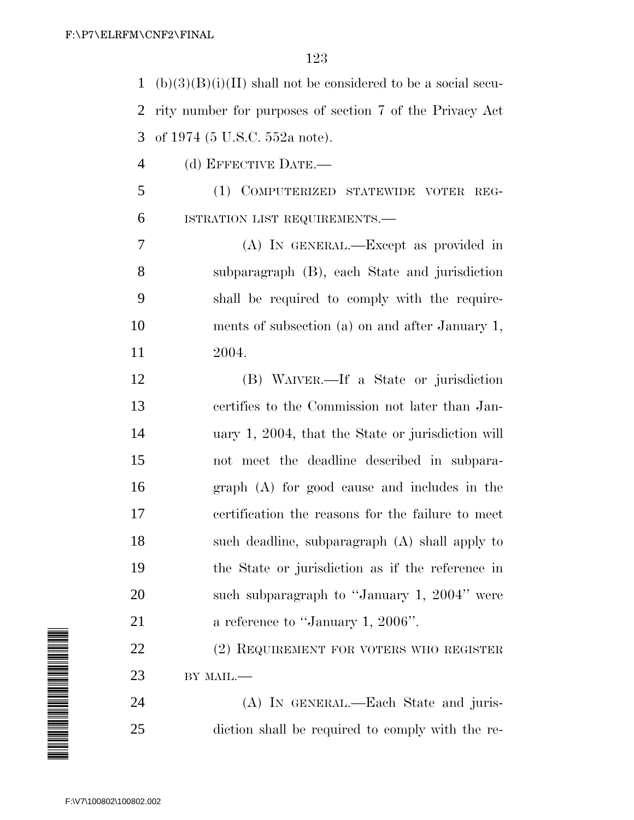| $\mathbf{1}$   | $(b)(3)(B)(i)(II)$ shall not be considered to be a social secu- |
|----------------|-----------------------------------------------------------------|
| $\overline{2}$ | rity number for purposes of section 7 of the Privacy Act        |
| 3              | of 1974 (5 U.S.C. 552a note).                                   |
| 4              | (d) EFFECTIVE DATE.-                                            |
| 5              | (1) COMPUTERIZED STATEWIDE VOTER REG-                           |
| 6              | ISTRATION LIST REQUIREMENTS.-                                   |
| 7              | (A) IN GENERAL.—Except as provided in                           |
| 8              | subparagraph (B), each State and jurisdiction                   |
| 9              | shall be required to comply with the require-                   |
| 10             | ments of subsection (a) on and after January 1,                 |
| 11             | 2004.                                                           |
| 12             | (B) WAIVER.—If a State or jurisdiction                          |
| 13             | certifies to the Commission not later than Jan-                 |
| 14             | uary 1, 2004, that the State or jurisdiction will               |
| 15             | not meet the deadline described in subpara-                     |
| 16             | graph (A) for good cause and includes in the                    |
| 17             | certification the reasons for the failure to meet               |
| 18             | such deadline, subparagraph (A) shall apply to                  |
| 19             | the State or jurisdiction as if the reference in                |
| 20             | such subparagraph to "January 1, 2004" were                     |
| 21             | a reference to "January 1, 2006".                               |
| 22             | (2) REQUIREMENT FOR VOTERS WHO REGISTER                         |
| 23             | BY MAIL.-                                                       |
| 24             | (A) IN GENERAL.—Each State and juris-                           |
| 25             | diction shall be required to comply with the re-                |

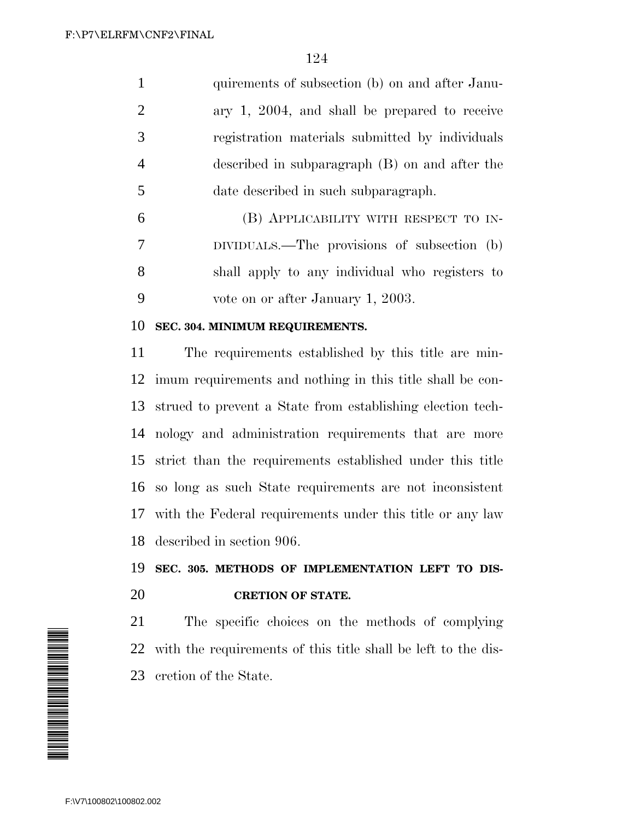1 quirements of subsection (b) on and after Janu- ary 1, 2004, and shall be prepared to receive registration materials submitted by individuals described in subparagraph (B) on and after the date described in such subparagraph. (B) APPLICABILITY WITH RESPECT TO IN-

 DIVIDUALS.—The provisions of subsection (b) shall apply to any individual who registers to vote on or after January 1, 2003.

#### **SEC. 304. MINIMUM REQUIREMENTS.**

 The requirements established by this title are min- imum requirements and nothing in this title shall be con- strued to prevent a State from establishing election tech- nology and administration requirements that are more strict than the requirements established under this title so long as such State requirements are not inconsistent with the Federal requirements under this title or any law described in section 906.

# **SEC. 305. METHODS OF IMPLEMENTATION LEFT TO DIS-CRETION OF STATE.**

 The specific choices on the methods of complying with the requirements of this title shall be left to the dis-cretion of the State.

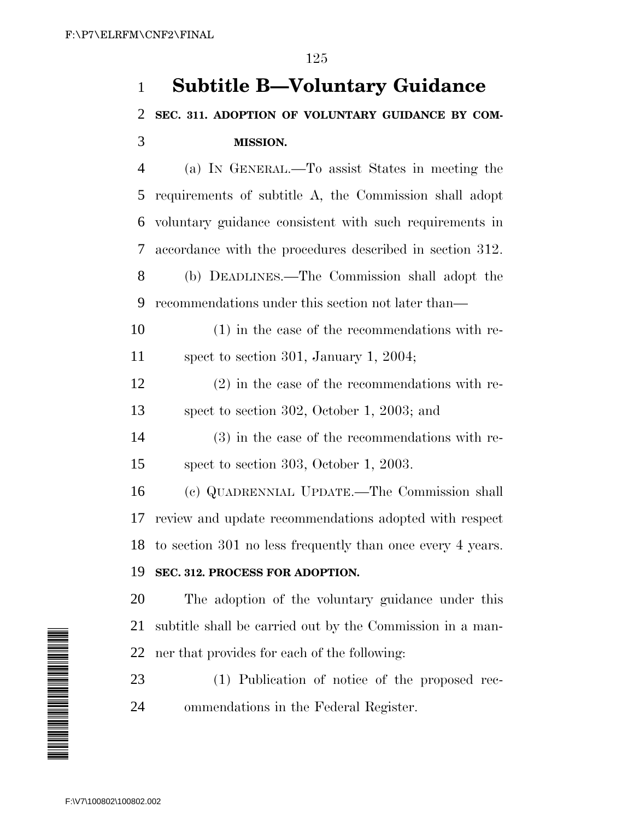# **Subtitle B—Voluntary Guidance SEC. 311. ADOPTION OF VOLUNTARY GUIDANCE BY COM-MISSION.**

 (a) IN GENERAL.—To assist States in meeting the requirements of subtitle A, the Commission shall adopt voluntary guidance consistent with such requirements in accordance with the procedures described in section 312. (b) DEADLINES.—The Commission shall adopt the recommendations under this section not later than—

 (1) in the case of the recommendations with re-spect to section 301, January 1, 2004;

 (2) in the case of the recommendations with re-spect to section 302, October 1, 2003; and

 (3) in the case of the recommendations with re-spect to section 303, October 1, 2003.

 (c) QUADRENNIAL UPDATE.—The Commission shall review and update recommendations adopted with respect to section 301 no less frequently than once every 4 years.

### **SEC. 312. PROCESS FOR ADOPTION.**

 The adoption of the voluntary guidance under this subtitle shall be carried out by the Commission in a man-ner that provides for each of the following:

 (1) Publication of notice of the proposed rec-ommendations in the Federal Register.

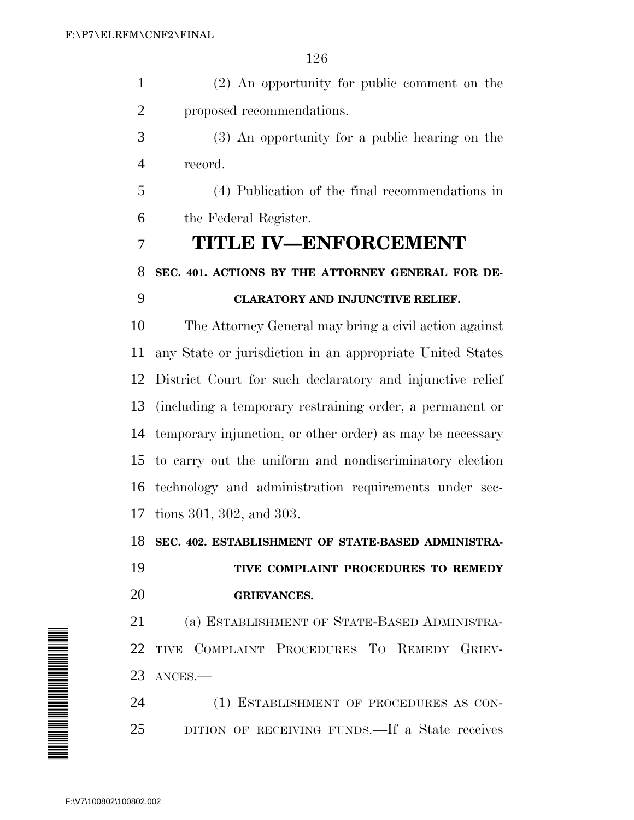(2) An opportunity for public comment on the proposed recommendations.

 (3) An opportunity for a public hearing on the record.

 (4) Publication of the final recommendations in the Federal Register.

# **TITLE IV—ENFORCEMENT**

 **SEC. 401. ACTIONS BY THE ATTORNEY GENERAL FOR DE-CLARATORY AND INJUNCTIVE RELIEF.**

 The Attorney General may bring a civil action against any State or jurisdiction in an appropriate United States District Court for such declaratory and injunctive relief (including a temporary restraining order, a permanent or temporary injunction, or other order) as may be necessary to carry out the uniform and nondiscriminatory election technology and administration requirements under sec-tions 301, 302, and 303.

**SEC. 402. ESTABLISHMENT OF STATE-BASED ADMINISTRA-**

 **TIVE COMPLAINT PROCEDURES TO REMEDY GRIEVANCES.**

 (a) ESTABLISHMENT OF STATE-BASED ADMINISTRA- TIVE COMPLAINT PROCEDURES TO REMEDY GRIEV-ANCES.—

24 (1) ESTABLISHMENT OF PROCEDURES AS CON-DITION OF RECEIVING FUNDS.—If a State receives

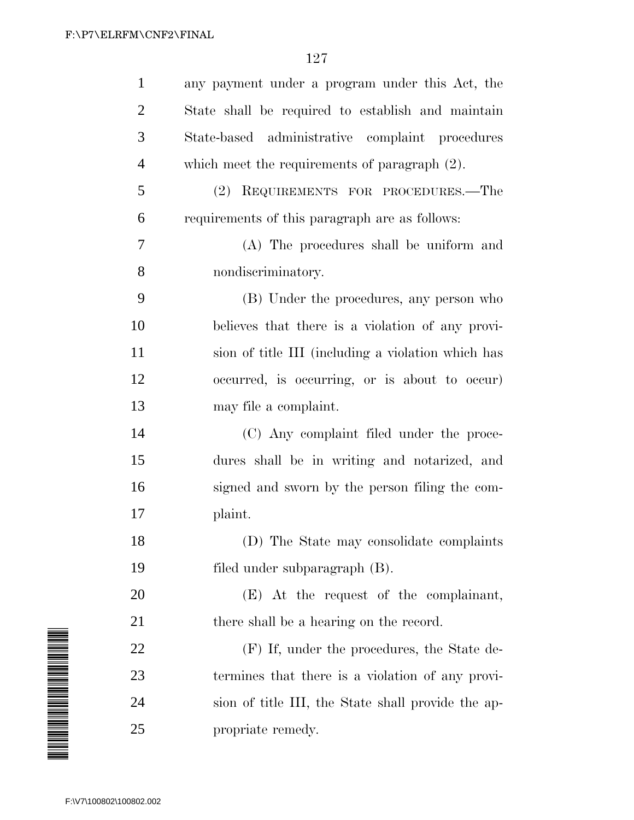|                                                                                                                | $\mathbf{1}$   | any payment under a program under this Act, the    |
|----------------------------------------------------------------------------------------------------------------|----------------|----------------------------------------------------|
|                                                                                                                | $\overline{2}$ | State shall be required to establish and maintain  |
|                                                                                                                | 3              | State-based administrative complaint procedures    |
|                                                                                                                | $\overline{4}$ | which meet the requirements of paragraph $(2)$ .   |
|                                                                                                                | 5              | REQUIREMENTS FOR PROCEDURES.-The<br>(2)            |
|                                                                                                                | 6              | requirements of this paragraph are as follows:     |
|                                                                                                                | 7              | (A) The procedures shall be uniform and            |
|                                                                                                                | 8              | nondiscriminatory.                                 |
|                                                                                                                | 9              | (B) Under the procedures, any person who           |
|                                                                                                                | 10             | believes that there is a violation of any provi-   |
|                                                                                                                | 11             | sion of title III (including a violation which has |
|                                                                                                                | 12             | occurred, is occurring, or is about to occur)      |
|                                                                                                                | 13             | may file a complaint.                              |
|                                                                                                                | 14             | (C) Any complaint filed under the proce-           |
|                                                                                                                | 15             | dures shall be in writing and notarized, and       |
|                                                                                                                | 16             | signed and sworn by the person filing the com-     |
|                                                                                                                | 17             | plaint.                                            |
|                                                                                                                | 18             | (D) The State may consolidate complaints           |
|                                                                                                                | 19             | filed under subparagraph (B).                      |
|                                                                                                                | 20             | (E) At the request of the complainant,             |
|                                                                                                                | 21             | there shall be a hearing on the record.            |
| A MANA A MANA A MANA A MANA A MANA A MANA A MANA A MANA A MANA A MANA A MANA A MANA A MANA A MANA A MANA A MAN | 22             | (F) If, under the procedures, the State de-        |
|                                                                                                                | 23             | termines that there is a violation of any provi-   |
|                                                                                                                | 24             | sion of title III, the State shall provide the ap- |
|                                                                                                                | 25             | propriate remedy.                                  |
|                                                                                                                |                |                                                    |
| F:\V7\100802\100802.002                                                                                        |                |                                                    |

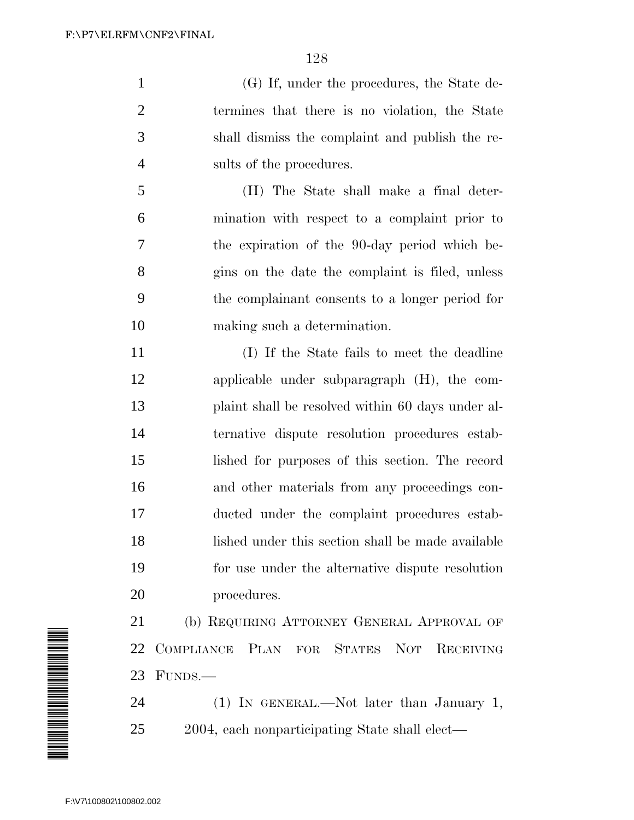(G) If, under the procedures, the State de- termines that there is no violation, the State shall dismiss the complaint and publish the re-sults of the procedures.

 (H) The State shall make a final deter- mination with respect to a complaint prior to the expiration of the 90-day period which be- gins on the date the complaint is filed, unless the complainant consents to a longer period for making such a determination.

 (I) If the State fails to meet the deadline applicable under subparagraph (H), the com- plaint shall be resolved within 60 days under al- ternative dispute resolution procedures estab- lished for purposes of this section. The record and other materials from any proceedings con- ducted under the complaint procedures estab- lished under this section shall be made available for use under the alternative dispute resolution procedures.

 (b) REQUIRING ATTORNEY GENERAL APPROVAL OF COMPLIANCE PLAN FOR STATES NOT RECEIVING FUNDS.—

24 (1) IN GENERAL.—Not later than January 1, 2004, each nonparticipating State shall elect—

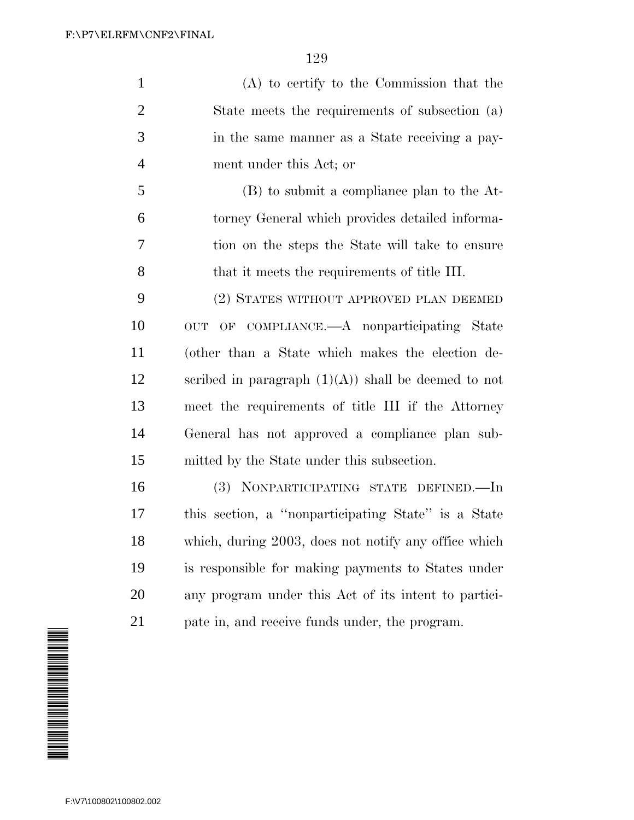(A) to certify to the Commission that the State meets the requirements of subsection (a) in the same manner as a State receiving a pay-ment under this Act; or

 (B) to submit a compliance plan to the At- torney General which provides detailed informa- tion on the steps the State will take to ensure that it meets the requirements of title III.

 (2) STATES WITHOUT APPROVED PLAN DEEMED OUT OF COMPLIANCE.—A nonparticipating State (other than a State which makes the election de-12 scribed in paragraph  $(1)(A)$  shall be deemed to not meet the requirements of title III if the Attorney General has not approved a compliance plan sub-mitted by the State under this subsection.

 (3) NONPARTICIPATING STATE DEFINED.—In this section, a ''nonparticipating State'' is a State which, during 2003, does not notify any office which is responsible for making payments to States under any program under this Act of its intent to partici-pate in, and receive funds under, the program.

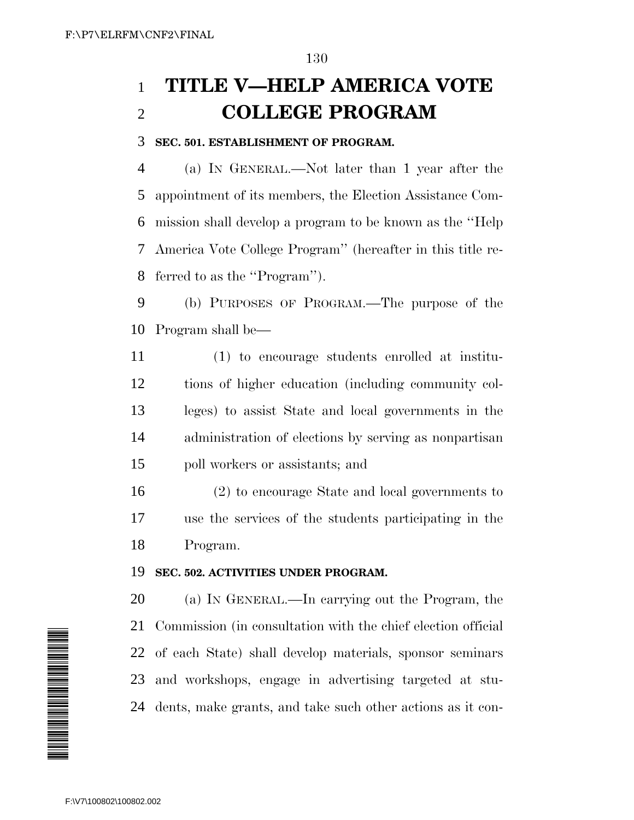# **TITLE V—HELP AMERICA VOTE COLLEGE PROGRAM**

#### **SEC. 501. ESTABLISHMENT OF PROGRAM.**

 (a) IN GENERAL.—Not later than 1 year after the appointment of its members, the Election Assistance Com- mission shall develop a program to be known as the ''Help America Vote College Program'' (hereafter in this title re-ferred to as the ''Program'').

 (b) PURPOSES OF PROGRAM.—The purpose of the Program shall be—

 (1) to encourage students enrolled at institu- tions of higher education (including community col- leges) to assist State and local governments in the administration of elections by serving as nonpartisan poll workers or assistants; and

 (2) to encourage State and local governments to use the services of the students participating in the Program.

#### **SEC. 502. ACTIVITIES UNDER PROGRAM.**

 (a) IN GENERAL.—In carrying out the Program, the Commission (in consultation with the chief election official of each State) shall develop materials, sponsor seminars and workshops, engage in advertising targeted at stu-dents, make grants, and take such other actions as it con-

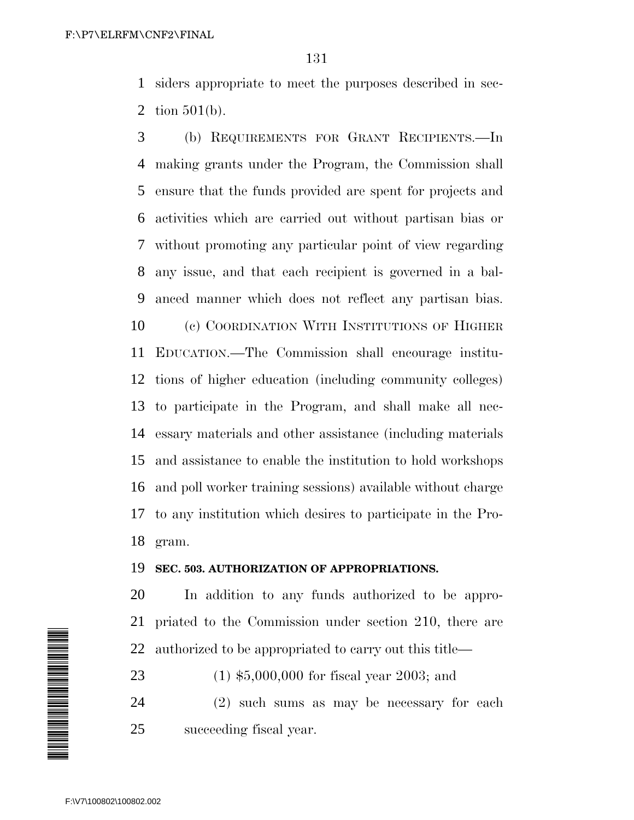siders appropriate to meet the purposes described in sec-tion 501(b).

 (b) REQUIREMENTS FOR GRANT RECIPIENTS.—In making grants under the Program, the Commission shall ensure that the funds provided are spent for projects and activities which are carried out without partisan bias or without promoting any particular point of view regarding any issue, and that each recipient is governed in a bal- anced manner which does not reflect any partisan bias. (c) COORDINATION WITH INSTITUTIONS OF HIGHER EDUCATION.—The Commission shall encourage institu- tions of higher education (including community colleges) to participate in the Program, and shall make all nec- essary materials and other assistance (including materials and assistance to enable the institution to hold workshops and poll worker training sessions) available without charge to any institution which desires to participate in the Pro-gram.

#### **SEC. 503. AUTHORIZATION OF APPROPRIATIONS.**

 In addition to any funds authorized to be appro- priated to the Commission under section 210, there are authorized to be appropriated to carry out this title—

(1) \$5,000,000 for fiscal year 2003; and

 (2) such sums as may be necessary for each succeeding fiscal year.

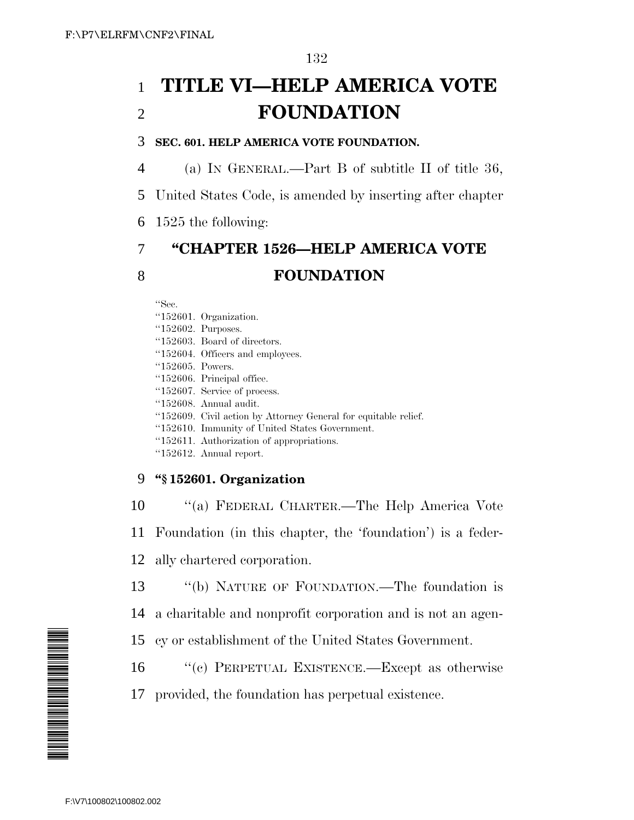# 1 **TITLE VI—HELP AMERICA VOTE** 2 **FOUNDATION**

#### 3 **SEC. 601. HELP AMERICA VOTE FOUNDATION.**

- 4 (a) IN GENERAL.—Part B of subtitle II of title 36,
- 5 United States Code, is amended by inserting after chapter
- 6 1525 the following:

# 7 **''CHAPTER 1526—HELP AMERICA VOTE** 8 **FOUNDATION**

''Sec.

- ''152601. Organization.
- ''152602. Purposes.
- ''152603. Board of directors.
- ''152604. Officers and employees.
- ''152605. Powers.
- ''152606. Principal office.
- ''152607. Service of process.
- ''152608. Annual audit.
- ''152609. Civil action by Attorney General for equitable relief.
- ''152610. Immunity of United States Government.
- ''152611. Authorization of appropriations.
- ''152612. Annual report.

## 9 **''§ 152601. Organization**

- 10 ''(a) FEDERAL CHARTER.—The Help America Vote 11 Foundation (in this chapter, the 'foundation') is a feder-
- 12 ally chartered corporation.
- 13 ''(b) NATURE OF FOUNDATION.—The foundation is
- 14 a charitable and nonprofit corporation and is not an agen-
- 15 cy or establishment of the United States Government.
- 16 ''(c) PERPETUAL EXISTENCE.—Except as otherwise
- 17 provided, the foundation has perpetual existence.

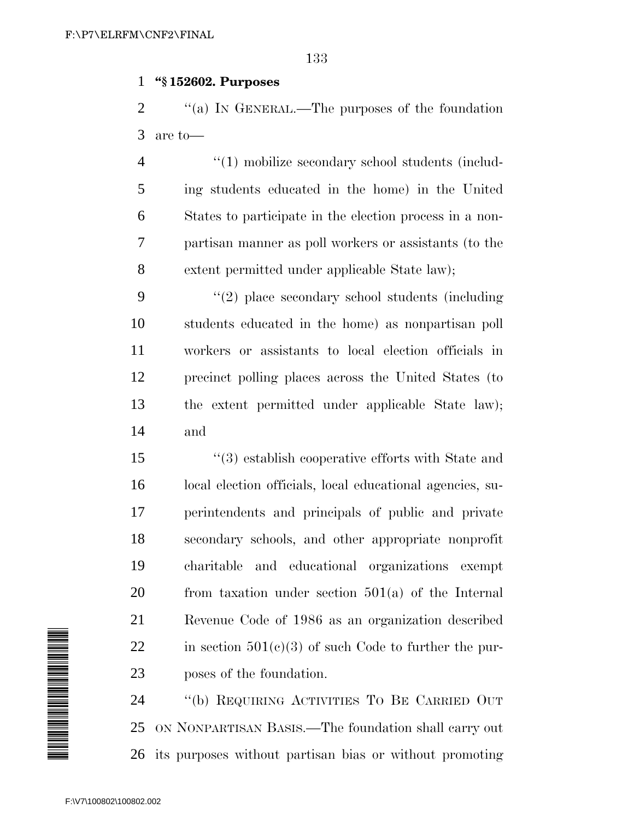#### **''§ 152602. Purposes**

2  $\gamma$  (a) In GENERAL.—The purposes of the foundation are to—

 $\frac{4}{1}$  mobilize secondary school students (includ- ing students educated in the home) in the United States to participate in the election process in a non- partisan manner as poll workers or assistants (to the extent permitted under applicable State law);

 ''(2) place secondary school students (including students educated in the home) as nonpartisan poll workers or assistants to local election officials in precinct polling places across the United States (to the extent permitted under applicable State law); and

 ''(3) establish cooperative efforts with State and local election officials, local educational agencies, su- perintendents and principals of public and private secondary schools, and other appropriate nonprofit charitable and educational organizations exempt from taxation under section 501(a) of the Internal Revenue Code of 1986 as an organization described 22 in section  $501(e)(3)$  of such Code to further the pur-poses of the foundation.

 ''(b) REQUIRING ACTIVITIES TO BE CARRIED OUT ON NONPARTISAN BASIS.—The foundation shall carry out its purposes without partisan bias or without promoting

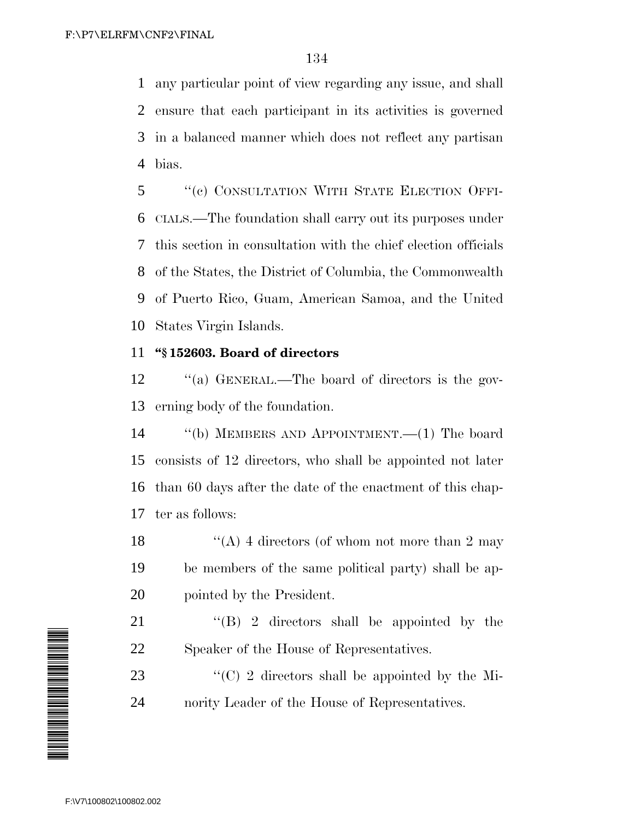any particular point of view regarding any issue, and shall ensure that each participant in its activities is governed in a balanced manner which does not reflect any partisan bias.

 ''(c) CONSULTATION WITH STATE ELECTION OFFI- CIALS.—The foundation shall carry out its purposes under this section in consultation with the chief election officials of the States, the District of Columbia, the Commonwealth of Puerto Rico, Guam, American Samoa, and the United States Virgin Islands.

### **''§ 152603. Board of directors**

12 "(a) GENERAL.—The board of directors is the gov-erning body of the foundation.

 ''(b) MEMBERS AND APPOINTMENT.—(1) The board consists of 12 directors, who shall be appointed not later than 60 days after the date of the enactment of this chap-ter as follows:

18  $\langle (A) 4$  directors (of whom not more than 2 may be members of the same political party) shall be ap-pointed by the President.

21 ''(B) 2 directors shall be appointed by the Speaker of the House of Representatives.

23  $\langle ^{\prime}(C) \rangle$  2 directors shall be appointed by the Mi-nority Leader of the House of Representatives.

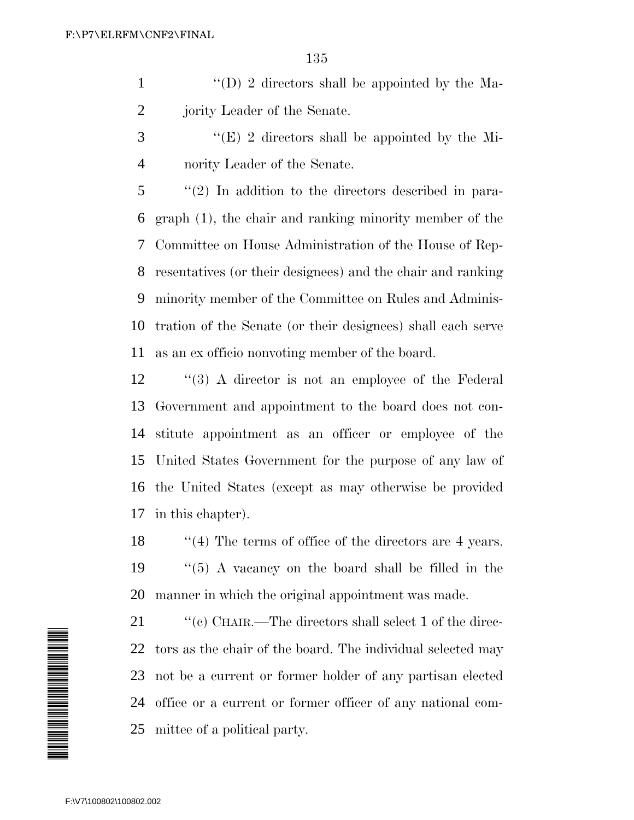- 1  $\langle (D) \rangle$  2 directors shall be appointed by the Ma-jority Leader of the Senate.
- ''(E) 2 directors shall be appointed by the Mi-nority Leader of the Senate.

 ''(2) In addition to the directors described in para- graph (1), the chair and ranking minority member of the Committee on House Administration of the House of Rep- resentatives (or their designees) and the chair and ranking minority member of the Committee on Rules and Adminis- tration of the Senate (or their designees) shall each serve as an ex officio nonvoting member of the board.

 ''(3) A director is not an employee of the Federal Government and appointment to the board does not con- stitute appointment as an officer or employee of the United States Government for the purpose of any law of the United States (except as may otherwise be provided in this chapter).

18 ''(4) The terms of office of the directors are 4 years. ''(5) A vacancy on the board shall be filled in the manner in which the original appointment was made.

 $\cdot$  "(c) CHAIR.—The directors shall select 1 of the direc- tors as the chair of the board. The individual selected may not be a current or former holder of any partisan elected office or a current or former officer of any national com-mittee of a political party.

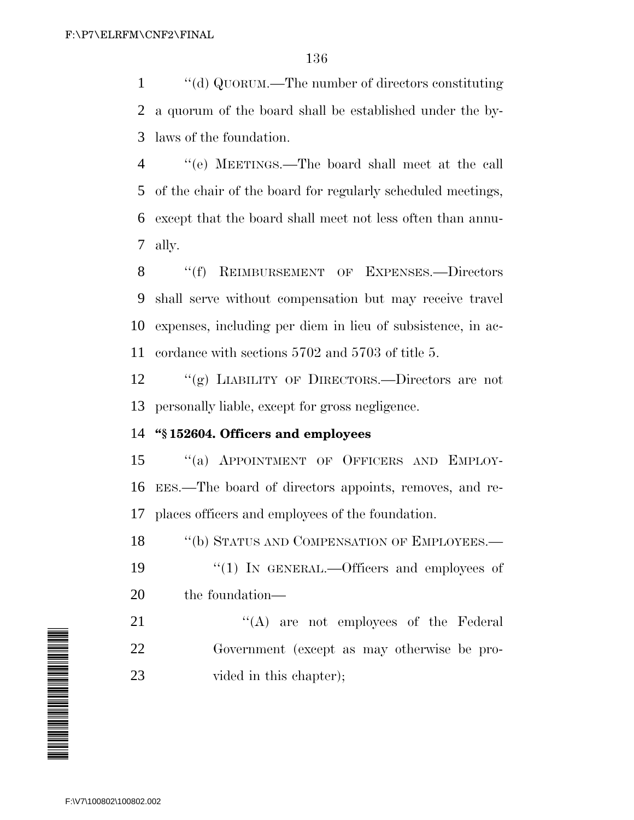''(d) QUORUM.—The number of directors constituting a quorum of the board shall be established under the by-laws of the foundation.

 ''(e) MEETINGS.—The board shall meet at the call of the chair of the board for regularly scheduled meetings, except that the board shall meet not less often than annu-ally.

8 "(f) REIMBURSEMENT OF EXPENSES.—Directors shall serve without compensation but may receive travel expenses, including per diem in lieu of subsistence, in ac-cordance with sections 5702 and 5703 of title 5.

 ''(g) LIABILITY OF DIRECTORS.—Directors are not personally liable, except for gross negligence.

### **''§ 152604. Officers and employees**

15 "(a) APPOINTMENT OF OFFICERS AND EMPLOY- EES.—The board of directors appoints, removes, and re-places officers and employees of the foundation.

18 "(b) STATUS AND COMPENSATION OF EMPLOYEES.—

19 "(1) IN GENERAL.—Officers and employees of the foundation—

21 ''(A) are not employees of the Federal Government (except as may otherwise be pro-23 vided in this chapter);

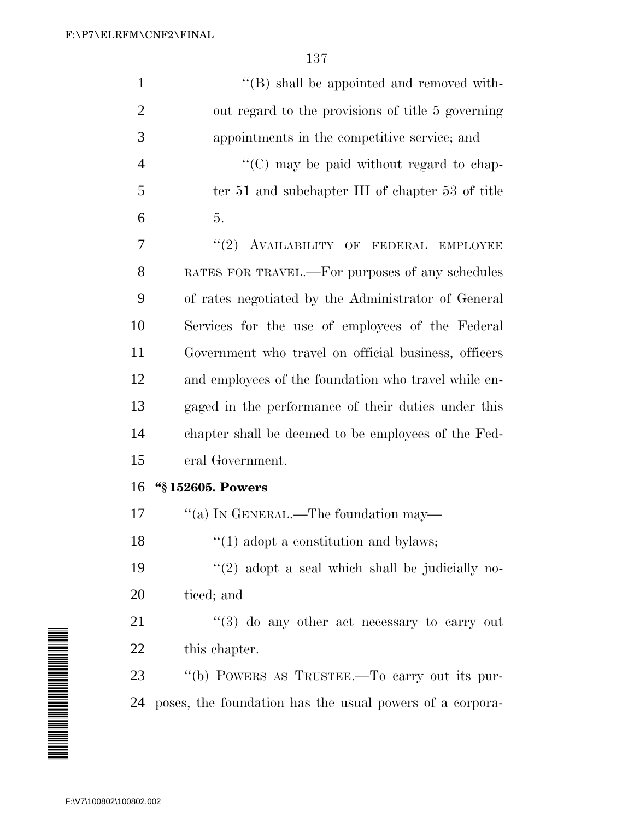| $\mathbf{1}$   | "(B) shall be appointed and removed with-                |
|----------------|----------------------------------------------------------|
| $\overline{2}$ | out regard to the provisions of title 5 governing        |
| 3              | appointments in the competitive service; and             |
| $\overline{4}$ | " $(C)$ may be paid without regard to chap-              |
| 5              | ter 51 and subchapter III of chapter 53 of title         |
| 6              | 5.                                                       |
| 7              | "(2) AVAILABILITY OF FEDERAL EMPLOYEE                    |
| 8              | RATES FOR TRAVEL.-For purposes of any schedules          |
| 9              | of rates negotiated by the Administrator of General      |
| 10             | Services for the use of employees of the Federal         |
| 11             | Government who travel on official business, officers     |
| 12             | and employees of the foundation who travel while en-     |
| 13             | gaged in the performance of their duties under this      |
| 14             | chapter shall be deemed to be employees of the Fed-      |
| 15             | eral Government.                                         |
| 16             | "§152605. Powers                                         |
| 17             | "(a) IN GENERAL.—The foundation may—                     |
| 18             | $\cdot\cdot(1)$ adopt a constitution and bylaws;         |
| 19             | $\lq(2)$ adopt a seal which shall be judicially no-      |
| 20             | ticed; and                                               |
| 21             | $\cdot$ (3) do any other act necessary to carry out      |
| 22             | this chapter.                                            |
| 23             | "(b) POWERS AS TRUSTEE.—To carry out its pur-            |
| 24             | poses, the foundation has the usual powers of a corpora- |

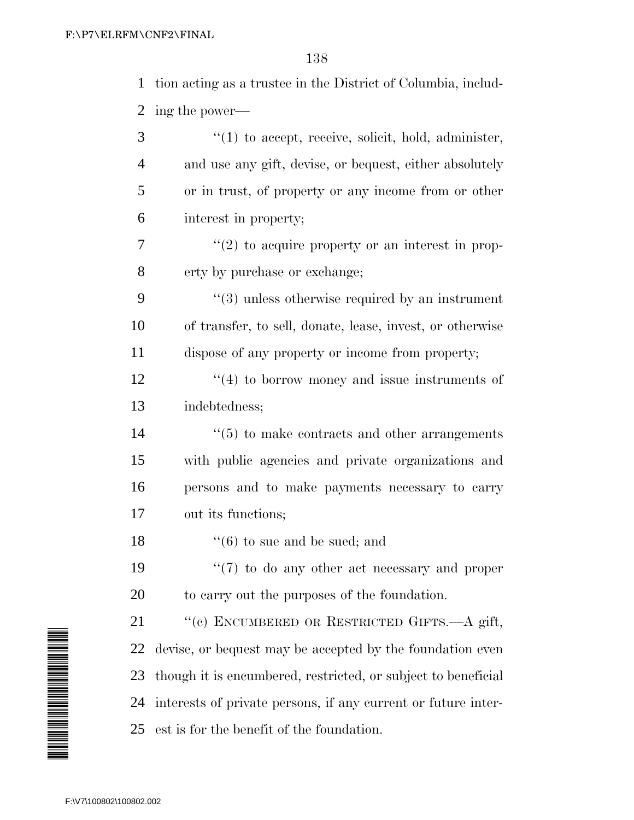tion acting as a trustee in the District of Columbia, includ-ing the power—

| 3              | $\lq(1)$ to accept, receive, solicit, hold, administer,       |
|----------------|---------------------------------------------------------------|
| $\overline{4}$ | and use any gift, devise, or bequest, either absolutely       |
| 5              | or in trust, of property or any income from or other          |
| 6              | interest in property;                                         |
| 7              | $\lq(2)$ to acquire property or an interest in prop-          |
| 8              | erty by purchase or exchange;                                 |
| 9              | $\cdot\cdot$ (3) unless otherwise required by an instrument   |
| 10             | of transfer, to sell, donate, lease, invest, or otherwise     |
| 11             | dispose of any property or income from property;              |
| 12             | $\cdot$ (4) to borrow money and issue instruments of          |
| 13             | indebtedness;                                                 |
| 14             | $\lq\lq(5)$ to make contracts and other arrangements          |
| 15             | with public agencies and private organizations and            |
| 16             | persons and to make payments necessary to carry               |
| $17\,$         | out its functions;                                            |
| 18             | $\lq\lq(6)$ to sue and be sued; and                           |
| 19             | $\lq(7)$ to do any other act necessary and proper             |
| 20             | to carry out the purposes of the foundation.                  |
| 21             | "(c) ENCUMBERED OR RESTRICTED GIFTS.-A gift,                  |
| 22             | devise, or bequest may be accepted by the foundation even     |
| 23             | though it is encumbered, restricted, or subject to beneficial |
| 24             | interests of private persons, if any current or future inter- |
| 25             | est is for the benefit of the foundation.                     |

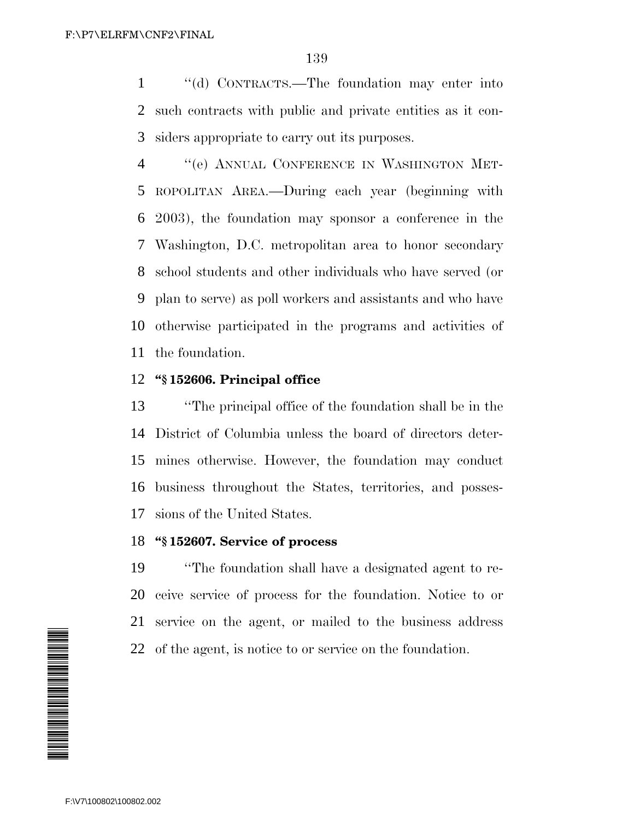''(d) CONTRACTS.—The foundation may enter into such contracts with public and private entities as it con-siders appropriate to carry out its purposes.

 ''(e) ANNUAL CONFERENCE IN WASHINGTON MET- ROPOLITAN AREA.—During each year (beginning with 2003), the foundation may sponsor a conference in the Washington, D.C. metropolitan area to honor secondary school students and other individuals who have served (or plan to serve) as poll workers and assistants and who have otherwise participated in the programs and activities of the foundation.

### **''§ 152606. Principal office**

 ''The principal office of the foundation shall be in the District of Columbia unless the board of directors deter- mines otherwise. However, the foundation may conduct business throughout the States, territories, and posses-sions of the United States.

### **''§ 152607. Service of process**

 ''The foundation shall have a designated agent to re- ceive service of process for the foundation. Notice to or service on the agent, or mailed to the business address of the agent, is notice to or service on the foundation.

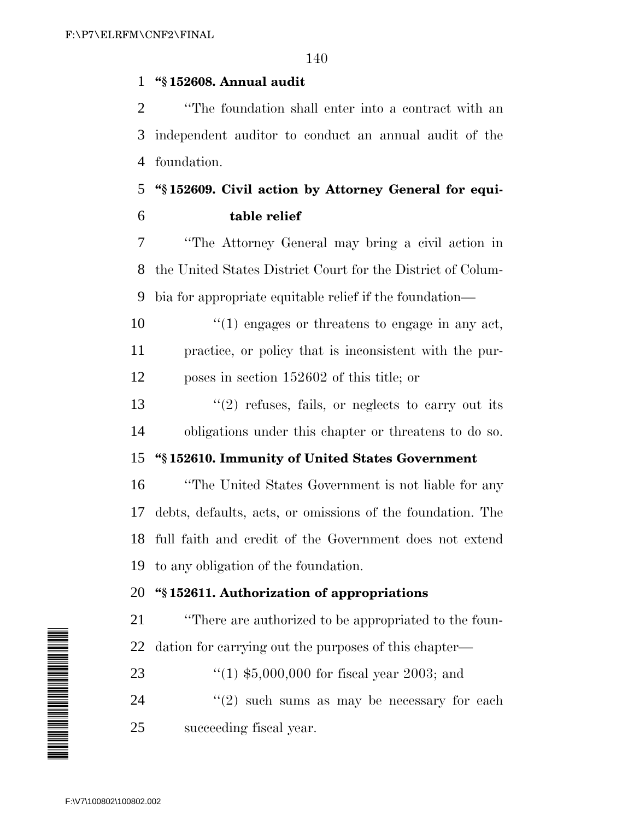### **''§ 152608. Annual audit**

 ''The foundation shall enter into a contract with an independent auditor to conduct an annual audit of the foundation.

# **''§ 152609. Civil action by Attorney General for equi-table relief**

 ''The Attorney General may bring a civil action in the United States District Court for the District of Colum-bia for appropriate equitable relief if the foundation—

10  $\frac{10}{10}$  engages or threatens to engage in any act, practice, or policy that is inconsistent with the pur-poses in section 152602 of this title; or

13  $\frac{1}{2}$  refuses, fails, or neglects to carry out its obligations under this chapter or threatens to do so.

### **''§ 152610. Immunity of United States Government**

 ''The United States Government is not liable for any debts, defaults, acts, or omissions of the foundation. The full faith and credit of the Government does not extend to any obligation of the foundation.

## **''§ 152611. Authorization of appropriations**

 ''There are authorized to be appropriated to the foun-dation for carrying out the purposes of this chapter—

''(1) \$5,000,000 for fiscal year 2003; and

24  $(2)$  such sums as may be necessary for each succeeding fiscal year.

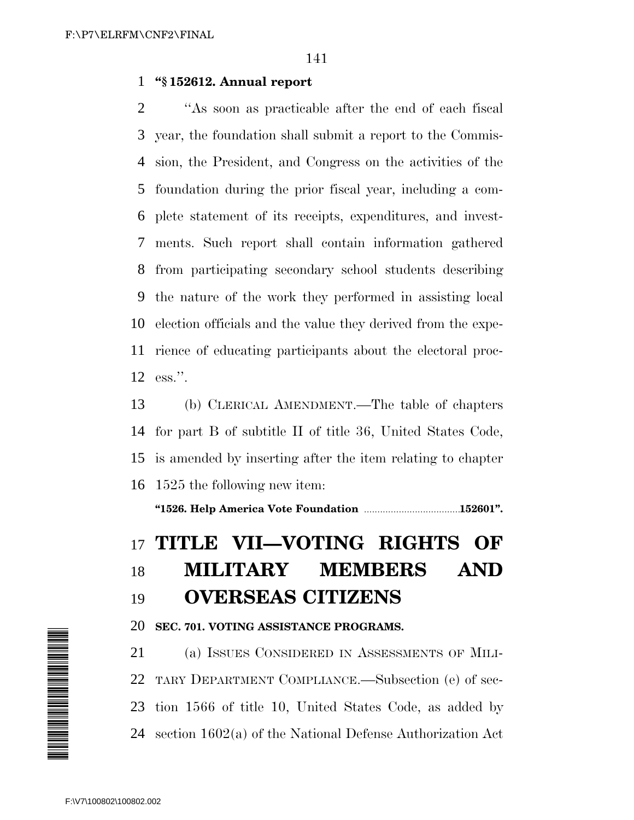#### **''§ 152612. Annual report**

 ''As soon as practicable after the end of each fiscal year, the foundation shall submit a report to the Commis- sion, the President, and Congress on the activities of the foundation during the prior fiscal year, including a com- plete statement of its receipts, expenditures, and invest- ments. Such report shall contain information gathered from participating secondary school students describing the nature of the work they performed in assisting local election officials and the value they derived from the expe- rience of educating participants about the electoral proc-ess.''.

 (b) CLERICAL AMENDMENT.—The table of chapters for part B of subtitle II of title 36, United States Code, is amended by inserting after the item relating to chapter 1525 the following new item:

**''1526. Help America Vote Foundation** ......................................**152601''.**

# **TITLE VII—VOTING RIGHTS OF**

# **MILITARY MEMBERS AND OVERSEAS CITIZENS**

#### **SEC. 701. VOTING ASSISTANCE PROGRAMS.**

 (a) ISSUES CONSIDERED IN ASSESSMENTS OF MILI- TARY DEPARTMENT COMPLIANCE.—Subsection (e) of sec- tion 1566 of title 10, United States Code, as added by section 1602(a) of the National Defense Authorization Act

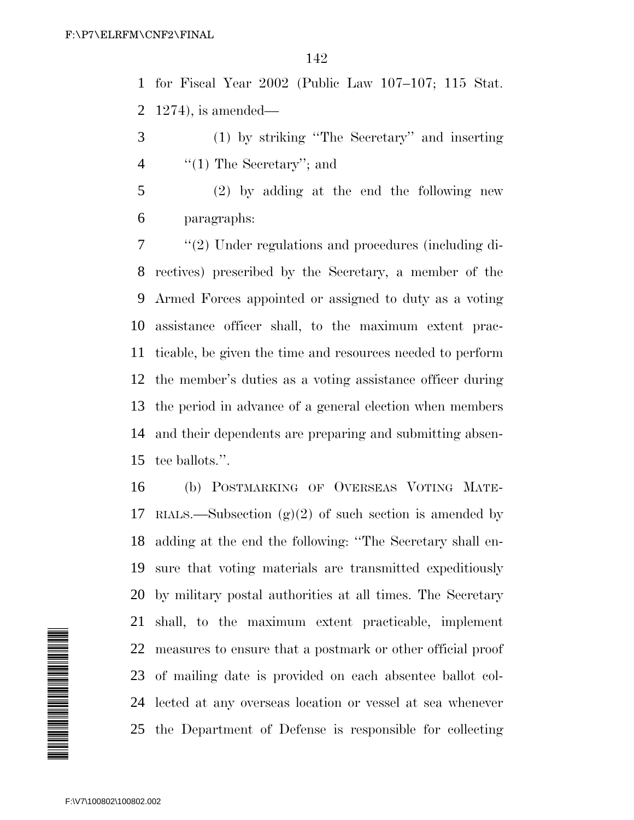for Fiscal Year 2002 (Public Law 107–107; 115 Stat. 1274), is amended—

- (1) by striking ''The Secretary'' and inserting 4 ''(1) The Secretary''; and
- (2) by adding at the end the following new paragraphs:

 ''(2) Under regulations and procedures (including di- rectives) prescribed by the Secretary, a member of the Armed Forces appointed or assigned to duty as a voting assistance officer shall, to the maximum extent prac- ticable, be given the time and resources needed to perform the member's duties as a voting assistance officer during the period in advance of a general election when members and their dependents are preparing and submitting absen-tee ballots.''.

 (b) POSTMARKING OF OVERSEAS VOTING MATE-17 RIALS.—Subsection  $(g)(2)$  of such section is amended by adding at the end the following: ''The Secretary shall en- sure that voting materials are transmitted expeditiously by military postal authorities at all times. The Secretary shall, to the maximum extent practicable, implement measures to ensure that a postmark or other official proof of mailing date is provided on each absentee ballot col- lected at any overseas location or vessel at sea whenever the Department of Defense is responsible for collecting

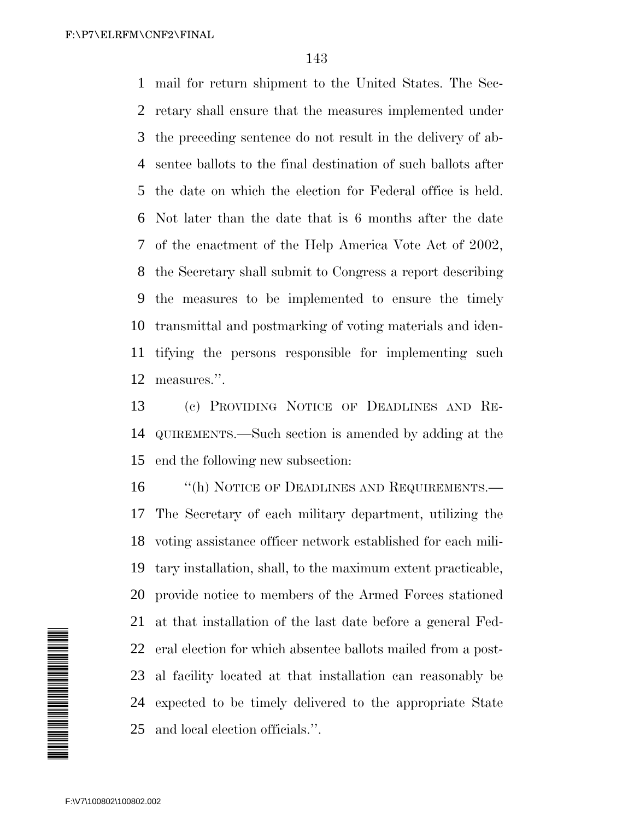mail for return shipment to the United States. The Sec- retary shall ensure that the measures implemented under the preceding sentence do not result in the delivery of ab- sentee ballots to the final destination of such ballots after the date on which the election for Federal office is held. Not later than the date that is 6 months after the date of the enactment of the Help America Vote Act of 2002, the Secretary shall submit to Congress a report describing the measures to be implemented to ensure the timely transmittal and postmarking of voting materials and iden- tifying the persons responsible for implementing such measures.''.

 (c) PROVIDING NOTICE OF DEADLINES AND RE- QUIREMENTS.—Such section is amended by adding at the end the following new subsection:

16 "(h) NOTICE OF DEADLINES AND REQUIREMENTS.— The Secretary of each military department, utilizing the voting assistance officer network established for each mili- tary installation, shall, to the maximum extent practicable, provide notice to members of the Armed Forces stationed at that installation of the last date before a general Fed- eral election for which absentee ballots mailed from a post- al facility located at that installation can reasonably be expected to be timely delivered to the appropriate State and local election officials.''.

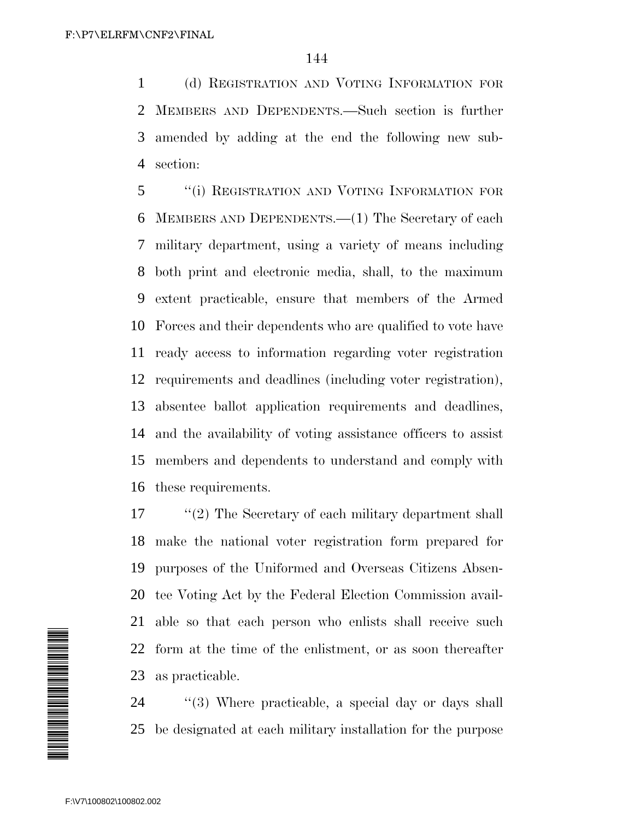(d) REGISTRATION AND VOTING INFORMATION FOR MEMBERS AND DEPENDENTS.—Such section is further amended by adding at the end the following new sub-section:

 ''(i) REGISTRATION AND VOTING INFORMATION FOR MEMBERS AND DEPENDENTS.—(1) The Secretary of each military department, using a variety of means including both print and electronic media, shall, to the maximum extent practicable, ensure that members of the Armed Forces and their dependents who are qualified to vote have ready access to information regarding voter registration requirements and deadlines (including voter registration), absentee ballot application requirements and deadlines, and the availability of voting assistance officers to assist members and dependents to understand and comply with these requirements.

17 ''(2) The Secretary of each military department shall make the national voter registration form prepared for purposes of the Uniformed and Overseas Citizens Absen- tee Voting Act by the Federal Election Commission avail- able so that each person who enlists shall receive such form at the time of the enlistment, or as soon thereafter as practicable.

24 ''(3) Where practicable, a special day or days shall be designated at each military installation for the purpose

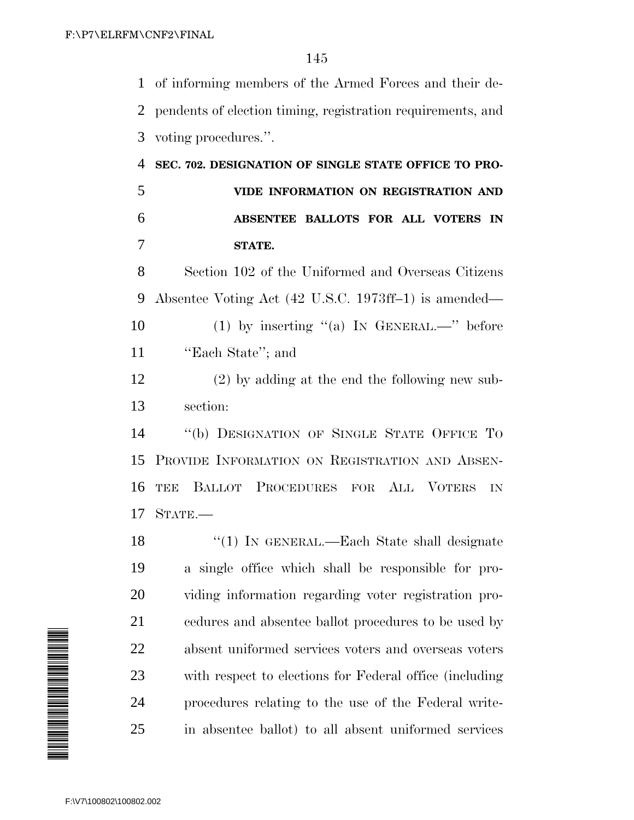of informing members of the Armed Forces and their de- pendents of election timing, registration requirements, and voting procedures.''.

 **SEC. 702. DESIGNATION OF SINGLE STATE OFFICE TO PRO- VIDE INFORMATION ON REGISTRATION AND ABSENTEE BALLOTS FOR ALL VOTERS IN STATE.**

 Section 102 of the Uniformed and Overseas Citizens Absentee Voting Act (42 U.S.C. 1973ff–1) is amended— 10 (1) by inserting "(a) IN GENERAL.—" before **''Each State''**; and

 (2) by adding at the end the following new sub-section:

 ''(b) DESIGNATION OF SINGLE STATE OFFICE TO PROVIDE INFORMATION ON REGISTRATION AND ABSEN- TEE BALLOT PROCEDURES FOR ALL VOTERS IN STATE.—

18 "(1) IN GENERAL.—Each State shall designate a single office which shall be responsible for pro- viding information regarding voter registration pro- cedures and absentee ballot procedures to be used by absent uniformed services voters and overseas voters with respect to elections for Federal office (including procedures relating to the use of the Federal write-in absentee ballot) to all absent uniformed services

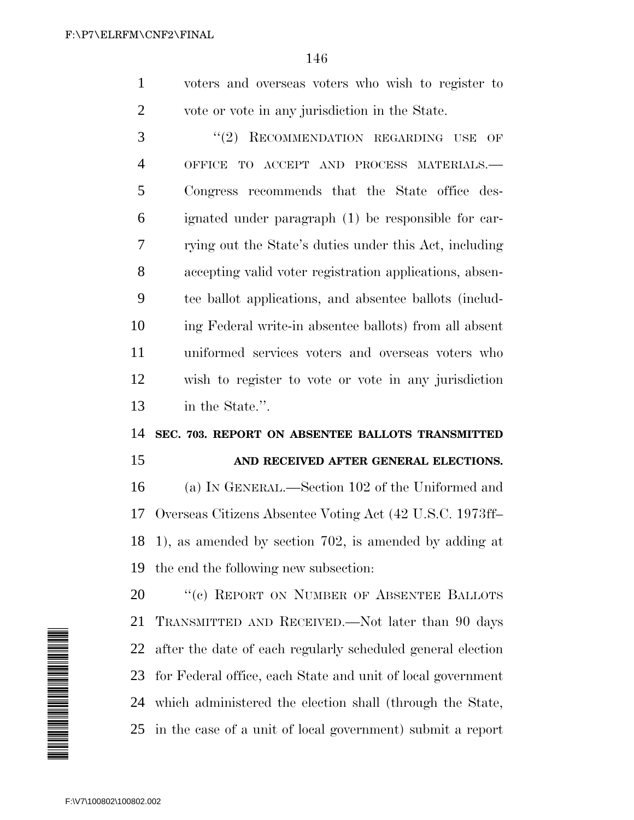| voters and overseas voters who wish to register to |
|----------------------------------------------------|
| vote or vote in any jurisdiction in the State.     |

3 "(2) RECOMMENDATION REGARDING USE OF OFFICE TO ACCEPT AND PROCESS MATERIALS.— Congress recommends that the State office des- ignated under paragraph (1) be responsible for car- rying out the State's duties under this Act, including accepting valid voter registration applications, absen- tee ballot applications, and absentee ballots (includ- ing Federal write-in absentee ballots) from all absent uniformed services voters and overseas voters who wish to register to vote or vote in any jurisdiction in the State.''.

#### **SEC. 703. REPORT ON ABSENTEE BALLOTS TRANSMITTED**

#### **AND RECEIVED AFTER GENERAL ELECTIONS.**

 (a) IN GENERAL.—Section 102 of the Uniformed and Overseas Citizens Absentee Voting Act (42 U.S.C. 1973ff– 1), as amended by section 702, is amended by adding at the end the following new subsection:

20 "(c) REPORT ON NUMBER OF ABSENTEE BALLOTS TRANSMITTED AND RECEIVED.—Not later than 90 days after the date of each regularly scheduled general election for Federal office, each State and unit of local government which administered the election shall (through the State, in the case of a unit of local government) submit a report

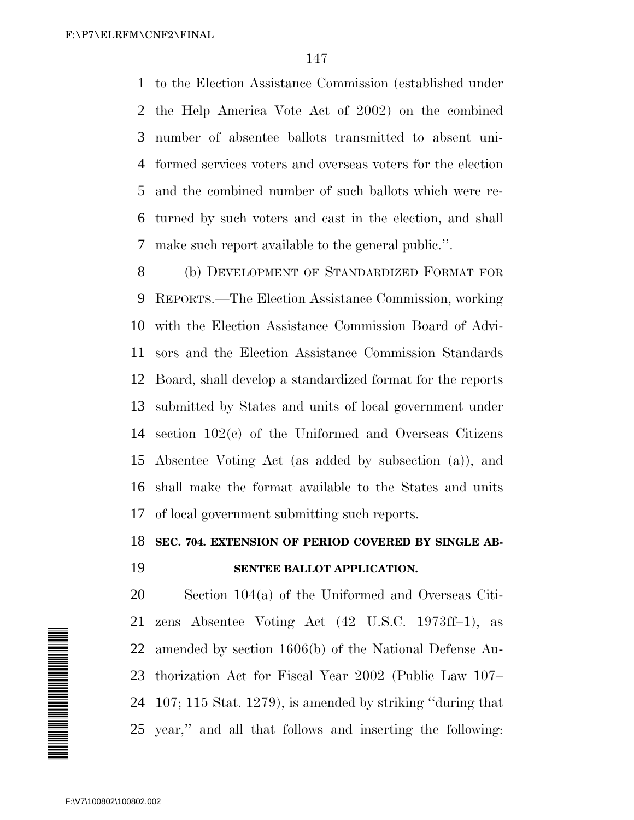to the Election Assistance Commission (established under the Help America Vote Act of 2002) on the combined number of absentee ballots transmitted to absent uni- formed services voters and overseas voters for the election and the combined number of such ballots which were re- turned by such voters and cast in the election, and shall make such report available to the general public.''.

8 (b) DEVELOPMENT OF STANDARDIZED FORMAT FOR REPORTS.—The Election Assistance Commission, working with the Election Assistance Commission Board of Advi- sors and the Election Assistance Commission Standards Board, shall develop a standardized format for the reports submitted by States and units of local government under section 102(c) of the Uniformed and Overseas Citizens Absentee Voting Act (as added by subsection (a)), and shall make the format available to the States and units of local government submitting such reports.

#### **SEC. 704. EXTENSION OF PERIOD COVERED BY SINGLE AB-**

#### **SENTEE BALLOT APPLICATION.**



 Section 104(a) of the Uniformed and Overseas Citi- zens Absentee Voting Act (42 U.S.C. 1973ff–1), as amended by section 1606(b) of the National Defense Au- thorization Act for Fiscal Year 2002 (Public Law 107– 107; 115 Stat. 1279), is amended by striking ''during that year,'' and all that follows and inserting the following: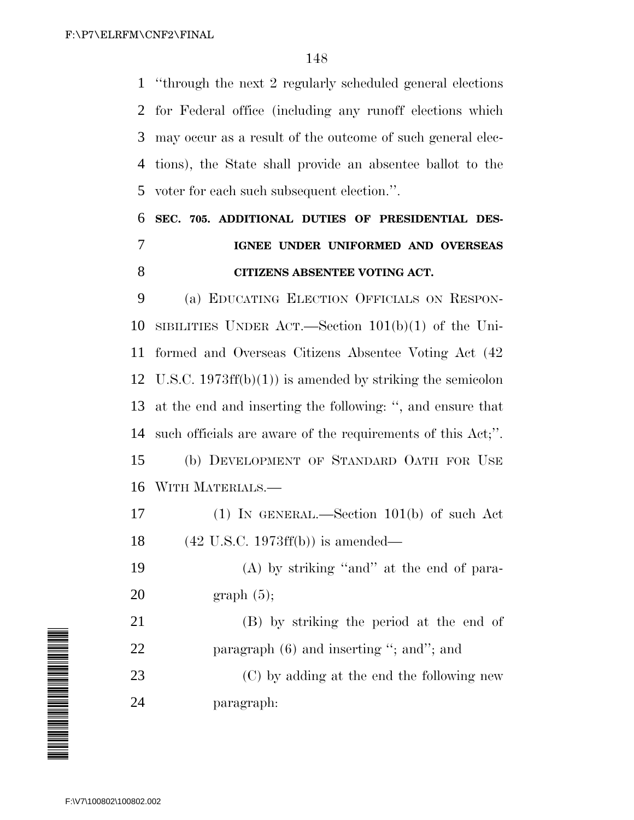''through the next 2 regularly scheduled general elections for Federal office (including any runoff elections which may occur as a result of the outcome of such general elec- tions), the State shall provide an absentee ballot to the voter for each such subsequent election.''.

## **SEC. 705. ADDITIONAL DUTIES OF PRESIDENTIAL DES- IGNEE UNDER UNIFORMED AND OVERSEAS CITIZENS ABSENTEE VOTING ACT.**

 (a) EDUCATING ELECTION OFFICIALS ON RESPON- SIBILITIES UNDER ACT.—Section 101(b)(1) of the Uni- formed and Overseas Citizens Absentee Voting Act (42 U.S.C. 1973ff(b)(1)) is amended by striking the semicolon at the end and inserting the following: '', and ensure that such officials are aware of the requirements of this Act;''. (b) DEVELOPMENT OF STANDARD OATH FOR USE WITH MATERIALS.—

 (1) IN GENERAL.—Section 101(b) of such Act (42 U.S.C. 1973ff(b)) is amended—

 (A) by striking ''and'' at the end of para-graph (5);

 (B) by striking the period at the end of 22 paragraph (6) and inserting "; and"; and

 (C) by adding at the end the following new paragraph:

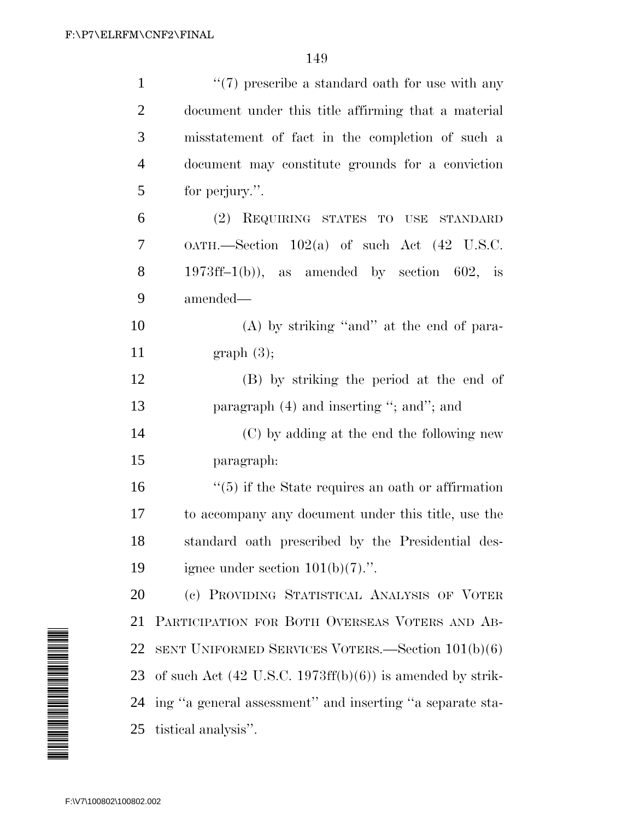| $\mathbf{1}$   | $\lq(7)$ prescribe a standard oath for use with any                         |
|----------------|-----------------------------------------------------------------------------|
| $\mathfrak{2}$ | document under this title affirming that a material                         |
| $\mathfrak{Z}$ | misstatement of fact in the completion of such a                            |
| $\overline{4}$ | document may constitute grounds for a conviction                            |
| 5              | for perjury.".                                                              |
| 6              | (2) REQUIRING STATES TO USE STANDARD                                        |
| 7              | $OATH$ . Section $102(a)$ of such Act $(42 \text{ U.S.C.})$                 |
| 8              | $1973\text{ff} - 1(b)$ , as amended by section 602, is                      |
| 9              | amended-                                                                    |
| 10             | $(A)$ by striking "and" at the end of para-                                 |
| 11             | graph(3);                                                                   |
| 12             | (B) by striking the period at the end of                                    |
| 13             | paragraph $(4)$ and inserting "; and"; and                                  |
| 14             | (C) by adding at the end the following new                                  |
| 15             | paragraph:                                                                  |
| 16             | $\cdot\cdot$ (5) if the State requires an oath or affirmation               |
| 17             | to accompany any document under this title, use the                         |
| 18             | standard oath prescribed by the Presidential des-                           |
| 19             | ignee under section $101(b)(7)$ .".                                         |
| 20             | (c) PROVIDING STATISTICAL ANALYSIS OF VOTER                                 |
| 21             | PARTICIPATION FOR BOTH OVERSEAS VOTERS AND AB-                              |
| 22             | SENT UNIFORMED SERVICES VOTERS. Section $101(b)(6)$                         |
| 23             | of such Act $(42 \text{ U.S.C. } 1973\text{ff(b)}(6))$ is amended by strik- |
| 24             | ing "a general assessment" and inserting "a separate sta-                   |
| 25             | tistical analysis".                                                         |

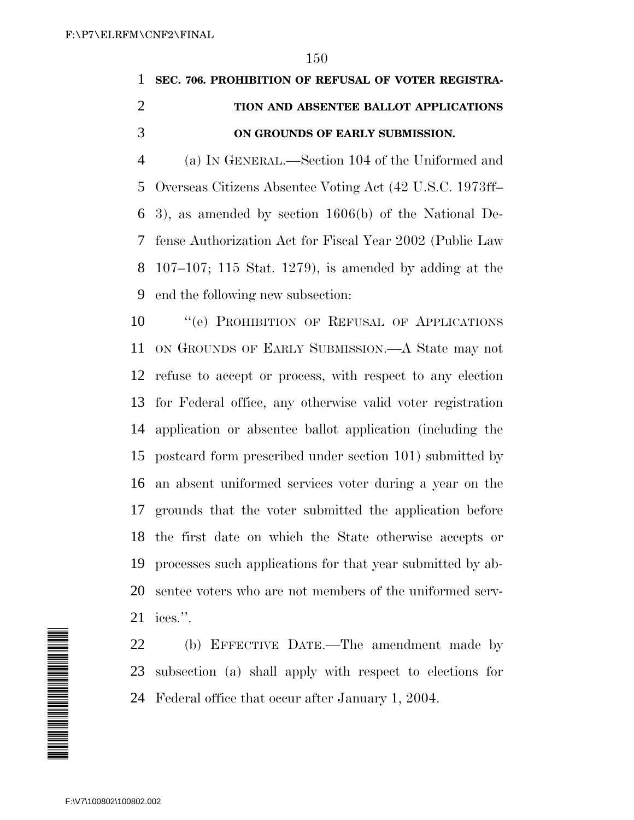## **SEC. 706. PROHIBITION OF REFUSAL OF VOTER REGISTRA- TION AND ABSENTEE BALLOT APPLICATIONS ON GROUNDS OF EARLY SUBMISSION.**

 (a) IN GENERAL.—Section 104 of the Uniformed and Overseas Citizens Absentee Voting Act (42 U.S.C. 1973ff– 3), as amended by section 1606(b) of the National De- fense Authorization Act for Fiscal Year 2002 (Public Law 107–107; 115 Stat. 1279), is amended by adding at the end the following new subsection:

10 "(e) PROHIBITION OF REFUSAL OF APPLICATIONS ON GROUNDS OF EARLY SUBMISSION.—A State may not refuse to accept or process, with respect to any election for Federal office, any otherwise valid voter registration application or absentee ballot application (including the postcard form prescribed under section 101) submitted by an absent uniformed services voter during a year on the grounds that the voter submitted the application before the first date on which the State otherwise accepts or processes such applications for that year submitted by ab- sentee voters who are not members of the uniformed serv-ices.''.

 (b) EFFECTIVE DATE.—The amendment made by subsection (a) shall apply with respect to elections for Federal office that occur after January 1, 2004.

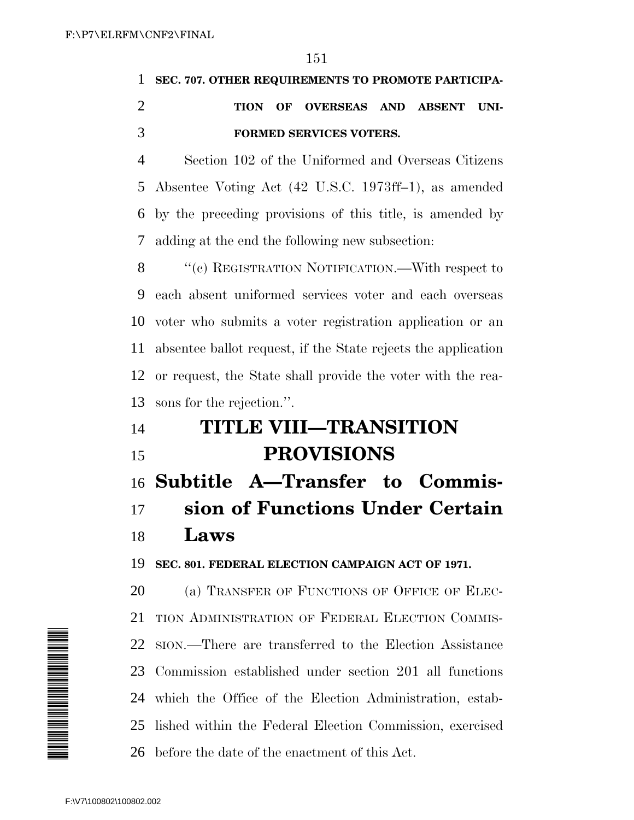## **SEC. 707. OTHER REQUIREMENTS TO PROMOTE PARTICIPA- TION OF OVERSEAS AND ABSENT UNI-FORMED SERVICES VOTERS.**

 Section 102 of the Uniformed and Overseas Citizens Absentee Voting Act (42 U.S.C. 1973ff–1), as amended by the preceding provisions of this title, is amended by adding at the end the following new subsection:

8 "(c) REGISTRATION NOTIFICATION.—With respect to each absent uniformed services voter and each overseas voter who submits a voter registration application or an absentee ballot request, if the State rejects the application or request, the State shall provide the voter with the rea-sons for the rejection.''.

# **TITLE VIII—TRANSITION PROVISIONS**

 **Subtitle A—Transfer to Commis- sion of Functions Under Certain Laws**

**SEC. 801. FEDERAL ELECTION CAMPAIGN ACT OF 1971.**

20 (a) TRANSFER OF FUNCTIONS OF OFFICE OF ELEC- TION ADMINISTRATION OF FEDERAL ELECTION COMMIS- SION.—There are transferred to the Election Assistance Commission established under section 201 all functions which the Office of the Election Administration, estab- lished within the Federal Election Commission, exercised before the date of the enactment of this Act. F:\V7\100802\100802.002 -02<br>
F:\V7\100802\100802.002 -02<br>
F:\V7\100802\100802.002 -02

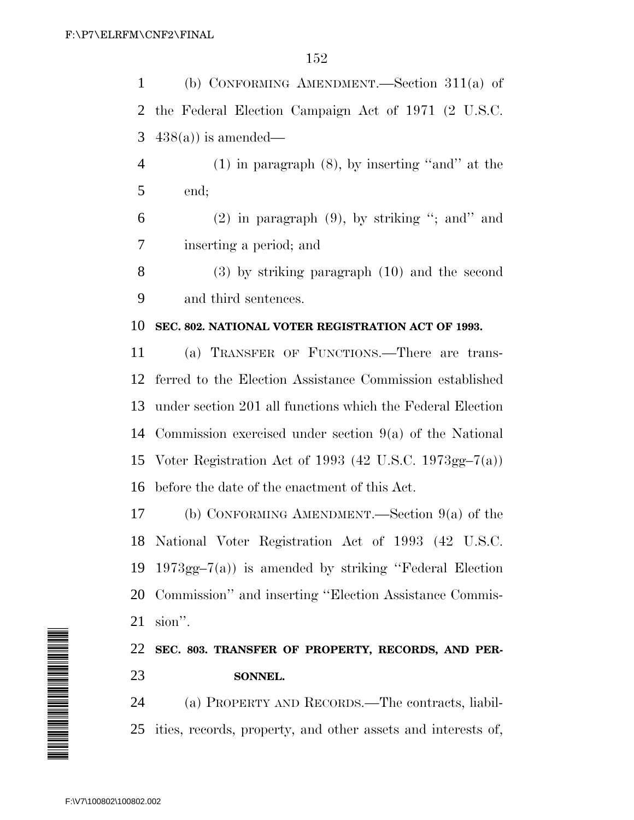(b) CONFORMING AMENDMENT.—Section 311(a) of the Federal Election Campaign Act of 1971 (2 U.S.C.  $438(a)$  is amended— (1) in paragraph (8), by inserting ''and'' at the end; (2) in paragraph (9), by striking "; and" and inserting a period; and (3) by striking paragraph (10) and the second and third sentences. **SEC. 802. NATIONAL VOTER REGISTRATION ACT OF 1993.** (a) TRANSFER OF FUNCTIONS.—There are trans-

 ferred to the Election Assistance Commission established under section 201 all functions which the Federal Election Commission exercised under section 9(a) of the National Voter Registration Act of 1993 (42 U.S.C. 1973gg–7(a)) before the date of the enactment of this Act.

 (b) CONFORMING AMENDMENT.—Section 9(a) of the National Voter Registration Act of 1993 (42 U.S.C. 1973gg–7(a)) is amended by striking ''Federal Election Commission'' and inserting ''Election Assistance Commis-sion''.

 **SEC. 803. TRANSFER OF PROPERTY, RECORDS, AND PER-SONNEL.**

 (a) PROPERTY AND RECORDS.—The contracts, liabil-ities, records, property, and other assets and interests of,

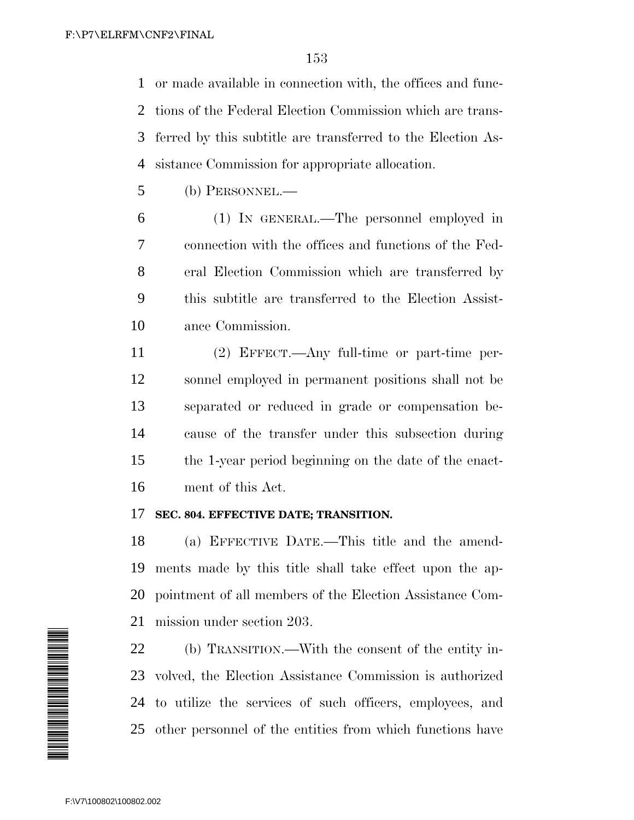or made available in connection with, the offices and func- tions of the Federal Election Commission which are trans- ferred by this subtitle are transferred to the Election As-sistance Commission for appropriate allocation.

(b) PERSONNEL.—

 (1) IN GENERAL.—The personnel employed in connection with the offices and functions of the Fed- eral Election Commission which are transferred by this subtitle are transferred to the Election Assist-ance Commission.

 (2) EFFECT.—Any full-time or part-time per- sonnel employed in permanent positions shall not be separated or reduced in grade or compensation be- cause of the transfer under this subsection during the 1-year period beginning on the date of the enact-ment of this Act.

#### **SEC. 804. EFFECTIVE DATE; TRANSITION.**

 (a) EFFECTIVE DATE.—This title and the amend- ments made by this title shall take effect upon the ap- pointment of all members of the Election Assistance Com-mission under section 203.

 (b) TRANSITION.—With the consent of the entity in- volved, the Election Assistance Commission is authorized to utilize the services of such officers, employees, and other personnel of the entities from which functions have

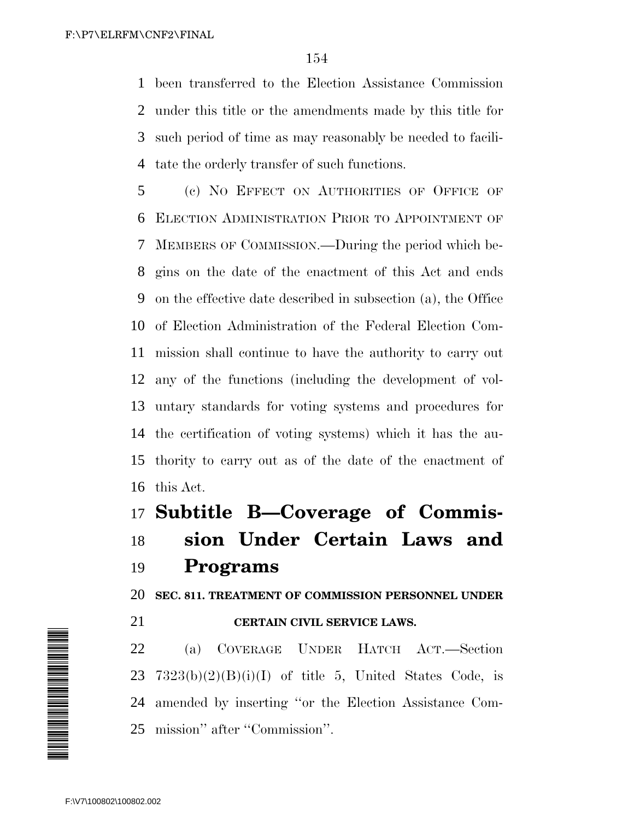been transferred to the Election Assistance Commission under this title or the amendments made by this title for such period of time as may reasonably be needed to facili-tate the orderly transfer of such functions.

 (c) NO EFFECT ON AUTHORITIES OF OFFICE OF ELECTION ADMINISTRATION PRIOR TO APPOINTMENT OF MEMBERS OF COMMISSION.—During the period which be- gins on the date of the enactment of this Act and ends on the effective date described in subsection (a), the Office of Election Administration of the Federal Election Com- mission shall continue to have the authority to carry out any of the functions (including the development of vol- untary standards for voting systems and procedures for the certification of voting systems) which it has the au- thority to carry out as of the date of the enactment of this Act.

**Subtitle B—Coverage of Commis-**

 **sion Under Certain Laws and Programs**

**SEC. 811. TREATMENT OF COMMISSION PERSONNEL UNDER**

#### **CERTAIN CIVIL SERVICE LAWS.**

 (a) COVERAGE UNDER HATCH ACT.—Section  $7323(b)(2)(B)(i)(I)$  of title 5, United States Code, is amended by inserting ''or the Election Assistance Com-mission'' after ''Commission''.

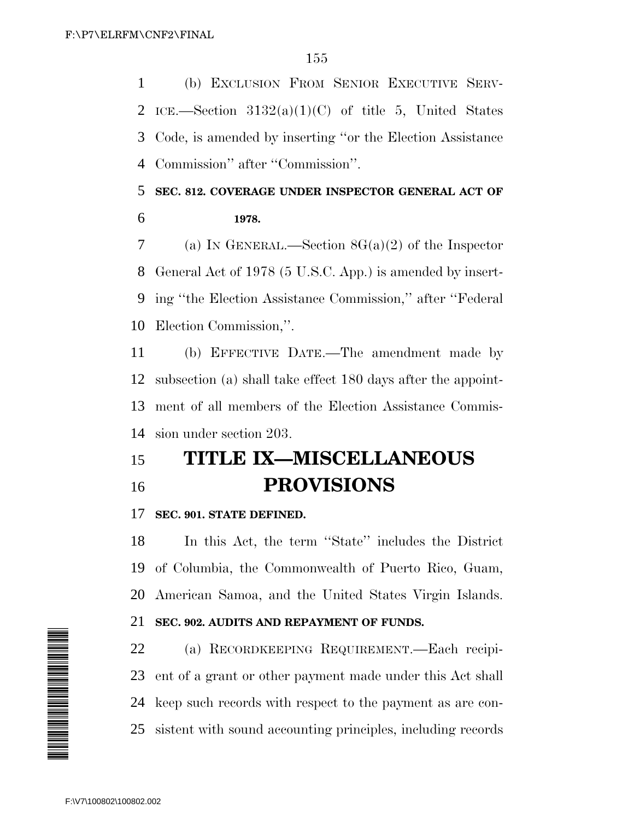(b) EXCLUSION FROM SENIOR EXECUTIVE SERV-2 ICE.—Section  $3132(a)(1)(C)$  of title 5, United States Code, is amended by inserting ''or the Election Assistance Commission'' after ''Commission''.

### **SEC. 812. COVERAGE UNDER INSPECTOR GENERAL ACT OF 1978.**

 (a) IN GENERAL.—Section 8G(a)(2) of the Inspector General Act of 1978 (5 U.S.C. App.) is amended by insert- ing ''the Election Assistance Commission,'' after ''Federal Election Commission,''.

 (b) EFFECTIVE DATE.—The amendment made by subsection (a) shall take effect 180 days after the appoint- ment of all members of the Election Assistance Commis-sion under section 203.

## **TITLE IX—MISCELLANEOUS PROVISIONS**

#### **SEC. 901. STATE DEFINED.**

 In this Act, the term ''State'' includes the District of Columbia, the Commonwealth of Puerto Rico, Guam, American Samoa, and the United States Virgin Islands.

#### **SEC. 902. AUDITS AND REPAYMENT OF FUNDS.**

 (a) RECORDKEEPING REQUIREMENT.—Each recipi- ent of a grant or other payment made under this Act shall keep such records with respect to the payment as are con-sistent with sound accounting principles, including records

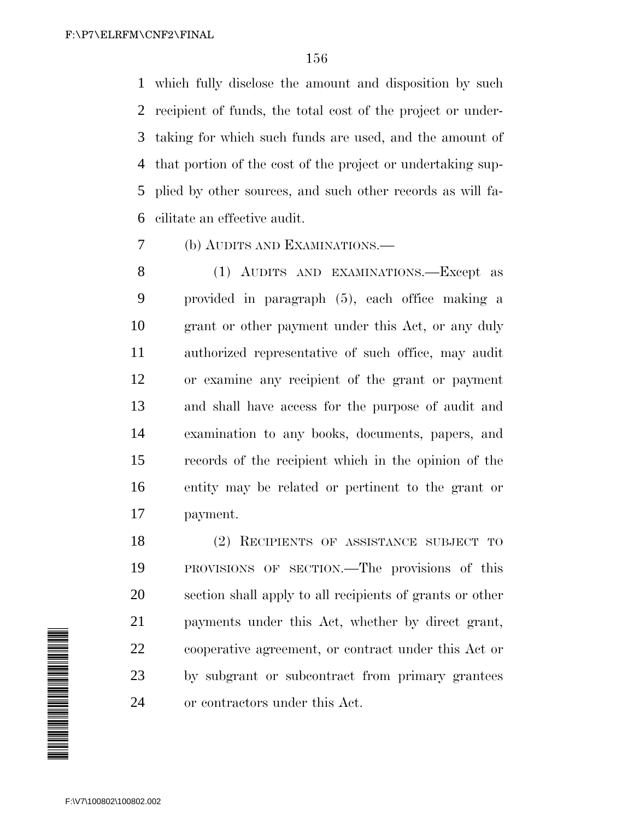which fully disclose the amount and disposition by such recipient of funds, the total cost of the project or under- taking for which such funds are used, and the amount of that portion of the cost of the project or undertaking sup- plied by other sources, and such other records as will fa-cilitate an effective audit.

(b) AUDITS AND EXAMINATIONS.—

8 (1) AUDITS AND EXAMINATIONS.—Except as provided in paragraph (5), each office making a grant or other payment under this Act, or any duly authorized representative of such office, may audit or examine any recipient of the grant or payment and shall have access for the purpose of audit and examination to any books, documents, papers, and records of the recipient which in the opinion of the entity may be related or pertinent to the grant or payment.

 (2) RECIPIENTS OF ASSISTANCE SUBJECT TO PROVISIONS OF SECTION.—The provisions of this section shall apply to all recipients of grants or other payments under this Act, whether by direct grant, cooperative agreement, or contract under this Act or by subgrant or subcontract from primary grantees or contractors under this Act.

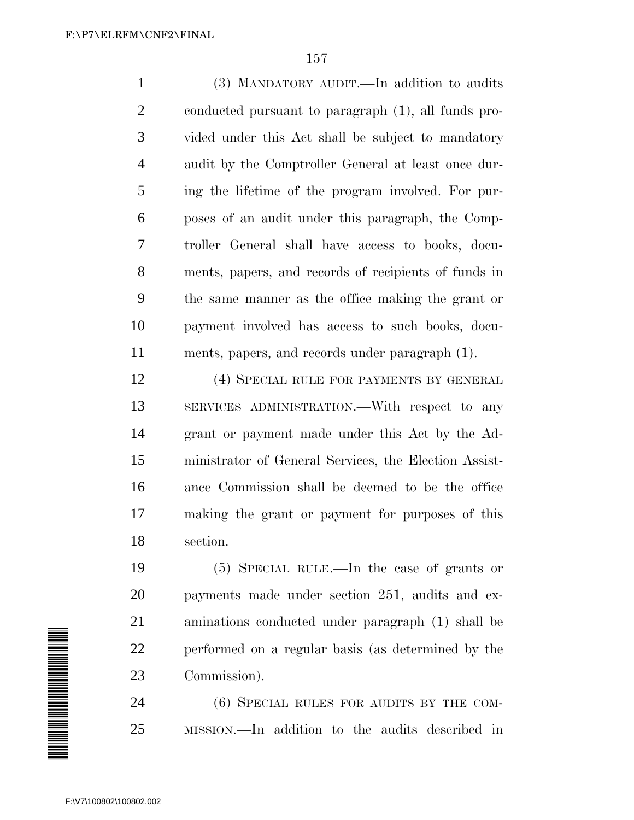(3) MANDATORY AUDIT.—In addition to audits conducted pursuant to paragraph (1), all funds pro- vided under this Act shall be subject to mandatory audit by the Comptroller General at least once dur- ing the lifetime of the program involved. For pur- poses of an audit under this paragraph, the Comp- troller General shall have access to books, docu- ments, papers, and records of recipients of funds in the same manner as the office making the grant or payment involved has access to such books, docu-ments, papers, and records under paragraph (1).

 (4) SPECIAL RULE FOR PAYMENTS BY GENERAL SERVICES ADMINISTRATION.—With respect to any grant or payment made under this Act by the Ad- ministrator of General Services, the Election Assist- ance Commission shall be deemed to be the office making the grant or payment for purposes of this section.

 (5) SPECIAL RULE.—In the case of grants or payments made under section 251, audits and ex- aminations conducted under paragraph (1) shall be performed on a regular basis (as determined by the Commission).

24 (6) SPECIAL RULES FOR AUDITS BY THE COM-MISSION.—In addition to the audits described in

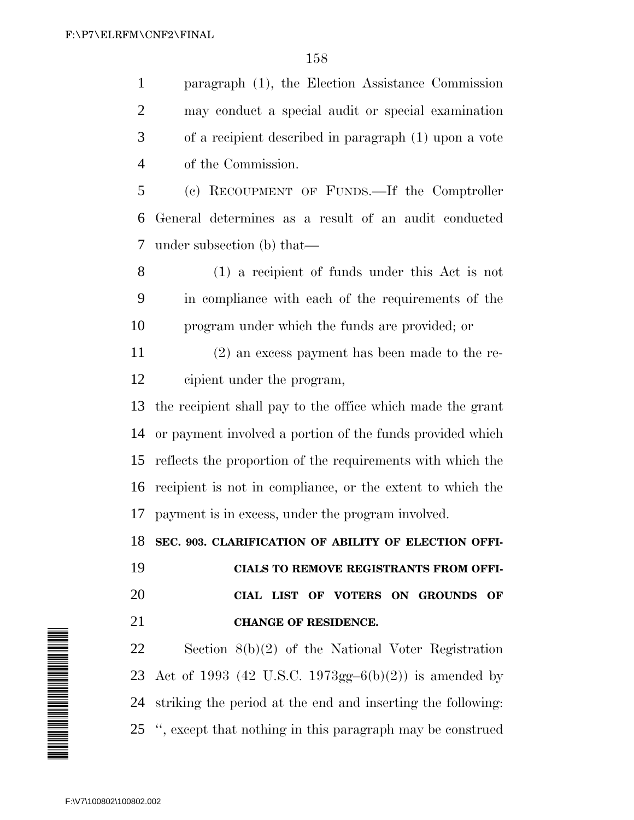paragraph (1), the Election Assistance Commission may conduct a special audit or special examination of a recipient described in paragraph (1) upon a vote of the Commission.

 (c) RECOUPMENT OF FUNDS.—If the Comptroller General determines as a result of an audit conducted under subsection (b) that—

 (1) a recipient of funds under this Act is not in compliance with each of the requirements of the program under which the funds are provided; or

 (2) an excess payment has been made to the re-cipient under the program,

 the recipient shall pay to the office which made the grant or payment involved a portion of the funds provided which reflects the proportion of the requirements with which the recipient is not in compliance, or the extent to which the payment is in excess, under the program involved.

**SEC. 903. CLARIFICATION OF ABILITY OF ELECTION OFFI-**

 **CIALS TO REMOVE REGISTRANTS FROM OFFI- CIAL LIST OF VOTERS ON GROUNDS OF CHANGE OF RESIDENCE.**

 Section 8(b)(2) of the National Voter Registration Act of 1993 (42 U.S.C. 1973gg–6(b)(2)) is amended by striking the period at the end and inserting the following: '', except that nothing in this paragraph may be construed

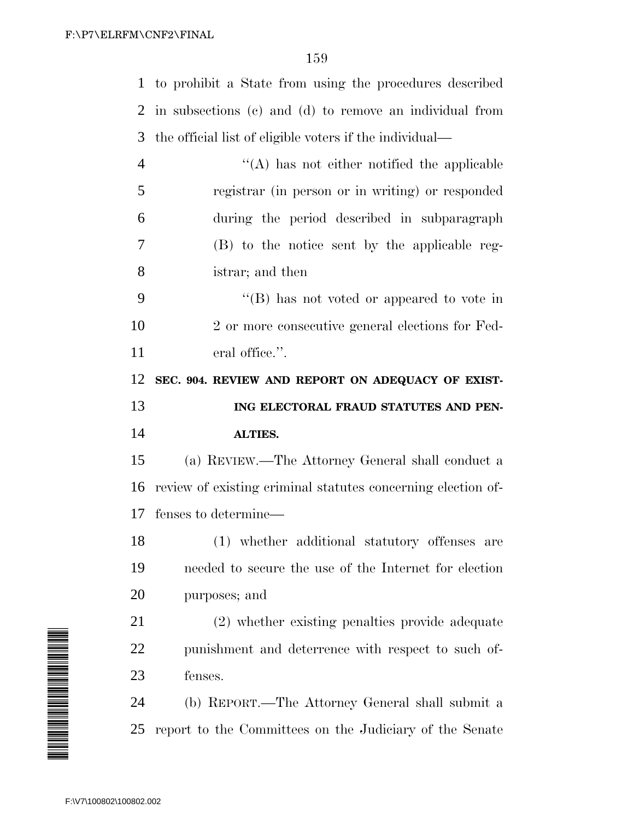to prohibit a State from using the procedures described

 in subsections (c) and (d) to remove an individual from the official list of eligible voters if the individual— ''(A) has not either notified the applicable registrar (in person or in writing) or responded during the period described in subparagraph (B) to the notice sent by the applicable reg- istrar; and then ''(B) has not voted or appeared to vote in 2 or more consecutive general elections for Fed-11 eral office.". **SEC. 904. REVIEW AND REPORT ON ADEQUACY OF EXIST- ING ELECTORAL FRAUD STATUTES AND PEN- ALTIES.** (a) REVIEW.—The Attorney General shall conduct a review of existing criminal statutes concerning election of- fenses to determine— (1) whether additional statutory offenses are needed to secure the use of the Internet for election purposes; and (2) whether existing penalties provide adequate punishment and deterrence with respect to such of-fenses.

 (b) REPORT.—The Attorney General shall submit a report to the Committees on the Judiciary of the Senate

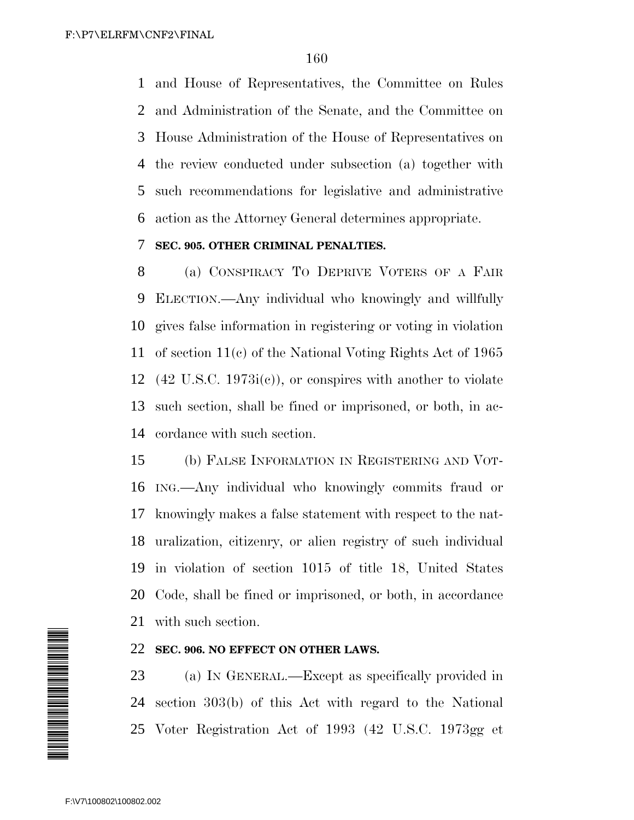and House of Representatives, the Committee on Rules and Administration of the Senate, and the Committee on House Administration of the House of Representatives on the review conducted under subsection (a) together with such recommendations for legislative and administrative action as the Attorney General determines appropriate.

#### **SEC. 905. OTHER CRIMINAL PENALTIES.**

 (a) CONSPIRACY TO DEPRIVE VOTERS OF A FAIR ELECTION.—Any individual who knowingly and willfully gives false information in registering or voting in violation of section 11(c) of the National Voting Rights Act of 1965 (42 U.S.C. 1973i(c)), or conspires with another to violate such section, shall be fined or imprisoned, or both, in ac-cordance with such section.

 (b) FALSE INFORMATION IN REGISTERING AND VOT- ING.—Any individual who knowingly commits fraud or knowingly makes a false statement with respect to the nat- uralization, citizenry, or alien registry of such individual in violation of section 1015 of title 18, United States Code, shall be fined or imprisoned, or both, in accordance with such section.

#### **SEC. 906. NO EFFECT ON OTHER LAWS.**

 (a) IN GENERAL.—Except as specifically provided in section 303(b) of this Act with regard to the National Voter Registration Act of 1993 (42 U.S.C. 1973gg et